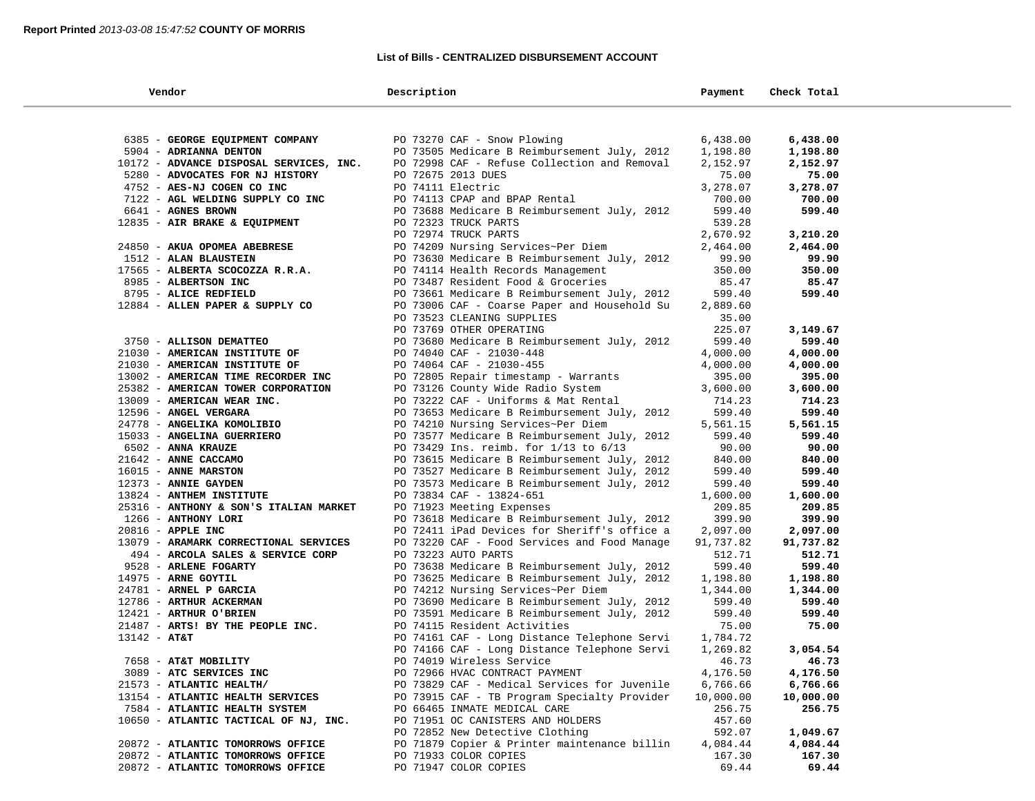### **List of Bills - CENTRALIZED DISBURSEMENT ACCOUNT**

| Vendor                                            | Description                                                                        | Payment            | Check Total        |  |
|---------------------------------------------------|------------------------------------------------------------------------------------|--------------------|--------------------|--|
|                                                   |                                                                                    |                    |                    |  |
| 6385 - GEORGE EQUIPMENT COMPANY                   | PO 73270 CAF - Snow Plowing                                                        | 6,438.00           | 6,438.00           |  |
| 5904 - ADRIANNA DENTON                            | PO 73505 Medicare B Reimbursement July, 2012                                       | 1,198.80           | 1,198.80           |  |
| 10172 - ADVANCE DISPOSAL SERVICES, INC.           | PO 72998 CAF - Refuse Collection and Removal                                       | 2,152.97           | 2,152.97           |  |
| 5280 - ADVOCATES FOR NJ HISTORY                   | PO 72675 2013 DUES                                                                 | 75.00              | 75.00              |  |
| 4752 - AES-NJ COGEN CO INC                        | PO 74111 Electric                                                                  | 3,278.07           | 3,278.07           |  |
| 7122 - AGL WELDING SUPPLY CO INC                  | PO 74113 CPAP and BPAP Rental                                                      | 700.00             | 700.00             |  |
| 6641 - AGNES BROWN                                | PO 73688 Medicare B Reimbursement July, 2012                                       | 599.40             | 599.40             |  |
| 12835 - AIR BRAKE & EQUIPMENT                     | PO 72323 TRUCK PARTS                                                               | 539.28             |                    |  |
|                                                   | PO 72974 TRUCK PARTS                                                               | 2,670.92           | 3,210.20           |  |
| 24850 - AKUA OPOMEA ABEBRESE                      | PO 74209 Nursing Services~Per Diem                                                 | 2,464.00           | 2,464.00           |  |
| 1512 - ALAN BLAUSTEIN                             | PO 73630 Medicare B Reimbursement July, 2012                                       | 99.90              | 99.90              |  |
| 17565 - ALBERTA SCOCOZZA R.R.A.                   | PO 74114 Health Records Management                                                 | 350.00             | 350.00             |  |
| 8985 - ALBERTSON INC                              | PO 73487 Resident Food & Groceries                                                 | 85.47              | 85.47              |  |
| 8795 - ALICE REDFIELD                             | PO 73661 Medicare B Reimbursement July, 2012                                       | 599.40             | 599.40             |  |
| 12884 - ALLEN PAPER & SUPPLY CO                   | PO 73006 CAF - Coarse Paper and Household Su                                       | 2,889.60           |                    |  |
|                                                   | PO 73523 CLEANING SUPPLIES                                                         | 35.00              |                    |  |
|                                                   | PO 73769 OTHER OPERATING                                                           | 225.07             | 3,149.67           |  |
| 3750 - ALLISON DEMATTEO                           | PO 73680 Medicare B Reimbursement July, 2012                                       | 599.40             | 599.40             |  |
| 21030 - AMERICAN INSTITUTE OF                     | PO 74040 CAF - 21030-448                                                           | 4,000.00           | 4,000.00           |  |
| 21030 - AMERICAN INSTITUTE OF                     | PO 74064 CAF - 21030-455                                                           | 4,000.00           | 4,000.00           |  |
| 13002 - AMERICAN TIME RECORDER INC                | PO 72805 Repair timestamp - Warrants                                               | 395.00             | 395.00             |  |
| 25382 - AMERICAN TOWER CORPORATION                | PO 73126 County Wide Radio System                                                  | 3,600.00           | 3,600.00           |  |
| 13009 - AMERICAN WEAR INC.                        | PO 73222 CAF - Uniforms & Mat Rental                                               | 714.23             | 714.23             |  |
| 12596 - ANGEL VERGARA                             | PO 73653 Medicare B Reimbursement July, 2012                                       | 599.40             | 599.40             |  |
| 24778 - ANGELIKA KOMOLIBIO                        | PO 74210 Nursing Services~Per Diem                                                 | 5,561.15           | 5,561.15           |  |
| 15033 - ANGELINA GUERRIERO                        | PO 73577 Medicare B Reimbursement July, 2012                                       | 599.40             | 599.40             |  |
| 6502 - ANNA KRAUZE                                | PO 73429 Ins. reimb. for 1/13 to 6/13                                              | 90.00              | 90.00              |  |
| 21642 - ANNE CACCAMO                              | PO 73615 Medicare B Reimbursement July, 2012                                       | 840.00             | 840.00             |  |
| 16015 - ANNE MARSTON                              | PO 73527 Medicare B Reimbursement July, 2012                                       | 599.40             | 599.40             |  |
| 12373 - ANNIE GAYDEN                              | PO 73573 Medicare B Reimbursement July, 2012                                       | 599.40             | 599.40             |  |
| 13824 - ANTHEM INSTITUTE                          | PO 73834 CAF - 13824-651                                                           | 1,600.00           | 1,600.00           |  |
| 25316 - ANTHONY & SON'S ITALIAN MARKET            | PO 71923 Meeting Expenses                                                          | 209.85             | 209.85             |  |
| 1266 - ANTHONY LORI                               | PO 73618 Medicare B Reimbursement July, 2012                                       | 399.90             | 399.90             |  |
| 20816 - APPLE INC                                 | PO 72411 iPad Devices for Sheriff's office a                                       | 2,097.00           | 2,097.00           |  |
| 13079 - ARAMARK CORRECTIONAL SERVICES             | PO 73220 CAF - Food Services and Food Manage                                       | 91,737.82          | 91,737.82          |  |
| 494 - ARCOLA SALES & SERVICE CORP                 | PO 73223 AUTO PARTS                                                                | 512.71             | 512.71             |  |
| 9528 - ARLENE FOGARTY                             | PO 73638 Medicare B Reimbursement July, 2012                                       | 599.40             | 599.40             |  |
| 14975 - ARNE GOYTIL                               | PO 73625 Medicare B Reimbursement July, 2012                                       | 1,198.80           | 1,198.80           |  |
| 24781 - ARNEL P GARCIA<br>12786 - ARTHUR ACKERMAN | PO 74212 Nursing Services~Per Diem<br>PO 73690 Medicare B Reimbursement July, 2012 | 1,344.00<br>599.40 | 1,344.00<br>599.40 |  |
| 12421 - ARTHUR O'BRIEN                            | PO 73591 Medicare B Reimbursement July, 2012                                       | 599.40             | 599.40             |  |
| 21487 - ARTS! BY THE PEOPLE INC.                  | PO 74115 Resident Activities                                                       | 75.00              | 75.00              |  |
| $13142 - AT&T$                                    | PO 74161 CAF - Long Distance Telephone Servi                                       | 1,784.72           |                    |  |
|                                                   | PO 74166 CAF - Long Distance Telephone Servi                                       | 1,269.82           | 3,054.54           |  |
| 7658 - AT&T MOBILITY                              | PO 74019 Wireless Service                                                          | 46.73              | 46.73              |  |
| 3089 - ATC SERVICES INC                           | PO 72966 HVAC CONTRACT PAYMENT                                                     | 4,176.50           | 4,176.50           |  |
| 21573 - ATLANTIC HEALTH/                          | PO 73829 CAF - Medical Services for Juvenile                                       | 6,766.66           | 6,766.66           |  |
| 13154 - ATLANTIC HEALTH SERVICES                  | PO 73915 CAF - TB Program Specialty Provider                                       | 10,000.00          | 10,000.00          |  |
| 7584 - ATLANTIC HEALTH SYSTEM                     | PO 66465 INMATE MEDICAL CARE                                                       | 256.75             | 256.75             |  |
| 10650 - ATLANTIC TACTICAL OF NJ, INC.             | PO 71951 OC CANISTERS AND HOLDERS                                                  | 457.60             |                    |  |
|                                                   | PO 72852 New Detective Clothing                                                    | 592.07             | 1,049.67           |  |
| 20872 - ATLANTIC TOMORROWS OFFICE                 | PO 71879 Copier & Printer maintenance billin                                       | 4,084.44           | 4,084.44           |  |
| 20872 - ATLANTIC TOMORROWS OFFICE                 | PO 71933 COLOR COPIES                                                              | 167.30             | 167.30             |  |
| 20872 - ATLANTIC TOMORROWS OFFICE                 | PO 71947 COLOR COPIES                                                              | 69.44              | 69.44              |  |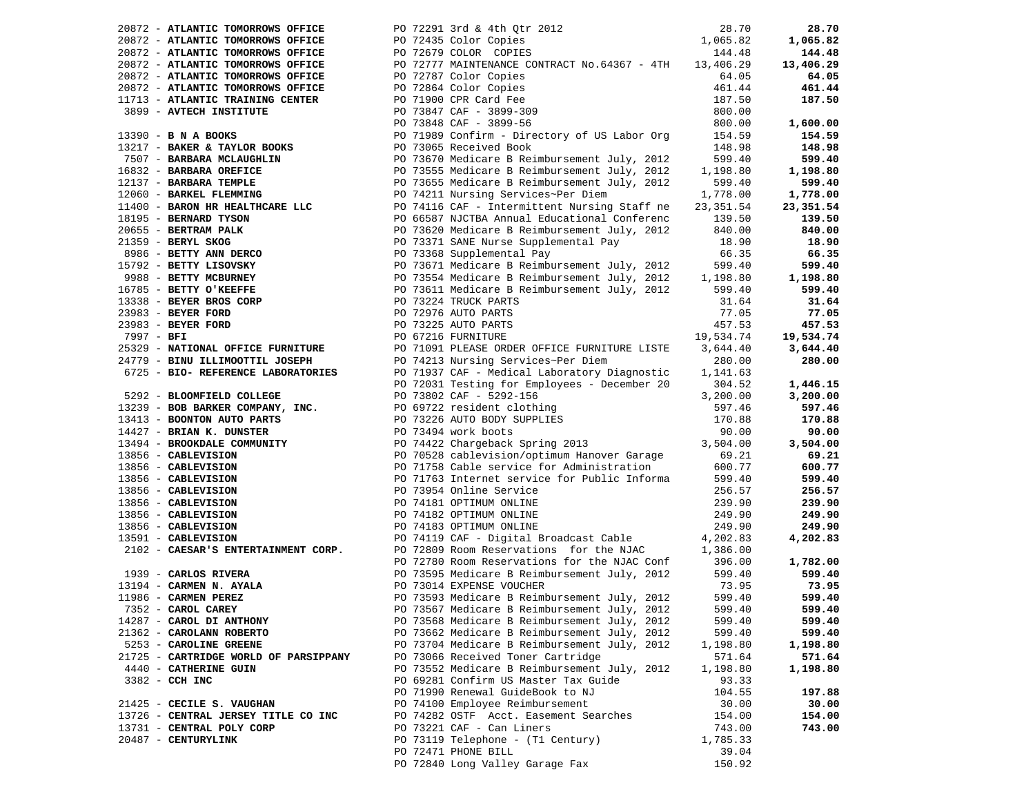| 20872 - ATLANTIC TOMORROWS OFFICE                                                                                                                                                                                                                            | PO 72291 3rd & 4th Qtr 2012                                                                                                                                                                                                                                                         |          | 28.70     |
|--------------------------------------------------------------------------------------------------------------------------------------------------------------------------------------------------------------------------------------------------------------|-------------------------------------------------------------------------------------------------------------------------------------------------------------------------------------------------------------------------------------------------------------------------------------|----------|-----------|
| 20872 - ATLANTIC TOMORROWS OFFICE                                                                                                                                                                                                                            | PO 72435 Color Copies                                                                                                                                                                                                                                                               |          | 1,065.82  |
|                                                                                                                                                                                                                                                              | $\begin{array}{cccc} 012 & & & & 28\, .70 \\ & & & & 1\, , 065\, .82 \\ & & & & 144\, .48 \end{array}$                                                                                                                                                                              |          |           |
| 20872 - ATLANTIC TOMORROWS OFFICE                                                                                                                                                                                                                            | PO 72679 COLOR COPIES                                                                                                                                                                                                                                                               |          | 144.48    |
| 20872 - ATLANTIC TOMORROWS OFFICE                                                                                                                                                                                                                            | PO 72777 MAINTENANCE CONTRACT No.64367 - 4TH 13,406.29                                                                                                                                                                                                                              |          | 13,406.29 |
| 20872 - ATLANTIC TOMORROWS OFFICE                                                                                                                                                                                                                            | PO 72787 Color Copies<br>PO 72864 Color Copies                                                                                                                                                                                                                                      | 64.05    | 64.05     |
| 20872 - ATLANTIC TOMORROWS OFFICE                                                                                                                                                                                                                            | PO 72864 Color Copies<br>PO 72864 Color Copies<br>PO 73847 CAF - 3899-309<br>PO 73848 CAF - 3899-56                                                                                                                                                                                 | 461.44   | 461.44    |
|                                                                                                                                                                                                                                                              |                                                                                                                                                                                                                                                                                     |          |           |
| 11713 - ATLANTIC TRAINING CENTER                                                                                                                                                                                                                             |                                                                                                                                                                                                                                                                                     | 187.50   | 187.50    |
| 3899 - AVTECH INSTITUTE                                                                                                                                                                                                                                      |                                                                                                                                                                                                                                                                                     | 800.00   |           |
|                                                                                                                                                                                                                                                              |                                                                                                                                                                                                                                                                                     |          | 1,600.00  |
|                                                                                                                                                                                                                                                              |                                                                                                                                                                                                                                                                                     |          | 154.59    |
|                                                                                                                                                                                                                                                              |                                                                                                                                                                                                                                                                                     |          |           |
|                                                                                                                                                                                                                                                              |                                                                                                                                                                                                                                                                                     |          | 148.98    |
|                                                                                                                                                                                                                                                              |                                                                                                                                                                                                                                                                                     |          | 599.40    |
|                                                                                                                                                                                                                                                              |                                                                                                                                                                                                                                                                                     |          | 1,198.80  |
|                                                                                                                                                                                                                                                              |                                                                                                                                                                                                                                                                                     |          | 599.40    |
|                                                                                                                                                                                                                                                              |                                                                                                                                                                                                                                                                                     |          |           |
|                                                                                                                                                                                                                                                              |                                                                                                                                                                                                                                                                                     |          | 1,778.00  |
|                                                                                                                                                                                                                                                              |                                                                                                                                                                                                                                                                                     |          | 23,351.54 |
|                                                                                                                                                                                                                                                              |                                                                                                                                                                                                                                                                                     |          | 139.50    |
|                                                                                                                                                                                                                                                              |                                                                                                                                                                                                                                                                                     |          | 840.00    |
|                                                                                                                                                                                                                                                              |                                                                                                                                                                                                                                                                                     |          |           |
|                                                                                                                                                                                                                                                              |                                                                                                                                                                                                                                                                                     |          | 18.90     |
|                                                                                                                                                                                                                                                              |                                                                                                                                                                                                                                                                                     |          | 66.35     |
|                                                                                                                                                                                                                                                              |                                                                                                                                                                                                                                                                                     |          | 599.40    |
|                                                                                                                                                                                                                                                              |                                                                                                                                                                                                                                                                                     |          | 1,198.80  |
|                                                                                                                                                                                                                                                              |                                                                                                                                                                                                                                                                                     |          |           |
|                                                                                                                                                                                                                                                              |                                                                                                                                                                                                                                                                                     |          | 599.40    |
|                                                                                                                                                                                                                                                              |                                                                                                                                                                                                                                                                                     |          | 31.64     |
|                                                                                                                                                                                                                                                              |                                                                                                                                                                                                                                                                                     |          | 77.05     |
|                                                                                                                                                                                                                                                              |                                                                                                                                                                                                                                                                                     |          | 457.53    |
|                                                                                                                                                                                                                                                              |                                                                                                                                                                                                                                                                                     |          | 19,534.74 |
|                                                                                                                                                                                                                                                              |                                                                                                                                                                                                                                                                                     |          |           |
|                                                                                                                                                                                                                                                              |                                                                                                                                                                                                                                                                                     |          | 3,644.40  |
| 24779 - BINU ILLIMOOTTIL JOSEPH                                                                                                                                                                                                                              | 3899 - AVTECH INSTITUTE PO 73847 CAF - 3899-30<br>13390 - BN A BOO.50<br>13217 - BAKEAKA NCLAUGHLIN<br>154.59<br>154.59<br>17907 - BAKEAKA NCLAUGHLIN<br>16832 - BAREARA NCLAUGHLIN<br>1697 - BAKEAK DERIVIOR BOOKS<br>17907 - BAREARA NCLAUG<br>PO 74213 Nursing Services~Per Diem | 280.00   | 280.00    |
| 6725 - BIO- REFERENCE LABORATORIES                                                                                                                                                                                                                           | PO 71937 CAF - Medical Laboratory Diagnostic                                                                                                                                                                                                                                        | 1,141.63 |           |
|                                                                                                                                                                                                                                                              | PO 72031 Testing for Employees - December 20                                                                                                                                                                                                                                        | 304.52   | 1,446.15  |
| 5292 - BLOOMFIELD COLLEGE                                                                                                                                                                                                                                    |                                                                                                                                                                                                                                                                                     | 3,200.00 | 3,200.00  |
|                                                                                                                                                                                                                                                              | PO 73802 CAF - 5292-156<br>PO 69722 resident clothing                                                                                                                                                                                                                               |          |           |
| 13239 - BOB BARKER COMPANY, INC.                                                                                                                                                                                                                             |                                                                                                                                                                                                                                                                                     | 597.46   | 597.46    |
| 13413 - BOONTON AUTO PARTS                                                                                                                                                                                                                                   |                                                                                                                                                                                                                                                                                     | 170.88   | 170.88    |
| 13413 - BOONTON AUTO PARTS<br>14427 - BRIAN K. DUNSTER<br>13856 - CABLEVISION<br>13856 - CABLEVISION<br>13856 - CABLEVISION<br>13856 - CABLEVISION<br>13856 - CABLEVISION<br>13856 - CABLEVISION<br>13856 - CABLEVISION<br>13856 - CABLEVISION<br>13856 - CA | PO 73226 AUTO BODY SUPPLIES<br>PO 73494 work boots<br>PO 74422 Chargeback Spring 2013                                                                                                                                                                                               | 90.00    | 90.00     |
|                                                                                                                                                                                                                                                              |                                                                                                                                                                                                                                                                                     | 3,504.00 | 3,504.00  |
|                                                                                                                                                                                                                                                              | PO 70528 cablevision/optimum Hanover Garage 69.21                                                                                                                                                                                                                                   |          | 69.21     |
|                                                                                                                                                                                                                                                              |                                                                                                                                                                                                                                                                                     |          |           |
|                                                                                                                                                                                                                                                              | PO 71758 Cable service for Administration<br>PO 71763 Internet service for Public Informa                                                                                                                                                                                           | 600.77   | 600.77    |
|                                                                                                                                                                                                                                                              |                                                                                                                                                                                                                                                                                     | 599.40   | 599.40    |
|                                                                                                                                                                                                                                                              | PO 73954 Online Service                                                                                                                                                                                                                                                             | 256.57   | 256.57    |
|                                                                                                                                                                                                                                                              | PO 74181 OPTIMUM ONLINE                                                                                                                                                                                                                                                             | 239.90   | 239.90    |
|                                                                                                                                                                                                                                                              | PO 74182 OPTIMUM ONLINE                                                                                                                                                                                                                                                             | 249.90   | 249.90    |
|                                                                                                                                                                                                                                                              |                                                                                                                                                                                                                                                                                     |          | 249.90    |
|                                                                                                                                                                                                                                                              | PO 74183 OPTIMUM ONLINE                                                                                                                                                                                                                                                             | 249.90   |           |
|                                                                                                                                                                                                                                                              |                                                                                                                                                                                                                                                                                     |          | 4,202.83  |
| 2102 - CAESAR'S ENTERTAINMENT CORP.                                                                                                                                                                                                                          | PO 72809 Room Reservations for the NJAC 1.386.00<br>PO 72780 Room Reservations for the NJAC 1.386.00                                                                                                                                                                                |          |           |
|                                                                                                                                                                                                                                                              |                                                                                                                                                                                                                                                                                     |          | 1,782.00  |
| 1939 - CARLOS RIVERA                                                                                                                                                                                                                                         | PO 72780 Room Reservations for the NJAC Conf 396.00<br>PO 73595 Medicare B Reimbursement July, 2012 599.40                                                                                                                                                                          |          | 599.40    |
|                                                                                                                                                                                                                                                              | PO 73014 EXPENSE VOUCHER                                                                                                                                                                                                                                                            | 73.95    | 73.95     |
| 13194 - CARMEN N. AYALA<br>11986 - CARMEN PEREZ                                                                                                                                                                                                              |                                                                                                                                                                                                                                                                                     |          |           |
|                                                                                                                                                                                                                                                              | PO 73593 Medicare B Reimbursement July, 2012                                                                                                                                                                                                                                        | 599.40   | 599.40    |
| 7352 - CAROL CAREY                                                                                                                                                                                                                                           | PO 73567 Medicare B Reimbursement July, 2012                                                                                                                                                                                                                                        | 599.40   | 599.40    |
| 14287 - CAROL DI ANTHONY                                                                                                                                                                                                                                     | PO 73568 Medicare B Reimbursement July, 2012                                                                                                                                                                                                                                        | 599.40   | 599.40    |
| 21362 - CAROLANN ROBERTO                                                                                                                                                                                                                                     | PO 73662 Medicare B Reimbursement July, 2012                                                                                                                                                                                                                                        | 599.40   | 599.40    |
| 5253 - CAROLINE GREENE                                                                                                                                                                                                                                       | PO 73704 Medicare B Reimbursement July, 2012                                                                                                                                                                                                                                        | 1,198.80 | 1,198.80  |
|                                                                                                                                                                                                                                                              |                                                                                                                                                                                                                                                                                     |          |           |
| 21725 - CARTRIDGE WORLD OF PARSIPPANY                                                                                                                                                                                                                        | PO 73066 Received Toner Cartridge                                                                                                                                                                                                                                                   | 571.64   | 571.64    |
| 4440 - CATHERINE GUIN                                                                                                                                                                                                                                        | PO 73552 Medicare B Reimbursement July, 2012                                                                                                                                                                                                                                        | 1,198.80 | 1,198.80  |
| 3382 - CCH INC                                                                                                                                                                                                                                               | PO 69281 Confirm US Master Tax Guide                                                                                                                                                                                                                                                | 93.33    |           |
|                                                                                                                                                                                                                                                              | PO 71990 Renewal GuideBook to NJ                                                                                                                                                                                                                                                    | 104.55   | 197.88    |
| 21425 - CECILE S. VAUGHAN                                                                                                                                                                                                                                    | PO 74100 Employee Reimbursement                                                                                                                                                                                                                                                     | 30.00    | 30.00     |
|                                                                                                                                                                                                                                                              |                                                                                                                                                                                                                                                                                     |          |           |
| 13726 - CENTRAL JERSEY TITLE CO INC                                                                                                                                                                                                                          | PO 74282 OSTF Acct. Easement Searches                                                                                                                                                                                                                                               | 154.00   | 154.00    |
| 13731 - CENTRAL POLY CORP                                                                                                                                                                                                                                    | PO 73221 CAF - Can Liners                                                                                                                                                                                                                                                           | 743.00   | 743.00    |
| 20487 - CENTURYLINK                                                                                                                                                                                                                                          | PO 73119 Telephone - (T1 Century)                                                                                                                                                                                                                                                   | 1,785.33 |           |
|                                                                                                                                                                                                                                                              | PO 72471 PHONE BILL                                                                                                                                                                                                                                                                 | 39.04    |           |
|                                                                                                                                                                                                                                                              | PO 72840 Long Valley Garage Fax                                                                                                                                                                                                                                                     | 150.92   |           |
|                                                                                                                                                                                                                                                              |                                                                                                                                                                                                                                                                                     |          |           |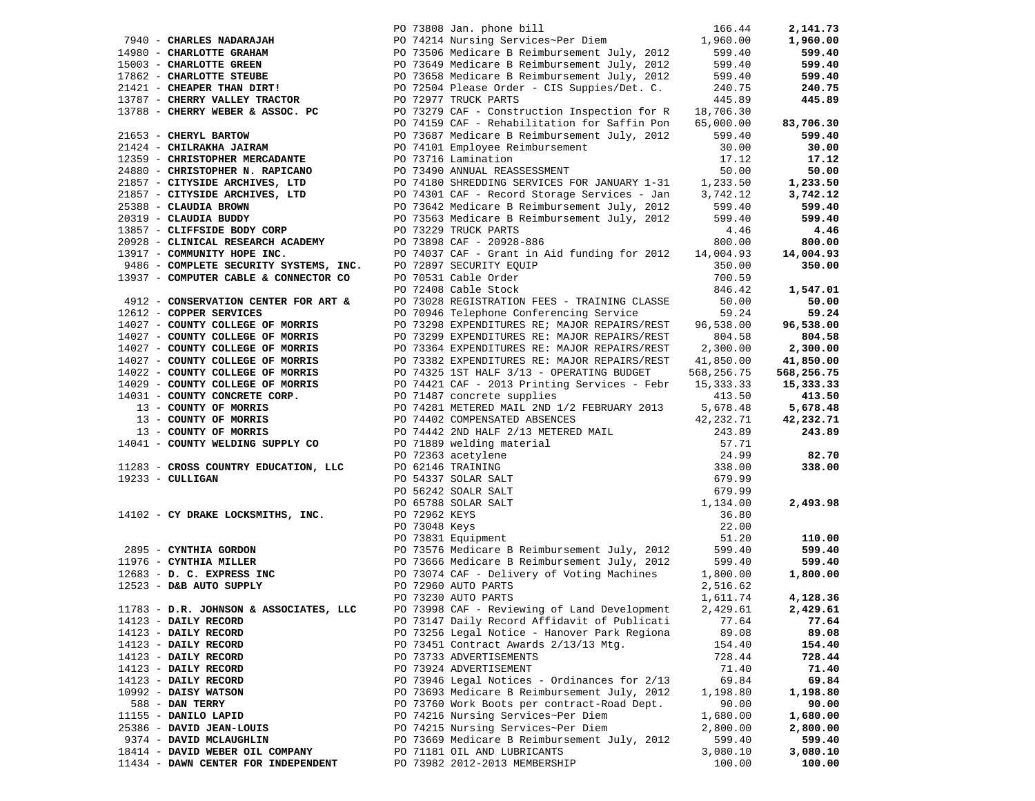|                                                                                 |  | PO 73808 Jan. phone bill                                                                                                                                                                                                                             | 166.44     | 2,141.73   |
|---------------------------------------------------------------------------------|--|------------------------------------------------------------------------------------------------------------------------------------------------------------------------------------------------------------------------------------------------------|------------|------------|
| 7940 - CHARLES NADARAJAH                                                        |  | PO 74214 Nursing Services~Per Diem 1,960.00                                                                                                                                                                                                          |            | 1,960.00   |
|                                                                                 |  |                                                                                                                                                                                                                                                      | 599.40     | 599.40     |
|                                                                                 |  |                                                                                                                                                                                                                                                      | 599.40     | 599.40     |
|                                                                                 |  |                                                                                                                                                                                                                                                      |            |            |
|                                                                                 |  |                                                                                                                                                                                                                                                      | 599.40     | 599.40     |
|                                                                                 |  | The CHARLOTTE GRAHAM<br>TO 73506 Medicare B Reimbursement July, 2012<br>1980 - CHARLOTTE GRAHAM<br>1980 - CHARLOTTE GREEN<br>1980 - CHARLOTTE STEUBE<br>PO 73658 Medicare B Reimbursement July, 2012<br>21421 - CHEAPER THAN DIRT!<br>PO 725         | 240.75     | 240.75     |
| 13787 - CHERRY VALLEY TRACTOR                                                   |  | PO 72977 TRUCK PARTS                                                                                                                                                                                                                                 | 445.89     | 445.89     |
|                                                                                 |  |                                                                                                                                                                                                                                                      |            |            |
|                                                                                 |  | PO 74159 CAF - Rehabilitation for Saffin Pon                                                                                                                                                                                                         | 65,000.00  | 83,706.30  |
| 21653 - CHERYL BARTOW                                                           |  | PO 73687 Medicare B Reimbursement July, 2012                                                                                                                                                                                                         | 599.40     | 599.40     |
| 21424 - CHILRAKHA JAIRAM                                                        |  | PO 74101 Employee Reimbursement                                                                                                                                                                                                                      | 30.00      | 30.00      |
| 12359 - CHRISTOPHER MERCADANTE                                                  |  | PO 73716 Lamination                                                                                                                                                                                                                                  | 17.12      | 17.12      |
|                                                                                 |  |                                                                                                                                                                                                                                                      |            |            |
| 24880 - CHRISTOPHER N. RAPICANO                                                 |  | 90 73490 ANNUAL REASSESSMENT 50.00<br>PO 74180 SHREDDING SERVICES FOR JANUARY 1-31 1,233.50                                                                                                                                                          |            | 50.00      |
| 21857 - CITYSIDE ARCHIVES, LTD                                                  |  |                                                                                                                                                                                                                                                      |            | 1,233.50   |
|                                                                                 |  | 21857 - CITYSIDE ARCHIVES, LTD PO 74301 CAF - Record Storage Services - Jan 3,742.12                                                                                                                                                                 |            | 3,742.12   |
| 25388 - CLAUDIA BROWN                                                           |  | PO 73642 Medicare B Reimbursement July, 2012                                                                                                                                                                                                         | 599.40     | 599.40     |
| 20319 - CLAUDIA BUDDY                                                           |  | PO 73563 Medicare B Reimbursement July, 2012                                                                                                                                                                                                         | 599.40     | 599.40     |
| 13857 - CLIFFSIDE BODY CORP                                                     |  | PO 73229 TRUCK PARTS                                                                                                                                                                                                                                 | 4.46       | 4.46       |
|                                                                                 |  |                                                                                                                                                                                                                                                      | 800.00     | 800.00     |
| 20928 - CLINICAL RESEARCH ACADEMY PO 73898 CAF - 20928-886                      |  |                                                                                                                                                                                                                                                      |            |            |
| 13917 - COMMUNITY HOPE INC.                                                     |  | PO 74037 CAF - Grant in Aid funding for 2012 14,004.93                                                                                                                                                                                               |            | 14,004.93  |
| 9486 - COMPLETE SECURITY SYSTEMS, INC.<br>13937 - COMPUTER CABLE & CONNECTOR CO |  | PO 72897 SECURITY EQUIP                                                                                                                                                                                                                              | 350.00     | 350.00     |
|                                                                                 |  | PO 70531 Cable Order                                                                                                                                                                                                                                 | 700.59     |            |
|                                                                                 |  | PO 72408 Cable Stock                                                                                                                                                                                                                                 | 846.42     | 1,547.01   |
| 4912 - CONSERVATION CENTER FOR ART &                                            |  | PO 73028 REGISTRATION FEES - TRAINING CLASSE                                                                                                                                                                                                         | 50.00      | 50.00      |
| 12612 - COPPER SERVICES                                                         |  | PO 70946 Telephone Conferencing Service                                                                                                                                                                                                              | 59.24      | 59.24      |
| 14027 - COUNTY COLLEGE OF MORRIS                                                |  | PO 73298 EXPENDITURES RE; MAJOR REPAIRS/REST                                                                                                                                                                                                         | 96,538.00  | 96,538.00  |
|                                                                                 |  |                                                                                                                                                                                                                                                      |            |            |
| 14027 - COUNTY COLLEGE OF MORRIS                                                |  | PO 73299 EXPENDITURES RE: MAJOR REPAIRS/REST                                                                                                                                                                                                         | 804.58     | 804.58     |
| 14027 - COUNTY COLLEGE OF MORRIS                                                |  | PO 73364 EXPENDITURES RE: MAJOR REPAIRS/REST                                                                                                                                                                                                         | 2,300.00   | 2,300.00   |
| 14027 - COUNTY COLLEGE OF MORRIS                                                |  | PO 73382 EXPENDITURES RE: MAJOR REPAIRS/REST 41,850.00                                                                                                                                                                                               |            | 41,850.00  |
| 14022 - COUNTY COLLEGE OF MORRIS                                                |  | PO 74325 1ST HALF 3/13 - OPERATING BUDGET                                                                                                                                                                                                            | 568,256.75 | 568,256.75 |
| 14029 - COUNTY COLLEGE OF MORRIS                                                |  | PO 74421 CAF - 2013 Printing Services - Febr                                                                                                                                                                                                         | 15,333.33  | 15,333.33  |
| 14031 - COUNTY CONCRETE CORP.                                                   |  | PO 71487 concrete supplies                                                                                                                                                                                                                           | 413.50     | 413.50     |
| 13 - COUNTY OF MORRIS                                                           |  | PO 74281 METERED MAIL 2ND 1/2 FEBRUARY 2013                                                                                                                                                                                                          | 5,678.48   | 5,678.48   |
| 13 - COUNTY OF MORRIS                                                           |  | PO 74402 COMPENSATED ABSENCES                                                                                                                                                                                                                        |            |            |
| 13 - COUNTY OF MORRIS                                                           |  |                                                                                                                                                                                                                                                      | 42,232.71  | 42,232.71  |
|                                                                                 |  |                                                                                                                                                                                                                                                      |            | 243.89     |
| 14041 - COUNTY WELDING SUPPLY CO                                                |  |                                                                                                                                                                                                                                                      |            |            |
|                                                                                 |  |                                                                                                                                                                                                                                                      |            | 82.70      |
| 11283 - CROSS COUNTRY EDUCATION, LLC                                            |  |                                                                                                                                                                                                                                                      |            | 338.00     |
| $19233 - \text{CULLIGAN}$                                                       |  |                                                                                                                                                                                                                                                      |            |            |
|                                                                                 |  | PO 74402 COMPENSATED ABSENCES<br>PO 74442 2ND HALF 2/13 METERED MAIL<br>PO 71889 welding material<br>PO 72363 acetylene<br>PO 62146 TRAINING<br>PO 5242 SOALR SALT<br>PO 5242 SOALR SALT<br>PO 56242 SOALR SALT<br>PO 65788 SOLAR SALT<br>PO 657     |            |            |
|                                                                                 |  |                                                                                                                                                                                                                                                      |            | 2,493.98   |
| 14102 - CY DRAKE LOCKSMITHS, INC.                                               |  |                                                                                                                                                                                                                                                      |            |            |
|                                                                                 |  |                                                                                                                                                                                                                                                      |            |            |
|                                                                                 |  |                                                                                                                                                                                                                                                      |            |            |
|                                                                                 |  |                                                                                                                                                                                                                                                      |            | 110.00     |
|                                                                                 |  |                                                                                                                                                                                                                                                      |            | 599.40     |
| 11976 - CYNTHIA MILLER                                                          |  |                                                                                                                                                                                                                                                      |            | 599.40     |
| 12683 - D. C. EXPRESS INC                                                       |  | 2895 - <b>CYNTHIA GORDON</b><br>2895 - <b>CYNTHIA GORDON</b> 2012<br>1976 - CYNTHIA MILLER 299.40<br>2683 - D. C. EXPRESS INC 2010 2013666 Medicare B Reimbursement July, 2012<br>2683 - D. C. EXPRESS INC 20174 CAF - Delivery of Voting Machines 2 |            | 1,800.00   |
| 12523 - D&B AUTO SUPPLY                                                         |  | PO 72960 AUTO PARTS                                                                                                                                                                                                                                  | 2,516.62   |            |
|                                                                                 |  | PO 73230 AUTO PARTS                                                                                                                                                                                                                                  | 1,611.74   | 4,128.36   |
|                                                                                 |  | PO 73998 CAF - Reviewing of Land Development                                                                                                                                                                                                         |            |            |
| 11783 - D.R. JOHNSON & ASSOCIATES, LLC                                          |  |                                                                                                                                                                                                                                                      | 2,429.61   | 2,429.61   |
| 14123 - DAILY RECORD                                                            |  | PO 73147 Daily Record Affidavit of Publicati                                                                                                                                                                                                         | 77.64      | 77.64      |
| 14123 - DAILY RECORD                                                            |  | PO 73256 Legal Notice - Hanover Park Regiona                                                                                                                                                                                                         | 89.08      | 89.08      |
| 14123 - DAILY RECORD                                                            |  | PO 73451 Contract Awards 2/13/13 Mtg.                                                                                                                                                                                                                | 154.40     | 154.40     |
| 14123 - DAILY RECORD                                                            |  | PO 73733 ADVERTISEMENTS                                                                                                                                                                                                                              | 728.44     | 728.44     |
| 14123 - DAILY RECORD                                                            |  | PO 73924 ADVERTISEMENT                                                                                                                                                                                                                               | 71.40      | 71.40      |
| 14123 - DAILY RECORD                                                            |  | PO 73946 Legal Notices - Ordinances for 2/13                                                                                                                                                                                                         | 69.84      | 69.84      |
| $10992$ - DAISY WATSON                                                          |  | PO 73693 Medicare B Reimbursement July, 2012                                                                                                                                                                                                         | 1,198.80   | 1,198.80   |
| 588 - DAN TERRY                                                                 |  | PO 73760 Work Boots per contract-Road Dept.                                                                                                                                                                                                          |            |            |
|                                                                                 |  |                                                                                                                                                                                                                                                      | 90.00      | 90.00      |
| 11155 - DANILO LAPID                                                            |  | PO 74216 Nursing Services~Per Diem                                                                                                                                                                                                                   | 1,680.00   | 1,680.00   |
| 25386 - DAVID JEAN-LOUIS                                                        |  | PO 74215 Nursing Services~Per Diem                                                                                                                                                                                                                   | 2,800.00   | 2,800.00   |
| 9374 - DAVID MCLAUGHLIN                                                         |  | PO 73669 Medicare B Reimbursement July, 2012                                                                                                                                                                                                         | 599.40     | 599.40     |
| 18414 - DAVID WEBER OIL COMPANY                                                 |  | PO 71181 OIL AND LUBRICANTS                                                                                                                                                                                                                          | 3,080.10   | 3,080.10   |
| 11434 - DAWN CENTER FOR INDEPENDENT                                             |  | PO 73982 2012-2013 MEMBERSHIP                                                                                                                                                                                                                        | 100.00     | 100.00     |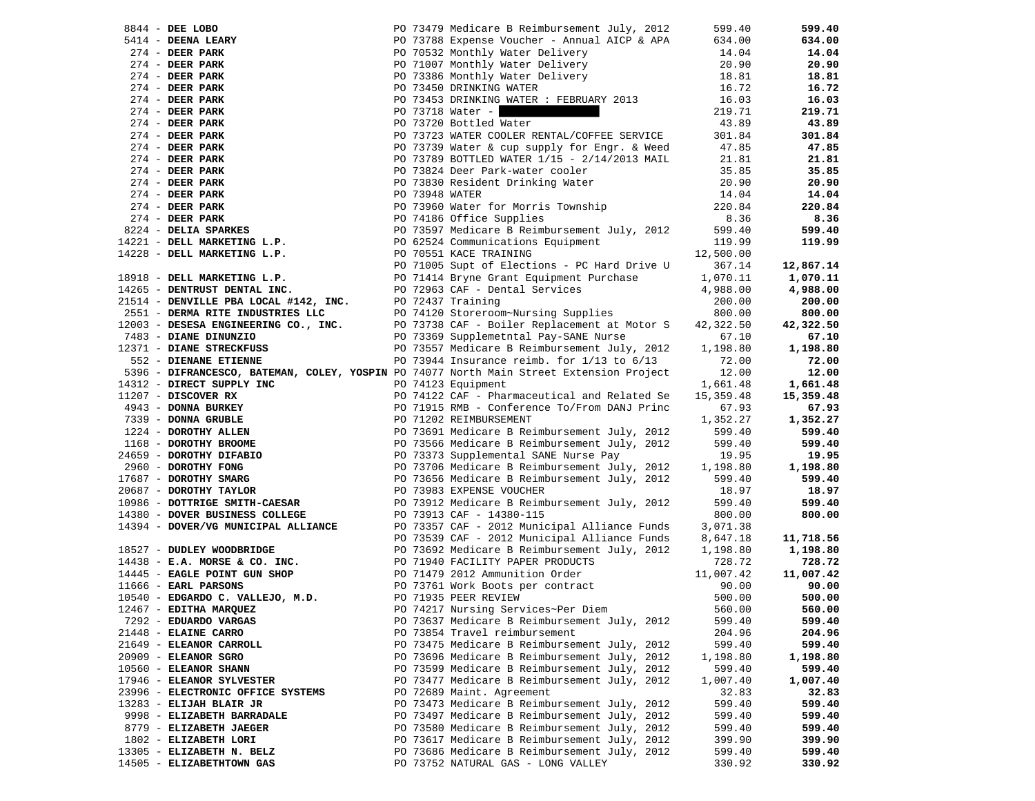|                                                                                                                                                                                                                                      |  |                                                                                                                                                                                                                                                 |           | 599.40             |
|--------------------------------------------------------------------------------------------------------------------------------------------------------------------------------------------------------------------------------------|--|-------------------------------------------------------------------------------------------------------------------------------------------------------------------------------------------------------------------------------------------------|-----------|--------------------|
|                                                                                                                                                                                                                                      |  |                                                                                                                                                                                                                                                 |           | 634.00             |
|                                                                                                                                                                                                                                      |  |                                                                                                                                                                                                                                                 |           | 14.04              |
|                                                                                                                                                                                                                                      |  |                                                                                                                                                                                                                                                 |           | 20.90              |
|                                                                                                                                                                                                                                      |  |                                                                                                                                                                                                                                                 |           | 18.81              |
|                                                                                                                                                                                                                                      |  |                                                                                                                                                                                                                                                 |           | 16.72              |
|                                                                                                                                                                                                                                      |  |                                                                                                                                                                                                                                                 |           | 16.03              |
|                                                                                                                                                                                                                                      |  |                                                                                                                                                                                                                                                 |           | 219.71             |
|                                                                                                                                                                                                                                      |  |                                                                                                                                                                                                                                                 |           | 43.89              |
|                                                                                                                                                                                                                                      |  |                                                                                                                                                                                                                                                 |           | 301.84             |
|                                                                                                                                                                                                                                      |  |                                                                                                                                                                                                                                                 |           | 47.85              |
|                                                                                                                                                                                                                                      |  |                                                                                                                                                                                                                                                 |           | 21.81              |
|                                                                                                                                                                                                                                      |  |                                                                                                                                                                                                                                                 |           |                    |
|                                                                                                                                                                                                                                      |  |                                                                                                                                                                                                                                                 |           | 35.85              |
|                                                                                                                                                                                                                                      |  |                                                                                                                                                                                                                                                 |           | 20.90              |
|                                                                                                                                                                                                                                      |  |                                                                                                                                                                                                                                                 |           | 14.04              |
|                                                                                                                                                                                                                                      |  |                                                                                                                                                                                                                                                 |           | 220.84             |
|                                                                                                                                                                                                                                      |  |                                                                                                                                                                                                                                                 |           | 8.36               |
|                                                                                                                                                                                                                                      |  |                                                                                                                                                                                                                                                 |           | 599.40             |
|                                                                                                                                                                                                                                      |  |                                                                                                                                                                                                                                                 |           | 119.99             |
|                                                                                                                                                                                                                                      |  |                                                                                                                                                                                                                                                 |           |                    |
|                                                                                                                                                                                                                                      |  |                                                                                                                                                                                                                                                 |           | 12,867.14          |
| 18918 - DELL MARKETING L.P.<br>19918 - PERSON DENTAL INC.<br>1996 - PERSON DENTAL INC.<br>1996 - PERSON DENTAL INC.<br>1996 - PERSON DENTAL PROPERTY DENSITY PORT OF PERSONAL PROPERTY OF PERSONAL PROPERTY POST PROPERTY POST PROPE |  | 344 - DEE LOBO 27479 Medicare BReinburgement July, 2012 599.40<br>414 - DEEM PARK PO 73788 Experime Vucher - Ammual AICP & APA 634.00<br>274 - DEER PARK PO 70308 Monthly Water Delivery 20.90<br>274 - DEER PARK PO 70306 Monthly              |           | 1,070.11           |
|                                                                                                                                                                                                                                      |  |                                                                                                                                                                                                                                                 | 4,988.00  | 4,988.00           |
|                                                                                                                                                                                                                                      |  |                                                                                                                                                                                                                                                 | 200.00    | 200.00             |
|                                                                                                                                                                                                                                      |  | 21514 - DENVILLE PBA LOCAL #142, INC.<br>2551 - DENVILLE PBA LOCAL #142, INC.<br>2551 - DERMA RITE INDUSTRIES LLC<br>2003 - DESESA ENGINEERING CO., INC.<br>2003 - DESESA ENGINEERING CO., INC.<br>2003 - DIANE DINUNZIO<br>2003 - DIANE D      | 800.00    | 800.00             |
|                                                                                                                                                                                                                                      |  |                                                                                                                                                                                                                                                 | 42,322.50 | 42,322.50          |
|                                                                                                                                                                                                                                      |  | ro 73557 Medicare B Reimbursement July, 2012<br>PO 73557 Medicare B Reimbursement July, 2012<br>PO 73944 Insurance reimbursement 113 in 1700                                                                                                    | 67.10     | 67.10              |
| 12371 - DIANE STRECKFUSS                                                                                                                                                                                                             |  |                                                                                                                                                                                                                                                 | 1,198.80  | 1,198.80           |
| 552 - DIENANE ETIENNE                                                                                                                                                                                                                |  | PO 73944 Insurance reimb. for $1/13$ to $6/13$                                                                                                                                                                                                  | 72.00     | 72.00              |
| 5396 - DIFRANCESCO, BATEMAN, COLEY, YOSPIN PO 74077 North Main Street Extension Project                                                                                                                                              |  |                                                                                                                                                                                                                                                 | 12.00     | 12.00              |
|                                                                                                                                                                                                                                      |  | 5396 - DIFRANCESCO, BATEMAN, COLEY, YOSFIN PO 74077 North Main Street Extension Project 12.00<br>12.00<br>12.00<br>12.00<br>1661-359.48<br>1661-2 DONNA GRUBLE<br>2960 - DOROTHY ALLEN<br>297 - DOROTHY ALLEN<br>168 - DOROTHY BLEX<br>297 - DO |           | 1,661.48           |
|                                                                                                                                                                                                                                      |  |                                                                                                                                                                                                                                                 |           | 15,359.48          |
|                                                                                                                                                                                                                                      |  |                                                                                                                                                                                                                                                 |           | 67.93              |
|                                                                                                                                                                                                                                      |  |                                                                                                                                                                                                                                                 |           | 1,352.27<br>599.40 |
|                                                                                                                                                                                                                                      |  |                                                                                                                                                                                                                                                 |           | 599.40             |
|                                                                                                                                                                                                                                      |  |                                                                                                                                                                                                                                                 |           | 19.95              |
|                                                                                                                                                                                                                                      |  |                                                                                                                                                                                                                                                 |           | 1,198.80           |
|                                                                                                                                                                                                                                      |  |                                                                                                                                                                                                                                                 |           | 599.40             |
|                                                                                                                                                                                                                                      |  |                                                                                                                                                                                                                                                 |           | 18.97              |
|                                                                                                                                                                                                                                      |  |                                                                                                                                                                                                                                                 |           | 599.40             |
|                                                                                                                                                                                                                                      |  |                                                                                                                                                                                                                                                 |           | 800.00             |
|                                                                                                                                                                                                                                      |  |                                                                                                                                                                                                                                                 |           |                    |
|                                                                                                                                                                                                                                      |  |                                                                                                                                                                                                                                                 |           | 11,718.56          |
|                                                                                                                                                                                                                                      |  | 14394 - DOVER/VG MUNICIPAL ALLIANCE<br>14394 - DOVER/VG MUNICIPAL ALLIANCE<br>16827 - DUDLEY WOODBRIDGE<br>16827 - DUDLEY WOODBRIDGE<br>14438 - E.A. MORSE & CO. INC.<br>16973692 Medicare B Reimbursement July, 2012 1,198.80<br>1686 - E      |           | 1,198.80           |
|                                                                                                                                                                                                                                      |  |                                                                                                                                                                                                                                                 |           | 728.72             |
|                                                                                                                                                                                                                                      |  |                                                                                                                                                                                                                                                 |           | 11,007.42          |
|                                                                                                                                                                                                                                      |  |                                                                                                                                                                                                                                                 |           | 90.00              |
|                                                                                                                                                                                                                                      |  |                                                                                                                                                                                                                                                 |           | 500.00             |
| 12467 - EDITHA MARQUEZ                                                                                                                                                                                                               |  | PO 74217 Nursing Services~Per Diem                                                                                                                                                                                                              | 560.00    | 560.00             |
| 7292 - EDUARDO VARGAS                                                                                                                                                                                                                |  | PO 73637 Medicare B Reimbursement July, 2012                                                                                                                                                                                                    | 599.40    | 599.40             |
| 21448 - ELAINE CARRO                                                                                                                                                                                                                 |  | PO 73854 Travel reimbursement                                                                                                                                                                                                                   | 204.96    | 204.96             |
| 21649 - ELEANOR CARROLL                                                                                                                                                                                                              |  | PO 73475 Medicare B Reimbursement July, 2012                                                                                                                                                                                                    | 599.40    | 599.40             |
| $20909$ - ELEANOR SGRO                                                                                                                                                                                                               |  | PO 73696 Medicare B Reimbursement July, 2012                                                                                                                                                                                                    | 1,198.80  | 1,198.80           |
| 10560 - ELEANOR SHANN                                                                                                                                                                                                                |  | PO 73599 Medicare B Reimbursement July, 2012                                                                                                                                                                                                    | 599.40    | 599.40             |
| 17946 - ELEANOR SYLVESTER                                                                                                                                                                                                            |  | PO 73477 Medicare B Reimbursement July, 2012                                                                                                                                                                                                    | 1,007.40  | 1,007.40           |
| 23996 - ELECTRONIC OFFICE SYSTEMS                                                                                                                                                                                                    |  | PO 72689 Maint. Agreement                                                                                                                                                                                                                       | 32.83     | 32.83              |
| 13283 - ELIJAH BLAIR JR                                                                                                                                                                                                              |  | PO 73473 Medicare B Reimbursement July, 2012                                                                                                                                                                                                    | 599.40    | 599.40             |
| 9998 - ELIZABETH BARRADALE                                                                                                                                                                                                           |  | PO 73497 Medicare B Reimbursement July, 2012                                                                                                                                                                                                    | 599.40    | 599.40             |
| 8779 - ELIZABETH JAEGER                                                                                                                                                                                                              |  | PO 73580 Medicare B Reimbursement July, 2012                                                                                                                                                                                                    | 599.40    | 599.40             |
| 1802 - ELIZABETH LORI                                                                                                                                                                                                                |  | PO 73617 Medicare B Reimbursement July, 2012                                                                                                                                                                                                    | 399.90    | 399.90             |
| 13305 - ELIZABETH N. BELZ                                                                                                                                                                                                            |  | PO 73686 Medicare B Reimbursement July, 2012                                                                                                                                                                                                    | 599.40    | 599.40             |
| 14505 - ELIZABETHTOWN GAS                                                                                                                                                                                                            |  | PO 73752 NATURAL GAS - LONG VALLEY                                                                                                                                                                                                              | 330.92    | 330.92             |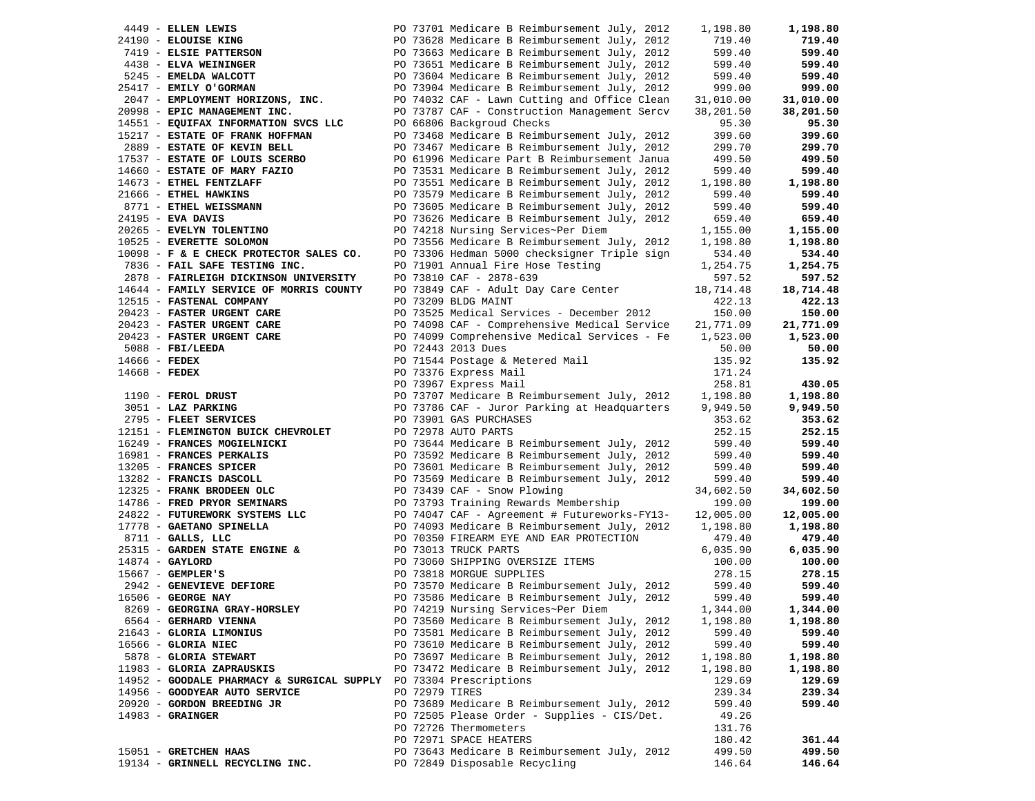| 4449 - ELLEN LEWIS                              |                                               |  | PO 73701 Medicare B Reimbursement July, 2012 | 1,198.80             | 1,198.80         |
|-------------------------------------------------|-----------------------------------------------|--|----------------------------------------------|----------------------|------------------|
| 24190 - ELOUISE KING                            |                                               |  | PO 73628 Medicare B Reimbursement July, 2012 | 719.40               | 719.40           |
|                                                 | 7419 - ELSIE PATTERSON                        |  | PO 73663 Medicare B Reimbursement July, 2012 | 599.40               | 599.40           |
| 4438 - ELVA WEININGER                           |                                               |  | PO 73651 Medicare B Reimbursement July, 2012 | 599.40               | 599.40           |
| 5245 - EMELDA WALCOTT                           |                                               |  | PO 73604 Medicare B Reimbursement July, 2012 | 599.40               | 599.40           |
| 25417 - EMILY O'GORMAN                          |                                               |  | PO 73904 Medicare B Reimbursement July, 2012 | 999.00               | 999.00           |
|                                                 | 2047 - EMPLOYMENT HORIZONS, INC.              |  | PO 74032 CAF - Lawn Cutting and Office Clean | 31,010.00            | 31,010.00        |
| 20998 - EPIC MANAGEMENT INC.                    |                                               |  | PO 73787 CAF - Construction Management Sercv | 38,201.50            | 38,201.50        |
|                                                 | 14551 - EQUIFAX INFORMATION SVCS LLC          |  | PO 66806 Backgroud Checks                    | 95.30                | 95.30            |
|                                                 | 15217 - ESTATE OF FRANK HOFFMAN               |  | PO 73468 Medicare B Reimbursement July, 2012 | 399.60               | 399.60           |
| 2889 - ESTATE OF KEVIN BELL                     |                                               |  | PO 73467 Medicare B Reimbursement July, 2012 | 299.70               | 299.70           |
|                                                 | 17537 - ESTATE OF LOUIS SCERBO                |  | PO 61996 Medicare Part B Reimbursement Janua | 499.50               | 499.50           |
| 14660 - ESTATE OF MARY FAZIO                    |                                               |  | PO 73531 Medicare B Reimbursement July, 2012 | 599.40               | 599.40           |
| 14673 - ETHEL FENTZLAFF                         |                                               |  | PO 73551 Medicare B Reimbursement July, 2012 |                      | 1,198.80         |
|                                                 |                                               |  |                                              | 1,198.80             |                  |
| 21666 - ETHEL HAWKINS<br>8771 - ETHEL WEISSMANN |                                               |  | PO 73579 Medicare B Reimbursement July, 2012 | 599.40               | 599.40<br>599.40 |
|                                                 |                                               |  | PO 73605 Medicare B Reimbursement July, 2012 | 599.40               |                  |
| 24195 - EVA DAVIS                               |                                               |  | PO 73626 Medicare B Reimbursement July, 2012 | 659.40               | 659.40           |
| 20265 - EVELYN TOLENTINO                        |                                               |  | PO 74218 Nursing Services~Per Diem           | 1,155.00             | 1,155.00         |
| 10525 - EVERETTE SOLOMON                        |                                               |  | PO 73556 Medicare B Reimbursement July, 2012 | 1,198.80             | 1,198.80         |
|                                                 | 10098 - F & E CHECK PROTECTOR SALES CO.       |  | PO 73306 Hedman 5000 checksigner Triple sign | 534.40               | 534.40           |
|                                                 | 7836 - FAIL SAFE TESTING INC.                 |  | PO 71901 Annual Fire Hose Testing            | 1,254.75             | 1,254.75         |
|                                                 | 2878 - FAIRLEIGH DICKINSON UNIVERSITY         |  | PO 73810 CAF - 2878-639                      | 597.52               | 597.52           |
|                                                 | 14644 - FAMILY SERVICE OF MORRIS COUNTY       |  | PO 73849 CAF - Adult Day Care Center         | 18,714.48            | 18,714.48        |
| 12515 - FASTENAL COMPANY                        |                                               |  | PO 73209 BLDG MAINT                          | 422.13               | 422.13           |
| 20423 - FASTER URGENT CARE                      |                                               |  | PO 73525 Medical Services - December 2012    | 150.00               | 150.00           |
| 20423 - FASTER URGENT CARE                      |                                               |  | PO 74098 CAF - Comprehensive Medical Service | 21,771.09            | 21,771.09        |
| 20423 - FASTER URGENT CARE                      |                                               |  | PO 74099 Comprehensive Medical Services - Fe | 1,523.00             | 1,523.00         |
| $5088$ - FBI/LEEDA                              |                                               |  | PO 72443 2013 Dues                           | 50.00                | 50.00            |
| 14666 - FEDEX                                   |                                               |  | PO 71544 Postage & Metered Mail              | 135.92               | 135.92           |
| $14668$ - FEDEX                                 |                                               |  | PO 73376 Express Mail                        | 171.24               |                  |
|                                                 |                                               |  | PO 73967 Express Mail                        | 258.81               | 430.05           |
| 1190 - FEROL DRUST                              |                                               |  | PO 73707 Medicare B Reimbursement July, 2012 | 1,198.80             | 1,198.80         |
| 3051 - LAZ PARKING                              |                                               |  | PO 73786 CAF - Juror Parking at Headquarters | 9,949.50             | 9,949.50         |
|                                                 | 2795 - FLEET SERVICES                         |  | PO 73901 GAS PURCHASES                       | 353.62               | 353.62           |
|                                                 | 12151 - FLEMINGTON BUICK CHEVROLET            |  | PO 72978 AUTO PARTS                          | 252.15               | 252.15           |
| 16249 - FRANCES MOGIELNICKI                     |                                               |  | PO 73644 Medicare B Reimbursement July, 2012 | 599.40               | 599.40           |
| 16981 - FRANCES PERKALIS                        |                                               |  | PO 73592 Medicare B Reimbursement July, 2012 | 599.40               | 599.40           |
| 13205 - FRANCES SPICER                          |                                               |  | PO 73601 Medicare B Reimbursement July, 2012 | 599.40               | 599.40           |
| 13282 - FRANCIS DASCOLL                         |                                               |  | PO 73569 Medicare B Reimbursement July, 2012 | 599.40               | 599.40           |
| 12325 - FRANK BRODEEN OLC                       |                                               |  | PO 73439 CAF - Snow Plowing                  | 34,602.50            | 34,602.50        |
| 14786 - FRED PRYOR SEMINARS                     |                                               |  | PO 73793 Training Rewards Membership         | 199.00               | 199.00           |
|                                                 | 24822 - FUTUREWORK SYSTEMS LLC                |  | PO 74047 CAF - Agreement # Futureworks-FY13- | 12,005.00            | 12,005.00        |
| 17778 - GAETANO SPINELLA                        |                                               |  | PO 74093 Medicare B Reimbursement July, 2012 | 1,198.80             | 1,198.80         |
| $8711 -$ GALLS, LLC                             |                                               |  | PO 70350 FIREARM EYE AND EAR PROTECTION      | 479.40               | 479.40           |
|                                                 | 25315 - GARDEN STATE ENGINE &                 |  | PO 73013 TRUCK PARTS                         | 6,035.90             | 6,035.90         |
| $14874$ - GAYLORD                               |                                               |  | PO 73060 SHIPPING OVERSIZE ITEMS             | 100.00               | 100.00           |
| $15667$ - GEMPLER'S                             |                                               |  | PO 73818 MORGUE SUPPLIES                     | 278.15               | 278.15           |
|                                                 |                                               |  | PO 73570 Medicare B Reimbursement July, 2012 | 599.40               | 599.40           |
| $16506$ - GEORGE NAY                            | 2942 - GENEVIEVE DEFIORE<br>6506 - GEODGE NAV |  | PO 73586 Medicare B Reimbursement July, 2012 | 599.40               | 599.40           |
|                                                 | 8269 - GEORGINA GRAY-HORSLEY                  |  | PO 74219 Nursing Services~Per Diem           | 1,344.00             | 1,344.00         |
| 6564 - GERHARD VIENNA                           |                                               |  | PO 73560 Medicare B Reimbursement July, 2012 | 1,198.80             | 1,198.80         |
| 21643 - GLORIA LIMONIUS                         |                                               |  | PO 73581 Medicare B Reimbursement July, 2012 | 599.40               | 599.40           |
| 16566 - GLORIA NIEC                             |                                               |  | PO 73610 Medicare B Reimbursement July, 2012 | 599.40               | 599.40           |
| 5878 - GLORIA STEWART                           |                                               |  | PO 73697 Medicare B Reimbursement July, 2012 |                      |                  |
|                                                 |                                               |  |                                              | 1,198.80<br>1,198.80 | 1,198.80         |
| 11983 - GLORIA ZAPRAUSKIS                       |                                               |  | PO 73472 Medicare B Reimbursement July, 2012 |                      | 1,198.80         |
|                                                 | 14952 - GOODALE PHARMACY & SURGICAL SUPPLY    |  | PO 73304 Prescriptions                       | 129.69               | 129.69           |
| 14956 - GOODYEAR AUTO SERVICE                   |                                               |  | PO 72979 TIRES                               | 239.34               | 239.34           |
| 20920 - GORDON BREEDING JR                      |                                               |  | PO 73689 Medicare B Reimbursement July, 2012 | 599.40               | 599.40           |
| $14983 -$ GRAINGER                              |                                               |  | PO 72505 Please Order - Supplies - CIS/Det.  | 49.26                |                  |
|                                                 |                                               |  | PO 72726 Thermometers                        | 131.76               |                  |
|                                                 |                                               |  | PO 72971 SPACE HEATERS                       | 180.42               | 361.44           |
| 15051 - GRETCHEN HAAS                           |                                               |  | PO 73643 Medicare B Reimbursement July, 2012 | 499.50               | 499.50           |
|                                                 | 19134 - GRINNELL RECYCLING INC.               |  | PO 72849 Disposable Recycling                | 146.64               | 146.64           |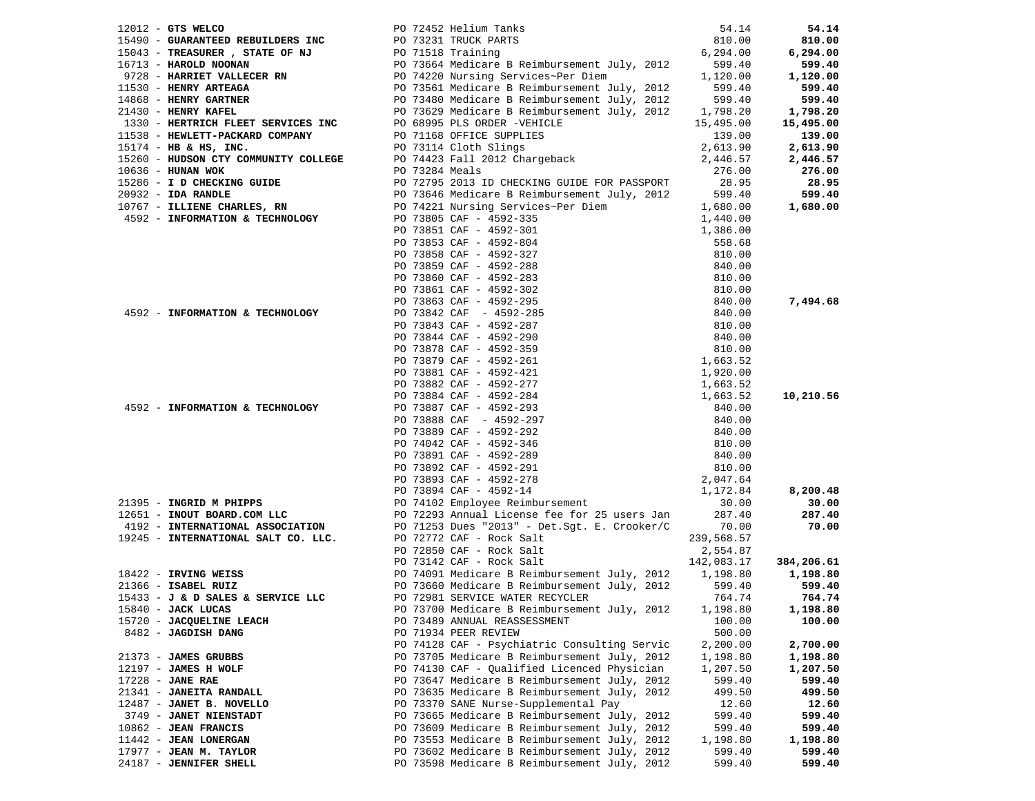| $12012$ - GTS WELCO      |                                                                                                                                                                                                                                                                                                 |          | 54.14    |
|--------------------------|-------------------------------------------------------------------------------------------------------------------------------------------------------------------------------------------------------------------------------------------------------------------------------------------------|----------|----------|
|                          | PO 72452 Helium Tanks 54.14<br><b>EBUILDERS INC</b> PO 73231 TRUCK PARTS 810.00<br>PO 71518 Training 6,294.00                                                                                                                                                                                   |          |          |
|                          |                                                                                                                                                                                                                                                                                                 |          |          |
|                          |                                                                                                                                                                                                                                                                                                 |          |          |
|                          |                                                                                                                                                                                                                                                                                                 |          |          |
|                          |                                                                                                                                                                                                                                                                                                 |          |          |
|                          |                                                                                                                                                                                                                                                                                                 |          |          |
|                          |                                                                                                                                                                                                                                                                                                 |          |          |
|                          |                                                                                                                                                                                                                                                                                                 |          |          |
|                          |                                                                                                                                                                                                                                                                                                 |          |          |
|                          |                                                                                                                                                                                                                                                                                                 |          |          |
|                          |                                                                                                                                                                                                                                                                                                 |          |          |
|                          |                                                                                                                                                                                                                                                                                                 |          |          |
|                          |                                                                                                                                                                                                                                                                                                 |          |          |
|                          |                                                                                                                                                                                                                                                                                                 |          |          |
|                          |                                                                                                                                                                                                                                                                                                 |          |          |
|                          |                                                                                                                                                                                                                                                                                                 |          |          |
|                          |                                                                                                                                                                                                                                                                                                 |          |          |
|                          |                                                                                                                                                                                                                                                                                                 |          |          |
|                          |                                                                                                                                                                                                                                                                                                 |          |          |
|                          |                                                                                                                                                                                                                                                                                                 |          |          |
|                          |                                                                                                                                                                                                                                                                                                 |          |          |
|                          |                                                                                                                                                                                                                                                                                                 |          |          |
|                          |                                                                                                                                                                                                                                                                                                 |          |          |
|                          |                                                                                                                                                                                                                                                                                                 |          |          |
|                          |                                                                                                                                                                                                                                                                                                 |          |          |
|                          |                                                                                                                                                                                                                                                                                                 |          |          |
|                          |                                                                                                                                                                                                                                                                                                 |          |          |
|                          |                                                                                                                                                                                                                                                                                                 |          |          |
|                          |                                                                                                                                                                                                                                                                                                 |          |          |
|                          |                                                                                                                                                                                                                                                                                                 |          |          |
|                          |                                                                                                                                                                                                                                                                                                 |          |          |
|                          |                                                                                                                                                                                                                                                                                                 |          |          |
|                          |                                                                                                                                                                                                                                                                                                 |          |          |
|                          |                                                                                                                                                                                                                                                                                                 |          |          |
|                          |                                                                                                                                                                                                                                                                                                 |          |          |
|                          |                                                                                                                                                                                                                                                                                                 |          |          |
|                          |                                                                                                                                                                                                                                                                                                 |          |          |
|                          |                                                                                                                                                                                                                                                                                                 |          |          |
|                          |                                                                                                                                                                                                                                                                                                 |          |          |
|                          |                                                                                                                                                                                                                                                                                                 |          |          |
|                          |                                                                                                                                                                                                                                                                                                 |          |          |
|                          |                                                                                                                                                                                                                                                                                                 |          |          |
|                          |                                                                                                                                                                                                                                                                                                 |          |          |
|                          |                                                                                                                                                                                                                                                                                                 |          |          |
|                          |                                                                                                                                                                                                                                                                                                 |          |          |
|                          |                                                                                                                                                                                                                                                                                                 |          |          |
|                          |                                                                                                                                                                                                                                                                                                 |          |          |
|                          |                                                                                                                                                                                                                                                                                                 |          |          |
|                          | 15433 - <b>J &amp; D SALES &amp; SERVICE LLC</b> PO 72981 SERVICE WATER RECYCLER                                                                                                                                                                                                                | 764.74   | 764.74   |
| 15840 - JACK LUCAS       | 1971 Out Maxim and the Milked Street of the Milked Street of the 1981 Out 2012 Out 2012 Out 2012 Out 2012 Out 2012 Out 2012 Out 2012 Out 2012 Out 2012 Out 2012 Out 2012 Out 2012 Out 2012 Out 2012 Out 2012 Out 2012 Out 201<br>PO 73700 Medicare B Reimbursement July, 2012 1,198.80 1,198.80 |          |          |
| 15720 - JACQUELINE LEACH | PO 73489 ANNUAL REASSESSMENT                                                                                                                                                                                                                                                                    | 100.00   | 100.00   |
| 8482 - JAGDISH DANG      | PO 71934 PEER REVIEW                                                                                                                                                                                                                                                                            | 500.00   |          |
|                          | PO 74128 CAF - Psychiatric Consulting Servic                                                                                                                                                                                                                                                    | 2,200.00 | 2,700.00 |
| 21373 - JAMES GRUBBS     | PO 73705 Medicare B Reimbursement July, 2012                                                                                                                                                                                                                                                    | 1,198.80 | 1,198.80 |
| $12197$ - JAMES H WOLF   | PO 74130 CAF - Qualified Licenced Physician                                                                                                                                                                                                                                                     | 1,207.50 | 1,207.50 |
| $17228$ - JANE RAE       | PO 73647 Medicare B Reimbursement July, 2012                                                                                                                                                                                                                                                    | 599.40   | 599.40   |
| 21341 - JANEITA RANDALL  | PO 73635 Medicare B Reimbursement July, 2012                                                                                                                                                                                                                                                    | 499.50   | 499.50   |
| 12487 - JANET B. NOVELLO | PO 73370 SANE Nurse-Supplemental Pay                                                                                                                                                                                                                                                            | 12.60    | 12.60    |
| 3749 - JANET NIENSTADT   | PO 73665 Medicare B Reimbursement July, 2012                                                                                                                                                                                                                                                    | 599.40   | 599.40   |
| $10862$ - JEAN FRANCIS   | PO 73609 Medicare B Reimbursement July, 2012                                                                                                                                                                                                                                                    | 599.40   | 599.40   |
| 11442 - JEAN LONERGAN    | PO 73553 Medicare B Reimbursement July, 2012                                                                                                                                                                                                                                                    | 1,198.80 | 1,198.80 |
| 17977 - JEAN M. TAYLOR   | PO 73602 Medicare B Reimbursement July, 2012                                                                                                                                                                                                                                                    | 599.40   | 599.40   |
| 24187 - JENNIFER SHELL   | PO 73598 Medicare B Reimbursement July, 2012                                                                                                                                                                                                                                                    | 599.40   | 599.40   |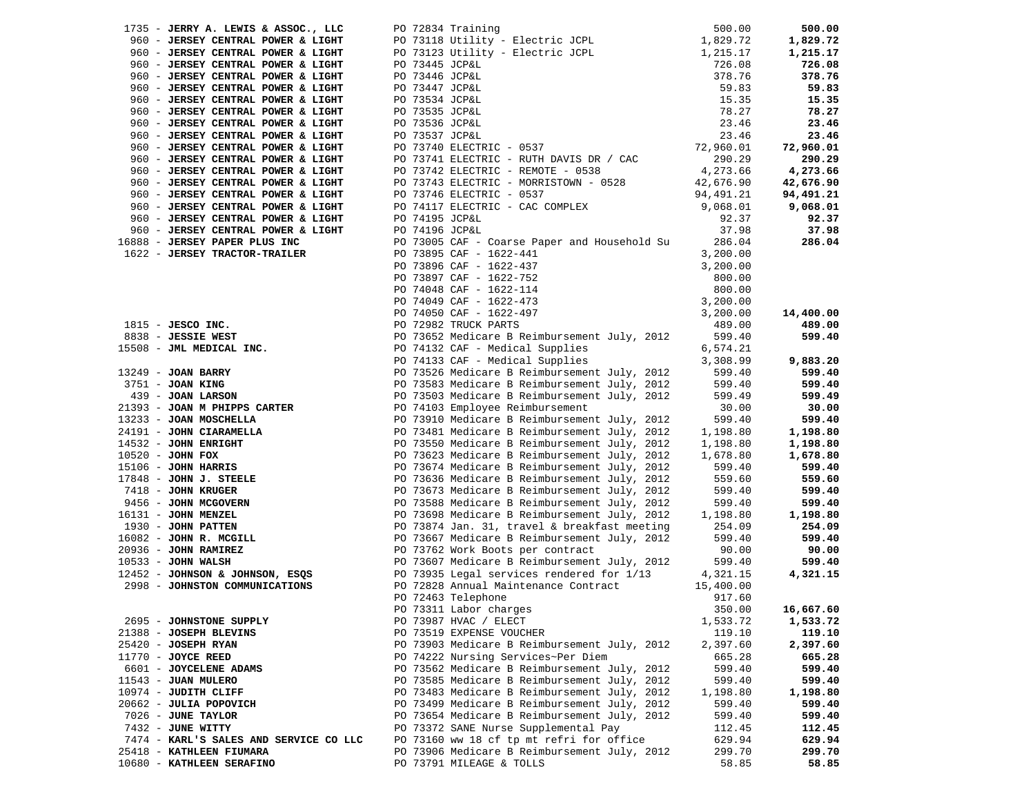| 1735 - JERRY A. LEWIS & ASSOC., LLC    | PO 72834 Training |                                              | 500.00    | 500.00    |
|----------------------------------------|-------------------|----------------------------------------------|-----------|-----------|
| 960 - JERSEY CENTRAL POWER & LIGHT     |                   | PO 73118 Utility - Electric JCPL             | 1,829.72  | 1,829.72  |
| 960 - JERSEY CENTRAL POWER & LIGHT     |                   | PO 73123 Utility - Electric JCPL             | 1,215.17  | 1,215.17  |
| 960 - JERSEY CENTRAL POWER & LIGHT     | PO 73445 JCP&L    |                                              | 726.08    | 726.08    |
| 960 - JERSEY CENTRAL POWER & LIGHT     | PO 73446 JCP&L    |                                              | 378.76    | 378.76    |
| 960 - JERSEY CENTRAL POWER & LIGHT     | PO 73447 JCP&L    |                                              | 59.83     | 59.83     |
| 960 - JERSEY CENTRAL POWER & LIGHT     | PO 73534 JCP&L    |                                              | 15.35     | 15.35     |
| 960 - JERSEY CENTRAL POWER & LIGHT     | PO 73535 JCP&L    |                                              | 78.27     | 78.27     |
| 960 - JERSEY CENTRAL POWER & LIGHT     | PO 73536 JCP&L    |                                              | 23.46     | 23.46     |
| 960 - JERSEY CENTRAL POWER & LIGHT     | PO 73537 JCP&L    |                                              | 23.46     | 23.46     |
| 960 - JERSEY CENTRAL POWER & LIGHT     |                   | PO 73740 ELECTRIC - 0537                     | 72,960.01 | 72,960.01 |
| 960 - JERSEY CENTRAL POWER & LIGHT     |                   | PO 73741 ELECTRIC - RUTH DAVIS DR / CAC      | 290.29    | 290.29    |
| 960 - JERSEY CENTRAL POWER & LIGHT     |                   | PO 73742 ELECTRIC - REMOTE - 0538            | 4,273.66  | 4,273.66  |
| 960 - JERSEY CENTRAL POWER & LIGHT     |                   | PO 73743 ELECTRIC - MORRISTOWN - 0528        | 42,676.90 | 42,676.90 |
| 960 - JERSEY CENTRAL POWER & LIGHT     |                   | PO 73746 ELECTRIC - 0537                     | 94,491.21 | 94,491.21 |
| 960 - JERSEY CENTRAL POWER & LIGHT     |                   | PO 74117 ELECTRIC - CAC COMPLEX              | 9,068.01  | 9,068.01  |
| 960 - JERSEY CENTRAL POWER & LIGHT     | PO 74195 JCP&L    |                                              | 92.37     | 92.37     |
| 960 - JERSEY CENTRAL POWER & LIGHT     | PO 74196 JCP&L    |                                              | 37.98     | 37.98     |
| 16888 - JERSEY PAPER PLUS INC          |                   | PO 73005 CAF - Coarse Paper and Household Su | 286.04    | 286.04    |
| 1622 - JERSEY TRACTOR-TRAILER          |                   | PO 73895 CAF - 1622-441                      | 3,200.00  |           |
|                                        |                   | PO 73896 CAF - 1622-437                      | 3,200.00  |           |
|                                        |                   | PO 73897 CAF - 1622-752                      | 800.00    |           |
|                                        |                   | PO 74048 CAF - 1622-114                      | 800.00    |           |
|                                        |                   | PO 74049 CAF - 1622-473                      | 3,200.00  |           |
|                                        |                   | PO 74050 CAF - 1622-497                      | 3,200.00  | 14,400.00 |
| $1815$ - JESCO INC.                    |                   | PO 72982 TRUCK PARTS                         | 489.00    | 489.00    |
| 8838 - JESSIE WEST                     |                   | PO 73652 Medicare B Reimbursement July, 2012 | 599.40    | 599.40    |
| 15508 - JML MEDICAL INC.               |                   | PO 74132 CAF - Medical Supplies              | 6,574.21  |           |
|                                        |                   | PO 74133 CAF - Medical Supplies              | 3,308.99  | 9,883.20  |
| $13249$ - JOAN BARRY                   |                   | PO 73526 Medicare B Reimbursement July, 2012 | 599.40    | 599.40    |
| 3751 - JOAN KING                       |                   | PO 73583 Medicare B Reimbursement July, 2012 | 599.40    | 599.40    |
| 439 - JOAN LARSON                      |                   | PO 73503 Medicare B Reimbursement July, 2012 | 599.49    | 599.49    |
| 21393 - JOAN M PHIPPS CARTER           |                   | PO 74103 Employee Reimbursement              | 30.00     | 30.00     |
| 13233 - JOAN MOSCHELLA                 |                   | PO 73910 Medicare B Reimbursement July, 2012 | 599.40    | 599.40    |
| 24191 - JOHN CIARAMELLA                |                   | PO 73481 Medicare B Reimbursement July, 2012 | 1,198.80  | 1,198.80  |
| 14532 - JOHN ENRIGHT                   |                   | PO 73550 Medicare B Reimbursement July, 2012 | 1,198.80  | 1,198.80  |
| 10520 - JOHN FOX                       |                   | PO 73623 Medicare B Reimbursement July, 2012 | 1,678.80  | 1,678.80  |
| $15106$ - JOHN HARRIS                  |                   | PO 73674 Medicare B Reimbursement July, 2012 | 599.40    | 599.40    |
| $17848$ - JOHN J. STEELE               |                   | PO 73636 Medicare B Reimbursement July, 2012 | 559.60    | 559.60    |
| 7418 - JOHN KRUGER                     |                   | PO 73673 Medicare B Reimbursement July, 2012 | 599.40    | 599.40    |
| 9456 - JOHN MCGOVERN                   |                   | PO 73588 Medicare B Reimbursement July, 2012 | 599.40    | 599.40    |
| 16131 - JOHN MENZEL                    |                   | PO 73698 Medicare B Reimbursement July, 2012 | 1,198.80  | 1,198.80  |
| 1930 - JOHN PATTEN                     |                   | PO 73874 Jan. 31, travel & breakfast meeting | 254.09    | 254.09    |
| $16082$ - JOHN R. MCGILL               |                   | PO 73667 Medicare B Reimbursement July, 2012 | 599.40    | 599.40    |
| $20936$ - JOHN RAMIREZ                 |                   | PO 73762 Work Boots per contract             | 90.00     | 90.00     |
| $10533 - JOHN WALSH$                   |                   | PO 73607 Medicare B Reimbursement July, 2012 | 599.40    | 599.40    |
| 12452 - JOHNSON & JOHNSON, ESQS        |                   | PO 73935 Legal services rendered for 1/13    | 4,321.15  | 4,321.15  |
| 2998 - JOHNSTON COMMUNICATIONS         |                   | PO 72828 Annual Maintenance Contract         | 15,400.00 |           |
|                                        |                   | PO 72463 Telephone                           | 917.60    |           |
|                                        |                   | PO 73311 Labor charges                       | 350.00    | 16,667.60 |
| 2695 - JOHNSTONE SUPPLY                |                   | PO 73987 HVAC / ELECT                        | 1,533.72  | 1,533.72  |
| 21388 - JOSEPH BLEVINS                 |                   | PO 73519 EXPENSE VOUCHER                     | 119.10    | 119.10    |
| 25420 - JOSEPH RYAN                    |                   | PO 73903 Medicare B Reimbursement July, 2012 | 2,397.60  | 2,397.60  |
| $11770$ - JOYCE REED                   |                   | PO 74222 Nursing Services~Per Diem           | 665.28    | 665.28    |
| 6601 - JOYCELENE ADAMS                 |                   | PO 73562 Medicare B Reimbursement July, 2012 | 599.40    | 599.40    |
| 11543 - JUAN MULERO                    |                   | PO 73585 Medicare B Reimbursement July, 2012 | 599.40    | 599.40    |
| 10974 - JUDITH CLIFF                   |                   | PO 73483 Medicare B Reimbursement July, 2012 | 1,198.80  | 1,198.80  |
| 20662 - JULIA POPOVICH                 |                   | PO 73499 Medicare B Reimbursement July, 2012 | 599.40    | 599.40    |
| 7026 - JUNE TAYLOR                     |                   | PO 73654 Medicare B Reimbursement July, 2012 | 599.40    | 599.40    |
| 7432 - JUNE WITTY                      |                   | PO 73372 SANE Nurse Supplemental Pay         | 112.45    | 112.45    |
| 7474 - KARL'S SALES AND SERVICE CO LLC |                   | PO 73160 ww 18 cf tp mt refri for office     | 629.94    | 629.94    |
| 25418 - KATHLEEN FIUMARA               |                   | PO 73906 Medicare B Reimbursement July, 2012 | 299.70    | 299.70    |
| 10680 - KATHLEEN SERAFINO              |                   | PO 73791 MILEAGE & TOLLS                     | 58.85     | 58.85     |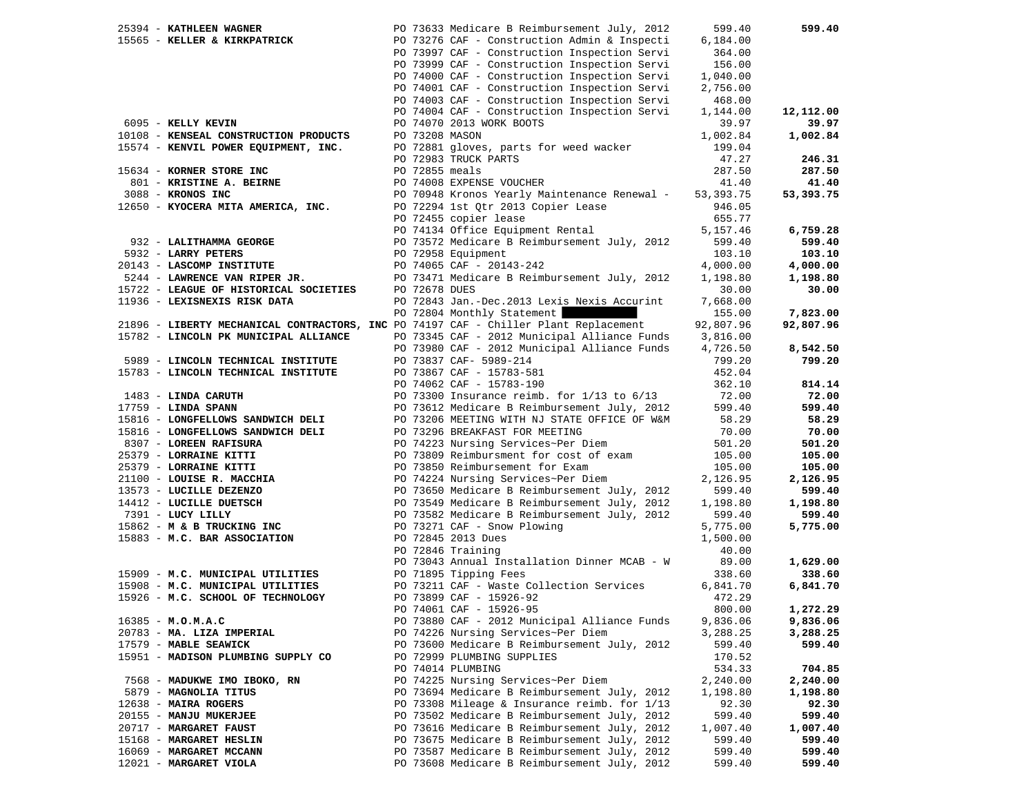| 25394 - KATHLEEN WAGNER                                                              |               | PO 73633 Medicare B Reimbursement July, 2012   | 599.40      | 599.40    |
|--------------------------------------------------------------------------------------|---------------|------------------------------------------------|-------------|-----------|
| 15565 - KELLER & KIRKPATRICK                                                         |               | PO 73276 CAF - Construction Admin & Inspecti   | 6,184.00    |           |
|                                                                                      |               | PO 73997 CAF - Construction Inspection Servi   | 364.00      |           |
|                                                                                      |               | PO 73999 CAF - Construction Inspection Servi   | 156.00      |           |
|                                                                                      |               | PO 74000 CAF - Construction Inspection Servi   | 1,040.00    |           |
|                                                                                      |               | PO 74001 CAF - Construction Inspection Servi   | 2,756.00    |           |
|                                                                                      |               | PO 74003 CAF - Construction Inspection Servi   | 468.00      |           |
|                                                                                      |               | PO 74004 CAF - Construction Inspection Servi   | 1,144.00    | 12,112.00 |
| 6095 - KELLY KEVIN                                                                   |               | PO 74070 2013 WORK BOOTS                       | 39.97       | 39.97     |
| 10108 - KENSEAL CONSTRUCTION PRODUCTS                                                |               | PO 73208 MASON                                 | 1,002.84    | 1,002.84  |
| 15574 - KENVIL POWER EQUIPMENT, INC.                                                 |               | PO 72881 gloves, parts for weed wacker         | 199.04      |           |
|                                                                                      |               | PO 72983 TRUCK PARTS                           | 47.27       | 246.31    |
|                                                                                      |               |                                                |             |           |
| 15634 - KORNER STORE INC                                                             |               | PO 72855 meals                                 | 287.50      | 287.50    |
| 801 - KRISTINE A. BEIRNE                                                             |               | PO 74008 EXPENSE VOUCHER                       | 41.40       | 41.40     |
| 3088 - KRONOS INC                                                                    |               | PO 70948 Kronos Yearly Maintenance Renewal -   | 53, 393. 75 | 53,393.75 |
| 12650 - KYOCERA MITA AMERICA, INC.                                                   |               | PO 72294 1st Qtr 2013 Copier Lease             | 946.05      |           |
|                                                                                      |               | PO 72455 copier lease                          | 655.77      |           |
|                                                                                      |               | PO 74134 Office Equipment Rental               | 5,157.46    | 6,759.28  |
| 932 - LALITHAMMA GEORGE                                                              |               | PO 73572 Medicare B Reimbursement July, 2012   | 599.40      | 599.40    |
| 5932 - LARRY PETERS                                                                  |               | PO 72958 Equipment                             | 103.10      | 103.10    |
| 20143 - LASCOMP INSTITUTE                                                            |               | PO 74065 CAF - 20143-242                       | 4,000.00    | 4,000.00  |
| 5244 - LAWRENCE VAN RIPER JR.                                                        |               | PO 73471 Medicare B Reimbursement July, 2012   | 1,198.80    | 1,198.80  |
| 15722 - LEAGUE OF HISTORICAL SOCIETIES                                               | PO 72678 DUES |                                                | 30.00       | 30.00     |
| 11936 - LEXISNEXIS RISK DATA                                                         |               | PO 72843 Jan.-Dec. 2013 Lexis Nexis Accurint   | 7,668.00    |           |
|                                                                                      |               | PO 72804 Monthly Statement                     | 155.00      | 7,823.00  |
| 21896 - LIBERTY MECHANICAL CONTRACTORS, INC PO 74197 CAF - Chiller Plant Replacement |               |                                                | 92,807.96   | 92,807.96 |
| 15782 - LINCOLN PK MUNICIPAL ALLIANCE                                                |               | PO 73345 CAF - 2012 Municipal Alliance Funds   | 3,816.00    |           |
|                                                                                      |               | PO 73980 CAF - 2012 Municipal Alliance Funds   | 4,726.50    | 8,542.50  |
|                                                                                      |               |                                                |             |           |
| 5989 - LINCOLN TECHNICAL INSTITUTE                                                   |               | PO 73837 CAF- 5989-214                         | 799.20      | 799.20    |
| 15783 - LINCOLN TECHNICAL INSTITUTE                                                  |               | PO 73867 CAF - 15783-581                       | 452.04      |           |
|                                                                                      |               | PO 74062 CAF - 15783-190                       | 362.10      | 814.14    |
| 1483 - LINDA CARUTH                                                                  |               | PO 73300 Insurance reimb. for $1/13$ to $6/13$ | 72.00       | 72.00     |
| $17759$ - LINDA SPANN                                                                |               | PO 73612 Medicare B Reimbursement July, 2012   | 599.40      | 599.40    |
| 15816 - LONGFELLOWS SANDWICH DELI                                                    |               | PO 73206 MEETING WITH NJ STATE OFFICE OF W&M   | 58.29       | 58.29     |
| 15816 - LONGFELLOWS SANDWICH DELI                                                    |               | PO 73296 BREAKFAST FOR MEETING                 | 70.00       | 70.00     |
| 8307 - LOREEN RAFISURA                                                               |               | PO 74223 Nursing Services~Per Diem             | 501.20      | 501.20    |
| 25379 - LORRAINE KITTI                                                               |               | PO 73809 Reimbursment for cost of exam         | 105.00      | 105.00    |
| 25379 - LORRAINE KITTI                                                               |               | PO 73850 Reimbursement for Exam                | 105.00      | 105.00    |
| 21100 - LOUISE R. MACCHIA                                                            |               | PO 74224 Nursing Services~Per Diem             | 2,126.95    | 2,126.95  |
| 13573 - LUCILLE DEZENZO                                                              |               | PO 73650 Medicare B Reimbursement July, 2012   | 599.40      | 599.40    |
| 14412 - LUCILLE DUETSCH                                                              |               | PO 73549 Medicare B Reimbursement July, 2012   | 1,198.80    | 1,198.80  |
| 7391 - LUCY LILLY                                                                    |               | PO 73582 Medicare B Reimbursement July, 2012   | 599.40      | 599.40    |
| 15862 - M & B TRUCKING INC                                                           |               | PO 73271 CAF - Snow Plowing                    | 5,775.00    | 5,775.00  |
| 15883 - M.C. BAR ASSOCIATION                                                         |               | PO 72845 2013 Dues                             | 1,500.00    |           |
|                                                                                      |               | PO 72846 Training                              | 40.00       |           |
|                                                                                      |               | PO 73043 Annual Installation Dinner MCAB - W   | 89.00       | 1,629.00  |
| 15909 - M.C. MUNICIPAL UTILITIES                                                     |               | PO 71895 Tipping Fees                          | 338.60      | 338.60    |
| 15908 - M.C. MUNICIPAL UTILITIES                                                     |               | PO 73211 CAF - Waste Collection Services       | 6,841.70    | 6,841.70  |
| 15926 - M.C. SCHOOL OF TECHNOLOGY                                                    |               | PO 73899 CAF - 15926-92                        | 472.29      |           |
|                                                                                      |               |                                                |             |           |
|                                                                                      |               | PO 74061 CAF - 15926-95                        | 800.00      | 1,272.29  |
| $16385 - M.0.M.A.C$                                                                  |               | PO 73880 CAF - 2012 Municipal Alliance Funds   | 9,836.06    | 9,836.06  |
| 20783 - MA. LIZA IMPERIAL                                                            |               | PO 74226 Nursing Services~Per Diem             | 3,288.25    | 3,288.25  |
| 17579 - MABLE SEAWICK                                                                |               | PO 73600 Medicare B Reimbursement July, 2012   | 599.40      | 599.40    |
| 15951 - MADISON PLUMBING SUPPLY CO                                                   |               | PO 72999 PLUMBING SUPPLIES                     | 170.52      |           |
|                                                                                      |               | PO 74014 PLUMBING                              | 534.33      | 704.85    |
| 7568 - MADUKWE IMO IBOKO, RN                                                         |               | PO 74225 Nursing Services~Per Diem             | 2,240.00    | 2,240.00  |
| 5879 - MAGNOLIA TITUS                                                                |               | PO 73694 Medicare B Reimbursement July, 2012   | 1,198.80    | 1,198.80  |
| $12638$ - MAIRA ROGERS                                                               |               | PO 73308 Mileage & Insurance reimb. for 1/13   | 92.30       | 92.30     |
| 20155 - MANJU MUKERJEE                                                               |               | PO 73502 Medicare B Reimbursement July, 2012   | 599.40      | 599.40    |
| 20717 - MARGARET FAUST                                                               |               | PO 73616 Medicare B Reimbursement July, 2012   | 1,007.40    | 1,007.40  |
| 15168 - MARGARET HESLIN                                                              |               | PO 73675 Medicare B Reimbursement July, 2012   | 599.40      | 599.40    |
| 16069 - MARGARET MCCANN                                                              |               | PO 73587 Medicare B Reimbursement July, 2012   | 599.40      | 599.40    |
| 12021 - MARGARET VIOLA                                                               |               | PO 73608 Medicare B Reimbursement July, 2012   | 599.40      | 599.40    |
|                                                                                      |               |                                                |             |           |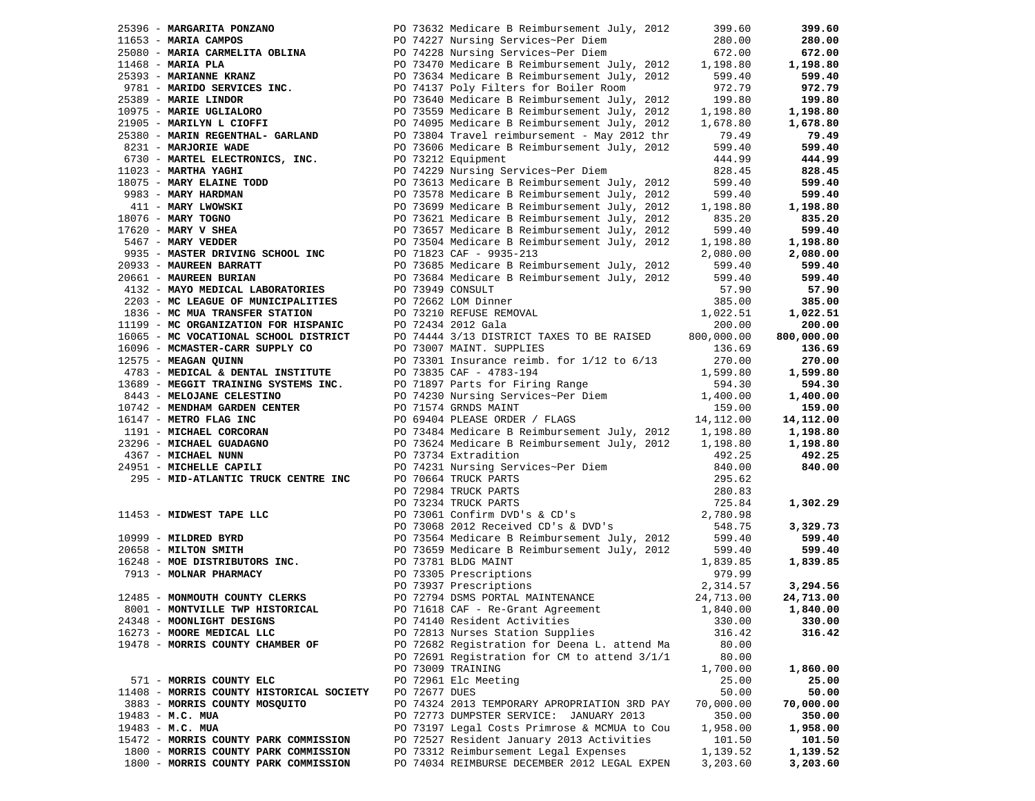|                           |                                                                                                                  |               |                                                                                                                                                                                                                                                                                                                          | 399.60     | 399.60     |
|---------------------------|------------------------------------------------------------------------------------------------------------------|---------------|--------------------------------------------------------------------------------------------------------------------------------------------------------------------------------------------------------------------------------------------------------------------------------------------------------------------------|------------|------------|
|                           |                                                                                                                  |               | 90 73632 Medicare B Reimbursement July, 2012<br>11653 - <b>MARIA CAMPOS</b><br>25080 - <b>MARIA CARMELITA OBLINA</b><br>26080 - <b>MARIA PLA</b><br>26080 - <b>MARIA PLA</b><br>26080 - <b>MARIA PLA</b><br>26080 - <b>MARIA PLA</b><br>26080 - <b>MARIA PLA</b><br>26080 - <b>MARI</b>                                  | 280.00     | 280.00     |
|                           |                                                                                                                  |               |                                                                                                                                                                                                                                                                                                                          | 672.00     | 672.00     |
|                           |                                                                                                                  |               | PO 73470 Medicare B Reimbursement July, 2012                                                                                                                                                                                                                                                                             | 1,198.80   | 1,198.80   |
|                           |                                                                                                                  |               |                                                                                                                                                                                                                                                                                                                          | 599.40     | 599.40     |
|                           |                                                                                                                  |               | PO 74137 Poly Filters for Boiler Room                                                                                                                                                                                                                                                                                    | 972.79     | 972.79     |
| 25389 - MARIE LINDOR      | 19999 - WARLING<br>9781 - MARIDO SERVICES INC.<br>19999 - MARIDO FINDOR                                          |               | PO 73640 Medicare B Reimbursement July, 2012                                                                                                                                                                                                                                                                             | 199.80     | 199.80     |
|                           |                                                                                                                  |               | PO 73559 Medicare B Reimbursement July, 2012                                                                                                                                                                                                                                                                             | 1,198.80   | 1,198.80   |
|                           | 10975 - MARIE UGLIALORO<br>21905 - MARILYN L CIOFFI                                                              |               | PO 74095 Medicare B Reimbursement July, 2012                                                                                                                                                                                                                                                                             | 1,678.80   | 1,678.80   |
|                           | 25380 - MARIN REGENTHAL- GARLAND                                                                                 |               | PO 73804 Travel reimbursement - May 2012 thr                                                                                                                                                                                                                                                                             | 79.49      | 79.49      |
| 8231 - MARJORIE WADE      |                                                                                                                  |               | PO 73606 Medicare B Reimbursement July, 2012                                                                                                                                                                                                                                                                             | 599.40     | 599.40     |
|                           |                                                                                                                  |               | PO 73212 Equipment                                                                                                                                                                                                                                                                                                       | 444.99     |            |
|                           | 6730 - MARTEL ELECTRONICS, INC.                                                                                  |               |                                                                                                                                                                                                                                                                                                                          |            | 444.99     |
| 11023 - MARTHA YAGHI      |                                                                                                                  |               | PO 74229 Nursing Services~Per Diem                                                                                                                                                                                                                                                                                       | 828.45     | 828.45     |
|                           |                                                                                                                  |               |                                                                                                                                                                                                                                                                                                                          | 599.40     | 599.40     |
|                           |                                                                                                                  |               |                                                                                                                                                                                                                                                                                                                          | 599.40     | 599.40     |
|                           |                                                                                                                  |               |                                                                                                                                                                                                                                                                                                                          | 1,198.80   | 1,198.80   |
|                           |                                                                                                                  |               | 18075 - <b>MARY ELAINE TODD</b><br><b>EXAMPLE TODD</b><br><b>EXAMPLE TODD</b><br><b>EXAMPLE TODD</b><br><b>EXAMPLE TODD</b><br><b>EXAMPLE TODD</b><br><b>EXAMPLE TODD</b><br><b>EXAMPLE TODD</b><br><b>EXAMPLE TODD</b><br><b>EXAMPLE TODD</b><br><b>EXAMPLE POUS 2012</b><br><b>EXAMPLE POUS 2012</b><br><b>EXAMPLE</b> | 835.20     | 835.20     |
|                           |                                                                                                                  |               |                                                                                                                                                                                                                                                                                                                          | 599.40     | 599.40     |
|                           |                                                                                                                  |               | PO 73504 Medicare B Reimbursement July, 2012                                                                                                                                                                                                                                                                             | 1,198.80   | 1,198.80   |
|                           | 9935 - MASTER DRIVING SCHOOL INC PO 71823 CAF - 9935-213                                                         |               |                                                                                                                                                                                                                                                                                                                          | 2,080.00   | 2,080.00   |
| 20933 - MAUREEN BARRATT   |                                                                                                                  |               | PO 73685 Medicare B Reimbursement July, 2012                                                                                                                                                                                                                                                                             | 599.40     | 599.40     |
| 20661 - MAUREEN BURIAN    |                                                                                                                  |               | PO 73684 Medicare B Reimbursement July, 2012                                                                                                                                                                                                                                                                             | 599.40     | 599.40     |
|                           | 4132 - MAYO MEDICAL LABORATORIES                                                                                 |               | PO 73949 CONSULT                                                                                                                                                                                                                                                                                                         | 57.90      | 57.90      |
|                           |                                                                                                                  |               |                                                                                                                                                                                                                                                                                                                          | 385.00     | 385.00     |
|                           | 2203 - MC LEAGUE OF MUNICIPALITIES PO 72662 LOM Dinner<br>1836 - MC MUA TRANSFER STATION PO 73210 REFUSE REMOVAL |               |                                                                                                                                                                                                                                                                                                                          | 1,022.51   | 1,022.51   |
|                           |                                                                                                                  |               | 11199 - MC ORGANIZATION FOR HISPANIC PO 72434 2012 Gala<br>16065 - MC VOCATIONAL SCHOOL DISTRICT PO 74444 3/13 DISTRICT TAXES TO BE RAISED                                                                                                                                                                               | 200.00     | 200.00     |
|                           |                                                                                                                  |               |                                                                                                                                                                                                                                                                                                                          | 800,000.00 | 800,000.00 |
|                           | 16096 - MCMASTER-CARR SUPPLY CO                                                                                  |               | PO 73007 MAINT. SUPPLIES                                                                                                                                                                                                                                                                                                 | 136.69     | 136.69     |
| 12575 - MEAGAN QUINN      |                                                                                                                  |               | PO 73301 Insurance reimb. for $1/12$ to $6/13$                                                                                                                                                                                                                                                                           | 270.00     | 270.00     |
|                           | 4783 - MEDICAL & DENTAL INSTITUTE PO 73835 CAF - 4783-194                                                        |               |                                                                                                                                                                                                                                                                                                                          | 1,599.80   | 1,599.80   |
|                           | 13689 - MEGGIT TRAINING SYSTEMS INC. PO 71897 Parts for Firing Range                                             |               |                                                                                                                                                                                                                                                                                                                          | 594.30     | 594.30     |
|                           |                                                                                                                  |               | PO 74230 Nursing Services~Per Diem                                                                                                                                                                                                                                                                                       | 1,400.00   | 1,400.00   |
|                           | 13689 - MEGGLI<br>8443 - MELOJANE CELESTINO<br>10742 - MENDHAM GARDEN CENTER<br>1117 - METRO FLAG INC            |               | PO 71574 GRNDS MAINT                                                                                                                                                                                                                                                                                                     | 159.00     | 159.00     |
|                           |                                                                                                                  |               | PO 69404 PLEASE ORDER / FLAGS                                                                                                                                                                                                                                                                                            | 14,112.00  | 14,112.00  |
|                           |                                                                                                                  |               | PO 73484 Medicare B Reimbursement July, 2012 1,198.80                                                                                                                                                                                                                                                                    |            | 1,198.80   |
|                           | 23296 - MICHAEL GUADAGNO                                                                                         |               | PO 73624 Medicare B Reimbursement July, 2012                                                                                                                                                                                                                                                                             |            |            |
| 4367 - MICHAEL NUNN       |                                                                                                                  |               | PO 73734 Extradition                                                                                                                                                                                                                                                                                                     | 1,198.80   | 1,198.80   |
|                           | 4307 - MICHAEL NUNN<br>24951 - MICHELLE CAPILI                                                                   |               |                                                                                                                                                                                                                                                                                                                          | 492.25     | 492.25     |
|                           |                                                                                                                  |               | PO 74231 Nursing Services~Per Diem 840.00                                                                                                                                                                                                                                                                                |            | 840.00     |
|                           | 295 - MID-ATLANTIC TRUCK CENTRE INC                                                                              |               |                                                                                                                                                                                                                                                                                                                          | 295.62     |            |
|                           |                                                                                                                  |               |                                                                                                                                                                                                                                                                                                                          | 280.83     |            |
|                           |                                                                                                                  |               | PO 73051 NULSING DELIVERED 2012<br>PO 72984 TRUCK PARTS<br>PO 73234 TRUCK PARTS<br>PO 73061 Confirm DVD's & CD's                                                                                                                                                                                                         | 725.84     | 1,302.29   |
| 11453 - MIDWEST TAPE LLC  |                                                                                                                  |               |                                                                                                                                                                                                                                                                                                                          | 2,780.98   |            |
|                           |                                                                                                                  |               | PO 73068 2012 Received CD's & DVD's                                                                                                                                                                                                                                                                                      | 548.75     | 3,329.73   |
|                           | 10999 - MILDRED BYRD<br>20658 - MILTON SMITH<br>16616                                                            |               | PO 73564 Medicare B Reimbursement July, 2012                                                                                                                                                                                                                                                                             | 599.40     | 599.40     |
|                           |                                                                                                                  |               | PO 73659 Medicare B Reimbursement July, 2012                                                                                                                                                                                                                                                                             | 599.40     | 599.40     |
|                           | 16248 - MOE DISTRIBUTORS INC.                                                                                    |               | PO 73781 BLDG MAINT                                                                                                                                                                                                                                                                                                      | 1,839.85   | 1,839.85   |
| 7913 - MOLNAR PHARMACY    |                                                                                                                  |               | PO 73305 Prescriptions                                                                                                                                                                                                                                                                                                   | 979.99     |            |
|                           |                                                                                                                  |               | PO 73937 Prescriptions                                                                                                                                                                                                                                                                                                   | 2,314.57   | 3,294.56   |
|                           | 12485 - MONMOUTH COUNTY CLERKS                                                                                   |               | PO 72794 DSMS PORTAL MAINTENANCE                                                                                                                                                                                                                                                                                         | 24,713.00  | 24,713.00  |
|                           | 8001 - MONTVILLE TWP HISTORICAL                                                                                  |               | PO 71618 CAF - Re-Grant Agreement                                                                                                                                                                                                                                                                                        | 1,840.00   | 1,840.00   |
| 24348 - MOONLIGHT DESIGNS |                                                                                                                  |               | PO 74140 Resident Activities                                                                                                                                                                                                                                                                                             | 330.00     | 330.00     |
| 16273 - MOORE MEDICAL LLC |                                                                                                                  |               | PO 72813 Nurses Station Supplies                                                                                                                                                                                                                                                                                         | 316.42     | 316.42     |
|                           | 19478 - MORRIS COUNTY CHAMBER OF                                                                                 |               | PO 72682 Registration for Deena L. attend Ma                                                                                                                                                                                                                                                                             | 80.00      |            |
|                           |                                                                                                                  |               | PO 72691 Registration for CM to attend 3/1/1                                                                                                                                                                                                                                                                             | 80.00      |            |
|                           |                                                                                                                  |               | PO 73009 TRAINING                                                                                                                                                                                                                                                                                                        | 1,700.00   | 1,860.00   |
| 571 - MORRIS COUNTY ELC   |                                                                                                                  |               | PO 72961 Elc Meeting                                                                                                                                                                                                                                                                                                     | 25.00      | 25.00      |
|                           | 11408 - MORRIS COUNTY HISTORICAL SOCIETY                                                                         | PO 72677 DUES |                                                                                                                                                                                                                                                                                                                          | 50.00      | 50.00      |
|                           | 3883 - MORRIS COUNTY MOSQUITO                                                                                    |               | PO 74324 2013 TEMPORARY APROPRIATION 3RD PAY                                                                                                                                                                                                                                                                             | 70,000.00  | 70,000.00  |
| 19483 - M.C. MUA          |                                                                                                                  |               | PO 72773 DUMPSTER SERVICE: JANUARY 2013                                                                                                                                                                                                                                                                                  | 350.00     | 350.00     |
| 19483 - M.C. MUA          |                                                                                                                  |               | PO 73197 Legal Costs Primrose & MCMUA to Cou                                                                                                                                                                                                                                                                             | 1,958.00   | 1,958.00   |
|                           | 15472 - MORRIS COUNTY PARK COMMISSION                                                                            |               | PO 72527 Resident January 2013 Activities                                                                                                                                                                                                                                                                                | 101.50     | 101.50     |
|                           | 1800 - MORRIS COUNTY PARK COMMISSION                                                                             |               | PO 73312 Reimbursement Legal Expenses                                                                                                                                                                                                                                                                                    | 1,139.52   | 1,139.52   |
|                           | 1800 - MORRIS COUNTY PARK COMMISSION                                                                             |               | PO 74034 REIMBURSE DECEMBER 2012 LEGAL EXPEN                                                                                                                                                                                                                                                                             | 3,203.60   | 3,203.60   |
|                           |                                                                                                                  |               |                                                                                                                                                                                                                                                                                                                          |            |            |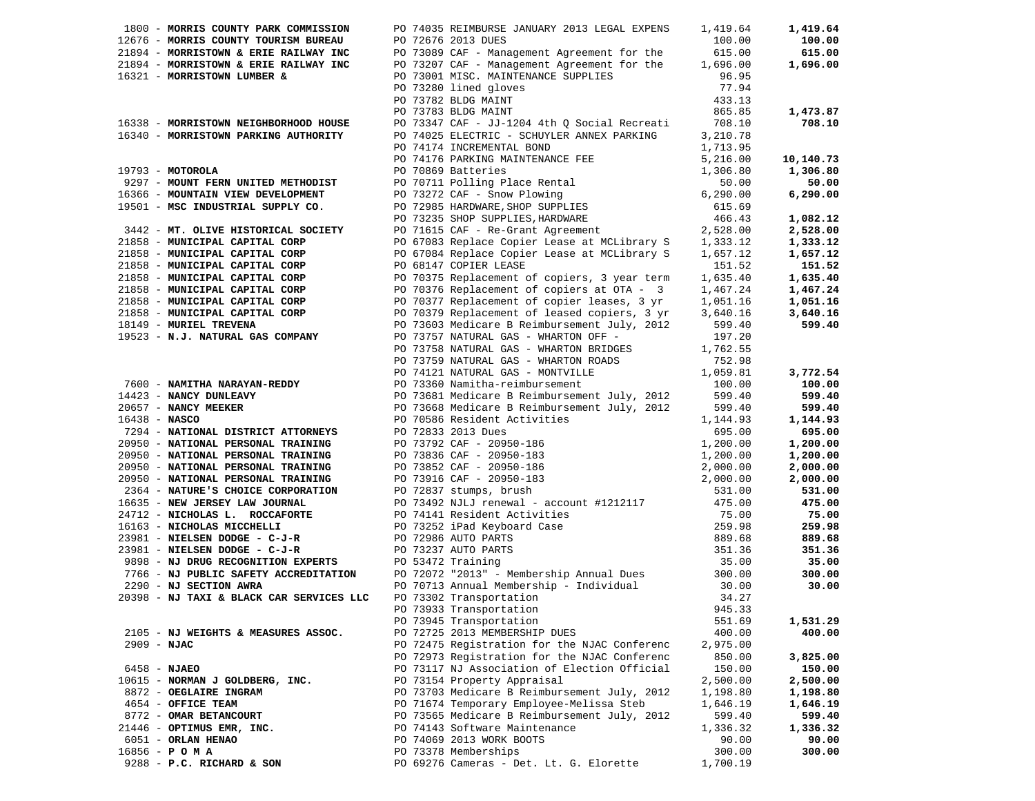| 1800 - MORRIS COUNTY PARK COMMISSION                                     | PO 74035 REIMBURSE JANUARY 2013 LEGAL EXPENS                                                                                                                                                                                             | 1,419.64  | 1,419.64  |
|--------------------------------------------------------------------------|------------------------------------------------------------------------------------------------------------------------------------------------------------------------------------------------------------------------------------------|-----------|-----------|
| 12676 - MORRIS COUNTY TOURISM BUREAU                                     | PO 72676 2013 DUES                                                                                                                                                                                                                       | 100.00    | 100.00    |
| 21894 - MORRISTOWN & ERIE RAILWAY INC                                    | PO 73089 CAF - Management Agreement for the                                                                                                                                                                                              | 615.00    | 615.00    |
| 21894 - MORRISTOWN & ERIE RAILWAY INC                                    | PO 73207 CAF - Management Agreement for the                                                                                                                                                                                              | 1,696.00  | 1,696.00  |
| 16321 - MORRISTOWN LUMBER &                                              | PO 73001 MISC. MAINTENANCE SUPPLIES                                                                                                                                                                                                      | 96.95     |           |
|                                                                          | PO 73280 lined gloves                                                                                                                                                                                                                    | 77.94     |           |
|                                                                          | PO 73782 BLDG MAINT                                                                                                                                                                                                                      | 433.13    |           |
|                                                                          | PO 73783 BLDG MAINT                                                                                                                                                                                                                      | 865.85    | 1,473.87  |
| 16338 - MORRISTOWN NEIGHBORHOOD HOUSE                                    | PO 73347 CAF - JJ-1204 4th Q Social Recreati                                                                                                                                                                                             | 708.10    | 708.10    |
| 16340 - MORRISTOWN PARKING AUTHORITY                                     | PO 74025 ELECTRIC - SCHUYLER ANNEX PARKING 3,210.78                                                                                                                                                                                      |           |           |
|                                                                          | PO 74174 INCREMENTAL BOND                                                                                                                                                                                                                | 1,713.95  |           |
|                                                                          | PO 74176 PARKING MAINTENANCE FEE                                                                                                                                                                                                         | 5,216.00  | 10,140.73 |
| $19793 - MOTOROLA$                                                       | PO 70869 Batteries                                                                                                                                                                                                                       | 1,306.80  | 1,306.80  |
| 9297 - MOUNT FERN UNITED METHODIST                                       |                                                                                                                                                                                                                                          | 50.00     | 50.00     |
| 16366 - MOUNTAIN VIEW DEVELOPMENT                                        |                                                                                                                                                                                                                                          | 6, 290.00 | 6,290.00  |
| 19501 - MSC INDUSTRIAL SUPPLY CO.                                        |                                                                                                                                                                                                                                          | 615.69    |           |
|                                                                          | PO 70009 Batteries<br>PO 70711 Polling Place Rental<br>PO 73272 CAF - Snow Plowing<br>PO 72985 HARDWARE, SHOP SUPPLIES<br>PO 73235 SHOP SUPPLIES, HARDWARE                                                                               | 466.43    | 1,082.12  |
| 3442 - MT. OLIVE HISTORICAL SOCIETY                                      |                                                                                                                                                                                                                                          |           | 2,528.00  |
| 21858 - MUNICIPAL CAPITAL CORP                                           | PO 71615 CAF - Re-Grant Agreement<br>PO 71615 CAF - Re-Grant Agreement<br>PO 67083 Replace Copier Lease at MCLibrary S 1,333.12                                                                                                          |           | 1,333.12  |
| 21858 - MUNICIPAL CAPITAL CORP                                           | PO 67084 Replace Copier Lease at MCLibrary S                                                                                                                                                                                             | 1,657.12  | 1,657.12  |
| 21858 - MUNICIPAL CAPITAL CORP                                           | PO 68147 COPIER LEASE                                                                                                                                                                                                                    | 151.52    | 151.52    |
| 21858 - MUNICIPAL CAPITAL CORP                                           | PO 70375 Replacement of copiers, 3 year term                                                                                                                                                                                             | 1,635.40  | 1,635.40  |
| 21858 - MUNICIPAL CAPITAL CORP                                           |                                                                                                                                                                                                                                          | 1,467.24  | 1,467.24  |
| 21858 - MUNICIPAL CAPITAL CORP                                           | PO 70376 Replacement of copiers at OTA - 3<br>PO 70377 Replacement of copier leases, 3 yr                                                                                                                                                | 1,051.16  | 1,051.16  |
| 21858 - MUNICIPAL CAPITAL CORP                                           | PO 70379 Replacement of leased copiers, 3 yr                                                                                                                                                                                             | 3,640.16  | 3,640.16  |
| 18149 - MURIEL TREVENA                                                   | PO 73603 Medicare B Reimbursement July, 2012                                                                                                                                                                                             | 599.40    | 599.40    |
| 19523 - N.J. NATURAL GAS COMPANY                                         | PO 73757 NATURAL GAS - WHARTON OFF -                                                                                                                                                                                                     | 197.20    |           |
|                                                                          | PO 73758 NATURAL GAS - WHARTON BRIDGES                                                                                                                                                                                                   | 1,762.55  |           |
|                                                                          | PO 73759 NATURAL GAS - WHARTON ROADS                                                                                                                                                                                                     | 752.98    |           |
|                                                                          | PO 74121 NATURAL GAS - MONTVILLE                                                                                                                                                                                                         | 1,059.81  | 3,772.54  |
|                                                                          | PO 73360 Namitha-reimbursement                                                                                                                                                                                                           | 100.00    | 100.00    |
| 7600 - NAMITHA NARAYAN-REDDY<br>14423 - NANCY DUNLEAVY                   | PO 73681 Medicare B Reimbursement July, 2012 599.40                                                                                                                                                                                      |           | 599.40    |
|                                                                          |                                                                                                                                                                                                                                          | 599.40    | 599.40    |
| 20657 - NANCY MEEKER<br>16438 - NASCO<br>$16438 - NASCO$                 | PO 73668 Medicare B Reimbursement July, 2012<br>PO 70586 Resident Activities                                                                                                                                                             | 1,144.93  | 1,144.93  |
| 7294 - NATIONAL DISTRICT ATTORNEYS                                       |                                                                                                                                                                                                                                          | 695.00    | 695.00    |
| 20950 - NATIONAL PERSONAL TRAINING                                       |                                                                                                                                                                                                                                          | 1,200.00  | 1,200.00  |
| 20950 - NATIONAL PERSONAL TRAINING                                       |                                                                                                                                                                                                                                          | 1,200.00  | 1,200.00  |
| 20950 - NATIONAL PERSONAL TRAINING                                       | PO 72833 2013 Dues<br>PO 73792 CAF - 20950-186<br>PO 73836 CAF - 20950-183<br>PO 73852 CAF - 20950-186<br>PO 73916 CAF - 20950-183<br>PO 72837 stumps, brush                                                                             | 2,000.00  | 2,000.00  |
| 20950 - NATIONAL PERSONAL TRAINING                                       |                                                                                                                                                                                                                                          | 2,000.00  | 2,000.00  |
| 20950 - NATIONAL PERSONAL TRAINING<br>2364 - NATURE'S CHOICE CORPORATION |                                                                                                                                                                                                                                          | 531.00    | 531.00    |
| 16635 - NEW JERSEY LAW JOURNAL                                           |                                                                                                                                                                                                                                          |           | 475.00    |
| 24712 - NICHOLAS L. ROCCAFORTE                                           |                                                                                                                                                                                                                                          |           | 75.00     |
| 16163 - NICHOLAS MICCHELLI                                               |                                                                                                                                                                                                                                          |           | 259.98    |
| 23981 - NIELSEN DODGE - C-J-R                                            |                                                                                                                                                                                                                                          |           | 889.68    |
| 23981 - NIELSEN DODGE - C-J-R                                            | PO 73492 NJLJ renewal - account #1212117 315.00<br>PO 73492 NJLJ renewal - account #1212117 475.00<br>PO 731252 iPad Keyboard Case 259.98<br>PO 73252 iPad Keyboard Case 259.98<br>PO 73237 AUTO PARTS 889.68<br>PO 73237 AUTO PARTS 351 |           | 351.36    |
| 9898 - NJ DRUG RECOGNITION EXPERTS PO 53472 Training                     |                                                                                                                                                                                                                                          |           | 35.00     |
| 7766 - NJ PUBLIC SAFETY ACCREDITATION                                    |                                                                                                                                                                                                                                          |           | 300.00    |
| 2290 - NJ SECTION AWRA                                                   | PO 72072 "2013" - Membership Annual Dues 300.00<br>PO 70713 Annual Membership - Individual 30.00                                                                                                                                         |           | 30.00     |
| 20398 - NJ TAXI & BLACK CAR SERVICES LLC                                 | PO 73302 Transportation                                                                                                                                                                                                                  | 34.27     |           |
|                                                                          | PO 73933 Transportation                                                                                                                                                                                                                  | 945.33    |           |
|                                                                          | PO 73945 Transportation                                                                                                                                                                                                                  | 551.69    | 1,531.29  |
| 2105 - NJ WEIGHTS & MEASURES ASSOC.                                      | PO 72725 2013 MEMBERSHIP DUES                                                                                                                                                                                                            | 400.00    | 400.00    |
| $2909 - NJAC$                                                            | PO 72475 Registration for the NJAC Conferenc                                                                                                                                                                                             | 2,975.00  |           |
|                                                                          | PO 72973 Registration for the NJAC Conferenc                                                                                                                                                                                             | 850.00    | 3,825.00  |
| $6458 - NJABO$                                                           | PO 73117 NJ Association of Election Official                                                                                                                                                                                             | 150.00    | 150.00    |
| 10615 - NORMAN J GOLDBERG, INC.                                          | PO 73154 Property Appraisal                                                                                                                                                                                                              | 2,500.00  | 2,500.00  |
| 8872 - OEGLAIRE INGRAM                                                   | PO 73703 Medicare B Reimbursement July, 2012                                                                                                                                                                                             | 1,198.80  | 1,198.80  |
| 4654 - OFFICE TEAM                                                       | PO 71674 Temporary Employee-Melissa Steb                                                                                                                                                                                                 | 1,646.19  | 1,646.19  |
| 8772 - OMAR BETANCOURT                                                   | PO 73565 Medicare B Reimbursement July, 2012                                                                                                                                                                                             | 599.40    | 599.40    |
| 21446 - OPTIMUS EMR, INC.                                                | PO 74143 Software Maintenance                                                                                                                                                                                                            | 1,336.32  | 1,336.32  |
| 6051 - ORLAN HENAO                                                       | PO 74069 2013 WORK BOOTS                                                                                                                                                                                                                 | 90.00     | 90.00     |
| $16856 - P$ O M A                                                        | PO 73378 Memberships                                                                                                                                                                                                                     | 300.00    | 300.00    |
| 9288 - P.C. RICHARD & SON                                                | PO 69276 Cameras - Det. Lt. G. Elorette                                                                                                                                                                                                  | 1,700.19  |           |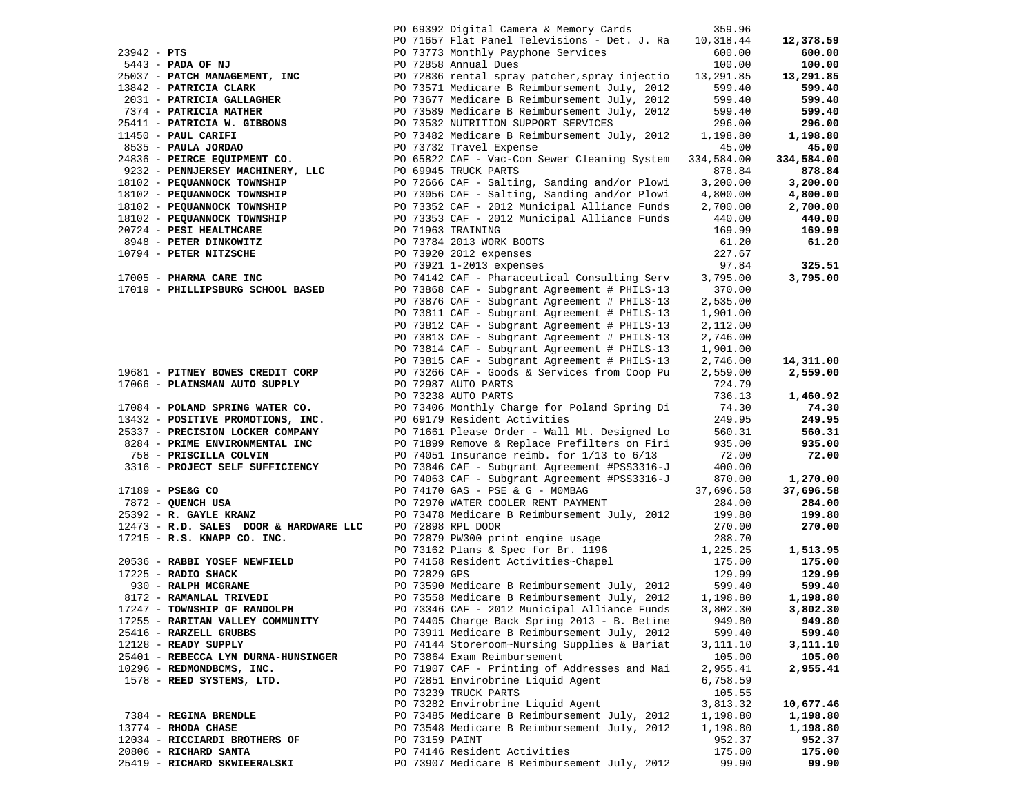|                                                                              |                | PO 69392 Digital Camera & Memory Cards                                                                                                                                                                                                                                                   | 359.96    |            |
|------------------------------------------------------------------------------|----------------|------------------------------------------------------------------------------------------------------------------------------------------------------------------------------------------------------------------------------------------------------------------------------------------|-----------|------------|
|                                                                              |                | PO 71657 Flat Panel Televisions - Det. J. Ra<br>90 71657 Flat Panel Televisions - Det. J. Ra (10,318.44<br>90 71657 Flat Panel Televisions - Det. J. Ra (10,318.44<br>90 7373 Monthly Payphone Services (600.00)<br>90 72836 Annual Dues<br>90 72836 Fendur Services (11,291.85<br>90 73 | 10,318.44 | 12,378.59  |
|                                                                              |                |                                                                                                                                                                                                                                                                                          |           | 600.00     |
|                                                                              |                |                                                                                                                                                                                                                                                                                          |           | 100.00     |
|                                                                              |                |                                                                                                                                                                                                                                                                                          |           | 13,291.85  |
|                                                                              |                |                                                                                                                                                                                                                                                                                          |           | 599.40     |
|                                                                              |                |                                                                                                                                                                                                                                                                                          |           | 599.40     |
|                                                                              |                |                                                                                                                                                                                                                                                                                          |           | 599.40     |
|                                                                              |                |                                                                                                                                                                                                                                                                                          |           | 296.00     |
|                                                                              |                |                                                                                                                                                                                                                                                                                          |           | 1,198.80   |
|                                                                              |                |                                                                                                                                                                                                                                                                                          |           | 45.00      |
|                                                                              |                |                                                                                                                                                                                                                                                                                          |           | 334,584.00 |
|                                                                              |                |                                                                                                                                                                                                                                                                                          |           | 878.84     |
|                                                                              |                |                                                                                                                                                                                                                                                                                          |           | 3,200.00   |
|                                                                              |                |                                                                                                                                                                                                                                                                                          |           | 4,800.00   |
|                                                                              |                |                                                                                                                                                                                                                                                                                          |           | 2,700.00   |
|                                                                              |                |                                                                                                                                                                                                                                                                                          |           | 440.00     |
|                                                                              |                |                                                                                                                                                                                                                                                                                          |           | 169.99     |
|                                                                              |                |                                                                                                                                                                                                                                                                                          |           | 61.20      |
|                                                                              |                |                                                                                                                                                                                                                                                                                          |           |            |
|                                                                              |                |                                                                                                                                                                                                                                                                                          |           | 325.51     |
|                                                                              |                | 2430 PENNUERSEY MACHINERY, LLC 2006924 CAF - Vac-Con Sewer Creating System 334,384<br>18102 - PENNUERSEY MACHINERY, LLC 20069245 TRUCK PARTS<br>18102 - PEQUANNOCK TOWNSHIP 2007366 CAF - Salting, Sanding and/or Plowi 3,200.00<br>                                                     |           | 3,795.00   |
|                                                                              |                |                                                                                                                                                                                                                                                                                          | 370.00    |            |
|                                                                              |                | 17019 - PHILLIPSBURG SCHOOL BASED PO 73868 CAF - Subgrant Agreement # PHILS-13 2                                                                                                                                                                                                         | 2,535.00  |            |
|                                                                              |                |                                                                                                                                                                                                                                                                                          | 1,901.00  |            |
|                                                                              |                | PO 73811 CAF - Subgrant Agreement # PHILS-13<br>PO 73812 CAF - Subgrant Agreement # PHILS-13                                                                                                                                                                                             | 2,112.00  |            |
|                                                                              |                | PO 73813 CAF - Subgrant Agreement # PHILS-13                                                                                                                                                                                                                                             | 2,746.00  |            |
|                                                                              |                | PO 73814 CAF - Subgrant Agreement # PHILS-13                                                                                                                                                                                                                                             | 1,901.00  |            |
|                                                                              |                | PO 73815 CAF - Subgrant Agreement # PHILS-13                                                                                                                                                                                                                                             | 2,746.00  | 14,311.00  |
| 19681 - PITNEY BOWES CREDIT CORP                                             |                | PO 73266 CAF - Goods & Services from Coop Pu                                                                                                                                                                                                                                             | 2,559.00  | 2,559.00   |
|                                                                              |                |                                                                                                                                                                                                                                                                                          | 724.79    |            |
| 17066 – <b>PLAINSMAN AUTO SUPPLY</b> PO 72987 AUTO PARTS PO 73238 AUTO PARTS |                |                                                                                                                                                                                                                                                                                          | 736.13    | 1,460.92   |
|                                                                              |                | 17084 - POLAND SPRING WATER CO. PO 73406 Monthly Charge for Poland Spring Di<br>13432 - POSITIVE PROMOTIONS, INC. PO 69179 Resident Activities                                                                                                                                           | 74.30     | 74.30      |
|                                                                              |                |                                                                                                                                                                                                                                                                                          | 249.95    | 249.95     |
| 25337 - PRECISION LOCKER COMPANY                                             |                |                                                                                                                                                                                                                                                                                          | 560.31    | 560.31     |
| 8284 - PRIME ENVIRONMENTAL INC                                               |                | PO 71661 Please Order - Wall Mt. Designed Lo<br>PO 71899 Remove & Replace Prefilters on Firi                                                                                                                                                                                             | 935.00    | 935.00     |
| 758 - PRISCILLA COLVIN                                                       |                | PO 74051 Insurance reimb. for $1/13$ to $6/13$                                                                                                                                                                                                                                           | 72.00     | 72.00      |
| 3316 - PROJECT SELF SUFFICIENCY                                              |                | PO 73846 CAF - Subgrant Agreement #PSS3316-J                                                                                                                                                                                                                                             | 400.00    |            |
|                                                                              |                | PO 74063 CAF - Subgrant Agreement #PSS3316-J                                                                                                                                                                                                                                             | 870.00    | 1,270.00   |
| 17189 - PSE&G CO                                                             |                | PO 74170 GAS - PSE & G - MOMBAG 37,696.58                                                                                                                                                                                                                                                |           | 37,696.58  |
|                                                                              |                | PO 72970 WATER COOLER RENT PAYMENT                                                                                                                                                                                                                                                       | 284.00    | 284.00     |
| 7872 - QUENCH USA<br>25392 - R. GAYLE KRANZ<br>19453                         |                | PO 72970 WATER COOLER RENT PAYMENT 2012 284.00<br>PO 73478 Medicare B Reimbursement July, 2012 199.80                                                                                                                                                                                    |           | 199.80     |
| 12473 - R.D. SALES DOOR & HARDWARE LLC                                       |                | PO 72898 RPL DOOR                                                                                                                                                                                                                                                                        | 270.00    | 270.00     |
|                                                                              |                |                                                                                                                                                                                                                                                                                          |           |            |
|                                                                              |                | 17215 - R.S. KNAPP CO. INC.<br>20536 - RABBI YOSEF NEWFIELD<br>20536 - RABBI YOSEF NEWFIELD<br>20536 - RABBI YOSEF NEWFIELD<br>20536 - RABBI YOSEF NEWFIELD<br>20536 - RABBI YOSEF NEWFIELD<br>207369 GPC 20239 GPC<br>207389 GPC 20239 GPC<br>                                          |           | 1,513.95   |
|                                                                              |                |                                                                                                                                                                                                                                                                                          |           | 175.00     |
|                                                                              |                |                                                                                                                                                                                                                                                                                          |           | 129.99     |
|                                                                              |                |                                                                                                                                                                                                                                                                                          |           | 599.40     |
|                                                                              |                |                                                                                                                                                                                                                                                                                          |           | 1,198.80   |
|                                                                              |                | 17247 - TOWNSHIP OF RANDOLPH PO 73346 CAF - 2012 Municipal Alliance Funds 3,802.30                                                                                                                                                                                                       |           | 3,802.30   |
| 17255 - RARITAN VALLEY COMMUNITY                                             |                | PO 74405 Charge Back Spring 2013 - B. Betine                                                                                                                                                                                                                                             | 949.80    | 949.80     |
| 25416 - RARZELL GRUBBS                                                       |                | PO 73911 Medicare B Reimbursement July, 2012                                                                                                                                                                                                                                             | 599.40    | 599.40     |
| 12128 - READY SUPPLY                                                         |                | PO 74144 Storeroom~Nursing Supplies & Bariat                                                                                                                                                                                                                                             | 3,111.10  | 3,111.10   |
| 25401 - REBECCA LYN DURNA-HUNSINGER                                          |                | PO 73864 Exam Reimbursement                                                                                                                                                                                                                                                              | 105.00    | 105.00     |
| 10296 - REDMONDBCMS, INC.                                                    |                | PO 71907 CAF - Printing of Addresses and Mai                                                                                                                                                                                                                                             | 2,955.41  | 2,955.41   |
| 1578 - REED SYSTEMS, LTD.                                                    |                | PO 72851 Envirobrine Liquid Agent                                                                                                                                                                                                                                                        | 6,758.59  |            |
|                                                                              |                | PO 73239 TRUCK PARTS                                                                                                                                                                                                                                                                     | 105.55    |            |
|                                                                              |                | PO 73282 Envirobrine Liquid Agent                                                                                                                                                                                                                                                        | 3,813.32  | 10,677.46  |
| 7384 - REGINA BRENDLE                                                        |                | PO 73485 Medicare B Reimbursement July, 2012                                                                                                                                                                                                                                             | 1,198.80  | 1,198.80   |
| $13774$ - RHODA CHASE                                                        |                | PO 73548 Medicare B Reimbursement July, 2012                                                                                                                                                                                                                                             | 1,198.80  | 1,198.80   |
| 12034 - RICCIARDI BROTHERS OF                                                | PO 73159 PAINT |                                                                                                                                                                                                                                                                                          | 952.37    | 952.37     |
| 20806 - RICHARD SANTA                                                        |                | PO 74146 Resident Activities                                                                                                                                                                                                                                                             | 175.00    | 175.00     |
| 25419 - RICHARD SKWIEERALSKI                                                 |                | PO 73907 Medicare B Reimbursement July, 2012                                                                                                                                                                                                                                             | 99.90     | 99.90      |
|                                                                              |                |                                                                                                                                                                                                                                                                                          |           |            |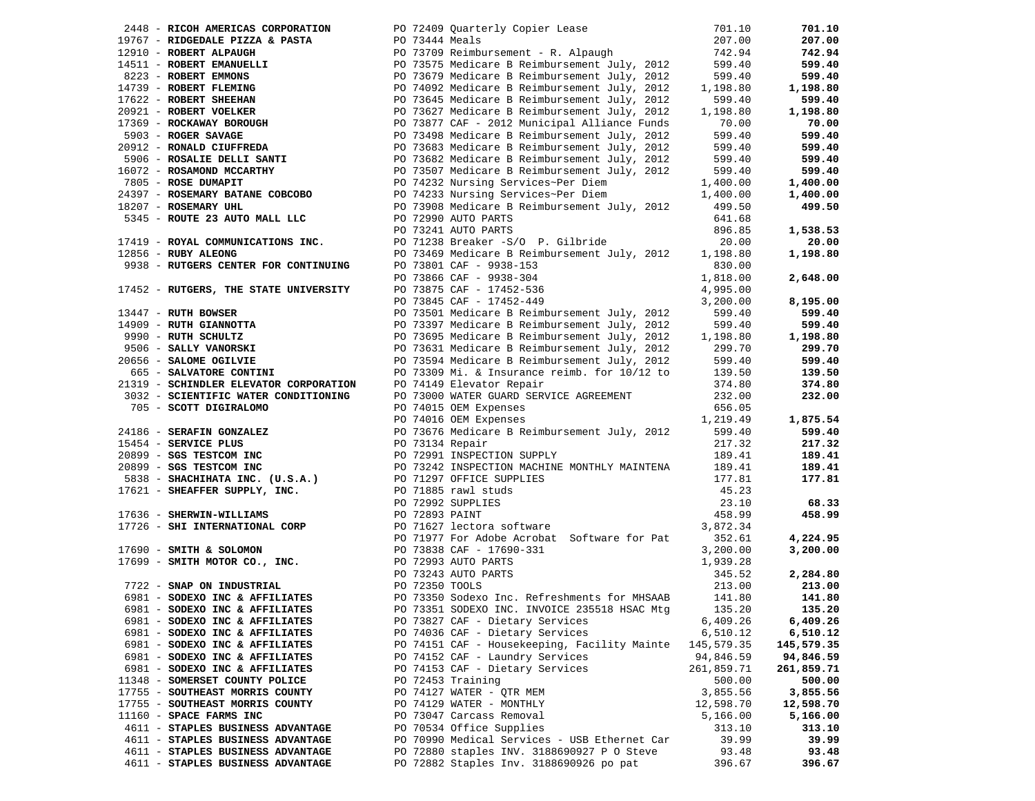|                                       | 1476 - RICOR AMERICAS CORPORATION PO 72409 Quarterly Copier Lease 10767 - RIPALEM 2017.00<br>19767 - RIPOEDALE PIZZA & PASTA PO 73144 Meals 2017.00<br>19767 - RIPOEDALE PIZZA & PASTA PO 737575 Medicare BReimbursement July, 2                                                 |            | 701.10     |
|---------------------------------------|----------------------------------------------------------------------------------------------------------------------------------------------------------------------------------------------------------------------------------------------------------------------------------|------------|------------|
|                                       |                                                                                                                                                                                                                                                                                  |            | 207.00     |
|                                       |                                                                                                                                                                                                                                                                                  |            | 742.94     |
|                                       |                                                                                                                                                                                                                                                                                  |            | 599.40     |
|                                       |                                                                                                                                                                                                                                                                                  |            | 599.40     |
|                                       |                                                                                                                                                                                                                                                                                  |            | 1,198.80   |
|                                       |                                                                                                                                                                                                                                                                                  |            | 599.40     |
|                                       |                                                                                                                                                                                                                                                                                  |            | 1,198.80   |
|                                       |                                                                                                                                                                                                                                                                                  |            | 70.00      |
|                                       |                                                                                                                                                                                                                                                                                  |            | 599.40     |
|                                       |                                                                                                                                                                                                                                                                                  |            | 599.40     |
|                                       |                                                                                                                                                                                                                                                                                  |            | 599.40     |
|                                       |                                                                                                                                                                                                                                                                                  |            | 599.40     |
|                                       |                                                                                                                                                                                                                                                                                  |            | 1,400.00   |
|                                       |                                                                                                                                                                                                                                                                                  |            | 1,400.00   |
|                                       |                                                                                                                                                                                                                                                                                  |            | 499.50     |
|                                       |                                                                                                                                                                                                                                                                                  |            |            |
|                                       |                                                                                                                                                                                                                                                                                  |            | 1,538.53   |
|                                       |                                                                                                                                                                                                                                                                                  |            | 20.00      |
|                                       |                                                                                                                                                                                                                                                                                  |            | 1,198.80   |
|                                       |                                                                                                                                                                                                                                                                                  |            |            |
|                                       |                                                                                                                                                                                                                                                                                  | 1,818.00   | 2,648.00   |
| 17452 - RUTGERS, THE STATE UNIVERSITY |                                                                                                                                                                                                                                                                                  | 4,995.00   |            |
|                                       | PO 73866 CAF - 9938-304<br>PO 73875 CAF - 17452-536<br>PO 73845 CAF - 17452-449                                                                                                                                                                                                  | 3,200.00   | 8,195.00   |
|                                       |                                                                                                                                                                                                                                                                                  |            | 599.40     |
|                                       |                                                                                                                                                                                                                                                                                  |            | 599.40     |
|                                       |                                                                                                                                                                                                                                                                                  |            | 1,198.80   |
|                                       |                                                                                                                                                                                                                                                                                  |            | 299.70     |
|                                       |                                                                                                                                                                                                                                                                                  |            | 599.40     |
|                                       | 13447 - RUTH BOWSER<br>14909 - RUTH GIANNOTTA<br>14909 - RUTH GIANNOTTA<br>14909 - RUTH SCHULTZ<br>14909 - RUTH SCHULTZ<br>19990 - RUTH SCHULTZ<br>1,198.80<br>1990 - RUTH SCHULTZ<br>1,198.80<br>1990 - RUTH SCHULTZ<br>1,198.80<br>1990 - RUTH SCH                             |            | 139.50     |
|                                       |                                                                                                                                                                                                                                                                                  |            | 374.80     |
|                                       | 3032 - SCIENTIFIC WATER CONDITIONING PO 73000 WATER GUARD SERVICE AGREEMENT 232.00                                                                                                                                                                                               |            | 232.00     |
|                                       |                                                                                                                                                                                                                                                                                  |            |            |
|                                       |                                                                                                                                                                                                                                                                                  |            | 1,875.54   |
|                                       |                                                                                                                                                                                                                                                                                  |            | 599.40     |
|                                       |                                                                                                                                                                                                                                                                                  |            | 217.32     |
|                                       |                                                                                                                                                                                                                                                                                  |            | 189.41     |
|                                       |                                                                                                                                                                                                                                                                                  |            | 189.41     |
|                                       |                                                                                                                                                                                                                                                                                  |            | 177.81     |
|                                       |                                                                                                                                                                                                                                                                                  |            |            |
|                                       |                                                                                                                                                                                                                                                                                  |            | 68.33      |
|                                       |                                                                                                                                                                                                                                                                                  |            | 458.99     |
|                                       | 3032 <b>- SCIENTIFIC WATER CONDITIONING</b><br>2022 <b>- SCOTT DIGITALOMO</b><br>2022 <b>- SCOTT DIGITALOMO DE PO 74015 OEM EXPERIES SERVICE AGREEMENT<br/> 2016 <b>- SERVICE PLUS</b><br/> 201416 <b>- SERVICE PLUS</b><br/> 20299 <b>- SGS (TESTCON INC. US.A.)</b><br/> 2</b> |            |            |
|                                       |                                                                                                                                                                                                                                                                                  |            | 4,224.95   |
|                                       |                                                                                                                                                                                                                                                                                  |            | 3,200.00   |
|                                       |                                                                                                                                                                                                                                                                                  |            |            |
|                                       |                                                                                                                                                                                                                                                                                  |            | 2,284.80   |
|                                       |                                                                                                                                                                                                                                                                                  |            | 213.00     |
|                                       |                                                                                                                                                                                                                                                                                  |            | 141.80     |
|                                       | 6981 - SODEXO INC & AFFILIATES PO 73351 SODEXO INC. INVOICE 235518 HSAC Mtg 135.20                                                                                                                                                                                               |            | 135.20     |
| 6981 - SODEXO INC & AFFILIATES        | PO 73827 CAF - Dietary Services                                                                                                                                                                                                                                                  | 6,409.26   | 6,409.26   |
| 6981 - SODEXO INC & AFFILIATES        | PO 74036 CAF - Dietary Services                                                                                                                                                                                                                                                  | 6,510.12   | 6,510.12   |
| 6981 - SODEXO INC & AFFILIATES        | PO 74151 CAF - Housekeeping, Facility Mainte 145,579.35                                                                                                                                                                                                                          |            | 145,579.35 |
| 6981 - SODEXO INC & AFFILIATES        | PO 74152 CAF - Laundry Services                                                                                                                                                                                                                                                  | 94,846.59  | 94,846.59  |
| 6981 - SODEXO INC & AFFILIATES        | PO 74153 CAF - Dietary Services                                                                                                                                                                                                                                                  | 261,859.71 | 261,859.71 |
| 11348 - SOMERSET COUNTY POLICE        | PO 72453 Training                                                                                                                                                                                                                                                                | 500.00     | 500.00     |
| 17755 - SOUTHEAST MORRIS COUNTY       | PO 74127 WATER - OTR MEM                                                                                                                                                                                                                                                         | 3,855.56   | 3,855.56   |
| 17755 - SOUTHEAST MORRIS COUNTY       | PO 74129 WATER - MONTHLY                                                                                                                                                                                                                                                         | 12,598.70  | 12,598.70  |
| 11160 - SPACE FARMS INC               | PO 73047 Carcass Removal                                                                                                                                                                                                                                                         | 5,166.00   | 5,166.00   |
| 4611 - STAPLES BUSINESS ADVANTAGE     | PO 70534 Office Supplies                                                                                                                                                                                                                                                         | 313.10     | 313.10     |
| 4611 - STAPLES BUSINESS ADVANTAGE     | PO 70990 Medical Services - USB Ethernet Car                                                                                                                                                                                                                                     | 39.99      | 39.99      |
| 4611 - STAPLES BUSINESS ADVANTAGE     | PO 72880 staples INV. 3188690927 P O Steve                                                                                                                                                                                                                                       | 93.48      | 93.48      |
| 4611 - STAPLES BUSINESS ADVANTAGE     | PO 72882 Staples Inv. 3188690926 po pat                                                                                                                                                                                                                                          | 396.67     | 396.67     |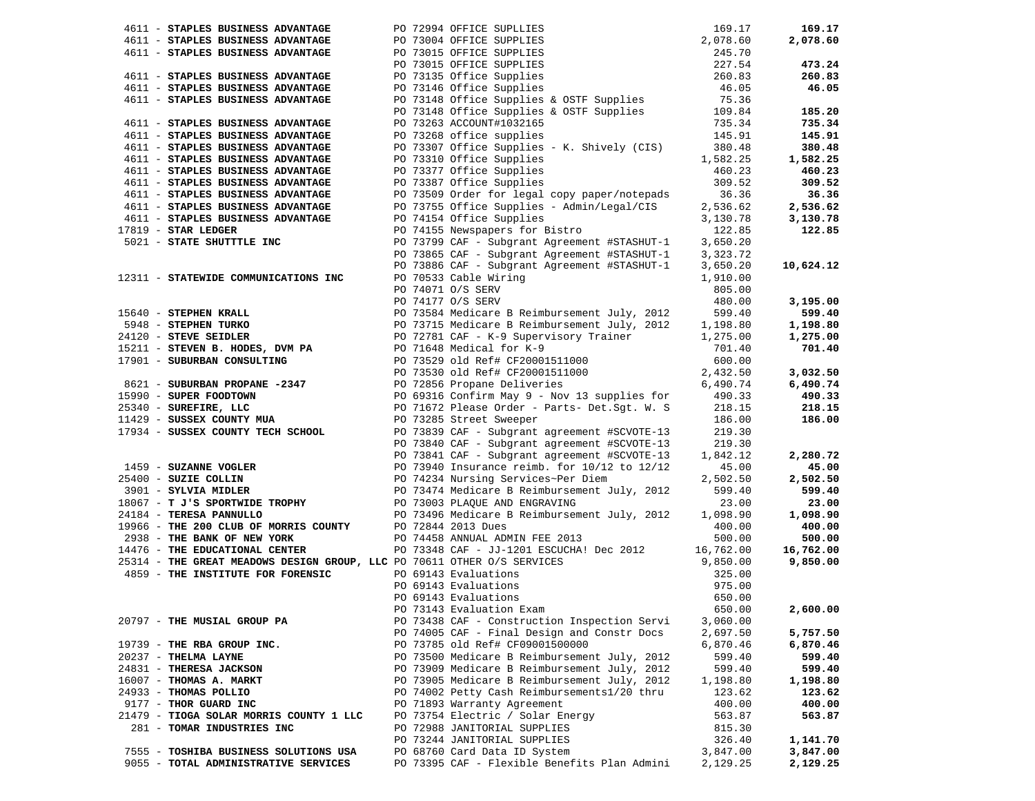|                       | 4611 - STAPLES BUSINESS ADVANTAGE                                                 |  |                                                                                                                                                                                                                                              | 169.17   | 169.17    |
|-----------------------|-----------------------------------------------------------------------------------|--|----------------------------------------------------------------------------------------------------------------------------------------------------------------------------------------------------------------------------------------------|----------|-----------|
|                       | 4611 - STAPLES BUSINESS ADVANTAGE                                                 |  |                                                                                                                                                                                                                                              | 2,078.60 | 2,078.60  |
|                       | 4611 - STAPLES BUSINESS ADVANTAGE                                                 |  |                                                                                                                                                                                                                                              | 245.70   |           |
|                       |                                                                                   |  |                                                                                                                                                                                                                                              | 227.54   | 473.24    |
|                       | 4611 - STAPLES BUSINESS ADVANTAGE                                                 |  |                                                                                                                                                                                                                                              | 260.83   | 260.83    |
|                       | 4611 - STAPLES BUSINESS ADVANTAGE                                                 |  | PO 73994 OFFICE SUPLLIES<br>PO 73004 OFFICE SUPPLIES<br>PO 73015 OFFICE SUPPLIES<br>PO 73015 OFFICE SUPPLIES<br>PO 73135 Office Supplies<br>PO 73146 Office Supplies<br>PO 73148 Office Supplies & OSTF Supplies<br>PO 73148 Office Supplies | 46.05    | 46.05     |
|                       | 4611 - STAPLES BUSINESS ADVANTAGE                                                 |  |                                                                                                                                                                                                                                              | 75.36    |           |
|                       |                                                                                   |  | PO 73148 Office Supplies & OSTF Supplies                                                                                                                                                                                                     | 109.84   | 185.20    |
|                       | 4611 - STAPLES BUSINESS ADVANTAGE                                                 |  | PO 73263 ACCOUNT#1032165                                                                                                                                                                                                                     | 735.34   | 735.34    |
|                       | 4611 - STAPLES BUSINESS ADVANTAGE                                                 |  | PO 73268 office supplies                                                                                                                                                                                                                     | 145.91   | 145.91    |
|                       |                                                                                   |  |                                                                                                                                                                                                                                              |          |           |
|                       | 4611 - STAPLES BUSINESS ADVANTAGE                                                 |  | PO 73307 Office Supplies - K. Shively (CIS)                                                                                                                                                                                                  | 380.48   | 380.48    |
|                       | 4611 - STAPLES BUSINESS ADVANTAGE                                                 |  | PO 73310 Office Supplies                                                                                                                                                                                                                     | 1,582.25 | 1,582.25  |
|                       | 4611 - STAPLES BUSINESS ADVANTAGE                                                 |  | PO 73377 Office Supplies                                                                                                                                                                                                                     | 460.23   | 460.23    |
|                       | 4611 - STAPLES BUSINESS ADVANTAGE                                                 |  | PO 73387 Office Supplies                                                                                                                                                                                                                     | 309.52   | 309.52    |
|                       | 4611 - STAPLES BUSINESS ADVANTAGE                                                 |  | PO 73509 Order for legal copy paper/notepads                                                                                                                                                                                                 | 36.36    | 36.36     |
|                       | 4611 - STAPLES BUSINESS ADVANTAGE                                                 |  | PO 73755 Office Supplies - Admin/Legal/CIS                                                                                                                                                                                                   | 2,536.62 | 2,536.62  |
|                       | 4611 - STAPLES BUSINESS ADVANTAGE                                                 |  | PO 74154 Office Supplies                                                                                                                                                                                                                     | 3,130.78 | 3,130.78  |
| $17819$ - STAR LEDGER |                                                                                   |  | PO 74155 Newspapers for Bistro                                                                                                                                                                                                               | 122.85   | 122.85    |
|                       | 5021 - STATE SHUTTTLE INC                                                         |  | PO 73799 CAF - Subgrant Agreement #STASHUT-1                                                                                                                                                                                                 | 3,650.20 |           |
|                       |                                                                                   |  | PO 73865 CAF - Subgrant Agreement #STASHUT-1                                                                                                                                                                                                 | 3,323.72 |           |
|                       |                                                                                   |  | PO 73886 CAF - Subgrant Agreement #STASHUT-1                                                                                                                                                                                                 | 3,650.20 | 10,624.12 |
|                       | 12311 - STATEWIDE COMMUNICATIONS INC                                              |  | PO 70533 Cable Wiring                                                                                                                                                                                                                        | 1,910.00 |           |
|                       |                                                                                   |  | PO 74071 O/S SERV                                                                                                                                                                                                                            | 805.00   |           |
|                       |                                                                                   |  | PO 74177 O/S SERV                                                                                                                                                                                                                            | 480.00   | 3,195.00  |
|                       | 15640 - STEPHEN KRALL                                                             |  | PO 73584 Medicare B Reimbursement July, 2012                                                                                                                                                                                                 | 599.40   | 599.40    |
|                       |                                                                                   |  | PO 73715 Medicare B Reimbursement July, 2012                                                                                                                                                                                                 | 1,198.80 | 1,198.80  |
|                       | 5948 - STEPHEN NATHER<br>24120 - STEVE SEIDLER<br>15211 - STEVEN B. HODES, DVM PA |  | PO 72781 CAF - K-9 Supervisory Trainer                                                                                                                                                                                                       | 1,275.00 | 1,275.00  |
|                       |                                                                                   |  | PO 71648 Medical for K-9                                                                                                                                                                                                                     | 701.40   | 701.40    |
|                       | 17901 - SUBURBAN CONSULTING                                                       |  |                                                                                                                                                                                                                                              | 600.00   |           |
|                       |                                                                                   |  | PO 73529 old Ref# CF20001511000<br>PO 73530 old Ref# CF20001511000                                                                                                                                                                           | 2,432.50 | 3,032.50  |
|                       | 8621 - SUBURBAN PROPANE -2347                                                     |  | PO 72856 Propane Deliveries                                                                                                                                                                                                                  | 6,490.74 | 6,490.74  |
|                       | 15990 - SUPER FOODTOWN                                                            |  | PO 69316 Confirm May 9 - Nov 13 supplies for                                                                                                                                                                                                 | 490.33   | 490.33    |
|                       |                                                                                   |  |                                                                                                                                                                                                                                              |          | 218.15    |
|                       | $11429 - SUBSER COUNTY MUA17934 - SUBSER COUNTY MUA$                              |  | PO 71672 Please Order - Parts- Det.Sgt. W. S                                                                                                                                                                                                 | 218.15   |           |
|                       |                                                                                   |  | PO 73285 Street Sweeper                                                                                                                                                                                                                      | 186.00   | 186.00    |
|                       | 17934 - SUSSEX COUNTY TECH SCHOOL                                                 |  | PO 73839 CAF - Subgrant agreement #SCVOTE-13                                                                                                                                                                                                 | 219.30   |           |
|                       |                                                                                   |  | PO 73840 CAF - Subgrant agreement #SCVOTE-13                                                                                                                                                                                                 | 219.30   |           |
|                       |                                                                                   |  | PO 73841 CAF - Subgrant agreement #SCVOTE-13                                                                                                                                                                                                 | 1,842.12 | 2,280.72  |
|                       | 1459 - SUZANNE VOGLER                                                             |  | PO 73940 Insurance reimb. for 10/12 to 12/12                                                                                                                                                                                                 | 45.00    | 45.00     |
|                       | $25400 - SUBIE COLLIN$<br>$2001 - SYINITA MITIER$                                 |  | PO 74234 Nursing Services~Per Diem                                                                                                                                                                                                           | 2,502.50 | 2,502.50  |
|                       | 3901 - SYLVIA MIDLER                                                              |  | PO 73474 Medicare B Reimbursement July, 2012                                                                                                                                                                                                 | 599.40   | 599.40    |
|                       | 18067 - T J'S SPORTWIDE TROPHY<br>$PQ = 73003$ PLAQUE AND ENGRAVING               |  |                                                                                                                                                                                                                                              | 23.00    | 23.00     |
|                       | 24184 - TERESA PANNULLO                                                           |  | PO 73496 Medicare B Reimbursement July, 2012                                                                                                                                                                                                 | 1,098.90 | 1,098.90  |
|                       | 19966 - THE 200 CLUB OF MORRIS COUNTY                                             |  | PO 72844 2013 Dues                                                                                                                                                                                                                           | 400.00   | 400.00    |
|                       | 2938 - THE BANK OF NEW YORK                                                       |  | PO 74458 ANNUAL ADMIN FEE 2013                                                                                                                                                                                                               | 500.00   | 500.00    |
|                       | 14476 - THE EDUCATIONAL CENTER                                                    |  | PO 73348 CAF - JJ-1201 ESCUCHA! Dec 2012 16,762.00                                                                                                                                                                                           |          | 16,762.00 |
|                       | 25314 - THE GREAT MEADOWS DESIGN GROUP, LLC PO 70611 OTHER O/S SERVICES           |  |                                                                                                                                                                                                                                              | 9,850.00 | 9,850.00  |
|                       | 4859 - THE INSTITUTE FOR FORENSIC                                                 |  | PO 70611 OTHER O/S SERVICES<br>PO 69143 Evaluations<br>PO 69143 Evaluations<br>PO 69143 Evaluations<br>PO 73143 Evaluation Exam                                                                                                              | 325.00   |           |
|                       |                                                                                   |  |                                                                                                                                                                                                                                              | 975.00   |           |
|                       |                                                                                   |  |                                                                                                                                                                                                                                              | 650.00   |           |
|                       |                                                                                   |  | PO 73143 Evaluation Exam 650.00                                                                                                                                                                                                              |          | 2,600.00  |
|                       | 20797 - THE MUSIAL GROUP PA                                                       |  | PO 73438 CAF - Construction Inspection Servi                                                                                                                                                                                                 | 3,060.00 |           |
|                       |                                                                                   |  | PO 74005 CAF - Final Design and Constr Docs                                                                                                                                                                                                  | 2,697.50 | 5,757.50  |
|                       | 19739 - THE RBA GROUP INC.                                                        |  | PO 73785 old Ref# CF09001500000                                                                                                                                                                                                              | 6,870.46 | 6,870.46  |
| 20237 - THELMA LAYNE  |                                                                                   |  | PO 73500 Medicare B Reimbursement July, 2012                                                                                                                                                                                                 | 599.40   | 599.40    |
|                       | 24831 - THERESA JACKSON                                                           |  | PO 73909 Medicare B Reimbursement July, 2012                                                                                                                                                                                                 | 599.40   | 599.40    |
|                       | 16007 - THOMAS A. MARKT                                                           |  | PO 73905 Medicare B Reimbursement July, 2012                                                                                                                                                                                                 | 1,198.80 | 1,198.80  |
|                       | 24933 - THOMAS POLLIO                                                             |  | PO 74002 Petty Cash Reimbursements1/20 thru                                                                                                                                                                                                  | 123.62   | 123.62    |
|                       | 9177 - THOR GUARD INC                                                             |  | PO 71893 Warranty Agreement                                                                                                                                                                                                                  | 400.00   | 400.00    |
|                       | 21479 - TIOGA SOLAR MORRIS COUNTY 1 LLC                                           |  | PO 73754 Electric / Solar Energy                                                                                                                                                                                                             | 563.87   | 563.87    |
|                       | 281 - TOMAR INDUSTRIES INC                                                        |  | PO 72988 JANITORIAL SUPPLIES                                                                                                                                                                                                                 | 815.30   |           |
|                       |                                                                                   |  | PO 73244 JANITORIAL SUPPLIES                                                                                                                                                                                                                 | 326.40   | 1,141.70  |
|                       | 7555 - TOSHIBA BUSINESS SOLUTIONS USA                                             |  | PO 68760 Card Data ID System                                                                                                                                                                                                                 | 3,847.00 | 3,847.00  |
|                       |                                                                                   |  | PO 73395 CAF - Flexible Benefits Plan Admini                                                                                                                                                                                                 | 2,129.25 |           |
|                       | 9055 - TOTAL ADMINISTRATIVE SERVICES                                              |  |                                                                                                                                                                                                                                              |          | 2,129.25  |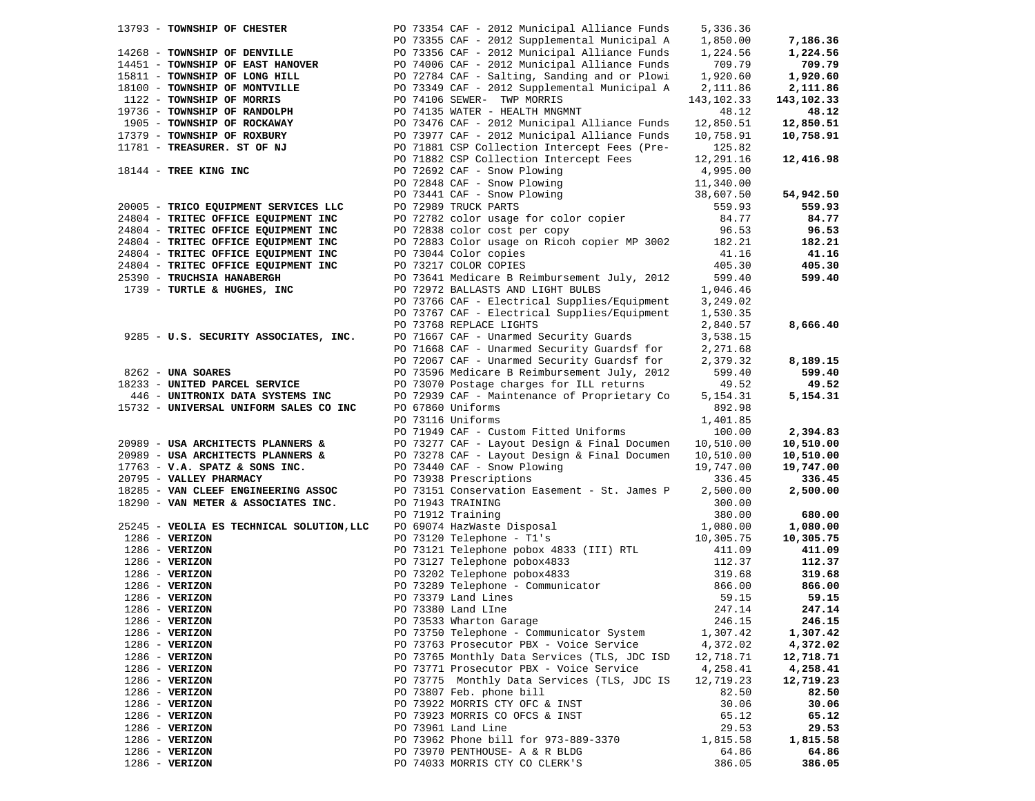| 13793 - TOWNSHIP OF CHESTER               | PO 73354 CAF - 2012 Municipal Alliance Funds                                                                      | 5,336.36   |            |
|-------------------------------------------|-------------------------------------------------------------------------------------------------------------------|------------|------------|
|                                           | PO 73355 CAF - 2012 Supplemental Municipal A                                                                      | 1,850.00   | 7,186.36   |
| 14268 - TOWNSHIP OF DENVILLE              | PO 73356 CAF - 2012 Municipal Alliance Funds                                                                      | 1,224.56   | 1,224.56   |
| 14451 - TOWNSHIP OF EAST HANOVER          | PO 74006 CAF - 2012 Municipal Alliance Funds                                                                      | 709.79     | 709.79     |
| 15811 - TOWNSHIP OF LONG HILL             | PO 72784 CAF - Salting, Sanding and or Plowi                                                                      | 1,920.60   | 1,920.60   |
|                                           |                                                                                                                   |            |            |
| 18100 - TOWNSHIP OF MONTVILLE             | PO 73349 CAF - 2012 Supplemental Municipal A                                                                      | 2,111.86   | 2,111.86   |
| 1122 - TOWNSHIP OF MORRIS                 | PO 74106 SEWER- TWP MORRIS                                                                                        | 143,102.33 | 143,102.33 |
| 19736 - TOWNSHIP OF RANDOLPH              | PO 74135 WATER - HEALTH MNGMNT                                                                                    | 48.12      | 48.12      |
| 1905 - TOWNSHIP OF ROCKAWAY               | PO 73476 CAF - 2012 Municipal Alliance Funds                                                                      | 12,850.51  | 12,850.51  |
| 17379 - TOWNSHIP OF ROXBURY               | PO 73977 CAF - 2012 Municipal Alliance Funds                                                                      | 10,758.91  | 10,758.91  |
| 11781 - TREASURER. ST OF NJ               | PO 71881 CSP Collection Intercept Fees (Pre-                                                                      | 125.82     |            |
|                                           | PO 71882 CSP Collection Intercept Fees                                                                            | 12,291.16  | 12,416.98  |
| 18144 - TREE KING INC                     | PO 72692 CAF - Snow Plowing                                                                                       | 4,995.00   |            |
|                                           | PO 72692 CAF - Snow Plowing<br>PO 72848 CAF - Snow Plowing<br>PO 73441 CAF - Snow Plowing<br>PO 72989 TRUCK PARTS |            |            |
|                                           |                                                                                                                   | 11,340.00  |            |
|                                           |                                                                                                                   | 38,607.50  | 54,942.50  |
| 20005 - TRICO EQUIPMENT SERVICES LLC      |                                                                                                                   | 559.93     | 559.93     |
| 24804 - TRITEC OFFICE EQUIPMENT INC       | PO 72782 color usage for color copier                                                                             | 84.77      | 84.77      |
| 24804 - TRITEC OFFICE EQUIPMENT INC       | PO 72838 color cost per copy                                                                                      | 96.53      | 96.53      |
| 24804 - TRITEC OFFICE EQUIPMENT INC       | PO 72883 Color usage on Ricoh copier MP 3002                                                                      | 182.21     | 182.21     |
| 24804 - TRITEC OFFICE EQUIPMENT INC       | PO 73044 Color copies                                                                                             | 41.16      | 41.16      |
| 24804 - TRITEC OFFICE EQUIPMENT INC       | PO 73217 COLOR COPIES                                                                                             | 405.30     | 405.30     |
|                                           |                                                                                                                   | 599.40     | 599.40     |
| 25390 - TRUCHSIA HANABERGH                | PO 73641 Medicare B Reimbursement July, 2012                                                                      |            |            |
| 1739 - TURTLE & HUGHES, INC               | PO 72972 BALLASTS AND LIGHT BULBS                                                                                 | 1,046.46   |            |
|                                           | PO 73766 CAF - Electrical Supplies/Equipment                                                                      | 3,249.02   |            |
|                                           | PO 73767 CAF - Electrical Supplies/Equipment                                                                      | 1,530.35   |            |
|                                           | PO 73768 REPLACE LIGHTS                                                                                           | 2,840.57   | 8,666.40   |
| 9285 - U.S. SECURITY ASSOCIATES, INC.     | PO 71667 CAF - Unarmed Security Guards                                                                            | 3,538.15   |            |
|                                           | PO 71668 CAF - Unarmed Security Guardsf for                                                                       | 2,271.68   |            |
|                                           | PO 72067 CAF - Unarmed Security Guardsf for                                                                       | 2,379.32   | 8,189.15   |
| 8262 - UNA SOARES                         | PO 73596 Medicare B Reimbursement July, 2012                                                                      | 599.40     | 599.40     |
|                                           |                                                                                                                   |            |            |
| 18233 - UNITED PARCEL SERVICE             | PO 73070 Postage charges for ILL returns                                                                          | 49.52      | 49.52      |
| 446 - UNITRONIX DATA SYSTEMS INC          | PO 72939 CAF - Maintenance of Proprietary Co                                                                      | 5,154.31   | 5,154.31   |
| 15732 - UNIVERSAL UNIFORM SALES CO INC    | PO 67860 Uniforms                                                                                                 | 892.98     |            |
|                                           | PO 73116 Uniforms                                                                                                 | 1,401.85   |            |
|                                           | PO 71949 CAF - Custom Fitted Uniforms                                                                             | 100.00     | 2,394.83   |
| 20989 - USA ARCHITECTS PLANNERS &         | PO 73277 CAF - Layout Design & Final Documen                                                                      | 10,510.00  | 10,510.00  |
| 20989 - USA ARCHITECTS PLANNERS &         | PO 73278 CAF - Layout Design & Final Documen                                                                      | 10,510.00  | 10,510.00  |
| $17763$ - V.A. SPATZ & SONS INC.          | PO 73440 CAF - Snow Plowing                                                                                       | 19,747.00  | 19,747.00  |
| 20795 - VALLEY PHARMACY                   | PO 73938 Prescriptions                                                                                            | 336.45     | 336.45     |
| 18285 - VAN CLEEF ENGINEERING ASSOC       | PO 73151 Conservation Easement - St. James P                                                                      | 2,500.00   | 2,500.00   |
|                                           |                                                                                                                   |            |            |
| 18290 - VAN METER & ASSOCIATES INC.       | PO 71943 TRAINING                                                                                                 | 300.00     |            |
|                                           |                                                                                                                   | 380.00     | 680.00     |
| 25245 - VEOLIA ES TECHNICAL SOLUTION, LLC | PO 71912 Training<br>PO 69074 HazWaste Disposal<br>PO 73120 Telephone - T1's                                      | 1,080.00   | 1,080.00   |
| $1286$ - VERIZON                          | PO 73120 Telephone - T1's                                                                                         | 10,305.75  | 10,305.75  |
| $1286$ - VERIZON                          | PO 73121 Telephone pobox 4833 (III) RTL                                                                           | 411.09     | 411.09     |
| $1286$ - VERIZON                          | PO 73127 Telephone pobox4833                                                                                      | 112.37     | 112.37     |
| $1286$ - VERIZON                          | PO 73202 Telephone pobox4833                                                                                      | 319.68     | 319.68     |
| $1286$ - VERIZON                          | PO 73289 Telephone - Communicator                                                                                 | 866.00     | 866.00     |
| $1286$ - VERIZON                          | PO 73379 Land Lines                                                                                               | 59.15      | 59.15      |
| $1286$ - VERIZON                          | PO 73380 Land LIne                                                                                                | 247.14     | 247.14     |
|                                           |                                                                                                                   |            |            |
| $1286$ - VERIZON                          | PO 73533 Wharton Garage                                                                                           | 246.15     | 246.15     |
| $1286$ - VERIZON                          | PO 73750 Telephone - Communicator System                                                                          | 1,307.42   | 1,307.42   |
| $1286 - VERIZON$                          | PO 73763 Prosecutor PBX - Voice Service                                                                           | 4,372.02   | 4,372.02   |
| $1286 - VERIZON$                          | PO 73765 Monthly Data Services (TLS, JDC ISD                                                                      | 12,718.71  | 12,718.71  |
| 1286 - VERIZON                            | PO 73771 Prosecutor PBX - Voice Service                                                                           | 4,258.41   | 4,258.41   |
| $1286 - VERIZON$                          | PO 73775 Monthly Data Services (TLS, JDC IS                                                                       | 12,719.23  | 12,719.23  |
| $1286 - VERIZON$                          | PO 73807 Feb. phone bill                                                                                          | 82.50      | 82.50      |
| $1286 - VERIZON$                          | PO 73922 MORRIS CTY OFC & INST                                                                                    | 30.06      | 30.06      |
| $1286 - VERIZON$                          | PO 73923 MORRIS CO OFCS & INST                                                                                    | 65.12      | 65.12      |
| $1286 - VERIZON$                          | PO 73961 Land Line                                                                                                | 29.53      | 29.53      |
| $1286 - VERIZON$                          | PO 73962 Phone bill for 973-889-3370                                                                              | 1,815.58   | 1,815.58   |
|                                           |                                                                                                                   |            |            |
| $1286 - VERIZON$                          | PO 73970 PENTHOUSE- A & R BLDG                                                                                    | 64.86      | 64.86      |
| $1286 - VERTZON$                          | PO 74033 MORRIS CTY CO CLERK'S                                                                                    | 386.05     | 386.05     |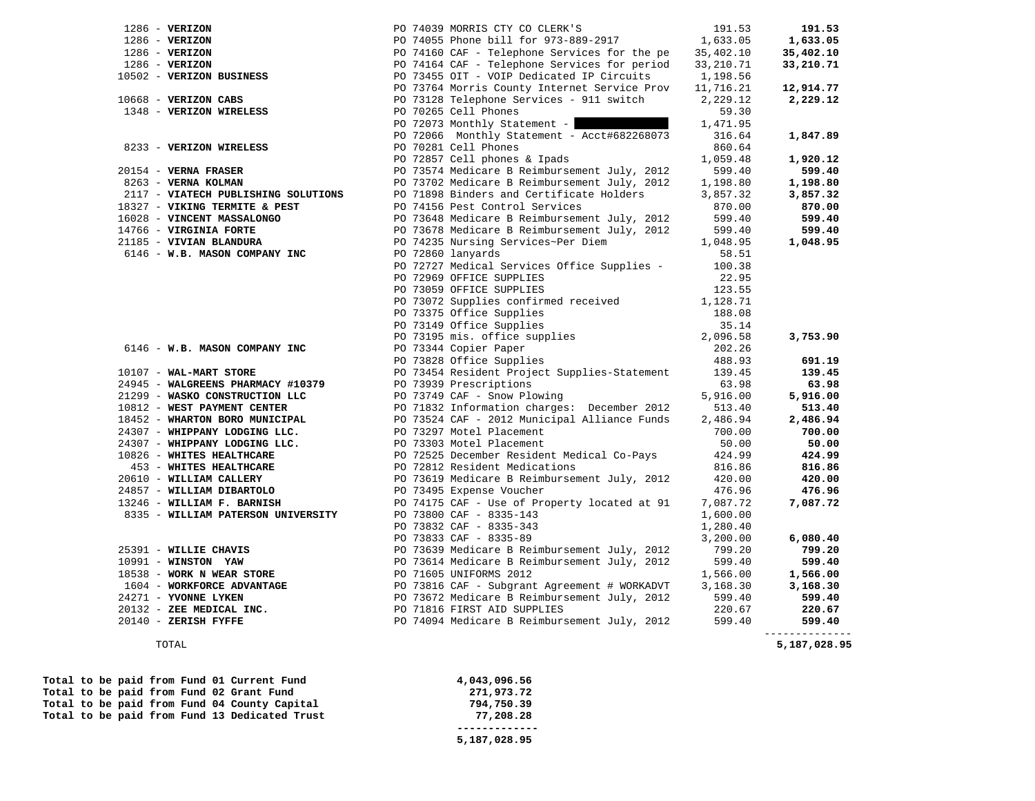| $1286 - VERTZON$                                                                               |                                                                                                                                                                                                                                              |          | 191.53       |
|------------------------------------------------------------------------------------------------|----------------------------------------------------------------------------------------------------------------------------------------------------------------------------------------------------------------------------------------------|----------|--------------|
| $1286$ - VERIZON                                                                               |                                                                                                                                                                                                                                              |          | 1,633.05     |
| $1286$ - VERIZON                                                                               | PO 74039 MORRIS CTY CO CLERK'S<br>PO 74055 Phone bill for 973-889-2917<br>PO 74160 CAF - Telephone Services for the pe<br>PO 74164 CAF - Telephone Services for period<br>PO 73455 OIT - VOIP Dedicated IP Circuits<br>PO 73764 Morris C     |          | 35,402.10    |
| $1286$ - VERIZON                                                                               |                                                                                                                                                                                                                                              |          | 33,210.71    |
| 10502 - VERIZON BUSINESS                                                                       |                                                                                                                                                                                                                                              |          |              |
|                                                                                                |                                                                                                                                                                                                                                              |          | 12,914.77    |
| $10668$ - VERIZON CABS                                                                         |                                                                                                                                                                                                                                              | 2,229.12 | 2,229.12     |
| 1348 - VERIZON WIRELESS                                                                        | PO 73128 Telephone Services - 911 switch<br>PO 70265 Cell Phones                                                                                                                                                                             | 59.30    |              |
|                                                                                                | PO 72073 Monthly Statement -                                                                                                                                                                                                                 | 1,471.95 |              |
|                                                                                                | PO 72066 Monthly Statement - Acct#682268073                                                                                                                                                                                                  | 316.64   | 1,847.89     |
| 8233 - VERIZON WIRELESS                                                                        | PO 70281 Cell Phones                                                                                                                                                                                                                         | 860.64   |              |
|                                                                                                | PO 72857 Cell phones & Ipads                                                                                                                                                                                                                 | 1,059.48 | 1,920.12     |
| 20154 - VERNA FRASER                                                                           | PO 73574 Medicare B Reimbursement July, 2012                                                                                                                                                                                                 | 599.40   | 599.40       |
| 8263 - VERNA KOLMAN                                                                            | PO 73702 Medicare B Reimbursement July, 2012                                                                                                                                                                                                 | 1,198.80 | 1,198.80     |
| 2117 - VIATECH PUBLISHING SOLUTIONS                                                            | PO 71898 Binders and Certificate Holders                                                                                                                                                                                                     | 3,857.32 | 3,857.32     |
| 18327 - VIKING TERMITE & PEST                                                                  | PO 74156 Pest Control Services                                                                                                                                                                                                               | 870.00   | 870.00       |
| 16028 - VINCENT MASSALONGO                                                                     | PO 73648 Medicare B Reimbursement July, 2012                                                                                                                                                                                                 | 599.40   | 599.40       |
| 14766 - VIRGINIA FORTE                                                                         | PO 73678 Medicare B Reimbursement July, 2012                                                                                                                                                                                                 | 599.40   | 599.40       |
|                                                                                                | PO 74235 Nursing Services~Per Diem                                                                                                                                                                                                           | 1,048.95 | 1,048.95     |
| 21185 - VIVIAN BLANDURA                                                                        |                                                                                                                                                                                                                                              |          |              |
| 6146 - W.B. MASON COMPANY INC                                                                  | PO 72860 lanyards                                                                                                                                                                                                                            | 58.51    |              |
|                                                                                                | PO 72727 Medical Services Office Supplies -                                                                                                                                                                                                  | 100.38   |              |
|                                                                                                | PO 72969 OFFICE SUPPLIES                                                                                                                                                                                                                     | 22.95    |              |
|                                                                                                | PO 73059 OFFICE SUPPLIES                                                                                                                                                                                                                     | 123.55   |              |
|                                                                                                | PO 73072 Supplies confirmed received                                                                                                                                                                                                         | 1,128.71 |              |
|                                                                                                | PO 73375 Office Supplies                                                                                                                                                                                                                     | 188.08   |              |
|                                                                                                | PO 73149 Office Supplies                                                                                                                                                                                                                     | 35.14    |              |
|                                                                                                | PO 73195 mis. office supplies                                                                                                                                                                                                                | 2,096.58 | 3,753.90     |
| 6146 - W.B. MASON COMPANY INC                                                                  | PO 73344 Copier Paper<br>ro 1994 Copier Paper<br>PO 73828 Office Supplies                                                                                                                                                                    | 202.26   |              |
|                                                                                                |                                                                                                                                                                                                                                              | 488.93   | 691.19       |
| 10107 - WAL-MART STORE                                                                         | PO 73454 Resident Project Supplies-Statement                                                                                                                                                                                                 | 139.45   | 139.45       |
| 24945 - WALGREENS PHARMACY #10379                                                              | PO 73939 Prescriptions                                                                                                                                                                                                                       | 63.98    | 63.98        |
| 21299 - WASKO CONSTRUCTION LLC                                                                 |                                                                                                                                                                                                                                              | 5,916.00 | 5,916.00     |
| 10812 - WEST PAYMENT CENTER                                                                    |                                                                                                                                                                                                                                              | 513.40   | 513.40       |
| 18452 - WHARTON BORO MUNICIPAL                                                                 |                                                                                                                                                                                                                                              | 2,486.94 | 2,486.94     |
| 24307 - WHIPPANY LODGING LLC.                                                                  |                                                                                                                                                                                                                                              | 700.00   | 700.00       |
| 24307 - WHIPPANY LODGING LLC.                                                                  |                                                                                                                                                                                                                                              | 50.00    | 50.00        |
| 10826 - WHITES HEALTHCARE                                                                      | PO 73939 Prescriptions<br>PO 73749 CAF - Snow Plowing<br>PO 71832 Information charges: December 2012<br>PO 73524 CAF - 2012 Municipal Alliance Funds<br>PO 73297 Motel Placement<br>PO 73303 Motel Placement<br>PO 73525 December Resident   | 424.99   | 424.99       |
| 453 - WHITES HEALTHCARE                                                                        |                                                                                                                                                                                                                                              | 816.86   | 816.86       |
| 20610 - WILLIAM CALLERY                                                                        |                                                                                                                                                                                                                                              | 420.00   | 420.00       |
| 24857 - WILLIAM DIBARTOLO                                                                      |                                                                                                                                                                                                                                              | 476.96   | 476.96       |
| 13246 - WILLIAM F. BARNISH                                                                     |                                                                                                                                                                                                                                              | 7,087.72 | 7,087.72     |
| 8335 - WILLIAM PATERSON UNIVERSITY                                                             | PO 73800 CAF - 8335-143                                                                                                                                                                                                                      | 1,600.00 |              |
|                                                                                                | PO 73832 CAF - 8335-343                                                                                                                                                                                                                      | 1,280.40 |              |
|                                                                                                | PO 73833 CAF - 8335-89                                                                                                                                                                                                                       | 3,200.00 | 6,080.40     |
| 25391 - WILLIE CHAVIS                                                                          | PO 73639 Medicare B Reimbursement July, 2012<br>PO 73614 Medicare B Reimbursement July, 2012<br>PO 71605 UNIFORMS 2012<br>PO 73816 CAF - Subgrant Agreement # WORKADVT<br>PO 73672 Medicare B Reimbursement July, 2012<br>PO 71816 FIRST AID | 799.20   | 799.20       |
| $10991 -$ WINSTON YAW                                                                          |                                                                                                                                                                                                                                              | 599.40   | 599.40       |
| 18538 - WORK N WEAR STORE                                                                      |                                                                                                                                                                                                                                              | 1,566.00 | 1,566.00     |
| 1604 - WORKFORCE ADVANTAGE                                                                     |                                                                                                                                                                                                                                              | 3,168.30 | 3,168.30     |
| 24271 - YVONNE LYKEN                                                                           |                                                                                                                                                                                                                                              | 599.40   | 599.40       |
|                                                                                                |                                                                                                                                                                                                                                              | 220.67   | 220.67       |
| $242/1 - 1$ VONNE EINER.<br>$20132 - \text{ZEE MEDICAL INC.}$<br>$20140 - \text{ZERISH FYFFE}$ | PO 74094 Medicare B Reimbursement July, 2012                                                                                                                                                                                                 | 599.40   | 599.40       |
|                                                                                                |                                                                                                                                                                                                                                              |          | ------------ |

|  |  |  | Total to be paid from Fund 01 Current Fund    | 4,043,096.56 |
|--|--|--|-----------------------------------------------|--------------|
|  |  |  | Total to be paid from Fund 02 Grant Fund      | 271,973.72   |
|  |  |  | Total to be paid from Fund 04 County Capital  | 794,750.39   |
|  |  |  | Total to be paid from Fund 13 Dedicated Trust | 77,208.28    |
|  |  |  |                                               |              |

 **5,187,028.95** 

### 5,187,028.95 TOTAL **5,187,028.95**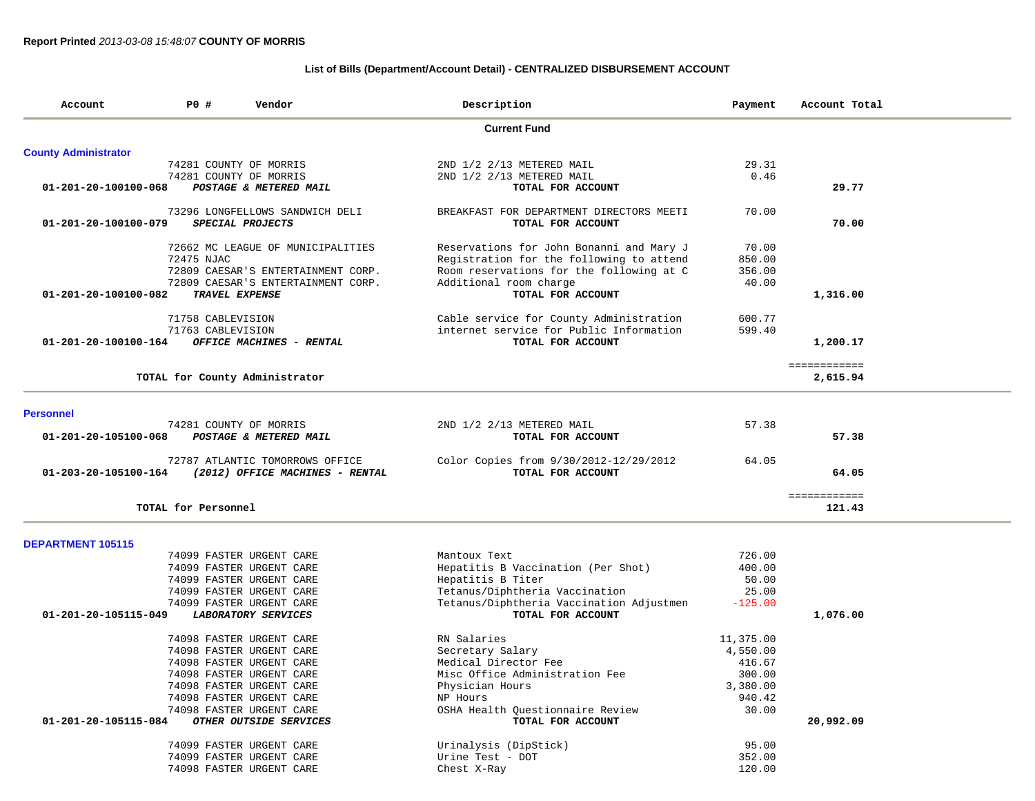### **List of Bills (Department/Account Detail) - CENTRALIZED DISBURSEMENT ACCOUNT**

| Account                     | P0 #                   | Vendor                             | Description                              | Payment   | Account Total          |
|-----------------------------|------------------------|------------------------------------|------------------------------------------|-----------|------------------------|
|                             |                        |                                    | <b>Current Fund</b>                      |           |                        |
| <b>County Administrator</b> |                        |                                    |                                          |           |                        |
|                             | 74281 COUNTY OF MORRIS |                                    | 2ND 1/2 2/13 METERED MAIL                | 29.31     |                        |
|                             | 74281 COUNTY OF MORRIS |                                    | 2ND 1/2 2/13 METERED MAIL                | 0.46      |                        |
| 01-201-20-100100-068        |                        | POSTAGE & METERED MAIL             | TOTAL FOR ACCOUNT                        |           | 29.77                  |
|                             |                        | 73296 LONGFELLOWS SANDWICH DELI    | BREAKFAST FOR DEPARTMENT DIRECTORS MEETI | 70.00     |                        |
| 01-201-20-100100-079        |                        | SPECIAL PROJECTS                   | TOTAL FOR ACCOUNT                        |           | 70.00                  |
|                             |                        | 72662 MC LEAGUE OF MUNICIPALITIES  | Reservations for John Bonanni and Mary J | 70.00     |                        |
|                             | 72475 NJAC             |                                    | Registration for the following to attend | 850.00    |                        |
|                             |                        | 72809 CAESAR'S ENTERTAINMENT CORP. | Room reservations for the following at C | 356.00    |                        |
|                             |                        | 72809 CAESAR'S ENTERTAINMENT CORP. | Additional room charge                   | 40.00     |                        |
| 01-201-20-100100-082        | TRAVEL EXPENSE         |                                    | TOTAL FOR ACCOUNT                        |           | 1,316.00               |
|                             | 71758 CABLEVISION      |                                    | Cable service for County Administration  | 600.77    |                        |
|                             | 71763 CABLEVISION      |                                    | internet service for Public Information  | 599.40    |                        |
| 01-201-20-100100-164        |                        | OFFICE MACHINES - RENTAL           | TOTAL FOR ACCOUNT                        |           | 1,200.17               |
|                             |                        |                                    |                                          |           | ============           |
|                             |                        | TOTAL for County Administrator     |                                          |           | 2,615.94               |
| <b>Personnel</b>            |                        |                                    |                                          |           |                        |
|                             |                        | 74281 COUNTY OF MORRIS             | 2ND 1/2 2/13 METERED MAIL                | 57.38     |                        |
| 01-201-20-105100-068        |                        | POSTAGE & METERED MAIL             | TOTAL FOR ACCOUNT                        |           | 57.38                  |
|                             |                        |                                    |                                          |           |                        |
|                             |                        | 72787 ATLANTIC TOMORROWS OFFICE    | Color Copies from 9/30/2012-12/29/2012   | 64.05     |                        |
| 01-203-20-105100-164        |                        | (2012) OFFICE MACHINES - RENTAL    | TOTAL FOR ACCOUNT                        |           | 64.05                  |
|                             | TOTAL for Personnel    |                                    |                                          |           | ============<br>121.43 |
|                             |                        |                                    |                                          |           |                        |
| <b>DEPARTMENT 105115</b>    |                        |                                    |                                          |           |                        |
|                             |                        | 74099 FASTER URGENT CARE           | Mantoux Text                             | 726.00    |                        |
|                             |                        | 74099 FASTER URGENT CARE           | Hepatitis B Vaccination (Per Shot)       | 400.00    |                        |
|                             |                        | 74099 FASTER URGENT CARE           | Hepatitis B Titer                        | 50.00     |                        |
|                             |                        | 74099 FASTER URGENT CARE           | Tetanus/Diphtheria Vaccination           | 25.00     |                        |
|                             |                        | 74099 FASTER URGENT CARE           | Tetanus/Diphtheria Vaccination Adjustmen | $-125.00$ |                        |
| 01-201-20-105115-049        |                        | <b>LABORATORY SERVICES</b>         | TOTAL FOR ACCOUNT                        |           | 1,076.00               |
|                             |                        | 74098 FASTER URGENT CARE           | RN Salaries                              | 11,375.00 |                        |
|                             |                        | 74098 FASTER URGENT CARE           | Secretary Salary                         | 4,550.00  |                        |
|                             |                        | 74098 FASTER URGENT CARE           | Medical Director Fee                     | 416.67    |                        |
|                             |                        | 74098 FASTER URGENT CARE           | Misc Office Administration Fee           | 300.00    |                        |
|                             |                        | 74098 FASTER URGENT CARE           | Physician Hours                          | 3,380.00  |                        |
|                             |                        | 74098 FASTER URGENT CARE           | NP Hours                                 | 940.42    |                        |
|                             |                        | 74098 FASTER URGENT CARE           | OSHA Health Questionnaire Review         | 30.00     |                        |
| 01-201-20-105115-084        |                        | OTHER OUTSIDE SERVICES             | TOTAL FOR ACCOUNT                        |           | 20,992.09              |
|                             |                        |                                    |                                          |           |                        |
|                             |                        | 74099 FASTER URGENT CARE           | Urinalysis (DipStick)                    | 95.00     |                        |
|                             |                        | 74099 FASTER URGENT CARE           | Urine Test - DOT                         | 352.00    |                        |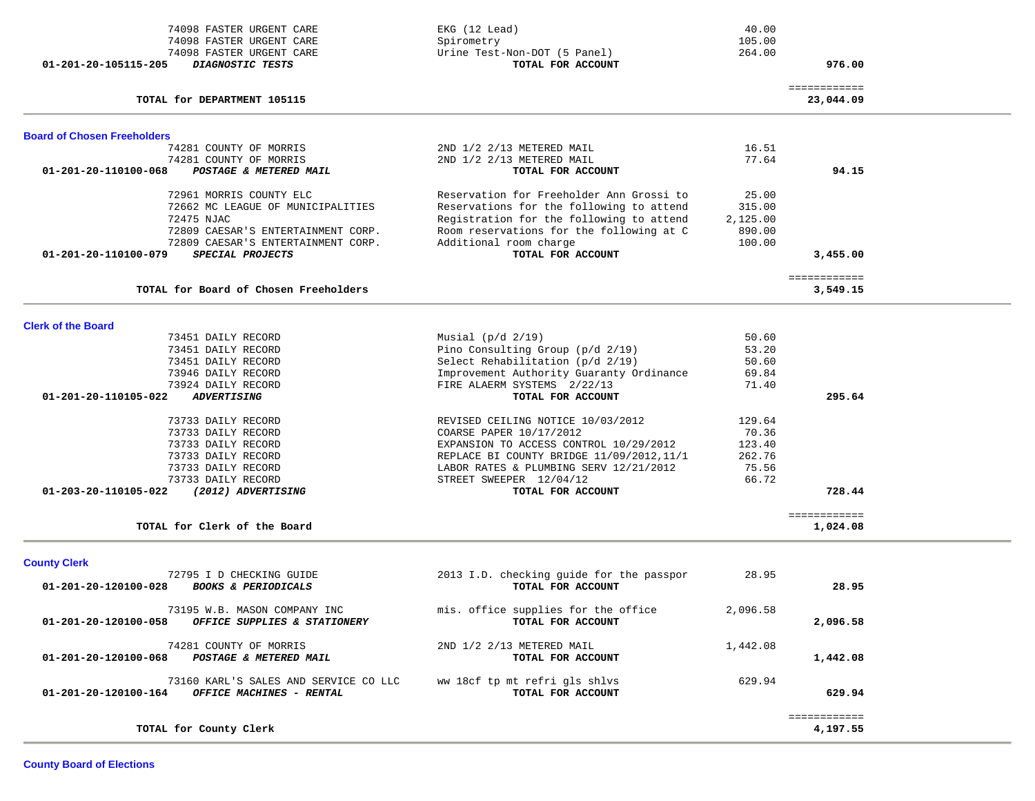| 74098 FASTER URGENT CARE<br>74098 FASTER URGENT CARE                                      | EKG (12 Lead)<br>Spirometry                                                         | 40.00<br>105.00  |                          |  |
|-------------------------------------------------------------------------------------------|-------------------------------------------------------------------------------------|------------------|--------------------------|--|
| 74098 FASTER URGENT CARE<br>DIAGNOSTIC TESTS<br>01-201-20-105115-205                      | Urine Test-Non-DOT (5 Panel)<br>TOTAL FOR ACCOUNT                                   | 264.00           | 976.00                   |  |
|                                                                                           |                                                                                     |                  | ============             |  |
| TOTAL for DEPARTMENT 105115                                                               |                                                                                     |                  | 23,044.09                |  |
| <b>Board of Chosen Freeholders</b>                                                        |                                                                                     |                  |                          |  |
| 74281 COUNTY OF MORRIS                                                                    | 2ND 1/2 2/13 METERED MAIL                                                           | 16.51            |                          |  |
| 74281 COUNTY OF MORRIS<br>01-201-20-110100-068<br>POSTAGE & METERED MAIL                  | 2ND 1/2 2/13 METERED MAIL<br>TOTAL FOR ACCOUNT                                      | 77.64            | 94.15                    |  |
| 72961 MORRIS COUNTY ELC                                                                   | Reservation for Freeholder Ann Grossi to                                            | 25.00            |                          |  |
| 72662 MC LEAGUE OF MUNICIPALITIES                                                         | Reservations for the following to attend                                            | 315.00           |                          |  |
| 72475 NJAC                                                                                | Registration for the following to attend                                            | 2,125.00         |                          |  |
| 72809 CAESAR'S ENTERTAINMENT CORP.<br>72809 CAESAR'S ENTERTAINMENT CORP.                  | Room reservations for the following at C<br>Additional room charge                  | 890.00<br>100.00 |                          |  |
| 01-201-20-110100-079<br>SPECIAL PROJECTS                                                  | TOTAL FOR ACCOUNT                                                                   |                  | 3,455.00                 |  |
|                                                                                           |                                                                                     |                  | ============             |  |
| TOTAL for Board of Chosen Freeholders                                                     |                                                                                     |                  | 3,549.15                 |  |
| <b>Clerk of the Board</b>                                                                 |                                                                                     |                  |                          |  |
| 73451 DAILY RECORD                                                                        | Musial $(p/d \t2/19)$                                                               | 50.60            |                          |  |
| 73451 DAILY RECORD                                                                        | Pino Consulting Group (p/d 2/19)                                                    | 53.20            |                          |  |
| 73451 DAILY RECORD<br>73946 DAILY RECORD                                                  | Select Rehabilitation (p/d 2/19)<br>Improvement Authority Guaranty Ordinance        | 50.60<br>69.84   |                          |  |
| 73924 DAILY RECORD                                                                        | FIRE ALAERM SYSTEMS 2/22/13                                                         | 71.40            |                          |  |
| 01-201-20-110105-022<br><b>ADVERTISING</b>                                                | TOTAL FOR ACCOUNT                                                                   |                  | 295.64                   |  |
| 73733 DAILY RECORD                                                                        | REVISED CEILING NOTICE 10/03/2012                                                   | 129.64           |                          |  |
| 73733 DAILY RECORD                                                                        | COARSE PAPER 10/17/2012                                                             | 70.36            |                          |  |
| 73733 DAILY RECORD                                                                        | EXPANSION TO ACCESS CONTROL 10/29/2012                                              | 123.40           |                          |  |
| 73733 DAILY RECORD<br>73733 DAILY RECORD                                                  | REPLACE BI COUNTY BRIDGE 11/09/2012, 11/1<br>LABOR RATES & PLUMBING SERV 12/21/2012 | 262.76<br>75.56  |                          |  |
| 73733 DAILY RECORD                                                                        | STREET SWEEPER 12/04/12                                                             | 66.72            |                          |  |
| 01-203-20-110105-022<br>(2012) ADVERTISING                                                | TOTAL FOR ACCOUNT                                                                   |                  | 728.44                   |  |
| TOTAL for Clerk of the Board                                                              |                                                                                     |                  | ============<br>1,024.08 |  |
|                                                                                           |                                                                                     |                  |                          |  |
| <b>County Clerk</b>                                                                       |                                                                                     |                  |                          |  |
| 72795 I D CHECKING GUIDE<br>01-201-20-120100-028<br><b>BOOKS &amp; PERIODICALS</b>        | 2013 I.D. checking guide for the passpor<br>TOTAL FOR ACCOUNT                       | 28.95            | 28.95                    |  |
| 73195 W.B. MASON COMPANY INC                                                              | mis. office supplies for the office                                                 | 2,096.58         |                          |  |
| 01-201-20-120100-058<br>OFFICE SUPPLIES & STATIONERY                                      | TOTAL FOR ACCOUNT                                                                   |                  | 2,096.58                 |  |
| 74281 COUNTY OF MORRIS<br>01-201-20-120100-068<br>POSTAGE & METERED MAIL                  | 2ND 1/2 2/13 METERED MAIL<br>TOTAL FOR ACCOUNT                                      | 1,442.08         | 1,442.08                 |  |
|                                                                                           |                                                                                     |                  |                          |  |
| 73160 KARL'S SALES AND SERVICE CO LLC<br>01-201-20-120100-164<br>OFFICE MACHINES - RENTAL | ww 18cf tp mt refri gls shlvs<br>TOTAL FOR ACCOUNT                                  | 629.94           | 629.94                   |  |
|                                                                                           |                                                                                     |                  | ============             |  |
| TOTAL for County Clerk                                                                    |                                                                                     |                  | 4,197.55                 |  |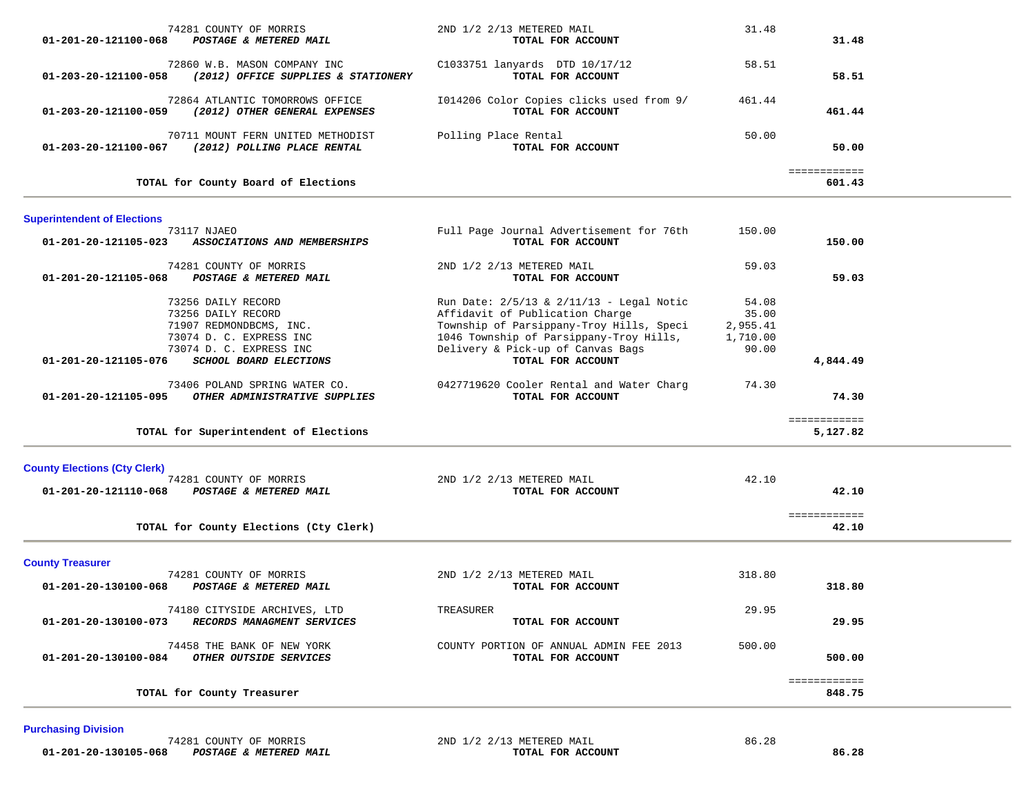| 01-201-20-121100-068                                        | 74281 COUNTY OF MORRIS<br>POSTAGE & METERED MAIL                                                                                                    | 2ND 1/2 2/13 METERED MAIL<br>TOTAL FOR ACCOUNT                                                                                                                                                                               | 31.48                                           | 31.48                    |  |
|-------------------------------------------------------------|-----------------------------------------------------------------------------------------------------------------------------------------------------|------------------------------------------------------------------------------------------------------------------------------------------------------------------------------------------------------------------------------|-------------------------------------------------|--------------------------|--|
|                                                             | 72860 W.B. MASON COMPANY INC<br>01-203-20-121100-058 (2012) OFFICE SUPPLIES & STATIONERY                                                            | C1033751 lanyards DTD 10/17/12<br>TOTAL FOR ACCOUNT                                                                                                                                                                          | 58.51                                           | 58.51                    |  |
| 01-203-20-121100-059                                        | 72864 ATLANTIC TOMORROWS OFFICE<br>(2012) OTHER GENERAL EXPENSES                                                                                    | I014206 Color Copies clicks used from 9/<br>TOTAL FOR ACCOUNT                                                                                                                                                                | 461.44                                          | 461.44                   |  |
| 01-203-20-121100-067                                        | 70711 MOUNT FERN UNITED METHODIST<br>(2012) POLLING PLACE RENTAL                                                                                    | Polling Place Rental<br>TOTAL FOR ACCOUNT                                                                                                                                                                                    | 50.00                                           | 50.00                    |  |
|                                                             | TOTAL for County Board of Elections                                                                                                                 |                                                                                                                                                                                                                              |                                                 | ============<br>601.43   |  |
| <b>Superintendent of Elections</b>                          |                                                                                                                                                     |                                                                                                                                                                                                                              |                                                 |                          |  |
| 01-201-20-121105-023                                        | 73117 NJAEO<br>ASSOCIATIONS AND MEMBERSHIPS                                                                                                         | Full Page Journal Advertisement for 76th<br>TOTAL FOR ACCOUNT                                                                                                                                                                | 150.00                                          | 150.00                   |  |
| 01-201-20-121105-068                                        | 74281 COUNTY OF MORRIS<br>POSTAGE & METERED MAIL                                                                                                    | 2ND 1/2 2/13 METERED MAIL<br>TOTAL FOR ACCOUNT                                                                                                                                                                               | 59.03                                           | 59.03                    |  |
| 01-201-20-121105-076                                        | 73256 DAILY RECORD<br>73256 DAILY RECORD<br>71907 REDMONDBCMS, INC.<br>73074 D. C. EXPRESS INC<br>73074 D. C. EXPRESS INC<br>SCHOOL BOARD ELECTIONS | Run Date: 2/5/13 & 2/11/13 - Legal Notic<br>Affidavit of Publication Charge<br>Township of Parsippany-Troy Hills, Speci<br>1046 Township of Parsippany-Troy Hills,<br>Delivery & Pick-up of Canvas Bags<br>TOTAL FOR ACCOUNT | 54.08<br>35.00<br>2,955.41<br>1,710.00<br>90.00 | 4,844.49                 |  |
| 01-201-20-121105-095                                        | 73406 POLAND SPRING WATER CO.<br>OTHER ADMINISTRATIVE SUPPLIES                                                                                      | 0427719620 Cooler Rental and Water Charg<br>TOTAL FOR ACCOUNT                                                                                                                                                                | 74.30                                           | 74.30                    |  |
|                                                             | TOTAL for Superintendent of Elections                                                                                                               |                                                                                                                                                                                                                              |                                                 | ============<br>5,127.82 |  |
| <b>County Elections (Cty Clerk)</b><br>01-201-20-121110-068 | 74281 COUNTY OF MORRIS<br><b>POSTAGE &amp; METERED MAIL</b>                                                                                         | 2ND 1/2 2/13 METERED MAIL<br>TOTAL FOR ACCOUNT                                                                                                                                                                               | 42.10                                           | 42.10                    |  |
|                                                             | TOTAL for County Elections (Cty Clerk)                                                                                                              |                                                                                                                                                                                                                              |                                                 | ============<br>42.10    |  |
| <b>County Treasurer</b>                                     |                                                                                                                                                     |                                                                                                                                                                                                                              |                                                 |                          |  |
| 01-201-20-130100-068                                        | 74281 COUNTY OF MORRIS<br>POSTAGE & METERED MAIL                                                                                                    | 2ND 1/2 2/13 METERED MAIL<br>TOTAL FOR ACCOUNT                                                                                                                                                                               | 318.80                                          | 318.80                   |  |
| 01-201-20-130100-073                                        | 74180 CITYSIDE ARCHIVES, LTD<br>RECORDS MANAGMENT SERVICES                                                                                          | TREASURER<br>TOTAL FOR ACCOUNT                                                                                                                                                                                               | 29.95                                           | 29.95                    |  |
| 01-201-20-130100-084                                        | 74458 THE BANK OF NEW YORK<br>OTHER OUTSIDE SERVICES                                                                                                | COUNTY PORTION OF ANNUAL ADMIN FEE 2013<br>TOTAL FOR ACCOUNT                                                                                                                                                                 | 500.00                                          | 500.00                   |  |
|                                                             | TOTAL for County Treasurer                                                                                                                          |                                                                                                                                                                                                                              |                                                 | ============<br>848.75   |  |
|                                                             |                                                                                                                                                     |                                                                                                                                                                                                                              |                                                 |                          |  |

**Purchasing Division** 

 74281 COUNTY OF MORRIS 2ND 1/2 2/13 METERED MAIL 86.28  **01-201-20-130105-068** *POSTAGE & METERED MAIL* **TOTAL FOR ACCOUNT 86.28**

÷.

and the contract of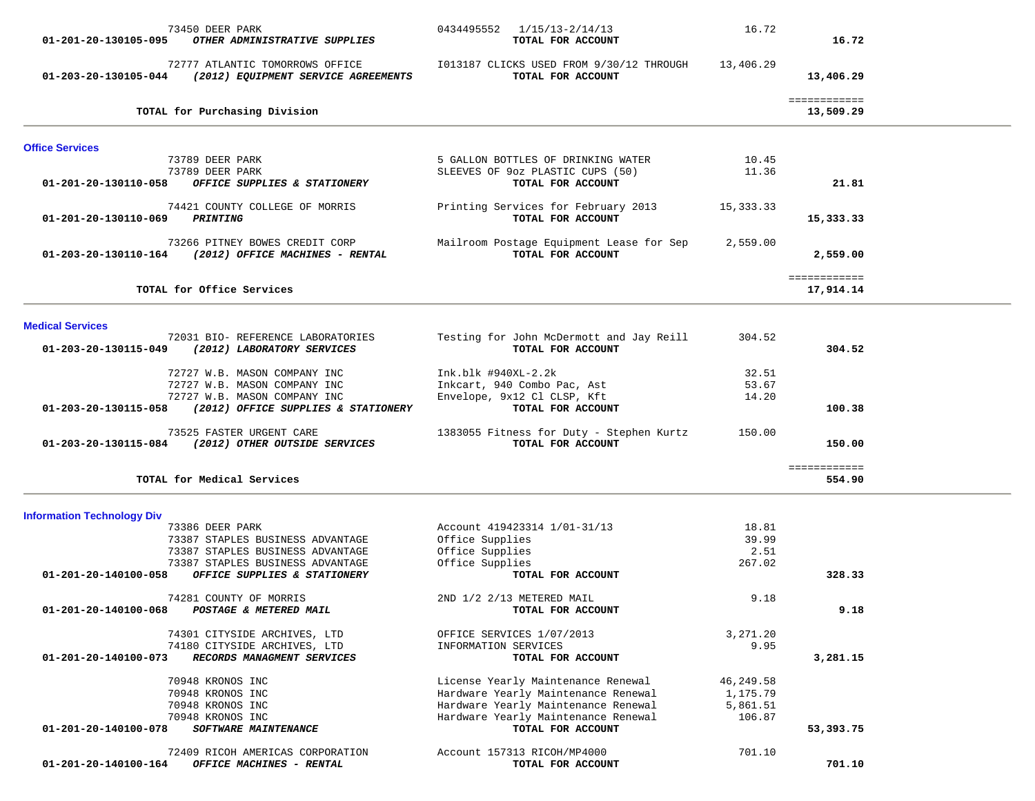| 73450 DEER PARK<br>01-201-20-130105-095<br>OTHER ADMINISTRATIVE SUPPLIES                    | 0434495552 1/15/13-2/14/13<br>TOTAL FOR ACCOUNT                            | 16.72            | 16.72                     |  |
|---------------------------------------------------------------------------------------------|----------------------------------------------------------------------------|------------------|---------------------------|--|
| 72777 ATLANTIC TOMORROWS OFFICE<br>01-203-20-130105-044 (2012) EQUIPMENT SERVICE AGREEMENTS | I013187 CLICKS USED FROM 9/30/12 THROUGH<br>TOTAL FOR ACCOUNT              | 13,406.29        | 13,406.29                 |  |
| TOTAL for Purchasing Division                                                               |                                                                            |                  | ============<br>13,509.29 |  |
| <b>Office Services</b>                                                                      |                                                                            |                  |                           |  |
| 73789 DEER PARK                                                                             | 5 GALLON BOTTLES OF DRINKING WATER                                         | 10.45            |                           |  |
| 73789 DEER PARK<br>01-201-20-130110-058<br>OFFICE SUPPLIES & STATIONERY                     | SLEEVES OF 90z PLASTIC CUPS (50)<br>TOTAL FOR ACCOUNT                      | 11.36            | 21.81                     |  |
| 74421 COUNTY COLLEGE OF MORRIS                                                              | Printing Services for February 2013                                        | 15,333.33        |                           |  |
| 01-201-20-130110-069 PRINTING                                                               | TOTAL FOR ACCOUNT                                                          |                  | 15,333.33                 |  |
| 73266 PITNEY BOWES CREDIT CORP<br>01-203-20-130110-164 (2012) OFFICE MACHINES - RENTAL      | Mailroom Postage Equipment Lease for Sep<br>TOTAL FOR ACCOUNT              | 2,559.00         | 2,559.00                  |  |
| TOTAL for Office Services                                                                   |                                                                            |                  | ============<br>17,914.14 |  |
|                                                                                             |                                                                            |                  |                           |  |
| <b>Medical Services</b><br>72031 BIO- REFERENCE LABORATORIES                                | Testing for John McDermott and Jay Reill                                   | 304.52           |                           |  |
| 01-203-20-130115-049<br>(2012) LABORATORY SERVICES                                          | TOTAL FOR ACCOUNT                                                          |                  | 304.52                    |  |
| 72727 W.B. MASON COMPANY INC                                                                | Ink.blk #940XL-2.2k                                                        | 32.51            |                           |  |
| 72727 W.B. MASON COMPANY INC<br>72727 W.B. MASON COMPANY INC                                | Inkcart, 940 Combo Pac, Ast<br>Envelope, 9x12 Cl CLSP, Kft                 | 53.67<br>14.20   |                           |  |
| (2012) OFFICE SUPPLIES & STATIONERY<br>01-203-20-130115-058                                 | TOTAL FOR ACCOUNT                                                          |                  | 100.38                    |  |
| 73525 FASTER URGENT CARE<br>01-203-20-130115-084 (2012) OTHER OUTSIDE SERVICES              | 1383055 Fitness for Duty - Stephen Kurtz<br>TOTAL FOR ACCOUNT              | 150.00           | 150.00                    |  |
| TOTAL for Medical Services                                                                  |                                                                            |                  | ============<br>554.90    |  |
|                                                                                             |                                                                            |                  |                           |  |
| <b>Information Technology Div</b><br>73386 DEER PARK                                        | Account 419423314 1/01-31/13                                               | 18.81            |                           |  |
| 73387 STAPLES BUSINESS ADVANTAGE                                                            | Office Supplies                                                            | 39.99            |                           |  |
| 73387 STAPLES BUSINESS ADVANTAGE                                                            | Office Supplies                                                            | 2.51             |                           |  |
| 73387 STAPLES BUSINESS ADVANTAGE<br>01-201-20-140100-058<br>OFFICE SUPPLIES & STATIONERY    | Office Supplies<br>TOTAL FOR ACCOUNT                                       | 267.02           | 328.33                    |  |
|                                                                                             |                                                                            |                  |                           |  |
| 74281 COUNTY OF MORRIS<br>01-201-20-140100-068<br>POSTAGE & METERED MAIL                    | 2ND 1/2 2/13 METERED MAIL<br>TOTAL FOR ACCOUNT                             | 9.18             | 9.18                      |  |
|                                                                                             |                                                                            |                  |                           |  |
| 74301 CITYSIDE ARCHIVES, LTD<br>74180 CITYSIDE ARCHIVES, LTD                                | OFFICE SERVICES 1/07/2013<br>INFORMATION SERVICES                          | 3,271.20<br>9.95 |                           |  |
| RECORDS MANAGMENT SERVICES<br>01-201-20-140100-073                                          | TOTAL FOR ACCOUNT                                                          |                  | 3,281.15                  |  |
| 70948 KRONOS INC                                                                            | License Yearly Maintenance Renewal                                         | 46, 249.58       |                           |  |
| 70948 KRONOS INC                                                                            | Hardware Yearly Maintenance Renewal                                        | 1,175.79         |                           |  |
| 70948 KRONOS INC                                                                            | Hardware Yearly Maintenance Renewal<br>Hardware Yearly Maintenance Renewal | 5,861.51         |                           |  |
| 70948 KRONOS INC<br>SOFTWARE MAINTENANCE<br>01-201-20-140100-078                            | TOTAL FOR ACCOUNT                                                          | 106.87           | 53,393.75                 |  |
| 72409 RICOH AMERICAS CORPORATION                                                            | Account 157313 RICOH/MP4000                                                | 701.10           |                           |  |
| 01-201-20-140100-164<br>OFFICE MACHINES - RENTAL                                            | TOTAL FOR ACCOUNT                                                          |                  | 701.10                    |  |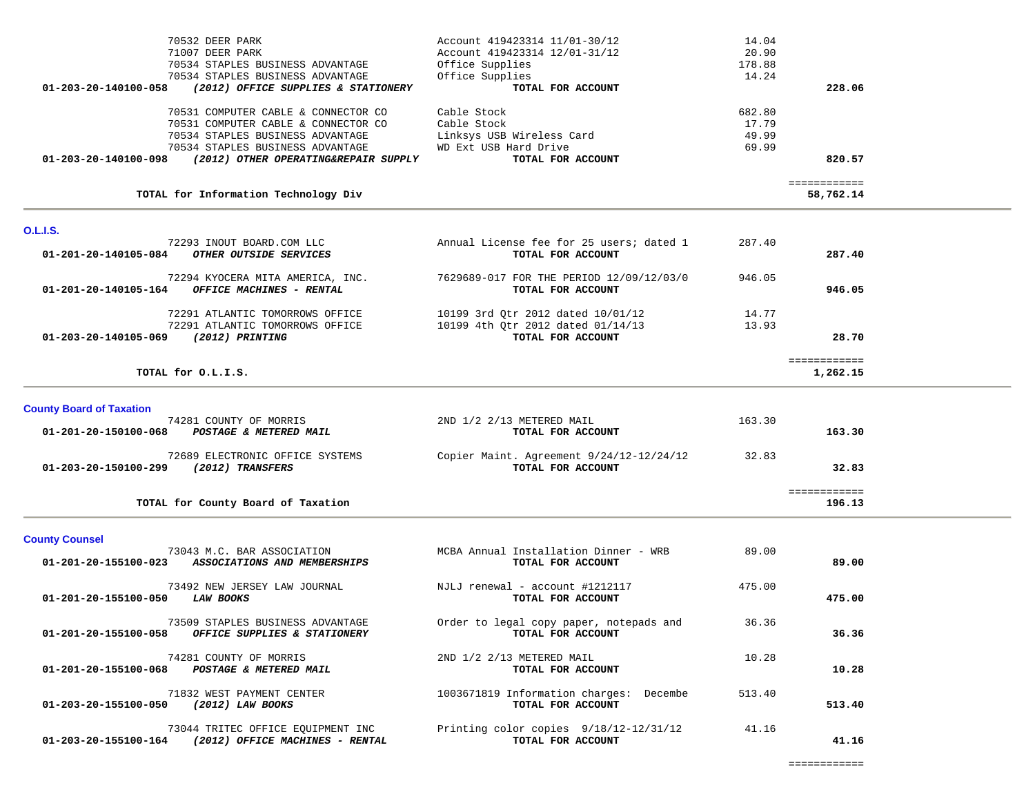| 70532 DEER PARK                                              | Account 419423314 11/01-30/12 | 14.04  |              |
|--------------------------------------------------------------|-------------------------------|--------|--------------|
| 71007 DEER PARK                                              | Account 419423314 12/01-31/12 | 20.90  |              |
| 70534 STAPLES BUSINESS ADVANTAGE                             | Office Supplies               | 178.88 |              |
| 70534 STAPLES BUSINESS ADVANTAGE                             | Office Supplies               | 14.24  |              |
| 01-203-20-140100-058<br>(2012) OFFICE SUPPLIES & STATIONERY  | TOTAL FOR ACCOUNT             |        | 228.06       |
| 70531 COMPUTER CABLE & CONNECTOR CO                          | Cable Stock                   | 682.80 |              |
| 70531 COMPUTER CABLE & CONNECTOR CO                          | Cable Stock                   | 17.79  |              |
| 70534 STAPLES BUSINESS ADVANTAGE                             | Linksys USB Wireless Card     | 49.99  |              |
| 70534 STAPLES BUSINESS ADVANTAGE                             | WD Ext USB Hard Drive         | 69.99  |              |
| 01-203-20-140100-098<br>(2012) OTHER OPERATING&REPAIR SUPPLY | TOTAL FOR ACCOUNT             |        | 820.57       |
|                                                              |                               |        | ------------ |
| TOTAL for Information Technology Div                         |                               |        | 58,762.14    |

### **O.L.I.S.**

| 72293 INOUT BOARD.COM LLC<br>01-201-20-140105-084<br><i>OTHER OUTSIDE SERVICES</i>          | Annual License fee for 25 users; dated 1<br>TOTAL FOR ACCOUNT | 287.40 | 287.40   |
|---------------------------------------------------------------------------------------------|---------------------------------------------------------------|--------|----------|
| 72294 KYOCERA MITA AMERICA, INC.<br>01-201-20-140105-164<br><b>OFFICE MACHINES - RENTAL</b> | 7629689-017 FOR THE PERIOD 12/09/12/03/0<br>TOTAL FOR ACCOUNT | 946.05 | 946.05   |
| 72291 ATLANTIC TOMORROWS OFFICE                                                             | 10199 3rd Otr 2012 dated 10/01/12                             | 14.77  |          |
| 72291 ATLANTIC TOMORROWS OFFICE                                                             | 10199 4th Otr 2012 dated 01/14/13                             | 13.93  |          |
| 01-203-20-140105-069<br>(2012) PRINTING                                                     | TOTAL FOR ACCOUNT                                             |        | 28.70    |
|                                                                                             |                                                               |        |          |
| TOTAL for O.L.I.S.                                                                          |                                                               |        | 1,262.15 |

### **County Board of Taxation**

| 74281 COUNTY OF MORRIS                                                      | 2ND 1/2 2/13 METERED MAIL                                     | 163.30 |        |  |
|-----------------------------------------------------------------------------|---------------------------------------------------------------|--------|--------|--|
| 01-201-20-150100-068<br>POSTAGE & METERED MAIL                              | TOTAL FOR ACCOUNT                                             |        | 163.30 |  |
| 72689 ELECTRONIC OFFICE SYSTEMS<br>01-203-20-150100-299<br>(2012) TRANSFERS | Copier Maint. Agreement 9/24/12-12/24/12<br>TOTAL FOR ACCOUNT | 32.83  | 32.83  |  |
| TOTAL for County Board of Taxation                                          |                                                               |        | 196.13 |  |

### **County Counsel**  73043 M.C. BAR ASSOCIATION MCBA Annual Installation Dinner - WRB 89.00  **01-201-20-155100-023** *ASSOCIATIONS AND MEMBERSHIPS* **TOTAL FOR ACCOUNT 89.00** 73492 NEW JERSEY LAW JOURNAL NJLJ renewal - account #1212117 475.00  **01-201-20-155100-050** *LAW BOOKS* **TOTAL FOR ACCOUNT 475.00** 73509 STAPLES BUSINESS ADVANTAGE Order to legal copy paper, notepads and 36.36  **01-201-20-155100-058** *OFFICE SUPPLIES & STATIONERY* **TOTAL FOR ACCOUNT 36.36** 74281 COUNTY OF MORRIS 2ND 1/2 2/13 METERED MAIL 10.28  **01-201-20-155100-068** *POSTAGE & METERED MAIL* **TOTAL FOR ACCOUNT 10.28**71832 WEST PAYMENT CENTER 1003671819 Information charges: Decembe 513.40<br>(2012) LAW BOOKS TOTAL FOR ACCOUNT  **01-203-20-155100-050** *(2012) LAW BOOKS* **TOTAL FOR ACCOUNT 513.40** 73044 TRITEC OFFICE EQUIPMENT INC<br>2012) OFFICE MACHINES - RENTAL TOTAL FOR ACCOUNT  **01-203-20-155100-164** *(2012) OFFICE MACHINES - RENTAL* **TOTAL FOR ACCOUNT 41.16**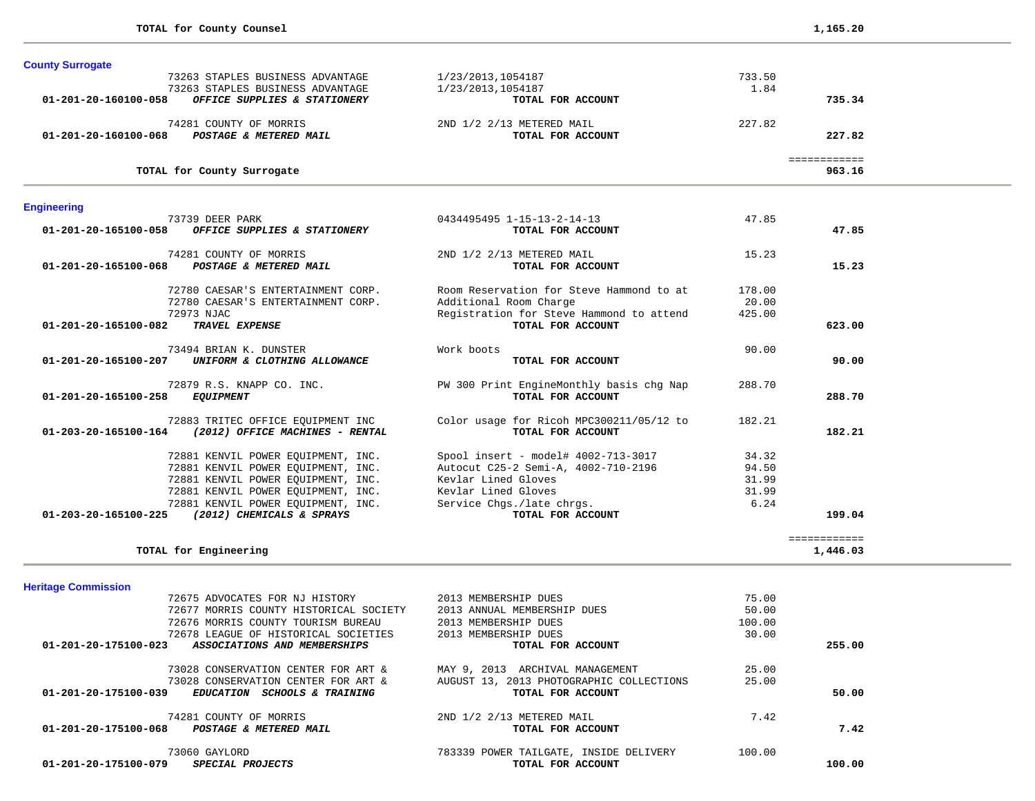| <b>County Surrogate</b>        |                                    |                                          |        |              |  |
|--------------------------------|------------------------------------|------------------------------------------|--------|--------------|--|
|                                | 73263 STAPLES BUSINESS ADVANTAGE   | 1/23/2013,1054187                        | 733.50 |              |  |
|                                | 73263 STAPLES BUSINESS ADVANTAGE   | 1/23/2013.1054187                        | 1.84   |              |  |
| 01-201-20-160100-058           | OFFICE SUPPLIES & STATIONERY       | TOTAL FOR ACCOUNT                        |        | 735.34       |  |
|                                | 74281 COUNTY OF MORRIS             | 2ND 1/2 2/13 METERED MAIL                | 227.82 |              |  |
| 01-201-20-160100-068           | POSTAGE & METERED MAIL             | TOTAL FOR ACCOUNT                        |        | 227.82       |  |
|                                |                                    |                                          |        | ============ |  |
|                                | TOTAL for County Surrogate         |                                          |        | 963.16       |  |
| <b>Engineering</b>             |                                    |                                          |        |              |  |
|                                | 73739 DEER PARK                    | 0434495495 1-15-13-2-14-13               | 47.85  |              |  |
| 01-201-20-165100-058           | OFFICE SUPPLIES & STATIONERY       | TOTAL FOR ACCOUNT                        |        | 47.85        |  |
|                                | 74281 COUNTY OF MORRIS             | 2ND 1/2 2/13 METERED MAIL                | 15.23  |              |  |
| 01-201-20-165100-068           | POSTAGE & METERED MAIL             | TOTAL FOR ACCOUNT                        |        | 15.23        |  |
|                                | 72780 CAESAR'S ENTERTAINMENT CORP. | Room Reservation for Steve Hammond to at | 178.00 |              |  |
|                                | 72780 CAESAR'S ENTERTAINMENT CORP. | Additional Room Charge                   | 20.00  |              |  |
|                                | 72973 NJAC                         | Registration for Steve Hammond to attend | 425.00 |              |  |
| 01-201-20-165100-082           | TRAVEL EXPENSE                     | TOTAL FOR ACCOUNT                        |        | 623.00       |  |
|                                | 73494 BRIAN K. DUNSTER             | Work boots                               | 90.00  |              |  |
| 01-201-20-165100-207           | UNIFORM & CLOTHING ALLOWANCE       | TOTAL FOR ACCOUNT                        |        | 90.00        |  |
|                                | 72879 R.S. KNAPP CO. INC.          | PW 300 Print EngineMonthly basis chg Nap | 288.70 |              |  |
| 01-201-20-165100-258           | <b>EQUIPMENT</b>                   | TOTAL FOR ACCOUNT                        |        | 288.70       |  |
|                                | 72883 TRITEC OFFICE EQUIPMENT INC  | Color usage for Ricoh MPC300211/05/12 to | 182.21 |              |  |
| $01 - 203 - 20 - 165100 - 164$ | (2012) OFFICE MACHINES - RENTAL    | TOTAL FOR ACCOUNT                        |        | 182.21       |  |
|                                | 72881 KENVIL POWER EQUIPMENT, INC. | Spool insert - model# 4002-713-3017      | 34.32  |              |  |
|                                | 72881 KENVIL POWER EOUIPMENT, INC. | Autocut C25-2 Semi-A, 4002-710-2196      | 94.50  |              |  |
|                                | 72881 KENVIL POWER EQUIPMENT, INC. | Kevlar Lined Gloves                      | 31.99  |              |  |
|                                | 72881 KENVIL POWER EQUIPMENT, INC. | Kevlar Lined Gloves                      | 31.99  |              |  |

**TOTAL for Engineering 1,446.03**

 ============ 

**Heritage Commission** 

|                      | 72675 ADVOCATES FOR NJ HISTORY                    | 2013 MEMBERSHIP DUES                     | 75.00  |        |
|----------------------|---------------------------------------------------|------------------------------------------|--------|--------|
|                      | 72677 MORRIS COUNTY HISTORICAL SOCIETY            | 2013 ANNUAL MEMBERSHIP DUES              | 50.00  |        |
|                      | 72676 MORRIS COUNTY TOURISM BUREAU                | 2013 MEMBERSHIP DUES                     | 100.00 |        |
|                      | 72678 LEAGUE OF HISTORICAL SOCIETIES              | 2013 MEMBERSHIP DUES                     | 30.00  |        |
| 01-201-20-175100-023 | ASSOCIATIONS AND MEMBERSHIPS                      | TOTAL FOR ACCOUNT                        |        | 255.00 |
|                      | 73028 CONSERVATION CENTER FOR ART &               | MAY 9, 2013 ARCHIVAL MANAGEMENT          | 25.00  |        |
|                      | 73028 CONSERVATION CENTER FOR ART &               | AUGUST 13, 2013 PHOTOGRAPHIC COLLECTIONS | 25.00  |        |
| 01-201-20-175100-039 | <i>EDUCATION</i><br><b>SCHOOLS &amp; TRAINING</b> | TOTAL FOR ACCOUNT                        |        | 50.00  |
|                      | 74281 COUNTY OF MORRIS                            | 2ND 1/2 2/13 METERED MAIL                | 7.42   |        |
| 01-201-20-175100-068 | POSTAGE & METERED MAIL                            | TOTAL FOR ACCOUNT                        |        | 7.42   |
|                      | 73060 GAYLORD                                     | 783339 POWER TAILGATE, INSIDE DELIVERY   | 100.00 |        |
| 01-201-20-175100-079 | <i>SPECIAL PROJECTS</i>                           | TOTAL FOR ACCOUNT                        |        | 100.00 |

 72881 KENVIL POWER EQUIPMENT, INC. Service Chgs./late chrgs. 6.24  **01-203-20-165100-225** *(2012) CHEMICALS & SPRAYS* **TOTAL FOR ACCOUNT 199.04**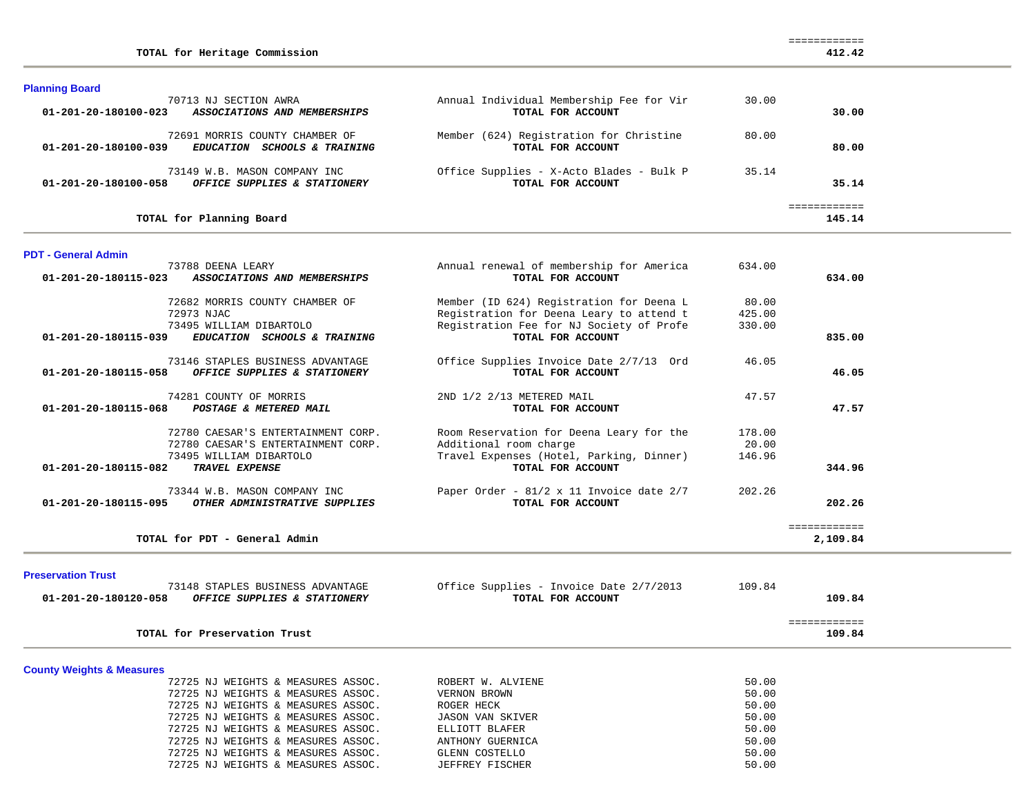| <b>Planning Board</b>                                                           |                                                               |              |          |
|---------------------------------------------------------------------------------|---------------------------------------------------------------|--------------|----------|
| 70713 NJ SECTION AWRA                                                           | Annual Individual Membership Fee for Vir                      | 30.00        |          |
| 01-201-20-180100-023<br>ASSOCIATIONS AND MEMBERSHIPS                            | TOTAL FOR ACCOUNT                                             |              | 30.00    |
| 72691 MORRIS COUNTY CHAMBER OF                                                  | Member (624) Registration for Christine                       | 80.00        |          |
| 01-201-20-180100-039<br>EDUCATION SCHOOLS & TRAINING                            | TOTAL FOR ACCOUNT                                             |              | 80.00    |
| 73149 W.B. MASON COMPANY INC                                                    | Office Supplies - X-Acto Blades - Bulk P                      | 35.14        |          |
| OFFICE SUPPLIES & STATIONERY<br>01-201-20-180100-058                            | TOTAL FOR ACCOUNT                                             |              | 35.14    |
|                                                                                 |                                                               | ============ |          |
| TOTAL for Planning Board                                                        |                                                               |              | 145.14   |
| <b>PDT - General Admin</b>                                                      |                                                               |              |          |
| 73788 DEENA LEARY                                                               | Annual renewal of membership for America                      | 634.00       |          |
| 01-201-20-180115-023<br>ASSOCIATIONS AND MEMBERSHIPS                            | TOTAL FOR ACCOUNT                                             |              | 634.00   |
| 72682 MORRIS COUNTY CHAMBER OF                                                  | Member (ID 624) Registration for Deena L                      | 80.00        |          |
| 72973 NJAC                                                                      | Registration for Deena Leary to attend t                      | 425.00       |          |
| 73495 WILLIAM DIBARTOLO<br>EDUCATION SCHOOLS & TRAINING<br>01-201-20-180115-039 | Registration Fee for NJ Society of Profe<br>TOTAL FOR ACCOUNT | 330.00       | 835.00   |
|                                                                                 |                                                               |              |          |
| 73146 STAPLES BUSINESS ADVANTAGE                                                | Office Supplies Invoice Date 2/7/13 Ord                       | 46.05        |          |
| OFFICE SUPPLIES & STATIONERY<br>01-201-20-180115-058                            | TOTAL FOR ACCOUNT                                             |              | 46.05    |
| 74281 COUNTY OF MORRIS                                                          | 2ND 1/2 2/13 METERED MAIL                                     | 47.57        |          |
| 01-201-20-180115-068<br>POSTAGE & METERED MAIL                                  | TOTAL FOR ACCOUNT                                             |              | 47.57    |
| 72780 CAESAR'S ENTERTAINMENT CORP.                                              | Room Reservation for Deena Leary for the                      | 178.00       |          |
| 72780 CAESAR'S ENTERTAINMENT CORP.                                              | Additional room charge                                        | 20.00        |          |
| 73495 WILLIAM DIBARTOLO<br>01-201-20-180115-082<br>TRAVEL EXPENSE               | Travel Expenses (Hotel, Parking, Dinner)<br>TOTAL FOR ACCOUNT | 146.96       | 344.96   |
|                                                                                 |                                                               |              |          |
| 73344 W.B. MASON COMPANY INC                                                    | Paper Order - 81/2 x 11 Invoice date 2/7                      | 202.26       |          |
| 01-201-20-180115-095<br>OTHER ADMINISTRATIVE SUPPLIES                           | TOTAL FOR ACCOUNT                                             |              | 202.26   |
|                                                                                 |                                                               | ============ |          |
| TOTAL for PDT - General Admin                                                   |                                                               |              | 2,109.84 |
|                                                                                 |                                                               |              |          |
| <b>Preservation Trust</b><br>72149 CTADIRC DIICTNECC ADVANTACE                  | $Offina$ Supplies - Intelse Date $2/7/2012$                   | 100 OA       |          |

412.42

============

**TOTAL for Heritage Commission 412.42**

**County Weights & Measures**

**College** 

| 01-201-20-180120-058 | 13148 SIAPLES BUSINESS ADVANIAGE<br><i>OFFICE SUPPLIES &amp; STATIONERY</i> | OILICE SUPPILES - INVOICE DALE 2/7/2013<br>TOTAL FOR ACCOUNT | 109.84<br>109.84 |
|----------------------|-----------------------------------------------------------------------------|--------------------------------------------------------------|------------------|
|                      | TOTAL for Preservation Trust                                                |                                                              | 109.84           |
|                      |                                                                             |                                                              |                  |

| 72725 NJ WEIGHTS & MEASURES ASSOC. | ROBERT W. ALVIENE | 50.00 |
|------------------------------------|-------------------|-------|
| 72725 NJ WEIGHTS & MEASURES ASSOC. | VERNON BROWN      | 50.00 |
| 72725 NJ WEIGHTS & MEASURES ASSOC. | ROGER HECK        | 50.00 |
| 72725 NJ WEIGHTS & MEASURES ASSOC. | JASON VAN SKIVER  | 50.00 |
| 72725 NJ WEIGHTS & MEASURES ASSOC. | ELLIOTT BLAFER    | 50.00 |
| 72725 NJ WEIGHTS & MEASURES ASSOC. | ANTHONY GUERNICA  | 50.00 |
| 72725 NJ WEIGHTS & MEASURES ASSOC. | GLENN COSTELLO    | 50.00 |
| 72725 NJ WEIGHTS & MEASURES ASSOC. | JEFFREY FISCHER   | 50.00 |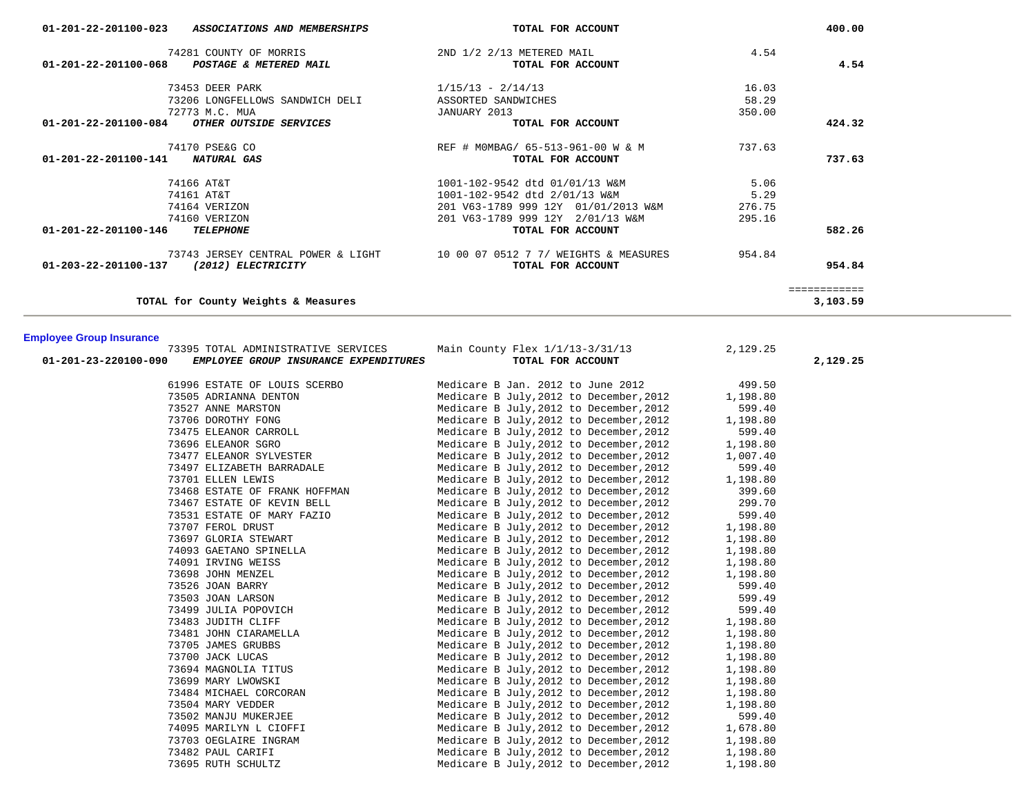| $01 - 201 - 22 - 201100 - 023$<br>ASSOCIATIONS AND MEMBERSHIPS           | TOTAL FOR ACCOUNT                              |        | 400.00       |
|--------------------------------------------------------------------------|------------------------------------------------|--------|--------------|
| 74281 COUNTY OF MORRIS<br>01-201-22-201100-068<br>POSTAGE & METERED MAIL | 2ND 1/2 2/13 METERED MAIL<br>TOTAL FOR ACCOUNT | 4.54   | 4.54         |
| 73453 DEER PARK                                                          | $1/15/13 - 2/14/13$                            | 16.03  |              |
| 73206 LONGFELLOWS SANDWICH DELI                                          | ASSORTED SANDWICHES                            | 58.29  |              |
| 72773 M.C. MUA                                                           | JANUARY 2013                                   | 350.00 |              |
| $01 - 201 - 22 - 201100 - 084$<br>OTHER OUTSIDE SERVICES                 | TOTAL FOR ACCOUNT                              |        | 424.32       |
| 74170 PSE&G CO                                                           | REF # MOMBAG/ 65-513-961-00 W & M              | 737.63 |              |
| $01 - 201 - 22 - 201100 - 141$<br>NATURAL GAS                            | TOTAL FOR ACCOUNT                              |        | 737.63       |
| 74166 AT&T                                                               | 1001-102-9542 dtd 01/01/13 W&M                 | 5.06   |              |
| 74161 AT&T                                                               | 1001-102-9542 dtd 2/01/13 W&M                  | 5.29   |              |
| 74164 VERIZON                                                            | 201 V63-1789 999 12Y 01/01/2013 W&M            | 276.75 |              |
| 74160 VERIZON                                                            | 201 V63-1789 999 12Y 2/01/13 W&M               | 295.16 |              |
| 01-201-22-201100-146<br><b>TELEPHONE</b>                                 | TOTAL FOR ACCOUNT                              |        | 582.26       |
| 73743 JERSEY CENTRAL POWER & LIGHT                                       | 10 00 07 0512 7 7/ WEIGHTS & MEASURES          | 954.84 |              |
| 01-203-22-201100-137<br>(2012) ELECTRICITY                               | TOTAL FOR ACCOUNT                              |        | 954.84       |
|                                                                          |                                                |        | ------------ |
| TOTAL for County Weights & Measures                                      |                                                |        | 3,103.59     |

### **Employee Group Insurance**

| 73395 TOTAL ADMINISTRATIVE SERVICES                           | Main County Flex $1/1/13-3/31/13$                 | 2,129.25 |          |
|---------------------------------------------------------------|---------------------------------------------------|----------|----------|
| 01-201-23-220100-090<br>EMPLOYEE GROUP INSURANCE EXPENDITURES | TOTAL FOR ACCOUNT                                 |          | 2,129.25 |
| 61996 ESTATE OF LOUIS SCERBO                                  | Medicare B Jan. 2012 to June 2012                 | 499.50   |          |
| 73505 ADRIANNA DENTON                                         | Medicare B July, 2012 to December, 2012           | 1,198.80 |          |
| 73527 ANNE MARSTON                                            | Medicare B July, 2012 to December, 2012           | 599.40   |          |
| 73706 DOROTHY FONG                                            | Medicare B July, 2012 to December, 2012           | 1,198.80 |          |
| 73475 ELEANOR CARROLL                                         | Medicare B July, 2012 to December, 2012           | 599.40   |          |
| 73696 ELEANOR SGRO                                            | Medicare B July, 2012 to December, 2012           | 1,198.80 |          |
| 73477 ELEANOR SYLVESTER                                       | Medicare B July, 2012 to December, 2012           | 1,007.40 |          |
| 73497 ELIZABETH BARRADALE                                     | Medicare B July, 2012 to December, 2012           | 599.40   |          |
| 73701 ELLEN LEWIS                                             | Medicare B July, 2012 to December, 2012           | 1,198.80 |          |
| 73468 ESTATE OF FRANK HOFFMAN                                 | Medicare B July, 2012 to December, 2012           | 399.60   |          |
| 73467 ESTATE OF KEVIN BELL                                    | Medicare B July, 2012 to December, 2012           | 299.70   |          |
| 73531 ESTATE OF MARY FAZIO                                    | Medicare B July, 2012 to December, 2012           | 599.40   |          |
| 73707 FEROL DRUST                                             | Medicare B July, 2012 to December, 2012           | 1,198.80 |          |
| 73697 GLORIA STEWART                                          | Medicare B July, 2012 to December, 2012 1, 198.80 |          |          |
| 74093 GAETANO SPINELLA                                        | Medicare B July, 2012 to December, 2012           | 1,198.80 |          |
| 74091 IRVING WEISS                                            | Medicare B July, 2012 to December, 2012           | 1,198.80 |          |
| 73698 JOHN MENZEL                                             | Medicare B July, 2012 to December, 2012           | 1,198.80 |          |
| 73526 JOAN BARRY                                              | Medicare B July, 2012 to December, 2012           | 599.40   |          |
| 73503 JOAN LARSON                                             | Medicare B July, 2012 to December, 2012           | 599.49   |          |
| 73499 JULIA POPOVICH                                          | Medicare B July, 2012 to December, 2012           | 599.40   |          |
| 73483 JUDITH CLIFF                                            | Medicare B July, 2012 to December, 2012           | 1,198.80 |          |
| 73481 JOHN CIARAMELLA                                         | Medicare B July, 2012 to December, 2012           | 1,198.80 |          |
| 73705 JAMES GRUBBS                                            | Medicare B July, 2012 to December, 2012           | 1,198.80 |          |
| 73700 JACK LUCAS                                              | Medicare B July, 2012 to December, 2012           | 1,198.80 |          |
| 73694 MAGNOLIA TITUS                                          | Medicare B July, 2012 to December, 2012           | 1,198.80 |          |
| 73699 MARY LWOWSKI                                            | Medicare B July, 2012 to December, 2012           | 1,198.80 |          |
| 73484 MICHAEL CORCORAN                                        | Medicare B July, 2012 to December, 2012           | 1,198.80 |          |
| 73504 MARY VEDDER                                             | Medicare B July, 2012 to December, 2012           | 1,198.80 |          |
| 73502 MANJU MUKERJEE                                          | Medicare B July, 2012 to December, 2012           | 599.40   |          |
| 74095 MARILYN L CIOFFI                                        | Medicare B July, 2012 to December, 2012           | 1,678.80 |          |
| 73703 OEGLAIRE INGRAM                                         | Medicare B July, 2012 to December, 2012           | 1,198.80 |          |
| 73482 PAUL CARIFI                                             | Medicare B July, 2012 to December, 2012           | 1,198.80 |          |
| 73695 RUTH SCHULTZ                                            | Medicare B July, 2012 to December, 2012           | 1,198.80 |          |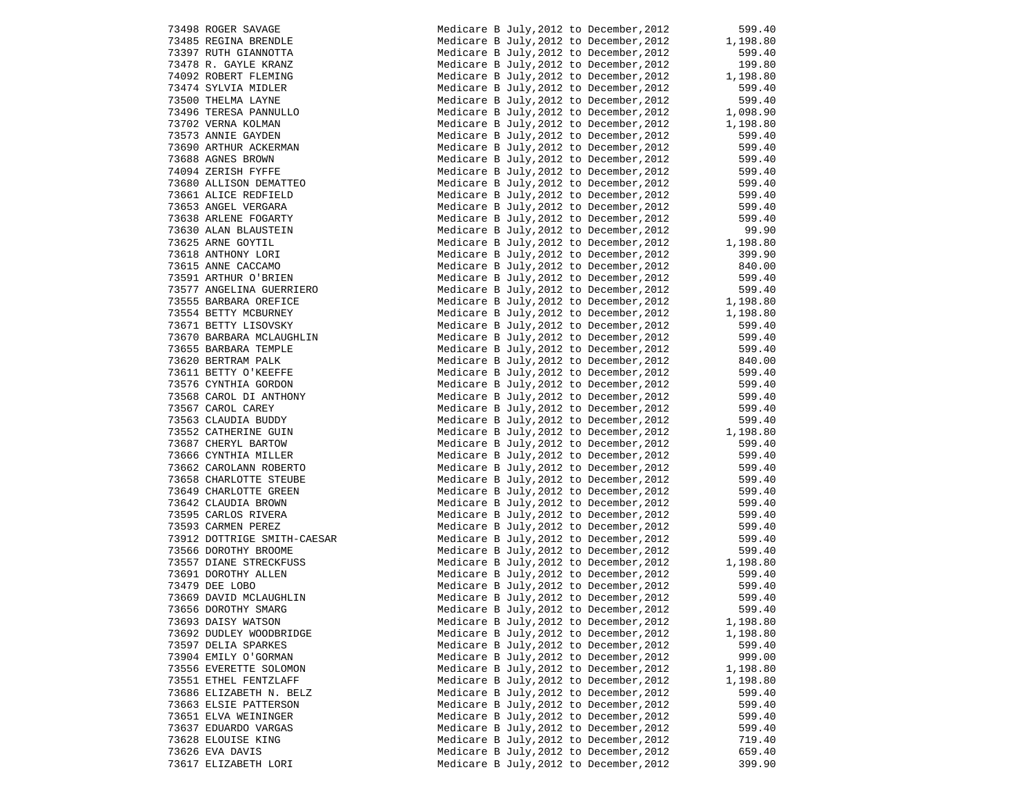| 73498 ROGER SAVAGE                               |
|--------------------------------------------------|
| 73485 REGINA BRENDLE                             |
| 73397 RUTH GIANNOTTA                             |
| 73478 R. GAYLE KRANZ                             |
| 74092 ROBERT FLEMING                             |
| 73474 SYLVIA MIDLER                              |
| 73500 THELMA LAYNE                               |
| 73496 TERESA PANNULLO                            |
| 73702 VERNA KOLMAN                               |
| 73573 ANNIE GAYDEN                               |
| 73690 ARTHUR ACKERMAN                            |
| 73688 AGNES BROWN                                |
| 74094 ZERISH FYFFE<br>73680 ALLISON DEMATTEO     |
| 73661 ALICE REDFIELD                             |
| 73653 ANGEL VERGARA                              |
| 73638 ARLENE FOGARTY                             |
| 73630 ALAN BLAUSTEIN                             |
| 73625 ARNE GOYTIL                                |
| 73618 ANTHONY LORI                               |
| 73615 ANNE CACCAMO                               |
| 73591 ARTHUR O'BRIEN                             |
| 73577 ANGELINA GUERRIERO                         |
| 73555 BARBARA OREFICE                            |
| 73554 BETTY MCBURNEY                             |
| 73671 BETTY LISOVSKY                             |
| 73670 BARBARA MCLAUGHLIN<br>73655 BARBARA TEMPLE |
|                                                  |
| 73620 BERTRAM PALK<br>73611 BETTY O'KEEFFE       |
|                                                  |
| 73576 CYNTHIA GORDON<br>73568 CAROL DI ANTHONY   |
| 73567 CAROL CAREY                                |
| 73563 CLAUDIA BUDDY                              |
| 73552 CATHERINE GUIN                             |
| 73687 CHERYL BARTOW                              |
| 73666 CYNTHIA MILLER                             |
| 73662 CAROLANN ROBERTO                           |
| 73658 CHARLOTTE STEUBE                           |
| 73649 CHARLOTTE GREEN                            |
| 73642 CLAUDIA BROWN                              |
| 73595 CARLOS RIVERA                              |
| 73593 CARMEN PEREZ                               |
| 73912 DOTTRIGE SMITH-CAESAR                      |
| 73566 DOROTHY BROOME                             |
| 73557 DIANE STRECKFUSS                           |
| 73691 DOROTHY ALLEN                              |
| 73479 DEE LOBO<br>73669 DAVID MCLAUGHLIN         |
| 73656 DOROTHY SMARG                              |
| 73693 DAISY WATSON                               |
| 73692 DUDLEY WOODBRIDGE                          |
| 73597 DELIA SPARKES                              |
| 73904 EMILY O'GORMAN                             |
| 73556 EVERETTE SOLOMON                           |
| 73551 ETHEL FENTZLAFF                            |
| 73686 ELIZABETH N. BELZ                          |
| 73663 ELSIE PATTERSON                            |
| 73651 ELVA WEININGER                             |
| 73637 EDUARDO VARGAS                             |
| 73628 ELOUISE KING                               |
| 73626 EVA DAVIS                                  |
| 73617 ELIZABETH LORI                             |

| 73498 ROGER SAVAGE                                                                                                                                                         | Medicare B July, 2012 to December, 2012                                                             | 599.40                       |
|----------------------------------------------------------------------------------------------------------------------------------------------------------------------------|-----------------------------------------------------------------------------------------------------|------------------------------|
| 73485 REGINA BRENDLE                                                                                                                                                       | Medicare B July, 2012 to December, 2012                                                             | 1,198.80                     |
| 73397 RUTH GIANNOTTA                                                                                                                                                       | Medicare B July, 2012 to December, 2012                                                             | 599.40                       |
| 73478 R. GAYLE KRANZ                                                                                                                                                       | Medicare B July, 2012 to December, 2012                                                             | 199.80                       |
| 74092 ROBERT FLEMING                                                                                                                                                       | Medicare B July, 2012 to December, 2012                                                             | 1,198.80                     |
| 73474 SYLVIA MIDLER                                                                                                                                                        | Medicare B July, 2012 to December, 2012                                                             | 599.40                       |
| 73500 THELMA LAYNE                                                                                                                                                         | Medicare B July, 2012 to December, 2012                                                             | 599.40                       |
| 73496 TERESA PANNULLO                                                                                                                                                      | Medicare B July, 2012 to December, 2012                                                             | $1,098.90$<br>$1,198.80$     |
| 73702 VERNA KOLMAN                                                                                                                                                         | Medicare B July, 2012 to December, 2012                                                             |                              |
| 73573 ANNIE GAYDEN                                                                                                                                                         | Medicare B July, 2012 to December, 2012                                                             | 599.40                       |
|                                                                                                                                                                            | Medicare B July, 2012 to December, 2012                                                             | 599.40                       |
|                                                                                                                                                                            | Medicare B July, 2012 to December, 2012                                                             | 599.40                       |
|                                                                                                                                                                            | Medicare B July, 2012 to December, 2012                                                             | 599.40                       |
| 73690 ARTHUR ACKERMAN<br>73688 AGNES BROWN<br>74094 ZERISH FYFFE<br>73680 ALLISON DEMATTEO                                                                                 | Medicare B July, 2012 to December, 2012                                                             | 599.40                       |
| 73661 ALICE REDFIELD                                                                                                                                                       | Medicare B July, 2012 to December, 2012                                                             | 599.40                       |
| 73653 ANGEL VERGARA                                                                                                                                                        | Medicare B July, 2012 to December, 2012                                                             | 599.40                       |
| 73638 ARLENE FOGARTY                                                                                                                                                       | Medicare B July, 2012 to December, 2012                                                             | 599.40                       |
| 73630 ALAN BLAUSTEIN                                                                                                                                                       | Medicare B July, 2012 to December, 2012                                                             | 99.90                        |
| 73625 ARNE GOYTIL<br>73618 ANTHONY LORI<br>73615 ANNE CACCAMO<br>73591 ARTHUR O'BRIEN                                                                                      | Medicare B July, 2012 to December, 2012                                                             | 1,198.80                     |
|                                                                                                                                                                            | Medicare B July, 2012 to December, 2012                                                             | 399.90                       |
|                                                                                                                                                                            | Medicare B July, 2012 to December, 2012                                                             | 840.00                       |
|                                                                                                                                                                            | Medicare B July, 2012 to December, 2012                                                             | 599.40                       |
| 73577 ANGELINA GUERRIERO                                                                                                                                                   | Medicare B July, 2012 to December, 2012                                                             | 599.40<br>399.40<br>1,198.80 |
| 73555 BARBARA OREFICE                                                                                                                                                      | Medicare B July, 2012 to December, 2012                                                             |                              |
| 73554 BETTY MCBURNEY                                                                                                                                                       | Medicare B July, 2012 to December, 2012                                                             | 1,198.80                     |
| 73671 BETTY LISOVSKY                                                                                                                                                       | Medicare B July, 2012 to December, 2012                                                             | 599.40                       |
|                                                                                                                                                                            | Medicare B July, 2012 to December, 2012                                                             | 599.40                       |
|                                                                                                                                                                            | Medicare B July, 2012 to December, 2012                                                             | 599.40                       |
| 73670 BARBARA MCLAUGHLIN<br>73670 BARBARA TEMPLE<br>73620 BERTRAM PALK<br>73611 BETTY O'KEEFFE<br>73576 CYNTHIA GORDON<br>73568 CAROL DI ANTHONY<br>73568 CAROL DI ANTHONY | Medicare B July, 2012 to December, 2012                                                             | 840.00<br>599.40             |
|                                                                                                                                                                            | Medicare B July, 2012 to December, 2012                                                             |                              |
|                                                                                                                                                                            | Medicare B July, 2012 to December, 2012                                                             | 599.40<br>599.40             |
| 73567 CAROL CAREY                                                                                                                                                          | Medicare B July, 2012 to December, 2012<br>Medicare B July, 2012 to December, 2012                  | 599.40                       |
| 73563 CLAUDIA BUDDY                                                                                                                                                        | Medicare B July, 2012 to December, 2012                                                             | 599.40                       |
| 73552 CATHERINE GUIN                                                                                                                                                       | Medicare B July, 2012 to December, 2012                                                             |                              |
| 73687 CHERYL BARTOW                                                                                                                                                        | Medicare B July, 2012 to December, 2012                                                             | 1,198.80<br>599.40           |
| 73666 CYNTHIA MILLER                                                                                                                                                       | Medicare B July, 2012 to December, 2012                                                             | 599.40                       |
| 73662 CAROLANN ROBERTO                                                                                                                                                     | Medicare B July, 2012 to December, 2012                                                             | 599.40                       |
| 73658 CHARLOTTE STEUBE                                                                                                                                                     | Medicare B July, 2012 to December, 2012                                                             | 599.40                       |
| 73649 CHARLOTTE GREEN                                                                                                                                                      | Medicare B July, 2012 to December, 2012                                                             | 599.40                       |
| 73642 CLAUDIA BROWN                                                                                                                                                        | Medicare B July, 2012 to December, 2012                                                             | 599.40                       |
| 73595 CARLOS RIVERA                                                                                                                                                        | Medicare B July, 2012 to December, 2012                                                             | 599.40                       |
| 73593 CARMEN PEREZ                                                                                                                                                         | Medicare B July, 2012 to December, 2012                                                             | 599.40                       |
| 73912 DOTTRIGE SMITH-CAESAR                                                                                                                                                | Medicare B July, 2012 to December, 2012                                                             | 599.40                       |
| 73566 DOROTHY BROOME                                                                                                                                                       |                                                                                                     |                              |
| 73557 DIANE STRECKFUSS                                                                                                                                                     | Medicare B July, 2012 to December, 2012 599.40<br>Medicare B July, 2012 to December, 2012 1, 198.80 |                              |
| 73691 DOROTHY ALLEN                                                                                                                                                        |                                                                                                     |                              |
| 73479 DEE LOBO                                                                                                                                                             | Medicare B July, 2012 to December, 2012<br>Medicare B July, 2012 to December, 2012                  | 599.40<br>599.40             |
| 73669 DAVID MCLAUGHLIN                                                                                                                                                     | Medicare B July, 2012 to December, 2012                                                             | 599.40                       |
| 73656 DOROTHY SMARG                                                                                                                                                        | Medicare B July, 2012 to December, 2012                                                             | 599.40                       |
| 73693 DAISY WATSON                                                                                                                                                         | Medicare B July, 2012 to December, 2012                                                             | 1,198.80                     |
| 73692 DUDLEY WOODBRIDGE                                                                                                                                                    | Medicare B July, 2012 to December, 2012                                                             | 1,198.80                     |
| 73597 DELIA SPARKES                                                                                                                                                        | Medicare B July, 2012 to December, 2012                                                             | 599.40                       |
| 73904 EMILY O'GORMAN                                                                                                                                                       | Medicare B July, 2012 to December, 2012                                                             | 999.00                       |
| 73556 EVERETTE SOLOMON                                                                                                                                                     | Medicare B July, 2012 to December, 2012                                                             | 1,198.80                     |
| 73551 ETHEL FENTZLAFF                                                                                                                                                      | Medicare B July, 2012 to December, 2012                                                             | 1,198.80                     |
| 73686 ELIZABETH N. BELZ                                                                                                                                                    | Medicare B July, 2012 to December, 2012                                                             | 599.40                       |
| 73663 ELSIE PATTERSON                                                                                                                                                      | Medicare B July, 2012 to December, 2012                                                             | 599.40                       |
| 73651 ELVA WEININGER                                                                                                                                                       | Medicare B July, 2012 to December, 2012                                                             | 599.40                       |
| 73637 EDUARDO VARGAS                                                                                                                                                       | Medicare B July, 2012 to December, 2012                                                             | 599.40                       |
| 73628 ELOUISE KING                                                                                                                                                         | Medicare B July, 2012 to December, 2012                                                             | 719.40                       |
| 73626 EVA DAVIS                                                                                                                                                            | Medicare B July, 2012 to December, 2012                                                             | 659.40                       |
| 73617 ELIZABETH LORI                                                                                                                                                       | Medicare B July, 2012 to December, 2012                                                             | 399.90                       |
|                                                                                                                                                                            |                                                                                                     |                              |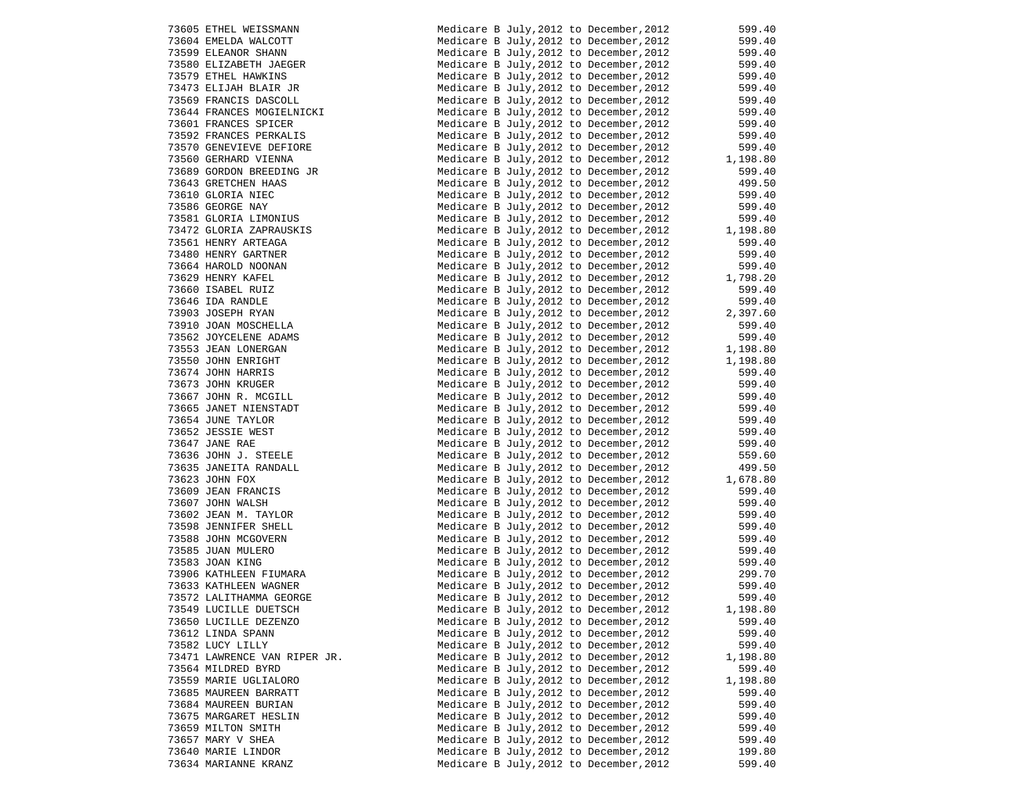| 73605 ETHEL WEISSMANN        |
|------------------------------|
| 73604 EMELDA WALCOTT         |
| 73599 ELEANOR SHANN          |
| 73580 ELIZABETH JAEGER       |
| 73579 ETHEL HAWKINS          |
| 73473 ELIJAH BLAIR JR        |
| 73569 FRANCIS DASCOLL        |
| 73644 FRANCES MOGIELNICKI    |
| 73601 FRANCES SPICER         |
| 73592 FRANCES PERKALIS       |
| 73570 GENEVIEVE DEFIORE      |
| 73560 GERHARD VIENNA         |
| 73689 GORDON BREEDING JR     |
| 73643 GRETCHEN HAAS          |
| 73610 GLORIA NIEC            |
| 73586 GEORGE NAY             |
| 73581 GLORIA LIMONIUS        |
| 73472 GLORIA ZAPRAUSKIS      |
| 73561 HENRY ARTEAGA          |
| 73480 HENRY GARTNER          |
| 73664 HAROLD NOONAN          |
| 73629 HENRY KAFEL            |
| 73660 ISABEL RUIZ            |
| 73646 IDA RANDLE             |
| 73903 JOSEPH RYAN            |
| 73910 JOAN MOSCHELLA         |
| 73562 JOYCELENE ADAMS        |
| 73553 JEAN LONERGAN          |
| 73550 JOHN ENRIGHT           |
| 73674 JOHN HARRIS            |
| 73673 JOHN KRUGER            |
| 73667 JOHN R. MCGILL         |
| 73665 JANET NIENSTADT        |
| 73654 JUNE TAYLOR            |
| 73652 JESSIE WEST            |
| 73647 JANE RAE               |
| 73636 JOHN J. STEELE         |
| 73635 JANEITA RANDALL        |
| 73623 JOHN FOX               |
| 73609 JEAN FRANCIS           |
| 73607 JOHN WALSH             |
| 73602 JEAN M. TAYLOR         |
| 73598 JENNIFER SHELL         |
| 73588 JOHN MCGOVERN          |
| 73585 JUAN MULERO            |
| 73583 JOAN KING              |
| 73906 KATHLEEN FIUMARA       |
| 73633 KATHLEEN WAGNER        |
| 73572 LALITHAMMA GEORGE      |
| 73549 LUCILLE DUETSCH        |
| 73650 LUCILLE DEZENZO        |
| 73612 LINDA SPANN            |
| 73582 LUCY LILLY             |
| 73471 LAWRENCE VAN RIPER JR. |
| 73564 MILDRED BYRD           |
| 73559 MARIE UGLIALORO        |
| 73685 MAUREEN BARRATT        |
| 73684 MAUREEN BURIAN         |
| 73675 MARGARET HESLIN        |
| 73659 MILTON SMITH           |
| 73657 MARY V SHEA            |
| 73640 MARIE LINDOR           |
| 73634 MARIANNE KRANZ         |

| 73605 ETHEL WEISSMANN<br>73604 EMELDA WALCOTT<br>73599 ELEANOR SHANN<br>73580 ELIZABETH JAEGER<br>73579 ETHEL HAWKINS<br>73473 ELIJAH BLAIR JR<br>73569 FRANCIS DASCOLL                                                                                                     | Medicare B July, 2012 to December, 2012 599.40                                     |                        |
|-----------------------------------------------------------------------------------------------------------------------------------------------------------------------------------------------------------------------------------------------------------------------------|------------------------------------------------------------------------------------|------------------------|
|                                                                                                                                                                                                                                                                             | Medicare B July, 2012 to December, 2012                                            | 599.40<br>599.40       |
|                                                                                                                                                                                                                                                                             | Medicare B July, 2012 to December, 2012                                            |                        |
|                                                                                                                                                                                                                                                                             | Medicare B July, 2012 to December, 2012                                            | 599.40                 |
|                                                                                                                                                                                                                                                                             | Medicare B July, 2012 to December, 2012                                            | 599.40                 |
|                                                                                                                                                                                                                                                                             | Medicare B July, 2012 to December, 2012                                            | 599.40                 |
|                                                                                                                                                                                                                                                                             | Medicare B July, 2012 to December, 2012                                            | 599.40                 |
| 73644 FRANCES MOGIELNICKI                                                                                                                                                                                                                                                   | Medicare B July, 2012 to December, 2012                                            | 599.40<br>599.40       |
| 73601 FRANCES SPICER                                                                                                                                                                                                                                                        | Medicare B July, 2012 to December, 2012                                            |                        |
| 73592 FRANCES PERKALIS                                                                                                                                                                                                                                                      | Medicare B July, 2012 to December, 2012                                            | 599.40<br>599.40       |
| 73570 GENEVIEVE DEFIORE                                                                                                                                                                                                                                                     | Medicare B July, 2012 to December, 2012                                            |                        |
| 73560 GERHARD VIENNA                                                                                                                                                                                                                                                        | Medicare B July, 2012 to December, 2012                                            |                        |
| 73689 GORDON BREEDING JR<br>73643 GRETCHEN HAAS                                                                                                                                                                                                                             | Medicare B July, 2012 to December, 2012                                            | $1,198.80$<br>$599.40$ |
| 73643 GRETCHEN HAAS                                                                                                                                                                                                                                                         | Medicare B July, 2012 to December, 2012                                            | 499.50<br>599.40       |
| 73610 GLORIA NIEC<br>73586 GEORGE NAY<br>73581 GLORIA LIMONIUS<br>73472 GLORIA ZAPRAUSKIS                                                                                                                                                                                   | Medicare B July, 2012 to December, 2012                                            |                        |
|                                                                                                                                                                                                                                                                             | Medicare B July, 2012 to December, 2012                                            | 599.40                 |
|                                                                                                                                                                                                                                                                             | Medicare B July, 2012 to December, 2012                                            | 599.40                 |
|                                                                                                                                                                                                                                                                             | Medicare B July, 2012 to December, 2012                                            | $-599.40$<br>1,198.80  |
| 73561 HENRY ARTEAGA                                                                                                                                                                                                                                                         | Medicare B July, 2012 to December, 2012                                            | 599.40                 |
|                                                                                                                                                                                                                                                                             | Medicare B July, 2012 to December, 2012                                            | 599.40                 |
|                                                                                                                                                                                                                                                                             | Medicare B July, 2012 to December, 2012                                            | 599.40                 |
|                                                                                                                                                                                                                                                                             | Medicare B July, 2012 to December, 2012                                            | 1,798.20               |
|                                                                                                                                                                                                                                                                             | Medicare B July, 2012 to December, 2012                                            | 599.40                 |
| 73561 HENRY ARTEAGA<br>73480 HENRY GARTNER<br>73664 HAROLD NOONAN<br>73629 HENRY KAFEL<br>73660 ISABEL RUIZ<br>73646 IDA RANDLE<br>73903 JOSEPH RYAN<br>73910 JOAN MOSCHELLA<br>73562 JOYCELENE ADAMS                                                                       | Medicare B July, 2012 to December, 2012                                            | 599.40<br>2,397.60     |
|                                                                                                                                                                                                                                                                             | Medicare B July, 2012 to December, 2012                                            |                        |
|                                                                                                                                                                                                                                                                             | Medicare B July, 2012 to December, 2012                                            | 599.40                 |
|                                                                                                                                                                                                                                                                             | Medicare B July, 2012 to December, 2012                                            | 599.40                 |
|                                                                                                                                                                                                                                                                             | Medicare B July, 2012 to December, 2012                                            | 1,198.80               |
|                                                                                                                                                                                                                                                                             | Medicare B July, 2012 to December, 2012                                            | 1,198.80               |
|                                                                                                                                                                                                                                                                             | Medicare B July, 2012 to December, 2012                                            | 599.40                 |
|                                                                                                                                                                                                                                                                             | Medicare B July, 2012 to December, 2012                                            | 599.40                 |
| 73562 JOYCELENE ADAMS<br>73562 JOYCELENE ADAMS<br>73550 JOHN ENRIGHT<br>73674 JOHN HARRIS<br>73673 JOHN KRUGER<br>73667 JOHN R. MCGILL<br>73667 JOHN R. MUSILL<br>73665 JANET NIENSTADT<br>73654 JUNE TAYLOR<br>73652 JESSIE WEST<br>73647 JANE RAE<br>72636 JOHN J. STEELE | Medicare B July, 2012 to December, 2012                                            | 599.40                 |
|                                                                                                                                                                                                                                                                             | Medicare B July, 2012 to December, 2012                                            | 599.40                 |
|                                                                                                                                                                                                                                                                             | Medicare B July, 2012 to December, 2012                                            | 599.40                 |
|                                                                                                                                                                                                                                                                             | Medicare B July, 2012 to December, 2012                                            | 599.40<br>599.40       |
| 73636 JOHN J. STEELE                                                                                                                                                                                                                                                        | Medicare B July, 2012 to December, 2012                                            | 559.60                 |
| 73635 JANEITA RANDALL                                                                                                                                                                                                                                                       | Medicare B July, 2012 to December, 2012<br>Medicare B July, 2012 to December, 2012 | טס. עכל<br>499.50      |
|                                                                                                                                                                                                                                                                             |                                                                                    |                        |
| 73623 JOHN FOX<br>73609 JEAN FRANCIS<br>73607 JOHN WALSH<br>73602 JEAN M. TAYLOR                                                                                                                                                                                            | Medicare B July, 2012 to December, 2012<br>Medicare B July, 2012 to December, 2012 | 1,678.80<br>599.40     |
|                                                                                                                                                                                                                                                                             | Medicare B July, 2012 to December, 2012                                            | 599.40                 |
|                                                                                                                                                                                                                                                                             | Medicare B July, 2012 to December, 2012                                            | 599.40                 |
|                                                                                                                                                                                                                                                                             | Medicare B July, 2012 to December, 2012                                            | 599.40                 |
| 73602 JEAN FL. 1811000<br>73598 JENNIFER SHELL<br>73588 JOHN MCGOVERN<br>73585 JUAN MULERO<br>73583 JOAN KING                                                                                                                                                               | Medicare B July, 2012 to December, 2012                                            | 599.40                 |
|                                                                                                                                                                                                                                                                             | Medicare B July, 2012 to December, 2012                                            | 599.40                 |
|                                                                                                                                                                                                                                                                             | Medicare B July, 2012 to December, 2012                                            | 599.40                 |
| 73906 KATHLEEN FIUMARA                                                                                                                                                                                                                                                      | Medicare B July, 2012 to December, 2012                                            |                        |
| 73633 KATHLEEN WAGNER                                                                                                                                                                                                                                                       | Medicare B July, 2012 to December, 2012                                            | 299.70<br>599.40       |
| 73572 LALITHAMMA GEORGE                                                                                                                                                                                                                                                     | Medicare B July, 2012 to December, 2012                                            | 599.40                 |
| 73549 LUCILLE DUETSCH                                                                                                                                                                                                                                                       | Medicare B July, 2012 to December, 2012 1, 198.80                                  |                        |
| 73650 LUCILLE DEZENZO                                                                                                                                                                                                                                                       | Medicare B July, 2012 to December, 2012                                            | 599.40                 |
| 73612 LINDA SPANN                                                                                                                                                                                                                                                           | Medicare B July, 2012 to December, 2012                                            | 599.40                 |
| 73582 LUCY LILLY                                                                                                                                                                                                                                                            | Medicare B July, 2012 to December, 2012                                            | 599.40                 |
| 73471 LAWRENCE VAN RIPER JR.                                                                                                                                                                                                                                                | Medicare B July, 2012 to December, 2012                                            | 1,198.80               |
| 73564 MILDRED BYRD                                                                                                                                                                                                                                                          | Medicare B July, 2012 to December, 2012                                            | 599.40                 |
| 73559 MARIE UGLIALORO                                                                                                                                                                                                                                                       | Medicare B July, 2012 to December, 2012                                            | 1,198.80               |
| 73685 MAUREEN BARRATT                                                                                                                                                                                                                                                       | Medicare B July, 2012 to December, 2012                                            | 599.40                 |
| 73684 MAUREEN BURIAN                                                                                                                                                                                                                                                        | Medicare B July, 2012 to December, 2012                                            | 599.40                 |
| 73675 MARGARET HESLIN                                                                                                                                                                                                                                                       | Medicare B July, 2012 to December, 2012                                            | 599.40                 |
| 73659 MILTON SMITH                                                                                                                                                                                                                                                          | Medicare B July, 2012 to December, 2012                                            | 599.40                 |
| 73657 MARY V SHEA                                                                                                                                                                                                                                                           | Medicare B July, 2012 to December, 2012                                            | 599.40                 |
| 73640 MARIE LINDOR                                                                                                                                                                                                                                                          | Medicare B July, 2012 to December, 2012                                            | 199.80                 |
| 73634 MARIANNE KRANZ                                                                                                                                                                                                                                                        | Medicare B July, 2012 to December, 2012                                            | 599.40                 |
|                                                                                                                                                                                                                                                                             |                                                                                    |                        |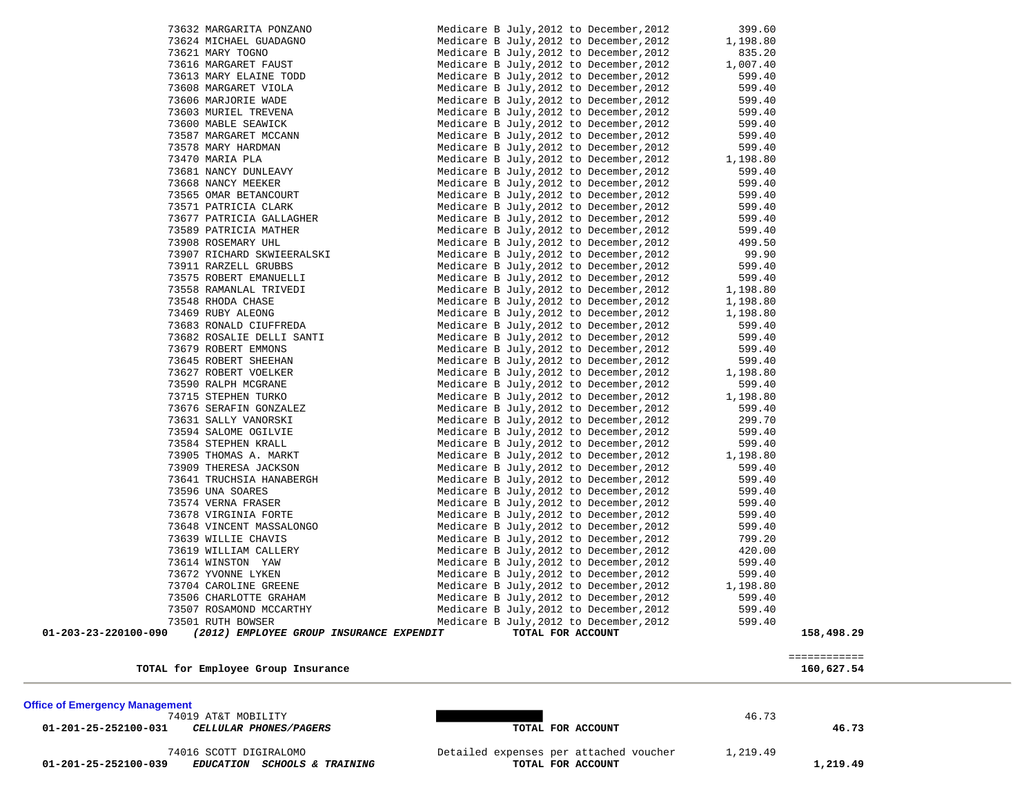**01-201-25-252100-039** *EDUCATION SCHOOLS & TRAINING* **TOTAL FOR ACCOUNT 1,219.49**

74016 SCOTT DIGIRALOMO<br> **EDUCATION SCHOOLS & TRAINING** Detailed expenses per attached voucher 1,219.49

### **Office of Emergency Management**

 **01-201-25-252100-031** *CELLULAR PHONES/PAGERS* **TOTAL FOR ACCOUNT 46.73**

74019 AT&T MOBILITY 46.73

|                                       | _____________<br>_____________ |
|---------------------------------------|--------------------------------|
| for Employee Group Insurance<br>TOTAL | 160,627.54                     |

| 73907 RICHARD SKWIEERALSKI | Medicare B July, 2012 to December, 2012            | 99.90    |
|----------------------------|----------------------------------------------------|----------|
| 73911 RARZELL GRUBBS       | Medicare B July, 2012 to December, 2012            | 599.40   |
| 73575 ROBERT EMANUELLI     | Medicare B July, 2012 to December, 2012            | 599.40   |
| 73558 RAMANLAL TRIVEDI     | Medicare B July, 2012 to December, 2012 1, 198.80  |          |
| 73548 RHODA CHASE          | Medicare B July, 2012 to December, 2012            | 1,198.80 |
| 73469 RUBY ALEONG          | Medicare B July, 2012 to December, 2012            | 1,198.80 |
| 73683 RONALD CIUFFREDA     | Medicare B July, 2012 to December, 2012            | 599.40   |
| 73682 ROSALIE DELLI SANTI  | Medicare B July, 2012 to December, 2012            | 599.40   |
| 73679 ROBERT EMMONS        | Medicare B July, 2012 to December, 2012            | 599.40   |
| 73645 ROBERT SHEEHAN       | Medicare B July, 2012 to December, 2012            | 599.40   |
| 73627 ROBERT VOELKER       | Medicare B July, 2012 to December, 2012 1, 198.80  |          |
| 73590 RALPH MCGRANE        | Medicare B July, 2012 to December, 2012            | 599.40   |
| 73715 STEPHEN TURKO        | Medicare B July, 2012 to December, 2012 1, 198.80  |          |
| 73676 SERAFIN GONZALEZ     | Medicare B July, 2012 to December, 2012            | 599.40   |
| 73631 SALLY VANORSKI       | Medicare B July, 2012 to December, 2012            | 299.70   |
| 73594 SALOME OGILVIE       | Medicare B July, 2012 to December, 2012            | 599.40   |
| 73584 STEPHEN KRALL        | Medicare B July, 2012 to December, 2012            | 599.40   |
| 73905 THOMAS A. MARKT      | Medicare B July, 2012 to December, 2012 $1,198.80$ |          |
| 73909 THERESA JACKSON      | Medicare B July, 2012 to December, 2012            | 599.40   |
| 73641 TRUCHSIA HANABERGH   | Medicare B July, 2012 to December, 2012            | 599.40   |
| 73596 UNA SOARES           | Medicare B July, 2012 to December, 2012            | 599.40   |
| 73574 VERNA FRASER         | Medicare B July, 2012 to December, 2012            | 599.40   |
| 73678 VIRGINIA FORTE       | Medicare B July, 2012 to December, 2012            | 599.40   |
| 73648 VINCENT MASSALONGO   | Medicare B July, 2012 to December, 2012            | 599.40   |
| 73639 WILLIE CHAVIS        | Medicare B July, 2012 to December, 2012            | 799.20   |
| 73619 WILLIAM CALLERY      | Medicare B July, 2012 to December, 2012            | 420.00   |
| 73614 WINSTON YAW          | Medicare B July, 2012 to December, 2012            | 599.40   |
| 73672 YVONNE LYKEN         | Medicare B July, 2012 to December, 2012            | 599.40   |
| 73704 CAROLINE GREENE      | Medicare B July, 2012 to December, 2012 1, 198.80  |          |
| 73506 CHARLOTTE GRAHAM     | Medicare B July, 2012 to December, 2012            | 599.40   |
| 73507 ROSAMOND MCCARTHY    | Medicare B July, 2012 to December, 2012            | 599.40   |
| 73501 RUTH BOWSER          | Medicare B July 2012 to December 2012              | 599.40   |

 **01-203-23-220100-090** *(2012) EMPLOYEE GROUP INSURANCE EXPENDIT* **TOTAL FOR ACCOUNT 158,498.29**

 73632 MARGARITA PONZANO Medicare B July,2012 to December,2012 399.60 73624 MICHAEL GUADAGNO Medicare B July,2012 to December,2012 1,198.80 73621 MARY TOGNO Medicare B July,2012 to December,2012 835.20 73616 MARGARET FAUST Medicare B July,2012 to December,2012 1,007.40 73613 MARY ELAINE TODD Medicare B July,2012 to December,2012 599.40 73608 MARGARET VIOLA Medicare B July,2012 to December,2012 599.40 73606 MARJORIE WADE MARIORIE MADE Medicare B July, 2012 to December, 2012 73603 MURIEL TREVENA Medicare B July,2012 to December,2012 599.40 73600 MABLE SEAWICK Medicare B July,2012 to December,2012 599.40 73587 MARGARET MCCANN Medicare B July,2012 to December,2012 599.40 73578 MARY HARDMAN Medicare B July,2012 to December,2012 599.40 73470 MARIA PLA Medicare B July, 2012 to December, 2012 1, 198.80 73681 NANCY DUNLEAVY Medicare B July,2012 to December,2012 599.40 73668 NANCY MEEKER Medicare B July, 2012 to December, 2012 599.40 73565 OMAR BETANCOURT Medicare B July,2012 to December,2012 599.40 73571 PATRICIA CLARK Medicare B July,2012 to December,2012 599.40 73677 PATRICIA GALLAGHER Medicare B July,2012 to December,2012 599.40 73589 PATRICIA MATHER Medicare B July, 2012 to December, 2012 599.40 73908 ROSEMARY UHL Medicare B July,2012 to December,2012 499.50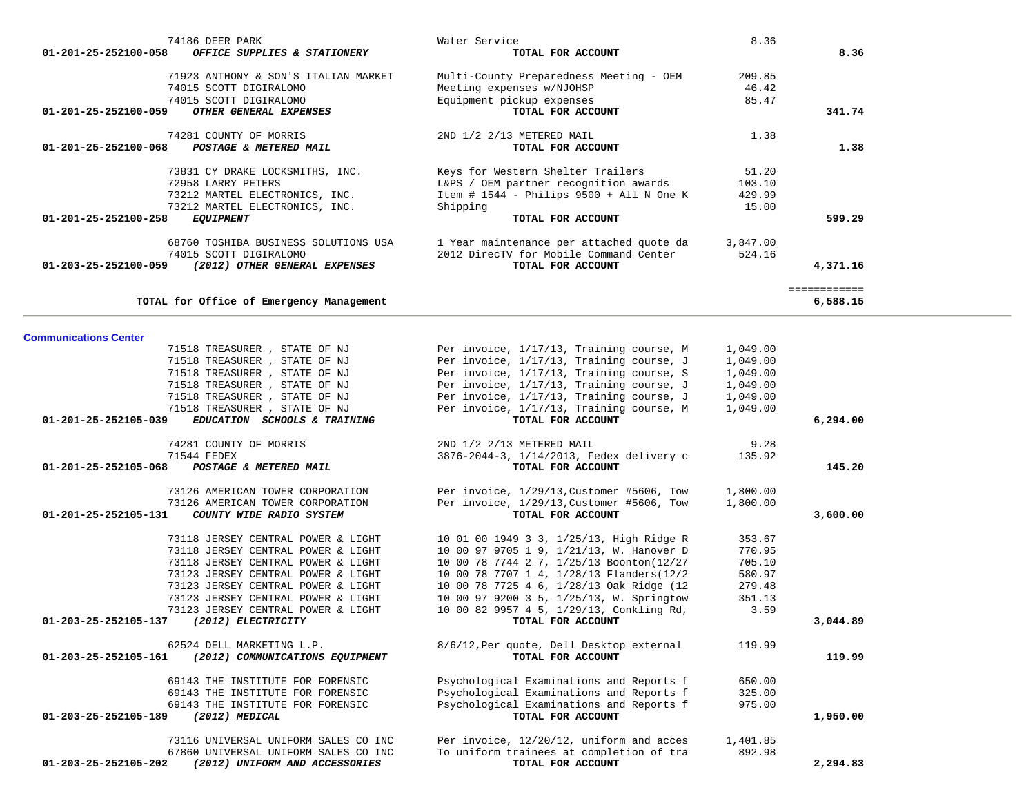| 74281 COUNTY OF MORRIS<br>$01 - 201 - 25 - 252100 - 068$<br>POSTAGE & METERED MAIL                                                                | 2ND 1/2 2/13 METERED MAIL<br>TOTAL FOR ACCOUNT                                                                                                            | 1.38                               | 1.38                     |  |
|---------------------------------------------------------------------------------------------------------------------------------------------------|-----------------------------------------------------------------------------------------------------------------------------------------------------------|------------------------------------|--------------------------|--|
| 73831 CY DRAKE LOCKSMITHS, INC.<br>72958 LARRY PETERS<br>73212 MARTEL ELECTRONICS, INC.<br>73212 MARTEL ELECTRONICS, INC.<br>01-201-25-252100-258 | Keys for Western Shelter Trailers<br>L&PS / OEM partner recognition awards<br>Item # 1544 - Philips $9500 +$ All N One K<br>Shipping<br>TOTAL FOR ACCOUNT | 51.20<br>103.10<br>429.99<br>15.00 | 599.29                   |  |
| <b>EQUIPMENT</b>                                                                                                                                  |                                                                                                                                                           |                                    |                          |  |
| 68760 TOSHIBA BUSINESS SOLUTIONS USA<br>74015 SCOTT DIGIRALOMO<br>(2012) OTHER GENERAL EXPENSES<br>01-203-25-252100-059                           | 1 Year maintenance per attached quote da<br>2012 DirecTV for Mobile Command Center<br>TOTAL FOR ACCOUNT                                                   | 3,847,00<br>524.16                 | 4,371.16                 |  |
| TOTAL for Office of Emergency Management                                                                                                          |                                                                                                                                                           |                                    | ============<br>6,588.15 |  |
| <b>Communications Center</b>                                                                                                                      |                                                                                                                                                           |                                    |                          |  |
| 71518 TREASURER, STATE OF NJ                                                                                                                      | Per invoice, 1/17/13, Training course, M                                                                                                                  | 1,049.00                           |                          |  |
| 71518 TREASURER, STATE OF NJ                                                                                                                      | Per invoice, 1/17/13, Training course, J                                                                                                                  | 1,049.00                           |                          |  |
| 71518 TREASURER, STATE OF NJ                                                                                                                      | Per invoice, 1/17/13, Training course, S                                                                                                                  | 1,049.00                           |                          |  |
| 71518 TREASURER, STATE OF NJ                                                                                                                      | Per invoice, 1/17/13, Training course, J                                                                                                                  | 1,049.00                           |                          |  |
| 71518 TREASURER, STATE OF NJ                                                                                                                      | Per invoice, 1/17/13, Training course, J                                                                                                                  | 1,049.00                           |                          |  |
| 71518 TREASURER, STATE OF NJ                                                                                                                      | Per invoice, 1/17/13, Training course, M                                                                                                                  | 1,049.00                           |                          |  |
| EDUCATION SCHOOLS & TRAINING<br>01-201-25-252105-039                                                                                              | TOTAL FOR ACCOUNT                                                                                                                                         |                                    | 6,294.00                 |  |
| 74281 COUNTY OF MORRIS                                                                                                                            | 2ND 1/2 2/13 METERED MAIL                                                                                                                                 | 9.28                               |                          |  |
| 71544 FEDEX                                                                                                                                       | 3876-2044-3, 1/14/2013, Fedex delivery c                                                                                                                  | 135.92                             |                          |  |
| $01 - 201 - 25 - 252105 - 068$<br>POSTAGE & METERED MAIL                                                                                          | TOTAL FOR ACCOUNT                                                                                                                                         |                                    | 145.20                   |  |
|                                                                                                                                                   |                                                                                                                                                           |                                    |                          |  |
| 73126 AMERICAN TOWER CORPORATION                                                                                                                  | Per invoice, 1/29/13, Customer #5606, Tow                                                                                                                 | 1,800.00                           |                          |  |
| 73126 AMERICAN TOWER CORPORATION                                                                                                                  | Per invoice, 1/29/13, Customer #5606, Tow                                                                                                                 | 1,800.00                           |                          |  |
| COUNTY WIDE RADIO SYSTEM<br>$01 - 201 - 25 - 252105 - 131$                                                                                        | TOTAL FOR ACCOUNT                                                                                                                                         |                                    | 3,600.00                 |  |
|                                                                                                                                                   |                                                                                                                                                           |                                    |                          |  |
| 73118 JERSEY CENTRAL POWER & LIGHT<br>73118 JERSEY CENTRAL POWER & LIGHT                                                                          | 10 01 00 1949 3 3, 1/25/13, High Ridge R<br>10 00 97 9705 1 9, 1/21/13, W. Hanover D                                                                      | 353.67<br>770.95                   |                          |  |
| 73118 JERSEY CENTRAL POWER & LIGHT                                                                                                                | 10 00 78 7744 2 7, 1/25/13 Boonton(12/27                                                                                                                  | 705.10                             |                          |  |
| 73123 JERSEY CENTRAL POWER & LIGHT                                                                                                                | 10 00 78 7707 1 4, 1/28/13 Flanders(12/2                                                                                                                  | 580.97                             |                          |  |
| 73123 JERSEY CENTRAL POWER & LIGHT                                                                                                                | 10 00 78 7725 4 6, 1/28/13 Oak Ridge (12                                                                                                                  | 279.48                             |                          |  |
| 73123 JERSEY CENTRAL POWER & LIGHT                                                                                                                | 10 00 97 9200 3 5, 1/25/13, W. Springtow                                                                                                                  | 351.13                             |                          |  |
| 73123 JERSEY CENTRAL POWER & LIGHT                                                                                                                | 10 00 82 9957 4 5, 1/29/13, Conkling Rd,                                                                                                                  | 3.59                               |                          |  |
| 01-203-25-252105-137<br>(2012) ELECTRICITY                                                                                                        | TOTAL FOR ACCOUNT                                                                                                                                         |                                    | 3,044.89                 |  |
|                                                                                                                                                   |                                                                                                                                                           |                                    |                          |  |
| 62524 DELL MARKETING L.P.                                                                                                                         | 8/6/12, Per quote, Dell Desktop external                                                                                                                  | 119.99                             |                          |  |
| 01-203-25-252105-161<br>(2012) COMMUNICATIONS EQUIPMENT                                                                                           | TOTAL FOR ACCOUNT                                                                                                                                         |                                    | 119.99                   |  |
| 69143 THE INSTITUTE FOR FORENSIC                                                                                                                  | Psychological Examinations and Reports f                                                                                                                  | 650.00                             |                          |  |
| 69143 THE INSTITUTE FOR FORENSIC                                                                                                                  | Psychological Examinations and Reports f                                                                                                                  | 325.00                             |                          |  |
| 69143 THE INSTITUTE FOR FORENSIC                                                                                                                  | Psychological Examinations and Reports f                                                                                                                  | 975.00                             |                          |  |
| 01-203-25-252105-189<br>(2012) MEDICAL                                                                                                            | TOTAL FOR ACCOUNT                                                                                                                                         |                                    | 1,950.00                 |  |
|                                                                                                                                                   |                                                                                                                                                           |                                    |                          |  |
| 73116 UNIVERSAL UNIFORM SALES CO INC                                                                                                              | Per invoice, 12/20/12, uniform and acces                                                                                                                  | 1,401.85                           |                          |  |
| 67860 UNIVERSAL UNIFORM SALES CO INC                                                                                                              | To uniform trainees at completion of tra                                                                                                                  | 892.98                             |                          |  |
| 01-203-25-252105-202<br>(2012) UNIFORM AND ACCESSORIES                                                                                            | TOTAL FOR ACCOUNT                                                                                                                                         |                                    | 2,294.83                 |  |
|                                                                                                                                                   |                                                                                                                                                           |                                    |                          |  |

74186 DEER PARK Water Service 8.36

 71923 ANTHONY & SON'S ITALIAN MARKET Multi-County Preparedness Meeting - OEM 209.85 74015 SCOTT DIGIRALOMO Meeting expenses w/NJOHSP 46.42<br>74015 SCOTT DIGIRALOMO Equipment pickup expenses 85.47

 **01-201-25-252100-059** *OTHER GENERAL EXPENSES* **TOTAL FOR ACCOUNT 341.74**

Equipment pickup expenses<br>TOTAL FOR ACCOUNT

8.36

 **01-201-25-252100-058** *OFFICE SUPPLIES & STATIONERY* **TOTAL FOR ACCOUNT 8.36**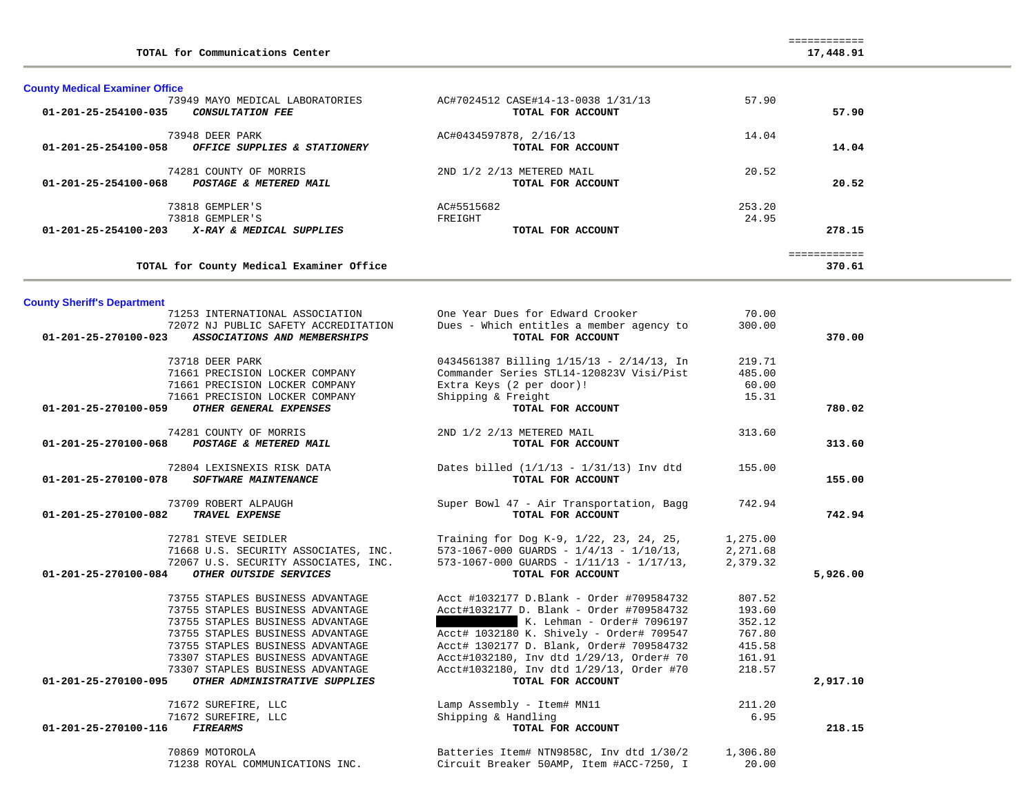| TOTAL for Communications Center                                                                                                                                                     |                                                                                                                                                                                                                                                                                                    |                                                                   | 17,448.91    |  |
|-------------------------------------------------------------------------------------------------------------------------------------------------------------------------------------|----------------------------------------------------------------------------------------------------------------------------------------------------------------------------------------------------------------------------------------------------------------------------------------------------|-------------------------------------------------------------------|--------------|--|
| <b>County Medical Examiner Office</b>                                                                                                                                               |                                                                                                                                                                                                                                                                                                    |                                                                   |              |  |
| 73949 MAYO MEDICAL LABORATORIES                                                                                                                                                     | AC#7024512 CASE#14-13-0038 1/31/13                                                                                                                                                                                                                                                                 | 57.90                                                             |              |  |
| 01-201-25-254100-035<br><b>CONSULTATION FEE</b>                                                                                                                                     | TOTAL FOR ACCOUNT                                                                                                                                                                                                                                                                                  |                                                                   | 57.90        |  |
| 73948 DEER PARK                                                                                                                                                                     | AC#0434597878, 2/16/13                                                                                                                                                                                                                                                                             | 14.04                                                             |              |  |
| OFFICE SUPPLIES & STATIONERY<br>01-201-25-254100-058                                                                                                                                | TOTAL FOR ACCOUNT                                                                                                                                                                                                                                                                                  |                                                                   | 14.04        |  |
| 74281 COUNTY OF MORRIS                                                                                                                                                              | 2ND 1/2 2/13 METERED MAIL                                                                                                                                                                                                                                                                          | 20.52                                                             |              |  |
| POSTAGE & METERED MAIL<br>01-201-25-254100-068                                                                                                                                      | TOTAL FOR ACCOUNT                                                                                                                                                                                                                                                                                  |                                                                   | 20.52        |  |
| 73818 GEMPLER'S                                                                                                                                                                     | AC#5515682                                                                                                                                                                                                                                                                                         | 253.20                                                            |              |  |
| 73818 GEMPLER'S                                                                                                                                                                     | FREIGHT                                                                                                                                                                                                                                                                                            | 24.95                                                             |              |  |
| 01-201-25-254100-203 X-RAY & MEDICAL SUPPLIES                                                                                                                                       | TOTAL FOR ACCOUNT                                                                                                                                                                                                                                                                                  |                                                                   | 278.15       |  |
|                                                                                                                                                                                     |                                                                                                                                                                                                                                                                                                    |                                                                   | ============ |  |
| TOTAL for County Medical Examiner Office                                                                                                                                            |                                                                                                                                                                                                                                                                                                    |                                                                   | 370.61       |  |
|                                                                                                                                                                                     |                                                                                                                                                                                                                                                                                                    |                                                                   |              |  |
| <b>County Sheriff's Department</b><br>71253 INTERNATIONAL ASSOCIATION                                                                                                               | One Year Dues for Edward Crooker                                                                                                                                                                                                                                                                   | 70.00                                                             |              |  |
| 72072 NJ PUBLIC SAFETY ACCREDITATION                                                                                                                                                | Dues - Which entitles a member agency to                                                                                                                                                                                                                                                           | 300.00                                                            |              |  |
| 01-201-25-270100-023 ASSOCIATIONS AND MEMBERSHIPS                                                                                                                                   | TOTAL FOR ACCOUNT                                                                                                                                                                                                                                                                                  |                                                                   | 370.00       |  |
| 73718 DEER PARK                                                                                                                                                                     | 0434561387 Billing 1/15/13 - 2/14/13, In                                                                                                                                                                                                                                                           | 219.71                                                            |              |  |
| 71661 PRECISION LOCKER COMPANY                                                                                                                                                      | Commander Series STL14-120823V Visi/Pist                                                                                                                                                                                                                                                           | 485.00                                                            |              |  |
| 71661 PRECISION LOCKER COMPANY                                                                                                                                                      | Extra Keys (2 per door)!                                                                                                                                                                                                                                                                           | 60.00                                                             |              |  |
| 71661 PRECISION LOCKER COMPANY                                                                                                                                                      | Shipping & Freight                                                                                                                                                                                                                                                                                 | 15.31                                                             |              |  |
| OTHER GENERAL EXPENSES<br>01-201-25-270100-059                                                                                                                                      | TOTAL FOR ACCOUNT                                                                                                                                                                                                                                                                                  |                                                                   | 780.02       |  |
| 74281 COUNTY OF MORRIS                                                                                                                                                              | 2ND 1/2 2/13 METERED MAIL                                                                                                                                                                                                                                                                          | 313.60                                                            |              |  |
| POSTAGE & METERED MAIL<br>01-201-25-270100-068                                                                                                                                      | TOTAL FOR ACCOUNT                                                                                                                                                                                                                                                                                  |                                                                   | 313.60       |  |
| 72804 LEXISNEXIS RISK DATA                                                                                                                                                          | Dates billed $(1/1/13 - 1/31/13)$ Inv dtd                                                                                                                                                                                                                                                          | 155.00                                                            |              |  |
| 01-201-25-270100-078<br><b>SOFTWARE MAINTENANCE</b>                                                                                                                                 | TOTAL FOR ACCOUNT                                                                                                                                                                                                                                                                                  |                                                                   | 155.00       |  |
| 73709 ROBERT ALPAUGH                                                                                                                                                                | Super Bowl 47 - Air Transportation, Bagg                                                                                                                                                                                                                                                           | 742.94                                                            |              |  |
| 01-201-25-270100-082<br><b>TRAVEL EXPENSE</b>                                                                                                                                       | TOTAL FOR ACCOUNT                                                                                                                                                                                                                                                                                  |                                                                   | 742.94       |  |
| 72781 STEVE SEIDLER                                                                                                                                                                 | Training for Dog K-9, 1/22, 23, 24, 25,                                                                                                                                                                                                                                                            | 1,275.00                                                          |              |  |
| 71668 U.S. SECURITY ASSOCIATES, INC.                                                                                                                                                | $573-1067-000$ GUARDS - $1/4/13$ - $1/10/13$ ,                                                                                                                                                                                                                                                     | 2,271.68                                                          |              |  |
| 72067 U.S. SECURITY ASSOCIATES, INC.                                                                                                                                                | 573-1067-000 GUARDS - $1/11/13$ - $1/17/13$ ,                                                                                                                                                                                                                                                      | 2,379.32                                                          |              |  |
|                                                                                                                                                                                     |                                                                                                                                                                                                                                                                                                    |                                                                   |              |  |
| 73755 STAPLES BUSINESS ADVANTAGE                                                                                                                                                    | Acct #1032177 D.Blank - Order #709584732                                                                                                                                                                                                                                                           | 807.52                                                            |              |  |
| 73755 STAPLES BUSINESS ADVANTAGE                                                                                                                                                    | Acct#1032177 D. Blank - Order #709584732                                                                                                                                                                                                                                                           | 193.60                                                            |              |  |
| 73755 STAPLES BUSINESS ADVANTAGE                                                                                                                                                    | K. Lehman - Order# 7096197                                                                                                                                                                                                                                                                         | 352.12                                                            |              |  |
| 73755 STAPLES BUSINESS ADVANTAGE                                                                                                                                                    |                                                                                                                                                                                                                                                                                                    |                                                                   |              |  |
| 73755 STAPLES BUSINESS ADVANTAGE                                                                                                                                                    | Acct# 1302177 D. Blank, Order# 709584732                                                                                                                                                                                                                                                           | 415.58                                                            |              |  |
|                                                                                                                                                                                     |                                                                                                                                                                                                                                                                                                    |                                                                   |              |  |
| OTHER ADMINISTRATIVE SUPPLIES<br>01-201-25-270100-095                                                                                                                               | TOTAL FOR ACCOUNT                                                                                                                                                                                                                                                                                  |                                                                   | 2,917.10     |  |
|                                                                                                                                                                                     |                                                                                                                                                                                                                                                                                                    |                                                                   |              |  |
|                                                                                                                                                                                     |                                                                                                                                                                                                                                                                                                    |                                                                   |              |  |
| FIREARMS<br>01-201-25-270100-116                                                                                                                                                    | TOTAL FOR ACCOUNT                                                                                                                                                                                                                                                                                  |                                                                   | 218.15       |  |
|                                                                                                                                                                                     |                                                                                                                                                                                                                                                                                                    |                                                                   |              |  |
| 71238 ROYAL COMMUNICATIONS INC.                                                                                                                                                     |                                                                                                                                                                                                                                                                                                    |                                                                   |              |  |
| 01-201-25-270100-084 OTHER OUTSIDE SERVICES<br>73307 STAPLES BUSINESS ADVANTAGE<br>73307 STAPLES BUSINESS ADVANTAGE<br>71672 SUREFIRE, LLC<br>71672 SUREFIRE, LLC<br>70869 MOTOROLA | TOTAL FOR ACCOUNT<br>Acct# 1032180 K. Shively - Order# 709547<br>Acct#1032180, Inv dtd 1/29/13, Order# 70<br>Acct#1032180, Inv dtd 1/29/13, Order #70<br>Lamp Assembly - Item# MN11<br>Shipping & Handling<br>Batteries Item# NTN9858C, Inv dtd 1/30/2<br>Circuit Breaker 50AMP, Item #ACC-7250, I | 767.80<br>161.91<br>218.57<br>211.20<br>6.95<br>1,306.80<br>20.00 | 5,926.00     |  |

============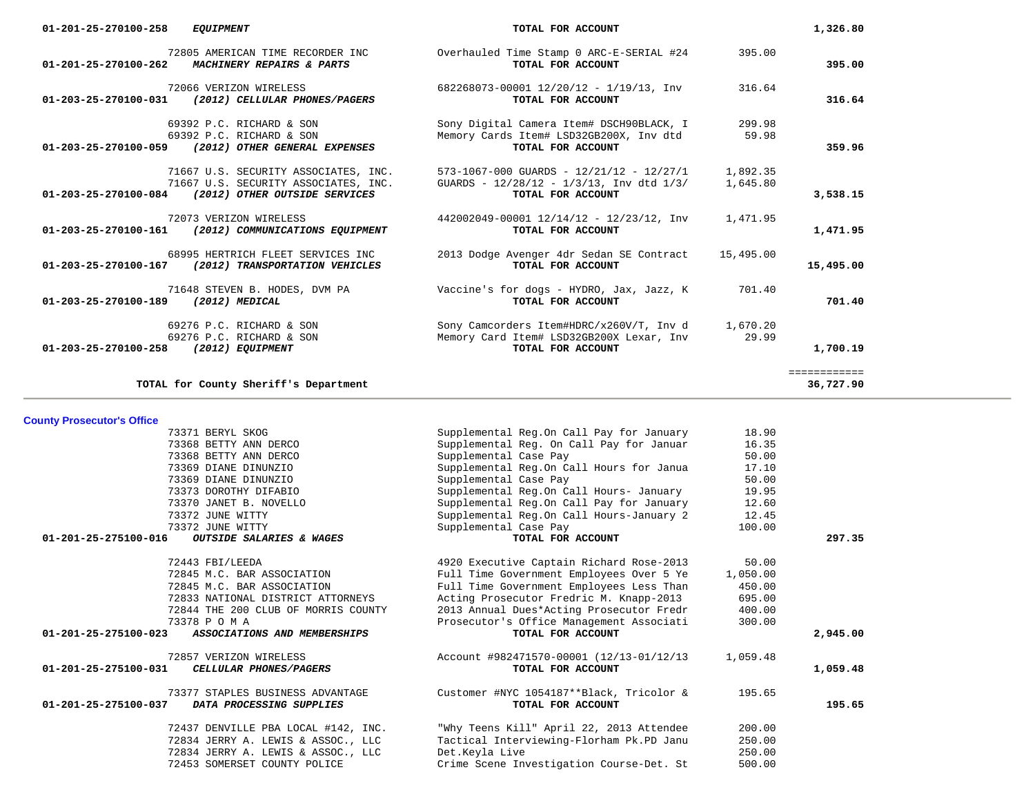| 01-201-25-270100-258                  | <b>EQUIPMENT</b>                                                                                              | TOTAL FOR ACCOUNT                                                                                                      |                      | 1,326.80                  |
|---------------------------------------|---------------------------------------------------------------------------------------------------------------|------------------------------------------------------------------------------------------------------------------------|----------------------|---------------------------|
| 01-201-25-270100-262                  | 72805 AMERICAN TIME RECORDER INC<br>MACHINERY REPAIRS & PARTS                                                 | Overhauled Time Stamp 0 ARC-E-SERIAL #24<br>TOTAL FOR ACCOUNT                                                          | 395.00               | 395.00                    |
| 01-203-25-270100-031                  | 72066 VERIZON WIRELESS<br>(2012) CELLULAR PHONES/PAGERS                                                       | 682268073-00001 12/20/12 - 1/19/13, Inv<br>TOTAL FOR ACCOUNT                                                           | 316.64               | 316.64                    |
|                                       | 69392 P.C. RICHARD & SON<br>69392 P.C. RICHARD & SON<br>01-203-25-270100-059 (2012) OTHER GENERAL EXPENSES    | Sony Digital Camera Item# DSCH90BLACK, I<br>Memory Cards Item# LSD32GB200X, Inv dtd<br>TOTAL FOR ACCOUNT               | 299.98<br>59.98      | 359.96                    |
| 01-203-25-270100-084                  | 71667 U.S. SECURITY ASSOCIATES, INC.<br>71667 U.S. SECURITY ASSOCIATES, INC.<br>(2012) OTHER OUTSIDE SERVICES | $573-1067-000$ GUARDS - $12/21/12$ - $12/27/1$<br>GUARDS - $12/28/12$ - $1/3/13$ , Inv dtd $1/3/$<br>TOTAL FOR ACCOUNT | 1,892.35<br>1,645.80 | 3,538.15                  |
| 01-203-25-270100-161                  | 72073 VERIZON WIRELESS<br>(2012) COMMUNICATIONS EQUIPMENT                                                     | 442002049-00001 12/14/12 - 12/23/12, Inv<br>TOTAL FOR ACCOUNT                                                          | 1,471.95             | 1,471.95                  |
| 01-203-25-270100-167                  | 68995 HERTRICH FLEET SERVICES INC<br>(2012) TRANSPORTATION VEHICLES                                           | 2013 Dodge Avenger 4dr Sedan SE Contract<br>TOTAL FOR ACCOUNT                                                          | 15,495.00            | 15,495.00                 |
| 01-203-25-270100-189                  | 71648 STEVEN B. HODES, DVM PA<br>(2012) MEDICAL                                                               | Vaccine's for dogs - HYDRO, Jax, Jazz, K<br>TOTAL FOR ACCOUNT                                                          | 701.40               | 701.40                    |
| 01-203-25-270100-258 (2012) EQUIPMENT | 69276 P.C. RICHARD & SON<br>69276 P.C. RICHARD & SON                                                          | Sony Camcorders Item#HDRC/x260V/T, Inv d<br>Memory Card Item# LSD32GB200X Lexar, Inv<br>TOTAL FOR ACCOUNT              | 1,670.20<br>29.99    | 1,700.19                  |
|                                       | TOTAL for County Sheriff's Department                                                                         |                                                                                                                        |                      | ============<br>36,727.90 |

**County Prosecutor's Office**

|                                | 73371 BERYL SKOG                    | Supplemental Reg.On Call Pay for January | 18.90    |          |
|--------------------------------|-------------------------------------|------------------------------------------|----------|----------|
|                                | 73368 BETTY ANN DERCO               | Supplemental Req. On Call Pay for Januar | 16.35    |          |
|                                | 73368 BETTY ANN DERCO               | Supplemental Case Pay                    | 50.00    |          |
|                                | 73369 DIANE DINUNZIO                | Supplemental Reg.On Call Hours for Janua | 17.10    |          |
|                                | 73369 DIANE DINUNZIO                | Supplemental Case Pay                    | 50.00    |          |
|                                | 73373 DOROTHY DIFABIO               | Supplemental Reg.On Call Hours- January  | 19.95    |          |
|                                | 73370 JANET B. NOVELLO              | Supplemental Req.On Call Pay for January | 12.60    |          |
|                                | 73372 JUNE WITTY                    | Supplemental Reg.On Call Hours-January 2 | 12.45    |          |
|                                | 73372 JUNE WITTY                    | Supplemental Case Pay                    | 100.00   |          |
| $01 - 201 - 25 - 275100 - 016$ | OUTSIDE SALARIES & WAGES            | TOTAL FOR ACCOUNT                        |          | 297.35   |
|                                | 72443 FBI/LEEDA                     | 4920 Executive Captain Richard Rose-2013 | 50.00    |          |
|                                | 72845 M.C. BAR ASSOCIATION          | Full Time Government Employees Over 5 Ye | 1,050.00 |          |
|                                | 72845 M.C. BAR ASSOCIATION          | Full Time Government Employees Less Than | 450.00   |          |
|                                | 72833 NATIONAL DISTRICT ATTORNEYS   | Acting Prosecutor Fredric M. Knapp-2013  | 695.00   |          |
|                                | 72844 THE 200 CLUB OF MORRIS COUNTY | 2013 Annual Dues*Acting Prosecutor Fredr | 400.00   |          |
|                                | 73378 P O M A                       | Prosecutor's Office Management Associati | 300.00   |          |
| 01-201-25-275100-023           | ASSOCIATIONS AND MEMBERSHIPS        | TOTAL FOR ACCOUNT                        |          | 2,945,00 |
|                                | 72857 VERIZON WIRELESS              | Account #982471570-00001 (12/13-01/12/13 | 1,059.48 |          |
| 01-201-25-275100-031           | CELLULAR PHONES/PAGERS              | TOTAL FOR ACCOUNT                        |          | 1,059.48 |
|                                | 73377 STAPLES BUSINESS ADVANTAGE    | Customer #NYC 1054187**Black, Tricolor & | 195.65   |          |
| $01 - 201 - 25 - 275100 - 037$ | DATA PROCESSING SUPPLIES            | TOTAL FOR ACCOUNT                        |          | 195.65   |
|                                | 72437 DENVILLE PBA LOCAL #142, INC. | "Why Teens Kill" April 22, 2013 Attendee | 200.00   |          |
|                                | 72834 JERRY A. LEWIS & ASSOC., LLC  | Tactical Interviewing-Florham Pk.PD Janu | 250.00   |          |
|                                | 72834 JERRY A. LEWIS & ASSOC., LLC  | Det.Keyla Live                           | 250.00   |          |
|                                | 72453 SOMERSET COUNTY POLICE        | Crime Scene Investigation Course-Det. St | 500.00   |          |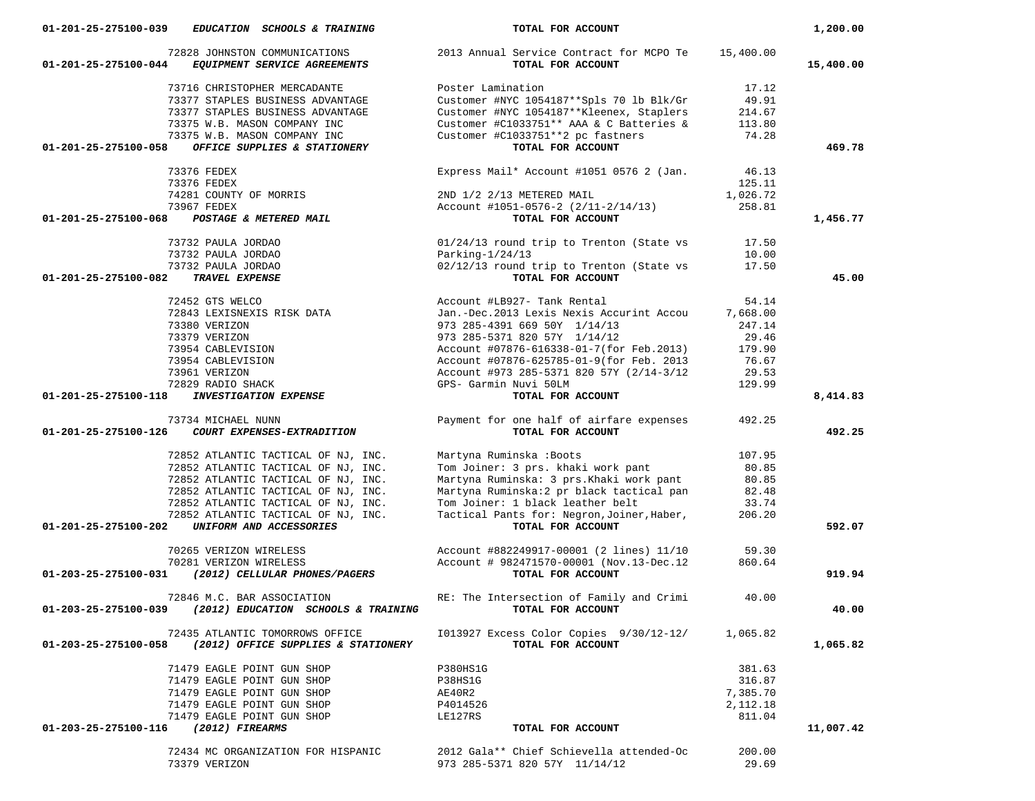| 01-201-25-275100-039<br>EDUCATION SCHOOLS & TRAINING                                   | TOTAL FOR ACCOUNT                                                       |          | 1,200.00  |
|----------------------------------------------------------------------------------------|-------------------------------------------------------------------------|----------|-----------|
| 72828 JOHNSTON COMMUNICATIONS<br>01-201-25-275100-044<br>EQUIPMENT SERVICE AGREEMENTS  | 2013 Annual Service Contract for MCPO Te 15,400.00<br>TOTAL FOR ACCOUNT |          | 15,400.00 |
| 73716 CHRISTOPHER MERCADANTE                                                           | Poster Lamination                                                       | 17.12    |           |
| 73377 STAPLES BUSINESS ADVANTAGE                                                       | Customer #NYC 1054187 ** Spls 70 lb Blk/Gr                              | 49.91    |           |
| 73377 STAPLES BUSINESS ADVANTAGE                                                       | Customer #NYC 1054187 ** Kleenex, Staplers                              | 214.67   |           |
| 73375 W.B. MASON COMPANY INC                                                           | Customer #C1033751** AAA & C Batteries &                                | 113.80   |           |
| 73375 W.B. MASON COMPANY INC                                                           | Customer #C1033751**2 pc fastners                                       | 74.28    |           |
| 01-201-25-275100-058<br>OFFICE SUPPLIES & STATIONERY                                   | TOTAL FOR ACCOUNT                                                       |          | 469.78    |
|                                                                                        |                                                                         |          |           |
| 73376 FEDEX                                                                            | Express Mail* Account #1051 0576 2 (Jan.                                | 46.13    |           |
| 73376 FEDEX                                                                            |                                                                         | 125.11   |           |
| 74281 COUNTY OF MORRIS                                                                 | 2ND 1/2 2/13 METERED MAIL                                               | 1,026.72 |           |
| 73967 FEDEX                                                                            | Account #1051-0576-2 (2/11-2/14/13)                                     | 258.81   |           |
| 01-201-25-275100-068<br>POSTAGE & METERED MAIL                                         | TOTAL FOR ACCOUNT                                                       |          | 1,456.77  |
| 73732 PAULA JORDAO                                                                     | 01/24/13 round trip to Trenton (State vs                                | 17.50    |           |
| 73732 PAULA JORDAO                                                                     | Parking- $1/24/13$                                                      | 10.00    |           |
| 73732 PAULA JORDAO                                                                     | 02/12/13 round trip to Trenton (State vs                                | 17.50    |           |
| TRAVEL EXPENSE<br>01-201-25-275100-082                                                 | TOTAL FOR ACCOUNT                                                       |          | 45.00     |
| 72452 GTS WELCO                                                                        | Account #LB927- Tank Rental                                             | 54.14    |           |
| 72843 LEXISNEXIS RISK DATA                                                             | Jan.-Dec.2013 Lexis Nexis Accurint Accou 7,668.00                       |          |           |
| 73380 VERIZON                                                                          | 973 285-4391 669 50Y 1/14/13                                            | 247.14   |           |
| 73379 VERIZON                                                                          | 973 285-5371 820 57Y 1/14/12                                            | 29.46    |           |
| 73954 CABLEVISION                                                                      |                                                                         | 179.90   |           |
|                                                                                        | Account #07876-616338-01-7(for Feb.2013)                                |          |           |
| 73954 CABLEVISION                                                                      | Account #07876-625785-01-9(for Feb. 2013                                | 76.67    |           |
| 73961 VERIZON                                                                          | Account #973 285-5371 820 57Y (2/14-3/12                                | 29.53    |           |
| 72829 RADIO SHACK                                                                      | GPS- Garmin Nuvi 50LM                                                   | 129.99   |           |
| 01-201-25-275100-118<br><b>INVESTIGATION EXPENSE</b>                                   | TOTAL FOR ACCOUNT                                                       |          | 8,414.83  |
| 73734 MICHAEL NUNN<br>01-201-25-275100-126<br>COURT EXPENSES-EXTRADITION               | Payment for one half of airfare expenses<br>TOTAL FOR ACCOUNT           | 492.25   | 492.25    |
|                                                                                        |                                                                         | 107.95   |           |
| 72852 ATLANTIC TACTICAL OF NJ, INC.                                                    |                                                                         |          |           |
| 72852 ATLANTIC TACTICAL OF NJ, INC.                                                    | Tom Joiner: 3 prs. khaki work pant<br>Martyna Ruminske: 2               | 80.85    |           |
| 72852 ATLANTIC TACTICAL OF NJ, INC.                                                    | Martyna Ruminska: 3 prs.Khaki work pant                                 | 80.85    |           |
| 72852 ATLANTIC TACTICAL OF NJ, INC.                                                    | Martyna Ruminska:2 pr black tactical pan                                | 82.48    |           |
| 72852 ATLANTIC TACTICAL OF NJ, INC.                                                    | Tom Joiner: 1 black leather belt                                        | 33.74    |           |
| 72852 ATLANTIC TACTICAL OF NJ, INC.<br>UNIFORM AND ACCESSORIES<br>01-201-25-275100-202 | Tactical Pants for: Negron, Joiner, Haber,<br>TOTAL FOR ACCOUNT         | 206.20   | 592.07    |
|                                                                                        |                                                                         |          |           |
| 70265 VERIZON WIRELESS                                                                 | Account #882249917-00001 (2 lines) 11/10                                | 59.30    |           |
| 70281 VERIZON WIRELESS                                                                 | Account # 982471570-00001 (Nov.13-Dec.12                                | 860.64   |           |
| 01-203-25-275100-031 (2012) CELLULAR PHONES/PAGERS                                     | TOTAL FOR ACCOUNT                                                       |          | 919.94    |
| 72846 M.C. BAR ASSOCIATION                                                             | RE: The Intersection of Family and Crimi                                | 40.00    |           |
| 01-203-25-275100-039 (2012) EDUCATION SCHOOLS & TRAINING TOTAL FOR ACCOUNT             |                                                                         |          | 40.00     |
| 72435 ATLANTIC TOMORROWS OFFICE                                                        | I013927 Excess Color Copies 9/30/12-12/                                 | 1,065.82 |           |
| 01-203-25-275100-058<br>(2012) OFFICE SUPPLIES & STATIONERY                            | TOTAL FOR ACCOUNT                                                       |          | 1,065.82  |
| 71479 EAGLE POINT GUN SHOP                                                             | P380HS1G                                                                | 381.63   |           |
| 71479 EAGLE POINT GUN SHOP                                                             | P38HS1G                                                                 | 316.87   |           |
| 71479 EAGLE POINT GUN SHOP                                                             | AE40R2                                                                  | 7,385.70 |           |
| 71479 EAGLE POINT GUN SHOP                                                             | P4014526                                                                | 2,112.18 |           |
| 71479 EAGLE POINT GUN SHOP                                                             | LE127RS                                                                 | 811.04   |           |
| 01-203-25-275100-116 (2012) FIREARMS                                                   | TOTAL FOR ACCOUNT                                                       |          | 11,007.42 |
|                                                                                        |                                                                         |          |           |
| 72434 MC ORGANIZATION FOR HISPANIC                                                     | 2012 Gala** Chief Schievella attended-Oc                                | 200.00   |           |
| 73379 VERIZON                                                                          | 973 285-5371 820 57Y 11/14/12                                           | 29.69    |           |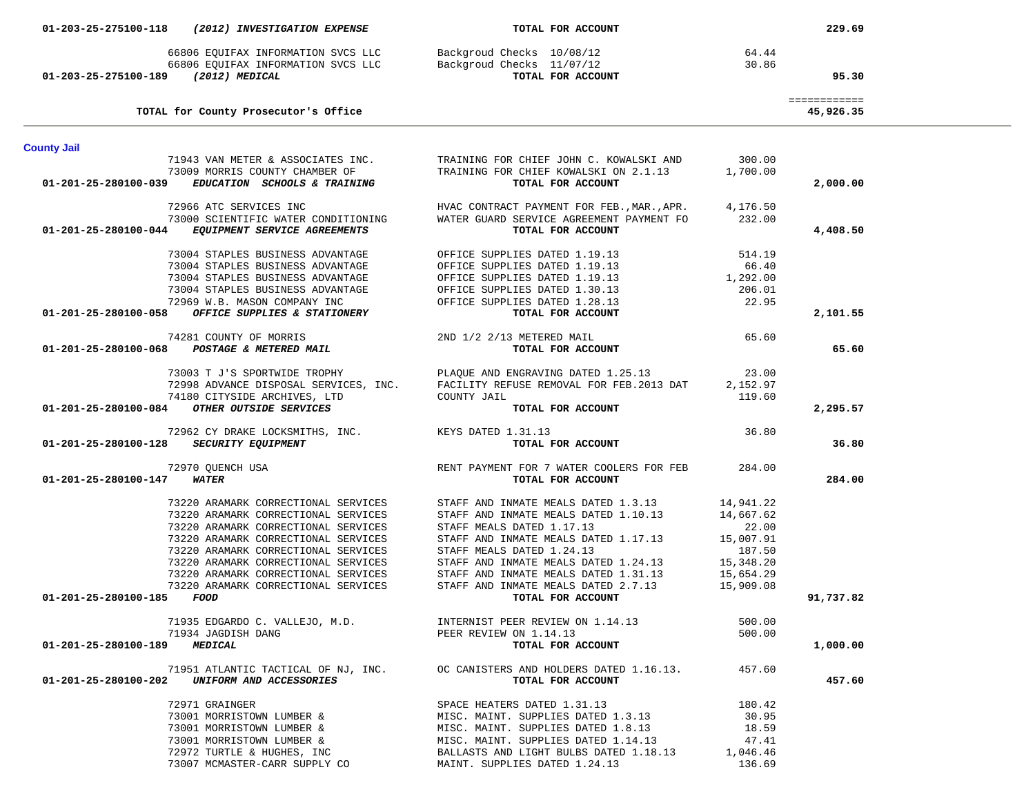|                                     | 01-203-25-275100-118 (2012) INVESTIGATION EXPENSE  | TOTAL FOR ACCOUNT                                                                                                                   |           | 229.69                    |
|-------------------------------------|----------------------------------------------------|-------------------------------------------------------------------------------------------------------------------------------------|-----------|---------------------------|
|                                     |                                                    |                                                                                                                                     |           |                           |
|                                     |                                                    |                                                                                                                                     |           |                           |
| 01-203-25-275100-189 (2012) MEDICAL |                                                    | 64.44 EQUIFAX INFORMATION SVCS LLC<br>8 (2012) MEDICAL SUCREAN SUCS LLC<br>9 (2012) MEDICAL SUCREAN SUCS LLC<br>8 (2012) MEDICAL    |           | 95.30                     |
|                                     |                                                    |                                                                                                                                     |           |                           |
|                                     | TOTAL for County Prosecutor's Office               |                                                                                                                                     |           | ============<br>45,926.35 |
|                                     |                                                    |                                                                                                                                     |           |                           |
| <b>County Jail</b>                  |                                                    |                                                                                                                                     |           |                           |
|                                     |                                                    | 71943 VAN METER & ASSOCIATES INC. TRAINING FOR CHIEF JOHN C. KOWALSKI AND 300.00                                                    |           |                           |
|                                     | 73009 MORRIS COUNTY CHAMBER OF                     | TRAINING FOR CHIEF KOWALSKI ON 2.1.13                                                                                               | 1,700.00  |                           |
| 01-201-25-280100-039                | EDUCATION SCHOOLS & TRAINING                       | TOTAL FOR ACCOUNT                                                                                                                   |           | 2,000.00                  |
|                                     | 72966 ATC SERVICES INC                             | HVAC CONTRACT PAYMENT FOR FEB., MAR., APR. 4, 176.50                                                                                |           |                           |
|                                     | 73000 SCIENTIFIC WATER CONDITIONING                | WATER GUARD SERVICE AGREEMENT PAYMENT FO 232.00                                                                                     |           |                           |
| 01-201-25-280100-044                | <i>EQUIPMENT SERVICE AGREEMENTS</i>                | TOTAL FOR ACCOUNT                                                                                                                   |           | 4,408.50                  |
|                                     | 73004 STAPLES BUSINESS ADVANTAGE                   | OFFICE SUPPLIES DATED 1.19.13                                                                                                       | 514.19    |                           |
|                                     | 73004 STAPLES BUSINESS ADVANTAGE                   | OFFICE SUPPLIES DATED 1.19.13<br>OFFICE SUPPLIES DATED 1.19.13                                                                      | 66.40     |                           |
|                                     | 73004 STAPLES BUSINESS ADVANTAGE                   |                                                                                                                                     | 1,292.00  |                           |
|                                     | 73004 STAPLES BUSINESS ADVANTAGE                   | OFFICE SUPPLIES DATED 1.30.13<br>OFFICE SUPPLIES DATED 1.28.13                                                                      | 206.01    |                           |
|                                     | 72969 W.B. MASON COMPANY INC                       |                                                                                                                                     | 22.95     |                           |
| 01-201-25-280100-058                | OFFICE SUPPLIES & STATIONERY                       | TOTAL FOR ACCOUNT                                                                                                                   |           | 2,101.55                  |
|                                     | 74281 COUNTY OF MORRIS                             | 2ND 1/2 2/13 METERED MAIL                                                                                                           | 65.60     |                           |
|                                     | 01-201-25-280100-068 POSTAGE & METERED MAIL        | TOTAL FOR ACCOUNT                                                                                                                   |           | 65.60                     |
|                                     |                                                    | 73003 T J'S SPORTWIDE TROPHY <b>DEALLY</b> PLAQUE AND ENGRAVING DATED 1.25.13 23.00                                                 |           |                           |
|                                     |                                                    |                                                                                                                                     |           |                           |
|                                     |                                                    | 72998 ADVANCE DISPOSAL SERVICES, INC. FACILITY REFUSE REMOVAL FOR FEB.2013 DAT 2,152.97<br>74180 CITYSIDE ARCHIVES, LTD COUNTY JAIL |           |                           |
|                                     | 01-201-25-280100-084 OTHER OUTSIDE SERVICES        | TOTAL FOR ACCOUNT                                                                                                                   |           | 2,295.57                  |
|                                     | 72962 CY DRAKE LOCKSMITHS, INC. KEYS DATED 1.31.13 |                                                                                                                                     | 36.80     |                           |
|                                     | 01-201-25-280100-128 SECURITY EQUIPMENT            | TOTAL FOR ACCOUNT                                                                                                                   |           | 36.80                     |
|                                     | 72970 QUENCH USA                                   | RENT PAYMENT FOR 7 WATER COOLERS FOR FEB 284.00                                                                                     |           |                           |
| 01-201-25-280100-147                | <i><b>WATER</b></i>                                | TOTAL FOR ACCOUNT                                                                                                                   |           | 284.00                    |
|                                     | 73220 ARAMARK CORRECTIONAL SERVICES                | STAFF AND INMATE MEALS DATED $1.3.13$ $14,941.22$                                                                                   |           |                           |
|                                     | 73220 ARAMARK CORRECTIONAL SERVICES                | STAFF AND INMATE MEALS DATED 1.10.13                                                                                                | 14,667.62 |                           |
|                                     | 73220 ARAMARK CORRECTIONAL SERVICES                | STAFF MEALS DATED 1.17.13                                                                                                           | 22.00     |                           |
|                                     | 73220 ARAMARK CORRECTIONAL SERVICES                | STAFF AND INMATE MEALS DATED 1.17.13 15,007.91                                                                                      |           |                           |
|                                     | 73220 ARAMARK CORRECTIONAL SERVICES                | STAFF MEALS DATED 1.24.13                                                                                                           | 187.50    |                           |
|                                     | 73220 ARAMARK CORRECTIONAL SERVICES                | STAFF AND INMATE MEALS DATED 1.24.13 15,348.20                                                                                      |           |                           |
|                                     | 73220 ARAMARK CORRECTIONAL SERVICES                | STAFF AND INMATE MEALS DATED 1.31.13                                                                                                | 15,654.29 |                           |
|                                     | 73220 ARAMARK CORRECTIONAL SERVICES                | STAFF AND INMATE MEALS DATED 2.7.13                                                                                                 | 15,909.08 |                           |
| 01-201-25-280100-185 FOOD           |                                                    | TOTAL FOR ACCOUNT                                                                                                                   |           | 91,737.82                 |
|                                     | 71935 EDGARDO C. VALLEJO, M.D.                     | INTERNIST PEER REVIEW ON 1.14.13                                                                                                    | 500.00    |                           |
|                                     | 71934 JAGDISH DANG                                 | PEER REVIEW ON 1.14.13                                                                                                              | 500.00    |                           |
| 01-201-25-280100-189                | <i><b>MEDICAL</b></i>                              | TOTAL FOR ACCOUNT                                                                                                                   |           | 1,000.00                  |
|                                     | 71951 ATLANTIC TACTICAL OF NJ, INC.                | OC CANISTERS AND HOLDERS DATED 1.16.13.                                                                                             | 457.60    |                           |
|                                     | 01-201-25-280100-202 UNIFORM AND ACCESSORIES       | TOTAL FOR ACCOUNT                                                                                                                   |           | 457.60                    |
|                                     | 72971 GRAINGER                                     | SPACE HEATERS DATED 1.31.13                                                                                                         | 180.42    |                           |
|                                     | 73001 MORRISTOWN LUMBER &                          | MISC. MAINT. SUPPLIES DATED 1.3.13                                                                                                  | 30.95     |                           |
|                                     | 73001 MORRISTOWN LUMBER &                          | MISC. MAINT. SUPPLIES DATED 1.8.13                                                                                                  | 18.59     |                           |
|                                     | 73001 MORRISTOWN LUMBER &                          | MISC. MAINT. SUPPLIES DATED 1.14.13                                                                                                 | 47.41     |                           |
|                                     | 72972 TURTLE & HUGHES, INC                         | BALLASTS AND LIGHT BULBS DATED 1.18.13                                                                                              | 1,046.46  |                           |
|                                     | 73007 MCMASTER-CARR SUPPLY CO                      | MAINT. SUPPLIES DATED 1.24.13                                                                                                       | 136.69    |                           |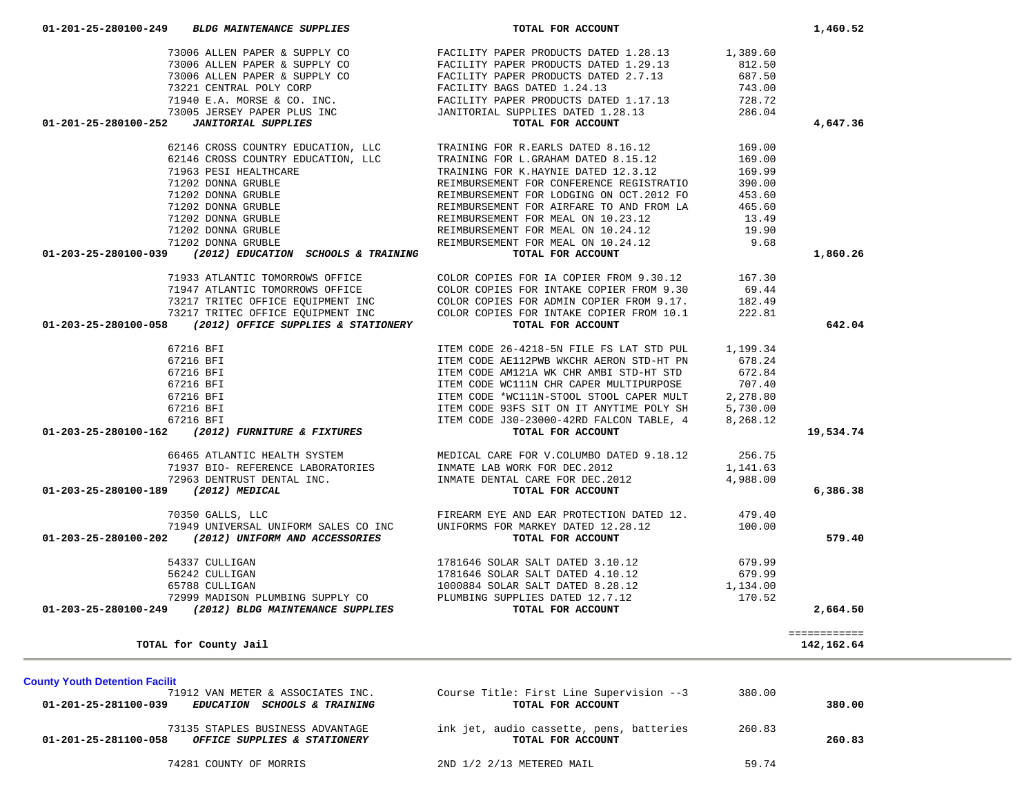| <b>County Youth Detention Facilit</b>                                                     |                                                               |        |        |
|-------------------------------------------------------------------------------------------|---------------------------------------------------------------|--------|--------|
| 71912 VAN METER & ASSOCIATES INC.<br>01-201-25-281100-039<br>EDUCATION SCHOOLS & TRAINING | Course Title: First Line Supervision --3<br>TOTAL FOR ACCOUNT | 380.00 | 380.00 |
| 73135 STAPLES BUSINESS ADVANTAGE<br>01-201-25-281100-058<br>OFFICE SUPPLIES & STATIONERY  | ink jet, audio cassette, pens, batteries<br>TOTAL FOR ACCOUNT | 260.83 | 260.83 |
| 74281 COUNTY OF MORRIS                                                                    | 2ND 1/2 2/13 METERED MAIL                                     | 59.74  |        |

|                                     | 71202 DONNA GRUBLE                                             | REIMBURSEMENT FOR AIRFARE TO AND FROM LA        | 405.60   |              |
|-------------------------------------|----------------------------------------------------------------|-------------------------------------------------|----------|--------------|
|                                     | 71202 DONNA GRUBLE                                             | REIMBURSEMENT FOR MEAL ON 10.23.12              | 13.49    |              |
|                                     | 71202 DONNA GRUBLE                                             | REIMBURSEMENT FOR MEAL ON 10.24.12              | 19.90    |              |
|                                     | 71202 DONNA GRUBLE                                             | REIMBURSEMENT FOR MEAL ON 10.24.12              | 9.68     |              |
| 01-203-25-280100-039                | (2012) EDUCATION SCHOOLS & TRAINING                            | TOTAL FOR ACCOUNT                               |          | 1,860.26     |
|                                     | 71933 ATLANTIC TOMORROWS OFFICE                                | COLOR COPIES FOR IA COPIER FROM 9.30.12         | 167.30   |              |
|                                     | 71947 ATLANTIC TOMORROWS OFFICE                                | COLOR COPIES FOR INTAKE COPIER FROM 9.30        | 69.44    |              |
|                                     | 73217 TRITEC OFFICE EQUIPMENT INC                              | COLOR COPIES FOR ADMIN COPIER FROM 9.17.        | 182.49   |              |
|                                     | 73217 TRITEC OFFICE EOUIPMENT INC                              | COLOR COPIES FOR INTAKE COPIER FROM 10.1        | 222.81   |              |
| 01-203-25-280100-058                | (2012) OFFICE SUPPLIES & STATIONERY                            | TOTAL FOR ACCOUNT                               |          | 642.04       |
|                                     | 67216 BFI                                                      | ITEM CODE 26-4218-5N FILE FS LAT STD PUL        | 1,199.34 |              |
|                                     | 67216 BFI                                                      | ITEM CODE AE112PWB WKCHR AERON STD-HT PN        | 678.24   |              |
|                                     | 67216 BFI                                                      | ITEM CODE AM121A WK CHR AMBI STD-HT STD         | 672.84   |              |
|                                     | 67216 BFI                                                      | ITEM CODE WC111N CHR CAPER MULTIPURPOSE         | 707.40   |              |
|                                     | 67216 BFI                                                      | ITEM CODE *WC111N-STOOL STOOL CAPER MULT        | 2,278.80 |              |
|                                     | 67216 BFI                                                      | ITEM CODE 93FS SIT ON IT ANYTIME POLY SH        | 5,730.00 |              |
|                                     | 67216 BFI                                                      | ITEM CODE J30-23000-42RD FALCON TABLE, 4        | 8,268.12 |              |
|                                     | 01-203-25-280100-162 (2012) FURNITURE & FIXTURES               | TOTAL FOR ACCOUNT                               |          | 19,534.74    |
|                                     | 66465 ATLANTIC HEALTH SYSTEM                                   | MEDICAL CARE FOR V.COLUMBO DATED 9.18.12 256.75 |          |              |
|                                     | 71937 BIO- REFERENCE LABORATORIES INMATE LAB WORK FOR DEC.2012 |                                                 | 1,141.63 |              |
|                                     | 72963 DENTRUST DENTAL INC.                                     | INMATE DENTAL CARE FOR DEC.2012                 | 4,988.00 |              |
| 01-203-25-280100-189 (2012) MEDICAL |                                                                | TOTAL FOR ACCOUNT                               |          | 6,386.38     |
|                                     | 70350 GALLS, LLC                                               | FIREARM EYE AND EAR PROTECTION DATED 12. 479.40 |          |              |
|                                     | 71949 UNIVERSAL UNIFORM SALES CO INC                           | UNIFORMS FOR MARKEY DATED 12.28.12              | 100.00   |              |
|                                     | 01-203-25-280100-202 (2012) UNIFORM AND ACCESSORIES            | TOTAL FOR ACCOUNT                               |          | 579.40       |
|                                     | 54337 CULLIGAN                                                 | 1781646 SOLAR SALT DATED 3.10.12                | 679.99   |              |
|                                     | 56242 CULLIGAN                                                 | 1781646 SOLAR SALT DATED 4.10.12                | 679.99   |              |
|                                     | 65788 CULLIGAN                                                 | 1000884 SOLAR SALT DATED 8.28.12 1,134.00       |          |              |
|                                     | 72999 MADISON PLUMBING SUPPLY CO                               | PLUMBING SUPPLIES DATED 12.7.12                 | 170.52   |              |
|                                     | 01-203-25-280100-249 (2012) BLDG MAINTENANCE SUPPLIES          | TOTAL FOR ACCOUNT                               |          | 2,664.50     |
|                                     |                                                                |                                                 |          | ============ |
|                                     | TOTAL for County Jail                                          |                                                 |          | 142, 162.64  |

| 73006 ALLEN PAPER & SUPPLY CO                            | FACILITY PAPER PRODUCTS DATED 1.29.13                                 | 812.50   |          |
|----------------------------------------------------------|-----------------------------------------------------------------------|----------|----------|
| 73006 ALLEN PAPER & SUPPLY CO                            | FACILITY PAPER PRODUCTS DATED 2.7.13                                  | 687.50   |          |
| 73221 CENTRAL POLY CORP                                  | FACILITY BAGS DATED 1.24.13                                           | 743.00   |          |
| 71940 E.A. MORSE & CO. INC.                              | FACILITY PAPER PRODUCTS DATED 1.17.13                                 | 728.72   |          |
| 73005 JERSEY PAPER PLUS INC                              | JANITORIAL SUPPLIES DATED 1.28.13                                     | 286.04   |          |
| 01-201-25-280100-252<br>JANITORIAL SUPPLIES              | TOTAL FOR ACCOUNT                                                     |          | 4,647.36 |
|                                                          | 62146 CROSS COUNTRY EDUCATION, LLC TRAINING FOR R.EARLS DATED 8.16.12 | 169.00   |          |
| 62146 CROSS COUNTRY EDUCATION, LLC                       | TRAINING FOR L.GRAHAM DATED 8.15.12                                   | 169.00   |          |
| 71963 PESI HEALTHCARE                                    | TRAINING FOR K.HAYNIE DATED 12.3.12                                   | 169.99   |          |
| 71202 DONNA GRUBLE                                       | REIMBURSEMENT FOR CONFERENCE REGISTRATIO                              | 390.00   |          |
| 71202 DONNA GRUBLE                                       | REIMBURSEMENT FOR LODGING ON OCT. 2012 FO                             | 453.60   |          |
| 71202 DONNA GRUBLE                                       | REIMBURSEMENT FOR AIRFARE TO AND FROM LA                              | 465.60   |          |
| 71202 DONNA GRUBLE                                       | REIMBURSEMENT FOR MEAL ON 10.23.12                                    | 13.49    |          |
| 71202 DONNA GRUBLE                                       | REIMBURSEMENT FOR MEAL ON 10.24.12                                    | 19.90    |          |
| 71202 DONNA GRUBLE                                       | REIMBURSEMENT FOR MEAL ON 10.24.12                                    | 9.68     |          |
| 01-203-25-280100-039 (2012) EDUCATION SCHOOLS & TRAINING | TOTAL FOR ACCOUNT                                                     |          | 1,860.26 |
| 71933 ATLANTIC TOMORROWS OFFICE                          | COLOR COPIES FOR IA COPIER FROM 9.30.12                               | 167.30   |          |
| 71947 ATLANTIC TOMORROWS OFFICE                          | COLOR COPIES FOR INTAKE COPIER FROM 9.30                              | 69.44    |          |
|                                                          |                                                                       | $\cdots$ |          |

73006 ALLEN PAPER & SUPPLY CO **FACILITY PAPER PRODUCTS DATED 1.28.13** 1,389.60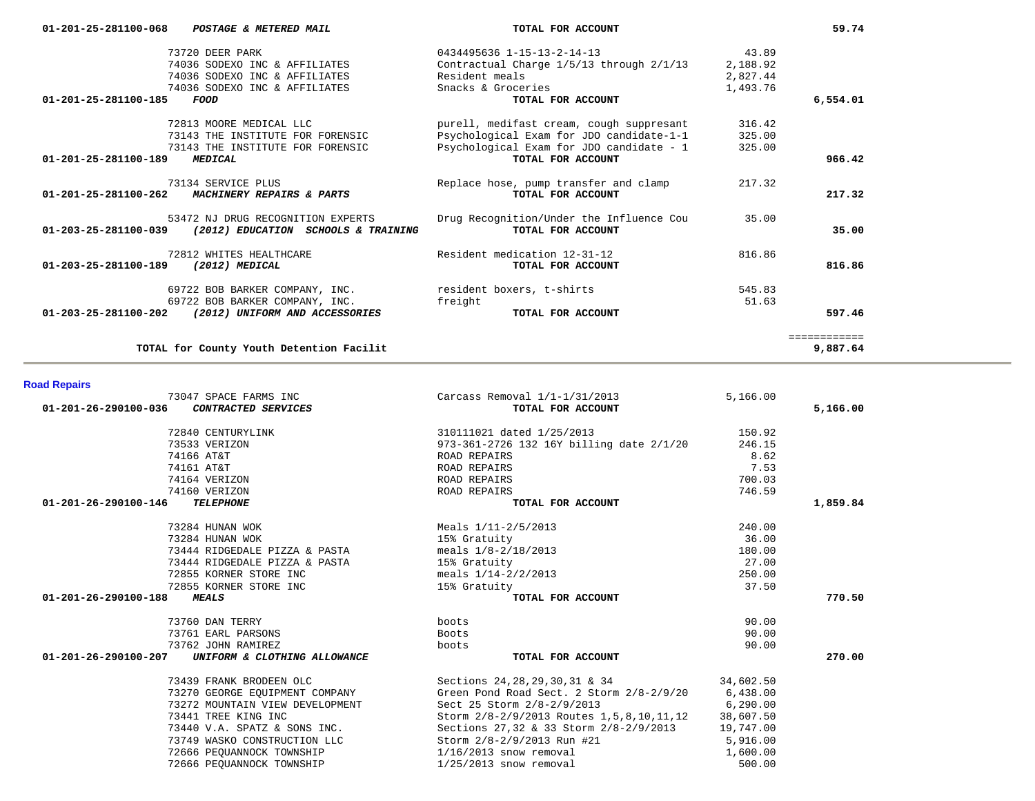| 01-201-25-281100-068 POSTAGE & METERED MAIL                 | TOTAL FOR ACCOUNT                        |          | 59.74        |
|-------------------------------------------------------------|------------------------------------------|----------|--------------|
| 73720 DEER PARK                                             | 0434495636 1-15-13-2-14-13               | 43.89    |              |
| 74036 SODEXO INC & AFFILIATES                               | Contractual Charge 1/5/13 through 2/1/13 | 2,188.92 |              |
| 74036 SODEXO INC & AFFILIATES                               | Resident meals                           | 2,827.44 |              |
| 74036 SODEXO INC & AFFILIATES                               | Snacks & Groceries                       | 1,493.76 |              |
| $01 - 201 - 25 - 281100 - 185$<br>FOOD                      | TOTAL FOR ACCOUNT                        |          | 6,554.01     |
| 72813 MOORE MEDICAL LLC                                     | purell, medifast cream, cough suppresant | 316.42   |              |
| 73143 THE INSTITUTE FOR FORENSIC                            | Psychological Exam for JDO candidate-1-1 | 325.00   |              |
| 73143 THE INSTITUTE FOR FORENSIC                            | Psychological Exam for JDO candidate - 1 | 325.00   |              |
| 01-201-25-281100-189<br><b>MEDICAL</b>                      | TOTAL FOR ACCOUNT                        |          | 966.42       |
| 73134 SERVICE PLUS                                          | Replace hose, pump transfer and clamp    | 217.32   |              |
| 01-201-25-281100-262<br>MACHINERY REPAIRS & PARTS           | TOTAL FOR ACCOUNT                        |          | 217.32       |
| 53472 NJ DRUG RECOGNITION EXPERTS                           | Drug Recognition/Under the Influence Cou | 35.00    |              |
| 01-203-25-281100-039<br>(2012) EDUCATION SCHOOLS & TRAINING | TOTAL FOR ACCOUNT                        |          | 35.00        |
| 72812 WHITES HEALTHCARE                                     | Resident medication 12-31-12             | 816.86   |              |
| 01-203-25-281100-189<br>(2012) MEDICAL                      | TOTAL FOR ACCOUNT                        |          | 816.86       |
| 69722 BOB BARKER COMPANY, INC.                              | resident boxers, t-shirts                | 545.83   |              |
| 69722 BOB BARKER COMPANY, INC.                              | freight                                  | 51.63    |              |
| 01-203-25-281100-202 (2012) UNIFORM AND ACCESSORIES         | TOTAL FOR ACCOUNT                        |          | 597.46       |
|                                                             |                                          |          | ============ |
| TOTAL for County Youth Detention Facilit                    |                                          |          | 9,887.64     |

| <b>Road Repairs</b> |  |  |
|---------------------|--|--|
|                     |  |  |

| 73047 SPACE FARMS INC                                | Carcass Removal $1/1-1/31/2013$                  | 5.166.00  |          |
|------------------------------------------------------|--------------------------------------------------|-----------|----------|
| 01-201-26-290100-036<br>CONTRACTED SERVICES          | TOTAL FOR ACCOUNT                                |           | 5,166.00 |
| 72840 CENTURYLINK                                    | 310111021 dated 1/25/2013                        | 150.92    |          |
| 73533 VERIZON                                        | 973-361-2726 132 16Y billing date 2/1/20         | 246.15    |          |
| 74166 AT&T                                           | ROAD REPAIRS                                     | 8.62      |          |
| 74161 AT&T                                           | ROAD REPAIRS                                     | 7.53      |          |
| 74164 VERIZON                                        | ROAD REPAIRS                                     | 700.03    |          |
| 74160 VERIZON                                        | ROAD REPAIRS                                     | 746.59    |          |
| 01-201-26-290100-146<br><b>TELEPHONE</b>             | TOTAL FOR ACCOUNT                                |           | 1,859.84 |
| 73284 HUNAN WOK                                      | Meals $1/11-2/5/2013$                            | 240.00    |          |
| 73284 HUNAN WOK                                      | 15% Gratuity                                     | 36.00     |          |
| 73444 RIDGEDALE PIZZA & PASTA                        | meals $1/8 - 2/18/2013$                          | 180.00    |          |
| 73444 RIDGEDALE PIZZA & PASTA                        | 15% Gratuity                                     | 27.00     |          |
| 72855 KORNER STORE INC                               | meals $1/14-2/2/2013$                            | 250.00    |          |
| 72855 KORNER STORE INC                               | 15% Gratuity                                     | 37.50     |          |
| 01-201-26-290100-188<br><b>MEALS</b>                 | TOTAL FOR ACCOUNT                                |           | 770.50   |
| 73760 DAN TERRY                                      | boots                                            | 90.00     |          |
| 73761 EARL PARSONS                                   | Boots                                            | 90.00     |          |
| 73762 JOHN RAMIREZ                                   | boots                                            | 90.00     |          |
| 01-201-26-290100-207<br>UNIFORM & CLOTHING ALLOWANCE | TOTAL FOR ACCOUNT                                |           | 270.00   |
| 73439 FRANK BRODEEN OLC                              | Sections 24, 28, 29, 30, 31 & 34                 | 34,602.50 |          |
| 73270 GEORGE EQUIPMENT COMPANY                       | Green Pond Road Sect. 2 Storm 2/8-2/9/20         | 6,438.00  |          |
| 73272 MOUNTAIN VIEW DEVELOPMENT                      | Sect 25 Storm 2/8-2/9/2013                       | 6,290.00  |          |
| 73441 TREE KING INC                                  | Storm 2/8-2/9/2013 Routes 1,5,8,10,11,12         | 38,607.50 |          |
| 73440 V.A. SPATZ & SONS INC.                         | Sections 27,32 & 33 Storm 2/8-2/9/2013 19,747.00 |           |          |
| 73749 WASKO CONSTRUCTION LLC                         | Storm 2/8-2/9/2013 Run #21                       | 5,916.00  |          |
| 72666 PEOUANNOCK TOWNSHIP                            | $1/16/2013$ snow removal                         | 1,600.00  |          |
| 72666 PEOUANNOCK TOWNSHIP                            | $1/25/2013$ snow removal                         | 500.00    |          |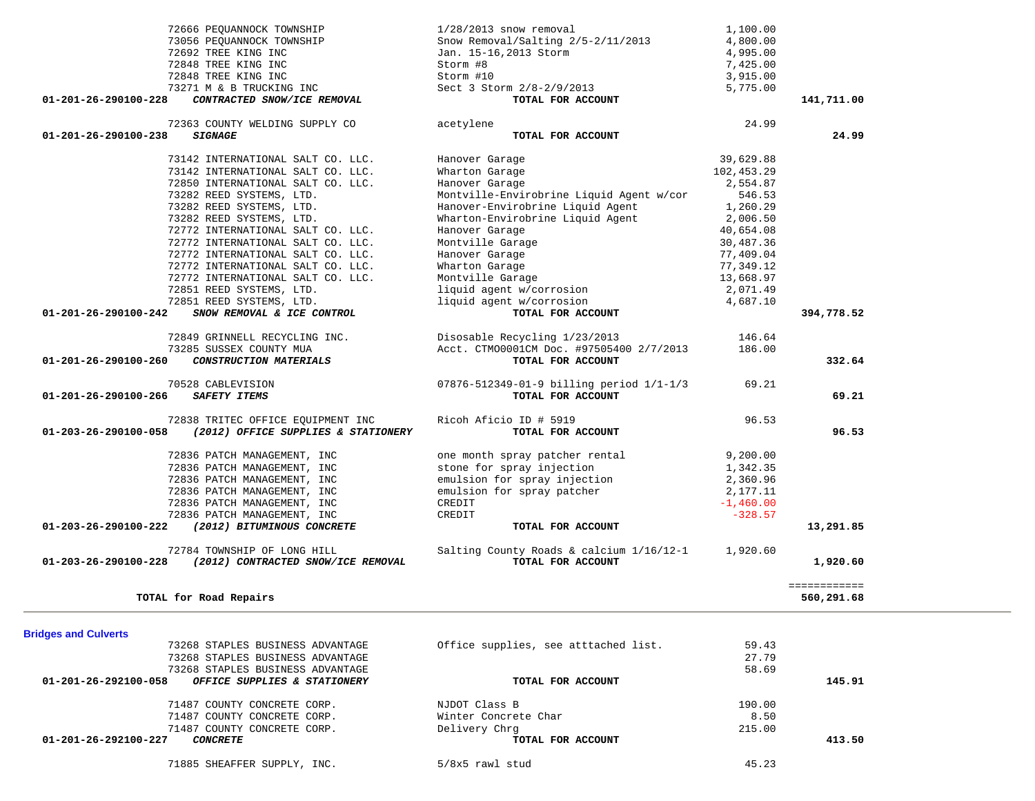| TOTAL for Road Repairs                                    |                                                                        |                                                                           |                          | ============<br>560,291.68 |
|-----------------------------------------------------------|------------------------------------------------------------------------|---------------------------------------------------------------------------|--------------------------|----------------------------|
| 01-203-26-290100-228                                      | 72784 TOWNSHIP OF LONG HILL<br>(2012) CONTRACTED SNOW/ICE REMOVAL      | Salting County Roads & calcium 1/16/12-1<br>TOTAL FOR ACCOUNT             | 1,920.60                 | 1,920.60                   |
|                                                           |                                                                        |                                                                           |                          |                            |
| 01-203-26-290100-222                                      | 72836 PATCH MANAGEMENT, INC<br>(2012) BITUMINOUS CONCRETE              | TOTAL FOR ACCOUNT                                                         |                          | 13,291.85                  |
|                                                           | 72836 PATCH MANAGEMENT, INC                                            | CREDIT<br>CREDIT                                                          | $-1,460.00$<br>$-328.57$ |                            |
|                                                           | 72836 PATCH MANAGEMENT, INC                                            | emulsion for spray patcher                                                | 2,177.11                 |                            |
|                                                           | 72836 PATCH MANAGEMENT, INC                                            | emulsion for spray injection                                              | 2,360.96                 |                            |
|                                                           | 72836 PATCH MANAGEMENT, INC                                            | stone for spray injection                                                 | 1,342.35                 |                            |
|                                                           | 72836 PATCH MANAGEMENT, INC                                            | one month spray patcher rental                                            | 9,200.00                 |                            |
| 01-203-26-290100-058                                      | (2012) OFFICE SUPPLIES & STATIONERY                                    | TOTAL FOR ACCOUNT                                                         |                          | 96.53                      |
|                                                           | 72838 TRITEC OFFICE EQUIPMENT INC                                      | Ricoh Aficio ID # 5919                                                    | 96.53                    |                            |
| 70528 CABLEVISION<br>01-201-26-290100-266<br>SAFETY ITEMS |                                                                        | 07876-512349-01-9 billing period 1/1-1/3<br>TOTAL FOR ACCOUNT             | 69.21                    | 69.21                      |
|                                                           |                                                                        |                                                                           |                          |                            |
| $01 - 201 - 26 - 290100 - 260$                            | CONSTRUCTION MATERIALS                                                 | TOTAL FOR ACCOUNT                                                         |                          | 332.64                     |
|                                                           | 72849 GRINNELL RECYCLING INC.<br>73285 SUSSEX COUNTY MUA               | Disosable Recycling 1/23/2013<br>Acct. CTM00001CM Doc. #97505400 2/7/2013 | 146.64<br>186.00         |                            |
|                                                           |                                                                        |                                                                           |                          |                            |
| 01-201-26-290100-242                                      | SNOW REMOVAL & ICE CONTROL                                             | TOTAL FOR ACCOUNT                                                         |                          | 394,778.52                 |
|                                                           | 72851 REED SYSTEMS, LTD.                                               | liquid agent w/corrosion                                                  | 4,687.10                 |                            |
|                                                           | 72851 REED SYSTEMS, LTD.                                               | Montville Garage<br>liquid agent w/corrosion<br>liquid agent w/corrosion  | 2,071.49                 |                            |
|                                                           | 72772 INTERNATIONAL SALT CO. LLC.                                      | Montville Garage                                                          | 13,668.97                |                            |
|                                                           | 72772 INTERNATIONAL SALT CO. LLC.                                      | Wharton Garage                                                            | 77,349.12                |                            |
|                                                           | 72772 INTERNATIONAL SALT CO. LLC.<br>72772 INTERNATIONAL SALT CO. LLC. | Montville Garage<br>Hanover Garage                                        | 30,487.36<br>77,409.04   |                            |
|                                                           | 72772 INTERNATIONAL SALT CO. LLC.                                      | Hanover Garage                                                            | 40,654.08                |                            |
|                                                           | 73282 REED SYSTEMS, LTD.                                               | Wharton-Envirobrine Liquid Agent                                          | 2,006.50                 |                            |
|                                                           | 73282 REED SYSTEMS, LTD.                                               | Hanover-Envirobrine Liquid Agent                                          | 1,260.29                 |                            |
|                                                           | 73282 REED SYSTEMS, LTD.                                               | Montville-Envirobrine Liquid Agent w/cor                                  | 546.53                   |                            |
|                                                           | 72850 INTERNATIONAL SALT CO. LLC.                                      | Hanover Garage                                                            | 2,554.87                 |                            |
|                                                           | 73142 INTERNATIONAL SALT CO. LLC.                                      | Wharton Garage                                                            | 102,453.29               |                            |
|                                                           | 73142 INTERNATIONAL SALT CO. LLC.                                      | Hanover Garage                                                            | 39,629.88                |                            |
| 01-201-26-290100-238<br><b>SIGNAGE</b>                    | 72363 COUNTY WELDING SUPPLY CO                                         | acetylene<br>TOTAL FOR ACCOUNT                                            |                          | 24.99                      |
|                                                           |                                                                        |                                                                           | 24.99                    |                            |
| 01-201-26-290100-228                                      | CONTRACTED SNOW/ICE REMOVAL                                            | TOTAL FOR ACCOUNT                                                         |                          | 141,711.00                 |
|                                                           | 73271 M & B TRUCKING INC                                               | Sect 3 Storm 2/8-2/9/2013                                                 | 5,775.00                 |                            |
| 72848 TREE KING INC<br>72848 TREE KING INC                |                                                                        | Storm #8<br>Storm #10                                                     | 7,425.00<br>3,915.00     |                            |
| 72692 TREE KING INC                                       |                                                                        | Jan. 15-16, 2013 Storm                                                    | 4,995.00                 |                            |
|                                                           | 73056 PEOUANNOCK TOWNSHIP                                              | Snow Removal/Salting 2/5-2/11/2013                                        | 4,800.00                 |                            |
|                                                           | 72666 PEQUANNOCK TOWNSHIP                                              | $1/28/2013$ snow removal                                                  | 1,100.00                 |                            |
|                                                           |                                                                        |                                                                           |                          |                            |

| <b>Bridges and Culverts</b>                          |                                      |        |        |
|------------------------------------------------------|--------------------------------------|--------|--------|
| 73268 STAPLES BUSINESS ADVANTAGE                     | Office supplies, see atttached list. | 59.43  |        |
| 73268 STAPLES BUSINESS ADVANTAGE                     |                                      | 27.79  |        |
| 73268 STAPLES BUSINESS ADVANTAGE                     |                                      | 58.69  |        |
| 01-201-26-292100-058<br>OFFICE SUPPLIES & STATIONERY | TOTAL FOR ACCOUNT                    |        | 145.91 |
| 71487 COUNTY CONCRETE CORP.                          | NJDOT Class B                        | 190.00 |        |
| 71487 COUNTY CONCRETE CORP.                          | Winter Concrete Char                 | 8.50   |        |
| 71487 COUNTY CONCRETE CORP.                          | Delivery Chrq                        | 215.00 |        |
| 01-201-26-292100-227<br>CONCRETE                     | TOTAL FOR ACCOUNT                    |        | 413.50 |
| 71885 SHEAFFER SUPPLY, INC.                          | 5/8x5 rawl stud                      | 45.23  |        |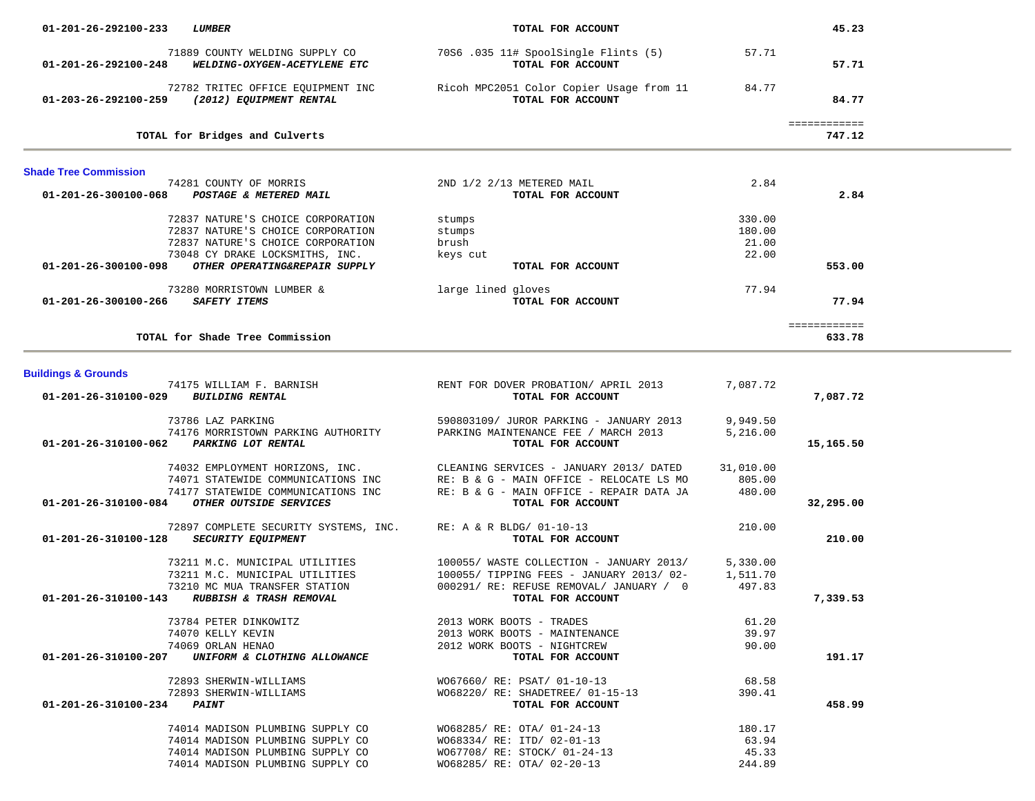| 01-201-26-292100-233           | <b>LUMBER</b>                                                                                                                                                                   | TOTAL FOR ACCOUNT                                                                                                                                    |                                    | 45.23                  |  |
|--------------------------------|---------------------------------------------------------------------------------------------------------------------------------------------------------------------------------|------------------------------------------------------------------------------------------------------------------------------------------------------|------------------------------------|------------------------|--|
| $01 - 201 - 26 - 292100 - 248$ | 71889 COUNTY WELDING SUPPLY CO<br>WELDING-OXYGEN-ACETYLENE ETC                                                                                                                  | 70S6.035 11# SpoolSingle Flints (5)<br>TOTAL FOR ACCOUNT                                                                                             | 57.71                              | 57.71                  |  |
| 01-203-26-292100-259           | 72782 TRITEC OFFICE EQUIPMENT INC<br>(2012) EQUIPMENT RENTAL                                                                                                                    | Ricoh MPC2051 Color Copier Usage from 11<br>TOTAL FOR ACCOUNT                                                                                        | 84.77                              | 84.77                  |  |
|                                | TOTAL for Bridges and Culverts                                                                                                                                                  |                                                                                                                                                      |                                    | ============<br>747.12 |  |
| <b>Shade Tree Commission</b>   |                                                                                                                                                                                 |                                                                                                                                                      |                                    |                        |  |
| $01 - 201 - 26 - 300100 - 068$ | 74281 COUNTY OF MORRIS<br>POSTAGE & METERED MAIL                                                                                                                                | 2ND 1/2 2/13 METERED MAIL<br>TOTAL FOR ACCOUNT                                                                                                       | 2.84                               | 2.84                   |  |
| 01-201-26-300100-098           | 72837 NATURE'S CHOICE CORPORATION<br>72837 NATURE'S CHOICE CORPORATION<br>72837 NATURE'S CHOICE CORPORATION<br>73048 CY DRAKE LOCKSMITHS, INC.<br>OTHER OPERATING&REPAIR SUPPLY | stumps<br>stumps<br>brush<br>keys cut<br>TOTAL FOR ACCOUNT                                                                                           | 330.00<br>180.00<br>21.00<br>22.00 | 553.00                 |  |
| 01-201-26-300100-266           | 73280 MORRISTOWN LUMBER &<br><b>SAFETY ITEMS</b>                                                                                                                                | large lined gloves<br>TOTAL FOR ACCOUNT                                                                                                              | 77.94                              | 77.94                  |  |
|                                | TOTAL for Shade Tree Commission                                                                                                                                                 |                                                                                                                                                      |                                    | ============<br>633.78 |  |
| <b>Buildings &amp; Grounds</b> |                                                                                                                                                                                 |                                                                                                                                                      |                                    |                        |  |
| 01-201-26-310100-029           | 74175 WILLIAM F. BARNISH<br><b>BUILDING RENTAL</b>                                                                                                                              | RENT FOR DOVER PROBATION/ APRIL 2013<br>TOTAL FOR ACCOUNT                                                                                            | 7,087.72                           | 7,087.72               |  |
| 01-201-26-310100-062           | 73786 LAZ PARKING<br>74176 MORRISTOWN PARKING AUTHORITY<br>PARKING LOT RENTAL                                                                                                   | 590803109/ JUROR PARKING - JANUARY 2013<br>PARKING MAINTENANCE FEE / MARCH 2013<br>TOTAL FOR ACCOUNT                                                 | 9,949.50<br>5,216.00               | 15,165.50              |  |
| 01-201-26-310100-084           | 74032 EMPLOYMENT HORIZONS, INC.<br>74071 STATEWIDE COMMUNICATIONS INC<br>74177 STATEWIDE COMMUNICATIONS INC<br>OTHER OUTSIDE SERVICES                                           | CLEANING SERVICES - JANUARY 2013/ DATED<br>RE: B & G - MAIN OFFICE - RELOCATE LS MO<br>RE: B & G - MAIN OFFICE - REPAIR DATA JA<br>TOTAL FOR ACCOUNT | 31,010.00<br>805.00<br>480.00      | 32,295.00              |  |
| 01-201-26-310100-128           | 72897 COMPLETE SECURITY SYSTEMS, INC.<br><b>SECURITY EQUIPMENT</b>                                                                                                              | RE: A & R BLDG/ 01-10-13<br>TOTAL FOR ACCOUNT                                                                                                        | 210.00                             | 210.00                 |  |
| 01-201-26-310100-143           | 73211 M.C. MUNICIPAL UTILITIES<br>73211 M.C. MUNICIPAL UTILITIES<br>73210 MC MUA TRANSFER STATION<br>RUBBISH & TRASH REMOVAL                                                    | 100055/ WASTE COLLECTION - JANUARY 2013/<br>100055/ TIPPING FEES - JANUARY 2013/ 02-<br>000291/ RE: REFUSE REMOVAL/ JANUARY / 0<br>TOTAL FOR ACCOUNT | 5,330.00<br>1,511.70<br>497.83     | 7,339.53               |  |
| 01-201-26-310100-207           | 73784 PETER DINKOWITZ<br>74070 KELLY KEVIN<br>74069 ORLAN HENAO<br>UNIFORM & CLOTHING ALLOWANCE                                                                                 | 2013 WORK BOOTS - TRADES<br>2013 WORK BOOTS - MAINTENANCE<br>2012 WORK BOOTS - NIGHTCREW<br>TOTAL FOR ACCOUNT                                        | 61.20<br>39.97<br>90.00            | 191.17                 |  |
| 01-201-26-310100-234           | 72893 SHERWIN-WILLIAMS<br>72893 SHERWIN-WILLIAMS<br><b>PAINT</b>                                                                                                                | W067660/ RE: PSAT/ 01-10-13<br>WO68220/ RE: SHADETREE/ 01-15-13<br>TOTAL FOR ACCOUNT                                                                 | 68.58<br>390.41                    | 458.99                 |  |
|                                | 74014 MADISON PLUMBING SUPPLY CO<br>74014 MADISON PLUMBING SUPPLY CO<br>74014 MADISON PLUMBING SUPPLY CO<br>74014 MADISON PLUMBING SUPPLY CO                                    | WO68285/ RE: OTA/ 01-24-13<br>WO68334/ RE: ITD/ 02-01-13<br>WO67708/ RE: STOCK/ 01-24-13<br>WO68285/ RE: OTA/ 02-20-13                               | 180.17<br>63.94<br>45.33<br>244.89 |                        |  |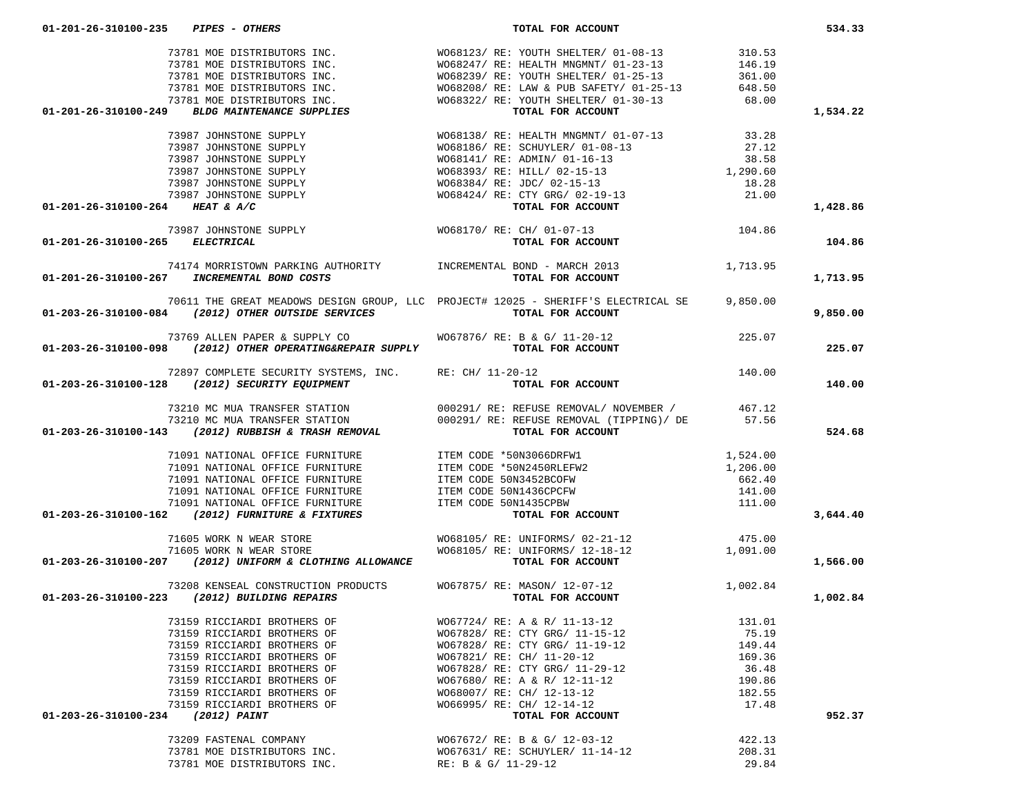|                                 |                                                                               | $\begin{array}{cccccc} \text{73781} \text{ MOE DISTRIBUTORS INC.} & & & \text{W068123/ RE: YOUTH SHELTER/ 01-08-13} & & & 310.53 \\ \text{73781 MOE DISTRIBUTORS INC.} & & & \text{W068247/ RE: HEALTH MNGMNT/ 01-23-13} & & 146.19 \\ \text{73781 MOE DISTRIBUTORS INC.} & & & \text{W068239/ RE: YOUTH SHELTER/ 01-25-13} & & 146.19 \\ \text{73781 MOE DISTRIBUTORS INC.} &$                            |        | 1,534.22 |
|---------------------------------|-------------------------------------------------------------------------------|------------------------------------------------------------------------------------------------------------------------------------------------------------------------------------------------------------------------------------------------------------------------------------------------------------------------------------------------------------------------------------------------------------|--------|----------|
|                                 |                                                                               |                                                                                                                                                                                                                                                                                                                                                                                                            |        |          |
|                                 |                                                                               |                                                                                                                                                                                                                                                                                                                                                                                                            |        |          |
|                                 |                                                                               |                                                                                                                                                                                                                                                                                                                                                                                                            |        |          |
|                                 |                                                                               |                                                                                                                                                                                                                                                                                                                                                                                                            |        |          |
|                                 |                                                                               |                                                                                                                                                                                                                                                                                                                                                                                                            |        |          |
|                                 |                                                                               |                                                                                                                                                                                                                                                                                                                                                                                                            |        |          |
| 01-201-26-310100-264 HEAT & A/C |                                                                               |                                                                                                                                                                                                                                                                                                                                                                                                            |        | 1,428.86 |
|                                 |                                                                               | $73987 JOHNSTONE SUPPLY \hspace{1.5cm} WO68170/ RE: CH/ 01-07-13 \\ \hspace{1.5cm} TOR ACCOUNT$                                                                                                                                                                                                                                                                                                            |        |          |
| 01-201-26-310100-265 ELECTRICAL |                                                                               |                                                                                                                                                                                                                                                                                                                                                                                                            |        | 104.86   |
|                                 |                                                                               |                                                                                                                                                                                                                                                                                                                                                                                                            |        |          |
|                                 | 01-201-26-310100-267 INCREMENTAL BOND COSTS                                   |                                                                                                                                                                                                                                                                                                                                                                                                            |        | 1,713.95 |
|                                 |                                                                               | 70611 THE GREAT MEADOWS DESIGN GROUP, LLC PROJECT# 12025 - SHERIFF'S ELECTRICAL SE 9,850.00                                                                                                                                                                                                                                                                                                                |        |          |
|                                 | 01-203-26-310100-084 (2012) OTHER OUTSIDE SERVICES $\hfill$ TOTAL FOR ACCOUNT |                                                                                                                                                                                                                                                                                                                                                                                                            |        | 9,850.00 |
|                                 |                                                                               | 73769 ALLEN PAPER & SUPPLY CO WO67876/RE: B & G/ 11-20-12 73769 ALLEN PAPER & SUPPLY CO WO67876/RE: B & G/ 11-20-12                                                                                                                                                                                                                                                                                        |        |          |
|                                 |                                                                               |                                                                                                                                                                                                                                                                                                                                                                                                            |        | 225.07   |
|                                 |                                                                               |                                                                                                                                                                                                                                                                                                                                                                                                            |        |          |
|                                 |                                                                               | 72897 COMPLETE SECURITY SYSTEMS, INC. RE: CH/ 11-20-12<br><b>01-203-26-310100-128</b> (2012) SECURITY EQUIPMENT TOTAL FOR ACCOUNT                                                                                                                                                                                                                                                                          |        | 140.00   |
|                                 |                                                                               |                                                                                                                                                                                                                                                                                                                                                                                                            |        |          |
|                                 |                                                                               |                                                                                                                                                                                                                                                                                                                                                                                                            |        |          |
|                                 |                                                                               | 73210 MC MUA TRANSFER STATION 000291/RE: REFUSE REMOVAL/NOVEMBER / $\frac{3210 \text{ C} \text{ MUA} \text{ TRANSFER STATION}}{73210 \text{ MCMC} \text{ MUA TRANSFER STATION}}$ 000291/RE: REFUSE REMOVAL (TIPPING)/DE 57.56                                                                                                                                                                              |        | 524.68   |
|                                 |                                                                               | $\begin{array}{cccc} \texttt{71091 NATIONAL} & \texttt{OFFICE FURNITURE} & \texttt{ITEM CODE *50N3066DRFW1} & \texttt{1,524.00} \\ \texttt{71091 NATIONAL OFFICE FURNITURE} & \texttt{ITEM CODE *50N3066DRFW2} & \texttt{1,206.00} \\ \texttt{71091 NATIONAL OFFICE FURNITURE} & \texttt{ITEM CODE 50N3452BCOFW} & \texttt{662.40} \\ \texttt{71091 NATIONAL OFFICE FURNITURE} & \texttt{ITEM CODE 50N143$ |        |          |
|                                 |                                                                               |                                                                                                                                                                                                                                                                                                                                                                                                            |        |          |
|                                 |                                                                               |                                                                                                                                                                                                                                                                                                                                                                                                            |        |          |
|                                 |                                                                               |                                                                                                                                                                                                                                                                                                                                                                                                            |        |          |
|                                 |                                                                               |                                                                                                                                                                                                                                                                                                                                                                                                            |        |          |
|                                 |                                                                               |                                                                                                                                                                                                                                                                                                                                                                                                            |        | 3,644.40 |
|                                 |                                                                               | 71605 WORK N WEAR STORE WO68105/RE: UNIFORMS/02-21-12<br>71605 WORK N WEAR STORE WO68105/RE: UNIFORMS/12-18-12 71605 71605 WORK N WEAR STORE WO68105/RE: UNIFORMS/12-18-12 1,091.00                                                                                                                                                                                                                        |        |          |
|                                 |                                                                               |                                                                                                                                                                                                                                                                                                                                                                                                            |        |          |
|                                 |                                                                               |                                                                                                                                                                                                                                                                                                                                                                                                            |        | 1,566.00 |
|                                 |                                                                               | 73208 KENSEAL CONSTRUCTION PRODUCTS WO67875/RE: MASON/12-07-12 1,002.84                                                                                                                                                                                                                                                                                                                                    |        |          |
|                                 | 01-203-26-310100-223 (2012) BUILDING REPAIRS                                  | TOTAL FOR ACCOUNT                                                                                                                                                                                                                                                                                                                                                                                          |        | 1,002.84 |
|                                 | 73159 RICCIARDI BROTHERS OF WO67724/RE: A & R/ 11-13-12                       |                                                                                                                                                                                                                                                                                                                                                                                                            | 131.01 |          |
|                                 | 73159 RICCIARDI BROTHERS OF                                                   | W067828/ RE: CTY GRG/ 11-15-12                                                                                                                                                                                                                                                                                                                                                                             | 75.19  |          |
|                                 | 73159 RICCIARDI BROTHERS OF                                                   | W067828/ RE: CTY GRG/ 11-19-12                                                                                                                                                                                                                                                                                                                                                                             | 149.44 |          |
|                                 | 73159 RICCIARDI BROTHERS OF                                                   | W067821/ RE: CH/ 11-20-12                                                                                                                                                                                                                                                                                                                                                                                  | 169.36 |          |
|                                 | 73159 RICCIARDI BROTHERS OF                                                   | W067828/ RE: CTY GRG/ 11-29-12                                                                                                                                                                                                                                                                                                                                                                             | 36.48  |          |
|                                 | 73159 RICCIARDI BROTHERS OF                                                   | W067680/ RE: A & R/ 12-11-12                                                                                                                                                                                                                                                                                                                                                                               | 190.86 |          |
|                                 | 73159 RICCIARDI BROTHERS OF                                                   | W068007/ RE: CH/ 12-13-12<br>W066995/ RE: CH/ 12-14-12                                                                                                                                                                                                                                                                                                                                                     | 182.55 |          |
| 01-203-26-310100-234            | 73159 RICCIARDI BROTHERS OF<br>(2012) PAINT                                   | TOTAL FOR ACCOUNT                                                                                                                                                                                                                                                                                                                                                                                          | 17.48  | 952.37   |
|                                 | 73209 FASTENAL COMPANY                                                        | WO67672/ RE: B & G/ 12-03-12                                                                                                                                                                                                                                                                                                                                                                               | 422.13 |          |
|                                 | 73781 MOE DISTRIBUTORS INC.                                                   | W067631/ RE: SCHUYLER/ 11-14-12                                                                                                                                                                                                                                                                                                                                                                            | 208.31 |          |
|                                 | 73781 MOE DISTRIBUTORS INC.                                                   | RE: B & G/ 11-29-12                                                                                                                                                                                                                                                                                                                                                                                        | 29.84  |          |
|                                 |                                                                               |                                                                                                                                                                                                                                                                                                                                                                                                            |        |          |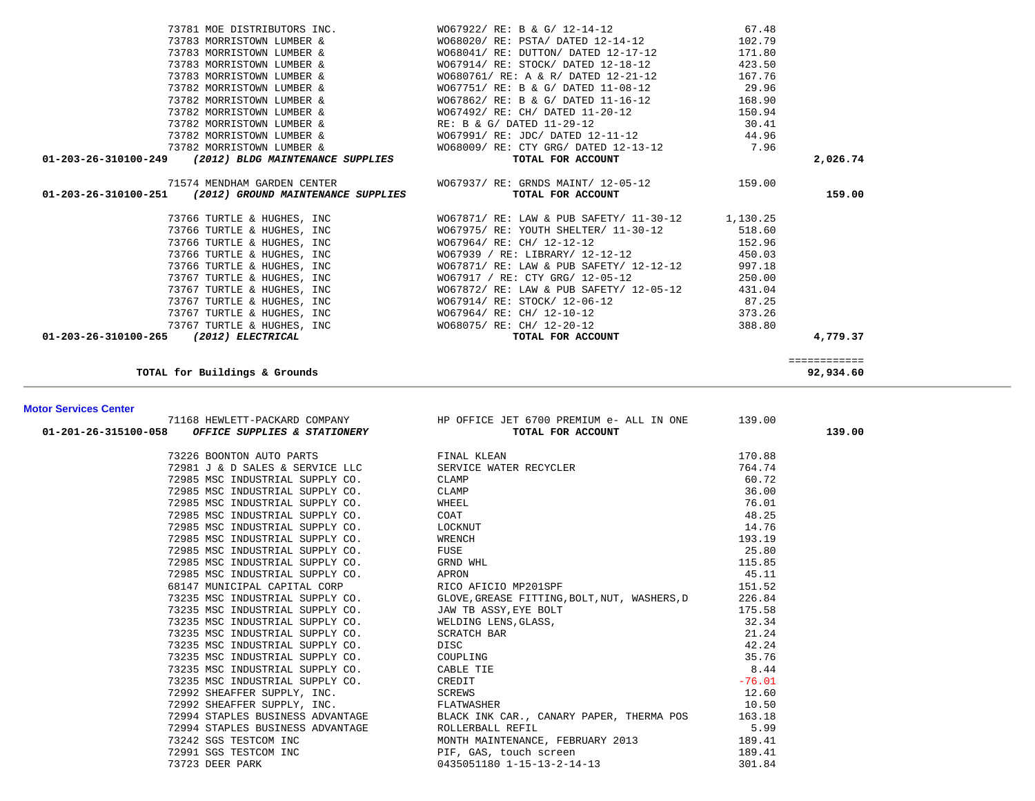| 73781 MOE DISTRIBUTORS INC.                                                 | WO67922/ RE: B & G/ 12-14-12                                          | 67.48  |          |
|-----------------------------------------------------------------------------|-----------------------------------------------------------------------|--------|----------|
| 73783 MORRISTOWN LUMBER &                                                   | WO68020/ RE: PSTA/ DATED 12-14-12 102.79                              |        |          |
| 73783 MORRISTOWN LUMBER &                                                   | WO68041/RE: DUTTON/DATED 12-17-12                                     | 171.80 |          |
| 73783 MORRISTOWN LUMBER &                                                   | WO67914/ RE: STOCK/ DATED 12-18-12                                    | 423.50 |          |
| 73783 MORRISTOWN LUMBER &                                                   | WO680761/ RE: A & R/ DATED 12-21-12                                   | 167.76 |          |
| 73782 MORRISTOWN LUMBER &                                                   | WO67751/ RE: B & G/ DATED 11-08-12 29.96                              |        |          |
| 73782 MORRISTOWN LUMBER &                                                   | WO67862/ RE: B & G/ DATED 11-16-12 168.90                             |        |          |
| 73782 MORRISTOWN LUMBER &                                                   | WO67492/ RE: CH/ DATED 11-20-12 150.94                                |        |          |
|                                                                             | 73782 MORRISTOWN LUMBER & RE: B & G/ DATED 11-29-12 30.41             |        |          |
|                                                                             | 73782 MORRISTOWN LUMBER & WO67991/ RE: JDC/ DATED 12-11-12 44.96      |        |          |
|                                                                             | 73782 MORRISTOWN LUMBER & WO68009/ RE: CTY GRG/ DATED 12-13-12 7.96   |        |          |
| 01-203-26-310100-249 (2012) BLDG MAINTENANCE SUPPLIES                       | TOTAL FOR ACCOUNT                                                     |        | 2,026.74 |
|                                                                             |                                                                       |        |          |
|                                                                             | 71574 MENDHAM GARDEN CENTER WO67937/ RE: GRNDS MAINT/ 12-05-12 159.00 |        |          |
| $01-203-26-310100-251$ (2012) GROUND MAINTENANCE SUPPLIES TOTAL FOR ACCOUNT |                                                                       |        | 159.00   |
|                                                                             |                                                                       |        |          |
| 73766 TURTLE & HUGHES, INC                                                  | WO67871/ RE: LAW & PUB SAFETY/ 11-30-12 1,130.25                      |        |          |
| 73766 TURTLE & HUGHES, INC                                                  | WO67975/ RE: YOUTH SHELTER/ 11-30-12 518.60                           |        |          |
| 73766 TURTLE & HUGHES, INC                                                  | WO67964/ RE: CH/ 12-12-12                                             | 152.96 |          |
| 73766 TURTLE & HUGHES, INC                                                  | WO67939 / RE: LIBRARY / 12-12-12 450.03                               |        |          |
| 73766 TURTLE & HUGHES, INC                                                  | WO67871/ RE: LAW & PUB SAFETY/ 12-12-12 997.18                        |        |          |
| 73767 TURTLE & HUGHES, INC                                                  | W067917 / RE: CTY GRG/ 12-05-12                                       | 250.00 |          |
| 73767 TURTLE & HUGHES, INC<br>73767 TURTLE & HUGHES, INC                    | WO67872/ RE: LAW & PUB SAFETY/ 12-05-12                               | 431.04 |          |
|                                                                             | WO67914/ RE: STOCK/ 12-06-12 87.25                                    |        |          |
| 73767 TURTLE & HUGHES, INC                                                  | WO67964/ RE: CH/ 12-10-12                                             | 373.26 |          |
|                                                                             | 73767 TURTLE & HUGHES, INC<br>5 (2012) ELECTRICAL TOTAL FOR ACCOUNT   | 388.80 |          |
| 01-203-26-310100-265 (2012) ELECTRICAL                                      |                                                                       |        | 4,779.37 |

============

**TOTAL for Buildings & Grounds 92,934.60**

### **Motor Services Center**

|                                                                   | 71168 HEWLETT-PACKARD COMPANY FOR OFFICE JET 6700 PREMIUM e- ALL IN ONE 139.00<br><b>01-201-26-315100-058</b> OFFICE SUPPLIES & STATIONERY TOTAL FOR ACCOUNT                                                                                                                        |      | 139.00 |
|-------------------------------------------------------------------|-------------------------------------------------------------------------------------------------------------------------------------------------------------------------------------------------------------------------------------------------------------------------------------|------|--------|
|                                                                   |                                                                                                                                                                                                                                                                                     |      |        |
|                                                                   |                                                                                                                                                                                                                                                                                     |      |        |
|                                                                   |                                                                                                                                                                                                                                                                                     |      |        |
|                                                                   |                                                                                                                                                                                                                                                                                     |      |        |
|                                                                   |                                                                                                                                                                                                                                                                                     |      |        |
|                                                                   |                                                                                                                                                                                                                                                                                     |      |        |
|                                                                   |                                                                                                                                                                                                                                                                                     |      |        |
|                                                                   |                                                                                                                                                                                                                                                                                     |      |        |
|                                                                   |                                                                                                                                                                                                                                                                                     |      |        |
|                                                                   |                                                                                                                                                                                                                                                                                     |      |        |
|                                                                   |                                                                                                                                                                                                                                                                                     |      |        |
|                                                                   |                                                                                                                                                                                                                                                                                     |      |        |
|                                                                   |                                                                                                                                                                                                                                                                                     |      |        |
|                                                                   |                                                                                                                                                                                                                                                                                     |      |        |
|                                                                   |                                                                                                                                                                                                                                                                                     |      |        |
|                                                                   |                                                                                                                                                                                                                                                                                     |      |        |
|                                                                   |                                                                                                                                                                                                                                                                                     |      |        |
|                                                                   |                                                                                                                                                                                                                                                                                     |      |        |
|                                                                   |                                                                                                                                                                                                                                                                                     |      |        |
|                                                                   |                                                                                                                                                                                                                                                                                     |      |        |
|                                                                   |                                                                                                                                                                                                                                                                                     |      |        |
|                                                                   |                                                                                                                                                                                                                                                                                     |      |        |
|                                                                   |                                                                                                                                                                                                                                                                                     |      |        |
| 72994 STAPLES BUSINESS ADVANTAGE                 ROLLERBALL REFIL |                                                                                                                                                                                                                                                                                     | 5.99 |        |
|                                                                   |                                                                                                                                                                                                                                                                                     |      |        |
|                                                                   |                                                                                                                                                                                                                                                                                     |      |        |
|                                                                   | 13242 SGS TESTCOM INC<br>189.41<br>189.41<br>189.41<br>189.41<br>189.41<br>189.41<br>189.41<br>189.41<br>189.41<br>189.41<br>189.41<br>189.41<br>189.41<br>189.41<br>189.41<br>189.41<br>189.41<br>189.41<br>189.41<br>189.41<br>189.41<br>189.41<br>189.41<br>189.41<br>189.41<br> |      |        |
|                                                                   |                                                                                                                                                                                                                                                                                     |      |        |

92,934.60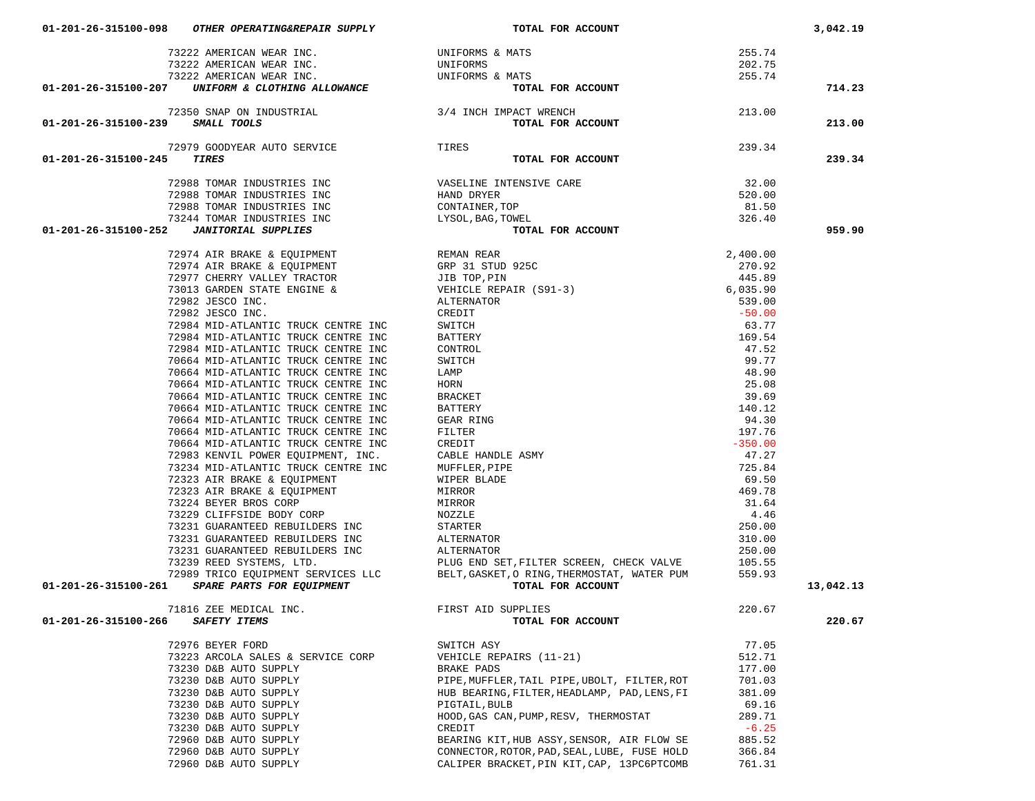| 73222 AMERICAN WEAR INC.                                                                                                                                                                                                                     | UNIFORMS & MATS                                                                                                                                                                                                                                                                                                                                                                                                                           | 255.74            |           |
|----------------------------------------------------------------------------------------------------------------------------------------------------------------------------------------------------------------------------------------------|-------------------------------------------------------------------------------------------------------------------------------------------------------------------------------------------------------------------------------------------------------------------------------------------------------------------------------------------------------------------------------------------------------------------------------------------|-------------------|-----------|
| 73222 AMERICAN WEAR INC.                                                                                                                                                                                                                     |                                                                                                                                                                                                                                                                                                                                                                                                                                           | 202.75            |           |
| 73222 AMERICAN WEAR INC.                                                                                                                                                                                                                     | ONLEORMS & MATS                                                                                                                                                                                                                                                                                                                                                                                                                           | 255.74            |           |
| UNIFORM & CLOTHING ALLOWANCE<br>01-201-26-315100-207                                                                                                                                                                                         | MATS<br>MATS<br><b>TOTAL FOR ACCOUNT</b>                                                                                                                                                                                                                                                                                                                                                                                                  |                   | 714.23    |
|                                                                                                                                                                                                                                              |                                                                                                                                                                                                                                                                                                                                                                                                                                           |                   |           |
| 72350 SNAP ON INDUSTRIAL $3/4$ INCH IMPACT WRENCH                                                                                                                                                                                            | 213.00                                                                                                                                                                                                                                                                                                                                                                                                                                    |                   |           |
| 01-201-26-315100-239 SMALL TOOLS                                                                                                                                                                                                             | TOTAL FOR ACCOUNT                                                                                                                                                                                                                                                                                                                                                                                                                         |                   | 213.00    |
|                                                                                                                                                                                                                                              |                                                                                                                                                                                                                                                                                                                                                                                                                                           | 239.34            |           |
| 72979 GOODYEAR AUTO SERVICE<br>- TIRES<br>01-201-26-315100-245<br>TIRES                                                                                                                                                                      | TOTAL FOR ACCOUNT                                                                                                                                                                                                                                                                                                                                                                                                                         |                   | 239.34    |
|                                                                                                                                                                                                                                              |                                                                                                                                                                                                                                                                                                                                                                                                                                           |                   |           |
|                                                                                                                                                                                                                                              | 72988 TOMAR INDUSTRIES INC<br>72988 TOMAR INDUSTRIES INC<br>72988 TOMAR INDUSTRIES INC<br>73244 TOMAR INDUSTRIES INC<br>73244 TOMAR INDUSTRIES INC<br>12224 TOMAR INDUSTRIES INC<br>22224 TOMAR INDUSTRIES INC                                                                                                                                                                                                                            | $32.00$<br>520.00 |           |
|                                                                                                                                                                                                                                              |                                                                                                                                                                                                                                                                                                                                                                                                                                           | 520.00            |           |
|                                                                                                                                                                                                                                              |                                                                                                                                                                                                                                                                                                                                                                                                                                           | 81.50             |           |
|                                                                                                                                                                                                                                              |                                                                                                                                                                                                                                                                                                                                                                                                                                           | 326.40            |           |
| 73244 TOMAR INDUSTRIES INC<br>2 JANITORIAL SUPPLIES<br>01-201-26-315100-252                                                                                                                                                                  | TOTAL FOR ACCOUNT                                                                                                                                                                                                                                                                                                                                                                                                                         |                   | 959.90    |
|                                                                                                                                                                                                                                              | $\begin{tabular}{l c c c c} \multicolumn{1}{c}{\textbf{REMAN RERA}} & \multicolumn{1}{c}{2,400.00} \\ \multicolumn{1}{c}{\textbf{GRP 31 STUD 925C}} & \multicolumn{1}{c}{2,400.00} \\ \multicolumn{1}{c}{\textbf{JIB TOP, PIN}} & \multicolumn{1}{c}{445.89} \\ \multicolumn{1}{c}{\textbf{WBIICERBERER}} \\ \multicolumn{1}{c}{\textbf{ALTERBATER}} & \multicolumn{1}{c}{\textbf{S31-3}} \\ \multicolumn{1}{c}{\textbf{CLRE REBATER}} &$ |                   |           |
|                                                                                                                                                                                                                                              |                                                                                                                                                                                                                                                                                                                                                                                                                                           |                   |           |
|                                                                                                                                                                                                                                              |                                                                                                                                                                                                                                                                                                                                                                                                                                           |                   |           |
| 19974 AIR BRAKE & EQUIPMENT 19974 AIR BRAKE & EQUIPMENT 19974 AIR BRAKE & EQUIPMENT 19975 (STEP 31 STUD                                                                                                                                      |                                                                                                                                                                                                                                                                                                                                                                                                                                           |                   |           |
| 73013 GARDEN STATE ENGINE &                                                                                                                                                                                                                  |                                                                                                                                                                                                                                                                                                                                                                                                                                           |                   |           |
| 72982 JESCO INC.                                                                                                                                                                                                                             |                                                                                                                                                                                                                                                                                                                                                                                                                                           |                   |           |
| 72982 JESCO INC.                                                                                                                                                                                                                             |                                                                                                                                                                                                                                                                                                                                                                                                                                           |                   |           |
| 72984 MID-ATLANTIC TRUCK CENTRE INC                                                                                                                                                                                                          |                                                                                                                                                                                                                                                                                                                                                                                                                                           |                   |           |
| 72984 MID-ATLANTIC TRUCK CENTRE INC                                                                                                                                                                                                          |                                                                                                                                                                                                                                                                                                                                                                                                                                           |                   |           |
| 72984 MID-ATLANTIC TRUCK CENTRE INC                                                                                                                                                                                                          |                                                                                                                                                                                                                                                                                                                                                                                                                                           |                   |           |
| 70664 MID-ATLANTIC TRUCK CENTRE INC                                                                                                                                                                                                          |                                                                                                                                                                                                                                                                                                                                                                                                                                           |                   |           |
| 70664 MID-ATLANTIC TRUCK CENTRE INC                                                                                                                                                                                                          |                                                                                                                                                                                                                                                                                                                                                                                                                                           |                   |           |
| 70664 MID-ATLANTIC TRUCK CENTRE INC                                                                                                                                                                                                          |                                                                                                                                                                                                                                                                                                                                                                                                                                           |                   |           |
| 70664 MID-ATLANTIC TRUCK CENTRE INC                                                                                                                                                                                                          |                                                                                                                                                                                                                                                                                                                                                                                                                                           |                   |           |
| 70664 MID-ATLANTIC TRUCK CENTRE INC                                                                                                                                                                                                          |                                                                                                                                                                                                                                                                                                                                                                                                                                           |                   |           |
| 70664 MID-ATLANTIC TRUCK CENTRE INC                                                                                                                                                                                                          |                                                                                                                                                                                                                                                                                                                                                                                                                                           |                   |           |
| 70664 MID-ATLANTIC TRUCK CENTRE INC                                                                                                                                                                                                          |                                                                                                                                                                                                                                                                                                                                                                                                                                           |                   |           |
| 70664 MID-ATLANTIC TRUCK CENTRE INC                                                                                                                                                                                                          |                                                                                                                                                                                                                                                                                                                                                                                                                                           |                   |           |
| 72983 KENVIL POWER EQUIPMENT, INC.                                                                                                                                                                                                           |                                                                                                                                                                                                                                                                                                                                                                                                                                           |                   |           |
| 73234 MID-ATLANTIC TRUCK CENTRE INC                                                                                                                                                                                                          |                                                                                                                                                                                                                                                                                                                                                                                                                                           |                   |           |
|                                                                                                                                                                                                                                              |                                                                                                                                                                                                                                                                                                                                                                                                                                           |                   |           |
| 72323 AIR BRAKE & EQUIPMENT<br>72323 AIR BRAKE & EQUIPMENT                                                                                                                                                                                   |                                                                                                                                                                                                                                                                                                                                                                                                                                           |                   |           |
|                                                                                                                                                                                                                                              |                                                                                                                                                                                                                                                                                                                                                                                                                                           |                   |           |
| 73229 CLIFFSIDE BODY CORP                                                                                                                                                                                                                    |                                                                                                                                                                                                                                                                                                                                                                                                                                           |                   |           |
| 73231 GUARANTEED REBUILDERS INC                                                                                                                                                                                                              | STARTER                                                                                                                                                                                                                                                                                                                                                                                                                                   | 250.00            |           |
| 73231 GUARANTEED REBUILDERS INC                                                                                                                                                                                                              | ALTERNATOR                                                                                                                                                                                                                                                                                                                                                                                                                                | 310.00            |           |
|                                                                                                                                                                                                                                              |                                                                                                                                                                                                                                                                                                                                                                                                                                           |                   |           |
|                                                                                                                                                                                                                                              |                                                                                                                                                                                                                                                                                                                                                                                                                                           |                   |           |
|                                                                                                                                                                                                                                              |                                                                                                                                                                                                                                                                                                                                                                                                                                           |                   |           |
| 3231 GUARANTEED REBUILDERS INC<br>73231 GUARANTEED REBUILDERS INC<br>73239 REED SYSTEMS, LTD.<br>72989 TRICO EQUIPMENT SERVICES LLC<br>72989 TRICO EQUIPMENT SERVICES LLC<br>829.93<br>829 RELT, GASKET, O RING, THERMOSTAT, WATER PUM<br>75 |                                                                                                                                                                                                                                                                                                                                                                                                                                           |                   | 13,042.13 |
|                                                                                                                                                                                                                                              |                                                                                                                                                                                                                                                                                                                                                                                                                                           |                   |           |
| 71816 ZEE MEDICAL INC.<br>SAFETY ITEMS<br>01-201-26-315100-266                                                                                                                                                                               | FIRST AID SUPPLIES<br>TOTAL 1<br>TOTAL FOR ACCOUNT                                                                                                                                                                                                                                                                                                                                                                                        | 220.67            | 220.67    |
|                                                                                                                                                                                                                                              |                                                                                                                                                                                                                                                                                                                                                                                                                                           |                   |           |
| 72976 BEYER FORD                                                                                                                                                                                                                             | SWITCH ASY                                                                                                                                                                                                                                                                                                                                                                                                                                | 77.05             |           |
| 73223 ARCOLA SALES & SERVICE CORP                                                                                                                                                                                                            | VEHICLE REPAIRS (11-21)                                                                                                                                                                                                                                                                                                                                                                                                                   | 512.71            |           |
| 73230 D&B AUTO SUPPLY                                                                                                                                                                                                                        | BRAKE PADS                                                                                                                                                                                                                                                                                                                                                                                                                                | 177.00            |           |
| 73230 D&B AUTO SUPPLY                                                                                                                                                                                                                        | PIPE, MUFFLER, TAIL PIPE, UBOLT, FILTER, ROT                                                                                                                                                                                                                                                                                                                                                                                              | 701.03            |           |
| 73230 D&B AUTO SUPPLY                                                                                                                                                                                                                        | HUB BEARING, FILTER, HEADLAMP, PAD, LENS, FI                                                                                                                                                                                                                                                                                                                                                                                              | 381.09            |           |
| 73230 D&B AUTO SUPPLY                                                                                                                                                                                                                        | PIGTAIL, BULB                                                                                                                                                                                                                                                                                                                                                                                                                             | 69.16             |           |
| 73230 D&B AUTO SUPPLY                                                                                                                                                                                                                        | HOOD, GAS CAN, PUMP, RESV, THERMOSTAT                                                                                                                                                                                                                                                                                                                                                                                                     | 289.71            |           |
| 73230 D&B AUTO SUPPLY                                                                                                                                                                                                                        | CREDIT                                                                                                                                                                                                                                                                                                                                                                                                                                    | $-6.25$           |           |
| 72960 D&B AUTO SUPPLY                                                                                                                                                                                                                        | BEARING KIT, HUB ASSY, SENSOR, AIR FLOW SE                                                                                                                                                                                                                                                                                                                                                                                                | 885.52            |           |
| 72960 D&B AUTO SUPPLY                                                                                                                                                                                                                        | CONNECTOR, ROTOR, PAD, SEAL, LUBE, FUSE HOLD                                                                                                                                                                                                                                                                                                                                                                                              | 366.84            |           |
| 72960 D&B AUTO SUPPLY                                                                                                                                                                                                                        | CALIPER BRACKET, PIN KIT, CAP, 13PC6PTCOMB                                                                                                                                                                                                                                                                                                                                                                                                | 761.31            |           |

 **01-201-26-315100-098** *OTHER OPERATING&REPAIR SUPPLY* **TOTAL FOR ACCOUNT 3,042.19**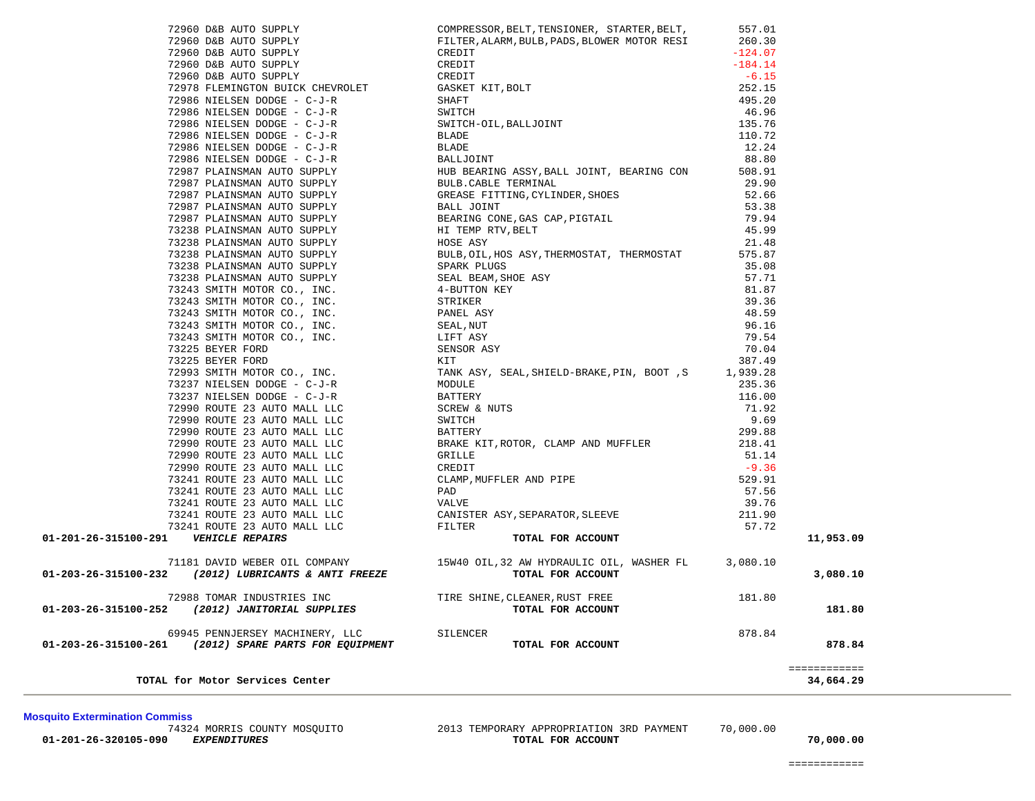============

73241 ROUTE 23 AUTO MALL LLC 73241 ROUTE 23 AUTO MALL LLC 73241 ROUTE 23 AUTO MALL LLC 01-201-26-315100-291 *VEHICLE REPAIRS* 71181 DAVID WEBER OIL COMPANY 01-203-26-315100-232 (2012) LUBRICANTS & ANTI FREEZE 72988 TOMAR INDUSTRIES INC  **01-203-26-315100-252** *(2012) JANITORIAL SUPPLIES* **TOTAL FOR ACCOUNT 181.80** 69945 PENNJERSEY MACHINERY, LLC 01-203-26-315100-261 *(2012) SPARE PARTS FOR EQUIPMENT*  ============ **TOTAL for Motor Services Center 34,664.29 Mosquito Extermination Commiss** 74324 MORRIS COUNTY MOSQUITO 2013 TEMPORARY APPROPRIATION 3RD PAYMENT 70,000.00  **01-201-26-320105-090** *EXPENDITURES* **TOTAL FOR ACCOUNT 70,000.00**

72960 D&B AUTO SUPPLY 72960 D&B AUTO SUPPLY 72960 D&B AUTO SUPPLY 72960 D&B AUTO SUPPLY 72960 D&B AUTO SUPPLY

73225 BEYER FORD 73225 BEYER FORD

72993 SMITH MOTOR CO., INC. 73237 NIELSEN DODGE - C-J-R 73237 NIELSEN DODGE - C-J-R 72990 ROUTE 23 AUTO MALL LLC 72990 ROUTE 23 AUTO MALL LLC 72990 ROUTE 23 AUTO MALL LLC 72990 ROUTE 23 AUTO MALL LLC 72990 ROUTE 23 AUTO MALL LLC 72990 ROUTE 23 AUTO MALL LLC 73241 ROUTE 23 AUTO MALL LLC 73241 ROUTE 23 AUTO MALL LLC

72978 FLEMINGTON BUICK CHEVROLET 72986 NIELSEN DODGE - C-J-R 72986 NIELSEN DODGE - C-J-R 72986 NIELSEN DODGE - C-J-R 72986 NIELSEN DODGE - C-J-R 72986 NIELSEN DODGE - C-J-R 72986 NIELSEN DODGE - C-J-R 72987 PLAINSMAN AUTO SUPPLY 72987 PLAINSMAN AUTO SUPPLY 72987 PLAINSMAN AUTO SUPPLY 72987 PLAINSMAN AUTO SUPPLY 72987 PLAINSMAN AUTO SUPPLY 73238 PLAINSMAN AUTO SUPPLY 73238 PLAINSMAN AUTO SUPPLY 73238 PLAINSMAN AUTO SUPPLY 73238 PLAINSMAN AUTO SUPPLY 73238 PLAINSMAN AUTO SUPPLY 73243 SMITH MOTOR CO., INC. 73243 SMITH MOTOR CO., INC. 73243 SMITH MOTOR CO., INC. 73243 SMITH MOTOR CO., INC. 73243 SMITH MOTOR CO., INC.

| COMPRESSOR, BELT, TENSIONER, STARTER, BELT,                             | 557.01    |           |
|-------------------------------------------------------------------------|-----------|-----------|
| FILTER, ALARM, BULB, PADS, BLOWER MOTOR RESI                            | 260.30    |           |
| CREDIT                                                                  | $-124.07$ |           |
| CREDIT                                                                  | $-184.14$ |           |
| CREDIT                                                                  | $-6.15$   |           |
| GASKET KIT, BOLT                                                        | 252.15    |           |
| SHAFT                                                                   | 495.20    |           |
| SWITCH                                                                  | 46.96     |           |
| SWITCH-OIL, BALLJOINT                                                   | 135.76    |           |
| <b>BLADE</b>                                                            | 110.72    |           |
| <b>BLADE</b>                                                            | 12.24     |           |
| BALLJOINT                                                               | 88.80     |           |
|                                                                         | 508.91    |           |
| HUB BEARING ASSY, BALL JOINT, BEARING CON                               |           |           |
| BULB. CABLE TERMINAL                                                    | 29.90     |           |
| GREASE FITTING, CYLINDER, SHOES                                         | 52.66     |           |
| BALL JOINT                                                              | 53.38     |           |
| BEARING CONE, GAS CAP, PIGTAIL                                          | 79.94     |           |
| HI TEMP RTV, BELT                                                       | 45.99     |           |
| HOSE ASY                                                                | 21.48     |           |
| BULB, OIL, HOS ASY, THERMOSTAT, THERMOSTAT                              | 575.87    |           |
| SPARK PLUGS                                                             | 35.08     |           |
| SEAL BEAM, SHOE ASY                                                     | 57.71     |           |
| 4-BUTTON KEY                                                            | 81.87     |           |
| STRIKER                                                                 | 39.36     |           |
| PANEL ASY                                                               | 48.59     |           |
| SEAL, NUT                                                               | 96.16     |           |
| LIFT ASY                                                                | 79.54     |           |
| SENSOR ASY                                                              | 70.04     |           |
| KIT                                                                     | 387.49    |           |
| TANK ASY, SEAL, SHIELD-BRAKE, PIN, BOOT, S                              | 1,939.28  |           |
| MODULE                                                                  | 235.36    |           |
| <b>BATTERY</b>                                                          | 116.00    |           |
| <b>SCREW &amp; NUTS</b>                                                 | 71.92     |           |
| SWITCH                                                                  | 9.69      |           |
| BATTERY                                                                 | 299.88    |           |
| BRAKE KIT, ROTOR, CLAMP AND MUFFLER                                     | 218.41    |           |
| GRILLE                                                                  | 51.14     |           |
| CREDIT                                                                  | $-9.36$   |           |
| CLAMP, MUFFLER AND PIPE                                                 | 529.91    |           |
| PAD                                                                     |           |           |
|                                                                         | 57.56     |           |
| VALVE                                                                   | 39.76     |           |
| CANISTER ASY, SEPARATOR, SLEEVE                                         | 211.90    |           |
| FILTER                                                                  | 57.72     |           |
| TOTAL FOR ACCOUNT                                                       |           | 11,953.09 |
| 15W40 OIL, 32 AW HYDRAULIC OIL, WASHER FL 3,080.10<br>TOTAL FOR ACCOUNT |           | 3,080.10  |
| TIRE SHINE, CLEANER, RUST FREE<br>TOTAL FOR ACCOUNT                     | 181.80    | 181.80    |
| SILENCER                                                                | 878.84    |           |
| TOTAL FOR ACCOUNT                                                       |           | 878.84    |
|                                                                         |           |           |
|                                                                         |           |           |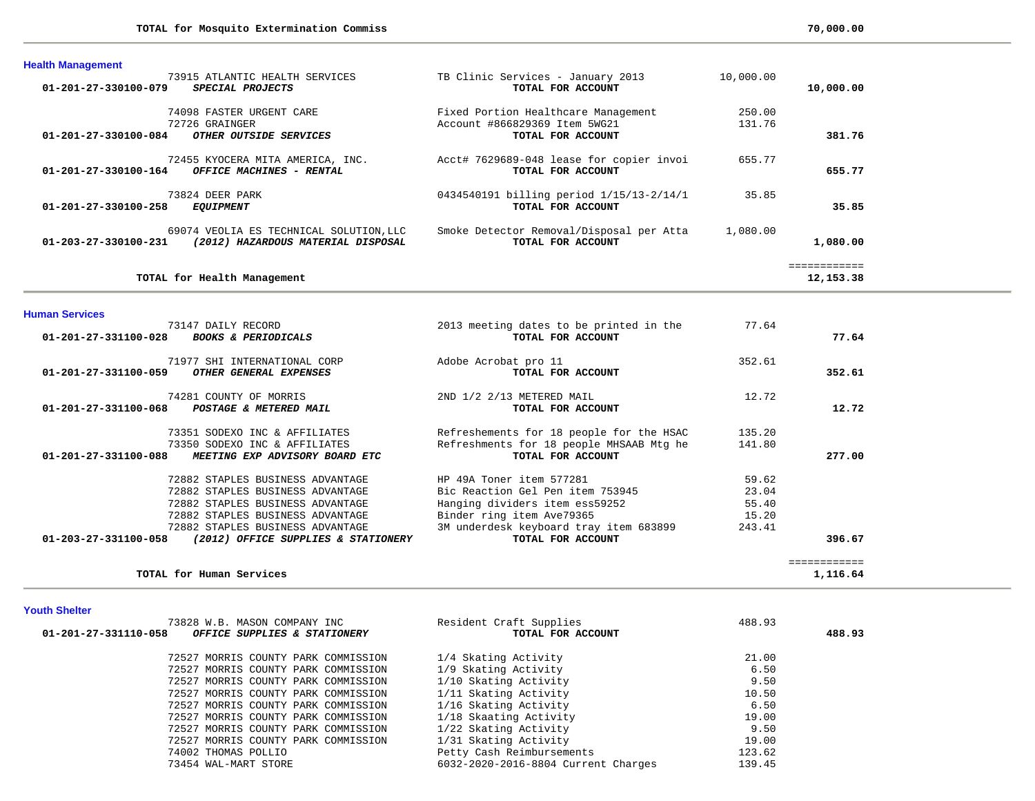| <b>Health Management</b>                                                                              |                                                                                           |                  |                          |
|-------------------------------------------------------------------------------------------------------|-------------------------------------------------------------------------------------------|------------------|--------------------------|
| 73915 ATLANTIC HEALTH SERVICES<br>$01 - 201 - 27 - 330100 - 079$<br>SPECIAL PROJECTS                  | TB Clinic Services - January 2013<br>TOTAL FOR ACCOUNT                                    | 10,000.00        | 10,000.00                |
| 74098 FASTER URGENT CARE<br>72726 GRAINGER<br>01-201-27-330100-084<br>OTHER OUTSIDE SERVICES          | Fixed Portion Healthcare Management<br>Account #866829369 Item 5WG21<br>TOTAL FOR ACCOUNT | 250.00<br>131.76 | 381.76                   |
| 72455 KYOCERA MITA AMERICA, INC.<br>$01 - 201 - 27 - 330100 - 164$<br>OFFICE MACHINES - RENTAL        | Acct# 7629689-048 lease for copier invoi<br>TOTAL FOR ACCOUNT                             | 655.77           | 655.77                   |
| 73824 DEER PARK<br>$01 - 201 - 27 - 330100 - 258$<br><b>EOUIPMENT</b>                                 | 0434540191 billing period 1/15/13-2/14/1<br>TOTAL FOR ACCOUNT                             | 35.85            | 35.85                    |
| 69074 VEOLIA ES TECHNICAL SOLUTION, LLC<br>01-203-27-330100-231<br>(2012) HAZARDOUS MATERIAL DISPOSAL | Smoke Detector Removal/Disposal per Atta<br>TOTAL FOR ACCOUNT                             | 1,080.00         | 1,080.00                 |
| TOTAL for Health Management                                                                           |                                                                                           |                  | ===========<br>12,153.38 |

**Human Services** 

| 73147 DAILY RECORD                                          | 2013 meeting dates to be printed in the  | 77.64  |              |
|-------------------------------------------------------------|------------------------------------------|--------|--------------|
| 01-201-27-331100-028<br><b>BOOKS &amp; PERIODICALS</b>      | TOTAL FOR ACCOUNT                        |        | 77.64        |
| 71977 SHI INTERNATIONAL CORP                                | Adobe Acrobat pro 11                     | 352.61 |              |
| 01-201-27-331100-059<br><i>OTHER GENERAL EXPENSES</i>       | TOTAL FOR ACCOUNT                        |        | 352.61       |
| 74281 COUNTY OF MORRIS                                      | 2ND 1/2 2/13 METERED MAIL                | 12.72  |              |
| 01-201-27-331100-068<br>POSTAGE & METERED MAIL              | TOTAL FOR ACCOUNT                        |        | 12.72        |
| 73351 SODEXO INC & AFFILIATES                               | Refreshements for 18 people for the HSAC | 135.20 |              |
| 73350 SODEXO INC & AFFILIATES                               | Refreshments for 18 people MHSAAB Mtg he | 141.80 |              |
| 01-201-27-331100-088<br>MEETING EXP ADVISORY BOARD ETC      | TOTAL FOR ACCOUNT                        |        | 277.00       |
| 72882 STAPLES BUSINESS ADVANTAGE                            | HP 49A Toner item 577281                 | 59.62  |              |
| 72882 STAPLES BUSINESS ADVANTAGE                            | Bic Reaction Gel Pen item 753945         | 23.04  |              |
| 72882 STAPLES BUSINESS ADVANTAGE                            | Hanging dividers item ess59252           | 55.40  |              |
| 72882 STAPLES BUSINESS ADVANTAGE                            | Binder ring item Ave79365                | 15.20  |              |
| 72882 STAPLES BUSINESS ADVANTAGE                            | 3M underdesk keyboard tray item 683899   | 243.41 |              |
| 01-203-27-331100-058<br>(2012) OFFICE SUPPLIES & STATIONERY | TOTAL FOR ACCOUNT                        |        | 396.67       |
|                                                             |                                          |        | ============ |
| TOTAL for Human Services                                    |                                          |        | 1,116.64     |

**Youth Shelter** 

| 73828 W.B. MASON COMPANY INC                         | Resident Craft Supplies             | 488.93 |        |
|------------------------------------------------------|-------------------------------------|--------|--------|
| 01-201-27-331110-058<br>OFFICE SUPPLIES & STATIONERY | TOTAL FOR ACCOUNT                   |        | 488.93 |
|                                                      |                                     |        |        |
| 72527 MORRIS COUNTY PARK COMMISSION                  | 1/4 Skating Activity                | 21.00  |        |
| 72527 MORRIS COUNTY PARK COMMISSION                  | 1/9 Skating Activity                | 6.50   |        |
| 72527 MORRIS COUNTY PARK COMMISSION                  | 1/10 Skating Activity               | 9.50   |        |
| 72527 MORRIS COUNTY PARK COMMISSION                  | 1/11 Skating Activity               | 10.50  |        |
| 72527 MORRIS COUNTY PARK COMMISSION                  | 1/16 Skating Activity               | 6.50   |        |
| 72527 MORRIS COUNTY PARK COMMISSION                  | 1/18 Skaating Activity              | 19.00  |        |
| 72527 MORRIS COUNTY PARK COMMISSION                  | 1/22 Skating Activity               | 9.50   |        |
| 72527 MORRIS COUNTY PARK COMMISSION                  | 1/31 Skating Activity               | 19.00  |        |
| 74002 THOMAS POLLIO                                  | Petty Cash Reimbursements           | 123.62 |        |
| 73454 WAL-MART STORE                                 | 6032-2020-2016-8804 Current Charges | 139.45 |        |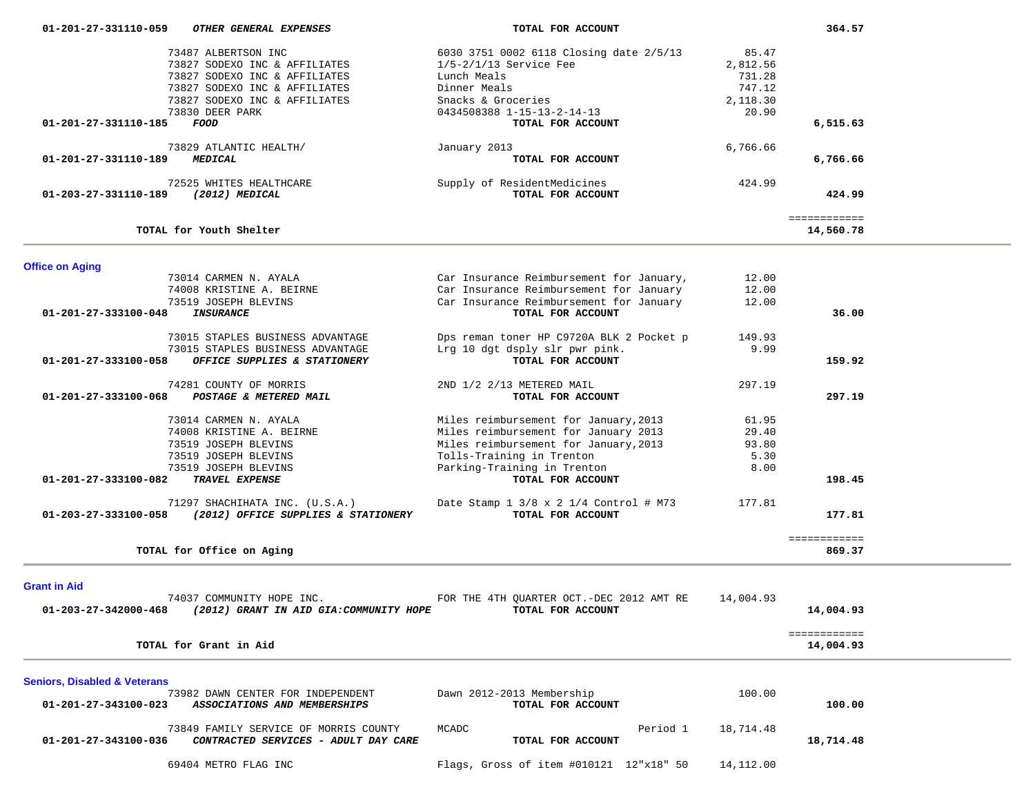| 01-201-27-331110-059                    | OTHER GENERAL EXPENSES                                                        | TOTAL FOR ACCOUNT                               |           | 364.57       |  |
|-----------------------------------------|-------------------------------------------------------------------------------|-------------------------------------------------|-----------|--------------|--|
|                                         | 73487 ALBERTSON INC                                                           | 6030 3751 0002 6118 Closing date 2/5/13         | 85.47     |              |  |
|                                         | 73827 SODEXO INC & AFFILIATES                                                 | $1/5 - 2/1/13$ Service Fee                      | 2,812.56  |              |  |
|                                         | 73827 SODEXO INC & AFFILIATES                                                 | Lunch Meals                                     | 731.28    |              |  |
|                                         | 73827 SODEXO INC & AFFILIATES                                                 | Dinner Meals                                    | 747.12    |              |  |
|                                         | 73827 SODEXO INC & AFFILIATES                                                 | Snacks & Groceries                              | 2,118.30  |              |  |
| 01-201-27-331110-185                    | 73830 DEER PARK<br>FOOD                                                       | 0434508388 1-15-13-2-14-13<br>TOTAL FOR ACCOUNT | 20.90     | 6,515.63     |  |
|                                         |                                                                               |                                                 |           |              |  |
| 01-201-27-331110-189                    | 73829 ATLANTIC HEALTH/<br><b>MEDICAL</b>                                      | January 2013<br>TOTAL FOR ACCOUNT               | 6,766.66  | 6,766.66     |  |
|                                         |                                                                               |                                                 |           |              |  |
|                                         | 72525 WHITES HEALTHCARE                                                       | Supply of ResidentMedicines                     | 424.99    |              |  |
| 01-203-27-331110-189                    | $(2012)$ MEDICAL                                                              | TOTAL FOR ACCOUNT                               |           | 424.99       |  |
|                                         |                                                                               |                                                 |           | ============ |  |
|                                         | TOTAL for Youth Shelter                                                       |                                                 |           | 14,560.78    |  |
| <b>Office on Aging</b>                  |                                                                               |                                                 |           |              |  |
|                                         | 73014 CARMEN N. AYALA                                                         | Car Insurance Reimbursement for January,        | 12.00     |              |  |
|                                         | 74008 KRISTINE A. BEIRNE                                                      | Car Insurance Reimbursement for January         | 12.00     |              |  |
|                                         | 73519 JOSEPH BLEVINS                                                          | Car Insurance Reimbursement for January         | 12.00     |              |  |
| 01-201-27-333100-048                    | <b>INSURANCE</b>                                                              | TOTAL FOR ACCOUNT                               |           | 36.00        |  |
|                                         | 73015 STAPLES BUSINESS ADVANTAGE                                              | Dps reman toner HP C9720A BLK 2 Pocket p        | 149.93    |              |  |
|                                         | 73015 STAPLES BUSINESS ADVANTAGE                                              | Lrg 10 dgt dsply slr pwr pink.                  | 9.99      |              |  |
| 01-201-27-333100-058                    | OFFICE SUPPLIES & STATIONERY                                                  | TOTAL FOR ACCOUNT                               |           | 159.92       |  |
|                                         | 74281 COUNTY OF MORRIS                                                        | 2ND 1/2 2/13 METERED MAIL                       | 297.19    |              |  |
| 01-201-27-333100-068                    | POSTAGE & METERED MAIL                                                        | TOTAL FOR ACCOUNT                               |           | 297.19       |  |
|                                         | 73014 CARMEN N. AYALA                                                         | Miles reimbursement for January, 2013           | 61.95     |              |  |
|                                         | 74008 KRISTINE A. BEIRNE                                                      | Miles reimbursement for January 2013            | 29.40     |              |  |
|                                         | 73519 JOSEPH BLEVINS                                                          | Miles reimbursement for January, 2013           | 93.80     |              |  |
|                                         | 73519 JOSEPH BLEVINS                                                          | Tolls-Training in Trenton                       | 5.30      |              |  |
|                                         | 73519 JOSEPH BLEVINS                                                          | Parking-Training in Trenton                     | 8.00      |              |  |
| 01-201-27-333100-082                    | TRAVEL EXPENSE                                                                | TOTAL FOR ACCOUNT                               |           | 198.45       |  |
|                                         | 71297 SHACHIHATA INC. (U.S.A.)                                                | Date Stamp 1 3/8 x 2 1/4 Control # M73          | 177.81    |              |  |
| 01-203-27-333100-058                    | (2012) OFFICE SUPPLIES & STATIONERY                                           | TOTAL FOR ACCOUNT                               |           | 177.81       |  |
|                                         |                                                                               |                                                 |           | ============ |  |
|                                         | TOTAL for Office on Aging                                                     |                                                 |           | 869.37       |  |
|                                         |                                                                               |                                                 |           |              |  |
| <b>Grant in Aid</b>                     |                                                                               |                                                 |           |              |  |
|                                         | 74037 COMMUNITY HOPE INC.                                                     | FOR THE 4TH QUARTER OCT. - DEC 2012 AMT RE      | 14,004.93 |              |  |
| 01-203-27-342000-468                    | (2012) GRANT IN AID GIA: COMMUNITY HOPE                                       | TOTAL FOR ACCOUNT                               |           | 14,004.93    |  |
|                                         |                                                                               |                                                 |           | ============ |  |
|                                         | TOTAL for Grant in Aid                                                        |                                                 |           | 14,004.93    |  |
| <b>Seniors, Disabled &amp; Veterans</b> |                                                                               |                                                 |           |              |  |
|                                         | 73982 DAWN CENTER FOR INDEPENDENT                                             | Dawn 2012-2013 Membership                       | 100.00    |              |  |
| 01-201-27-343100-023                    | ASSOCIATIONS AND MEMBERSHIPS                                                  | TOTAL FOR ACCOUNT                               |           | 100.00       |  |
|                                         |                                                                               |                                                 |           |              |  |
| 01-201-27-343100-036                    | 73849 FAMILY SERVICE OF MORRIS COUNTY<br>CONTRACTED SERVICES - ADULT DAY CARE | Period 1<br>MCADC<br>TOTAL FOR ACCOUNT          | 18,714.48 | 18,714.48    |  |
|                                         |                                                                               |                                                 |           |              |  |
|                                         | 69404 METRO FLAG INC                                                          | Flags, Gross of item #010121 12"x18" 50         | 14,112.00 |              |  |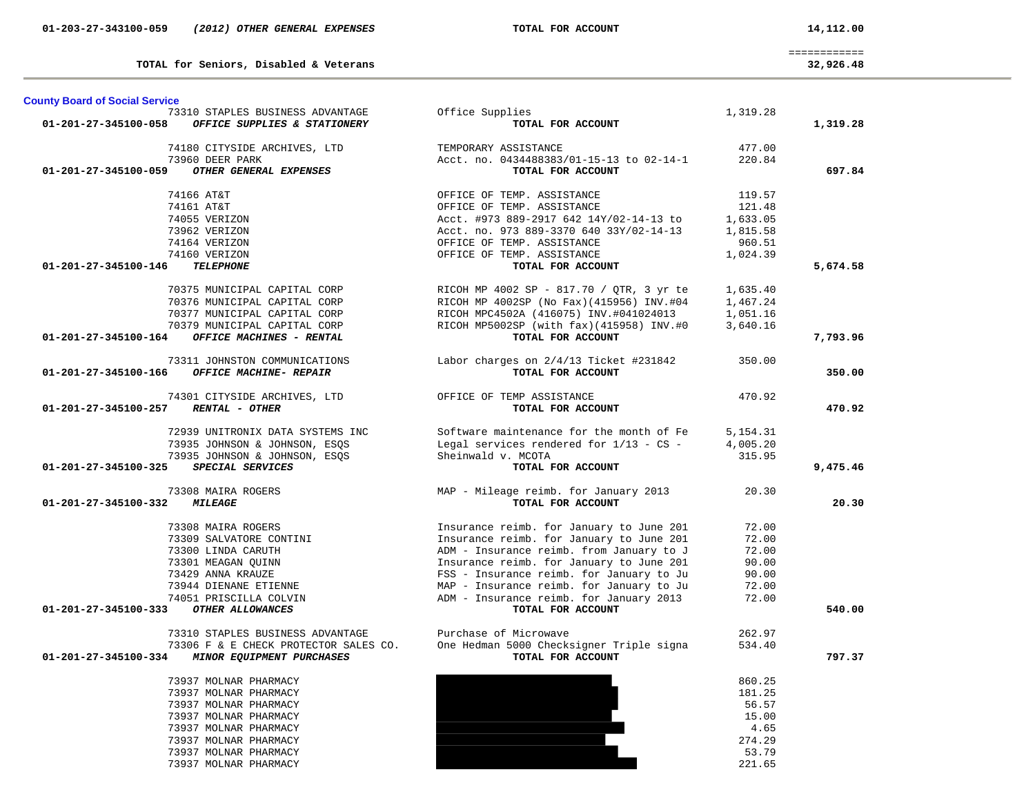| <b>County Board of Social Service</b> |                                                                           |                                                                                                                                                                        |          |          |
|---------------------------------------|---------------------------------------------------------------------------|------------------------------------------------------------------------------------------------------------------------------------------------------------------------|----------|----------|
|                                       | 73310 STAPLES BUSINESS ADVANTAGE                                          | Office Supplies                                                                                                                                                        | 1,319.28 |          |
| 01-201-27-345100-058                  | OFFICE SUPPLIES & STATIONERY                                              | TOTAL FOR ACCOUNT                                                                                                                                                      |          | 1,319.28 |
|                                       | 74180 CITYSIDE ARCHIVES, LTD                                              | TEMPORARY ASSISTANCE                                                                                                                                                   | 477.00   |          |
|                                       | 73960 DEER PARK                                                           | Acct. no. 0434488383/01-15-13 to 02-14-1                                                                                                                               | 220.84   |          |
| 01-201-27-345100-059                  | OTHER GENERAL EXPENSES                                                    | TOTAL FOR ACCOUNT                                                                                                                                                      |          | 697.84   |
|                                       | 74166 AT&T                                                                | OFFICE OF TEMP. ASSISTANCE                                                                                                                                             | 119.57   |          |
|                                       | 74161 AT&T                                                                | OFFICE OF TEMP. ASSISTANCE                                                                                                                                             | 121.48   |          |
|                                       | 74055 VERIZON                                                             | Acct. #973 889-2917 642 14Y/02-14-13 to                                                                                                                                | 1,633.05 |          |
|                                       | 73962 VERIZON                                                             | Acct. no. 973 889-3370 640 33Y/02-14-13                                                                                                                                | 1,815.58 |          |
|                                       | 74164 VERIZON                                                             | OFFICE OF TEMP. ASSISTANCE                                                                                                                                             | 960.51   |          |
|                                       | 74160 VERIZON                                                             | OFFICE OF TEMP. ASSISTANCE                                                                                                                                             | 1,024.39 |          |
| 01-201-27-345100-146                  | <b>TELEPHONE</b>                                                          | TOTAL FOR ACCOUNT                                                                                                                                                      |          | 5,674.58 |
|                                       |                                                                           | 70375 MUNICIPAL CAPITAL CORP RICOH MP 4002 SP - 817.70 / QTR, 3 yr te                                                                                                  | 1,635.40 |          |
|                                       | 70376 MUNICIPAL CAPITAL CORP                                              | RICOH MP 4002SP (No Fax)(415956) INV.#04                                                                                                                               | 1,467.24 |          |
|                                       | 70377 MUNICIPAL CAPITAL CORP                                              | RICOH MPC4502A (416075) INV.#041024013                                                                                                                                 | 1,051.16 |          |
|                                       | 70379 MUNICIPAL CAPITAL CORP                                              | RICOH MP5002SP (with fax)(415958) INV.#0                                                                                                                               | 3,640.16 |          |
| 01-201-27-345100-164                  | OFFICE MACHINES - RENTAL                                                  | TOTAL FOR ACCOUNT                                                                                                                                                      |          | 7,793.96 |
|                                       | 73311 JOHNSTON COMMUNICATIONS                                             | Labor charges on 2/4/13 Ticket #231842                                                                                                                                 | 350.00   |          |
| 01-201-27-345100-166                  | OFFICE MACHINE- REPAIR                                                    | TOTAL FOR ACCOUNT                                                                                                                                                      |          | 350.00   |
|                                       | 74301 CITYSIDE ARCHIVES, LTD OFFICE OF TEMP ASSISTANCE                    |                                                                                                                                                                        | 470.92   |          |
| 01-201-27-345100-257 RENTAL - OTHER   |                                                                           | TOTAL FOR ACCOUNT                                                                                                                                                      |          | 470.92   |
|                                       | 72939 UNITRONIX DATA SYSTEMS INC                                          | Software maintenance for the month of Fe                                                                                                                               | 5,154.31 |          |
|                                       | 73935 JOHNSON & JOHNSON, ESQS                                             | Legal services rendered for 1/13 - CS -                                                                                                                                | 4,005.20 |          |
|                                       | 73935 JOHNSON & JOHNSON, ESOS                                             | Sheinwald v. MCOTA                                                                                                                                                     | 315.95   |          |
| 01-201-27-345100-325 SPECIAL SERVICES |                                                                           | TOTAL FOR ACCOUNT                                                                                                                                                      |          | 9,475.46 |
|                                       | 73308 MAIRA ROGERS                                                        | MAP - Mileage reimb. for January 2013                                                                                                                                  | 20.30    |          |
| 01-201-27-345100-332 MILEAGE          |                                                                           | TOTAL FOR ACCOUNT                                                                                                                                                      |          | 20.30    |
|                                       |                                                                           | Insurance reimb. for January to June 201                                                                                                                               | 72.00    |          |
|                                       | 73308 MAIRA ROGERS<br>73309 SALVATORE CONTINI                             | Insurance reimb. for January to June 201                                                                                                                               | 72.00    |          |
|                                       | 73300 LINDA CARUTH                                                        | ADM - Insurance reimb. from January to J                                                                                                                               | 72.00    |          |
|                                       | 73301 MEAGAN QUINN                                                        | Insurance reimb. for January to June 201                                                                                                                               | 90.00    |          |
|                                       | 73429 ANNA KRAUZE                                                         |                                                                                                                                                                        | 90.00    |          |
|                                       | 73944 DIENANE ETIENNE                                                     |                                                                                                                                                                        | 72.00    |          |
|                                       | 74051 PRISCILLA COLVIN                                                    | FSS - Insurance reimb. for January to June 201<br>FSS - Insurance reimb. for January to Ju<br>MAP - Insurance reimb. for January to Ju<br>ADM - Insurance reimb. for J | 72.00    |          |
| 01-201-27-345100-333                  | OTHER ALLOWANCES                                                          | TOTAL FOR ACCOUNT                                                                                                                                                      |          | 540.00   |
|                                       |                                                                           | Purchase of Microwave                                                                                                                                                  | 262.97   |          |
|                                       | 73310 STAPLES BUSINESS ADVANTAGE<br>73306 F & E CHECK PROTECTOR SALES CO. | One Hedman 5000 Checksigner Triple signa                                                                                                                               | 534.40   |          |
| 01-201-27-345100-334                  | <b>MINOR EQUIPMENT PURCHASES</b>                                          | TOTAL FOR ACCOUNT                                                                                                                                                      |          | 797.37   |
|                                       | 73937 MOLNAR PHARMACY                                                     |                                                                                                                                                                        | 860.25   |          |
|                                       | 73937 MOLNAR PHARMACY                                                     |                                                                                                                                                                        | 181.25   |          |
|                                       | 73937 MOLNAR PHARMACY                                                     |                                                                                                                                                                        | 56.57    |          |
|                                       | 73937 MOLNAR PHARMACY                                                     |                                                                                                                                                                        | 15.00    |          |
|                                       | 73937 MOLNAR PHARMACY                                                     |                                                                                                                                                                        | 4.65     |          |
|                                       | 73937 MOLNAR PHARMACY                                                     |                                                                                                                                                                        | 274.29   |          |
|                                       | 73937 MOLNAR PHARMACY                                                     |                                                                                                                                                                        | 53.79    |          |
|                                       | <b>72027 MOTATA DILADMACV</b>                                             |                                                                                                                                                                        | 221 C    |          |

**TOTAL for Seniors, Disabled & Veterans 32,926.48**

73937 MOLNAR PHARMACY

 ============ 32,926.48

221.65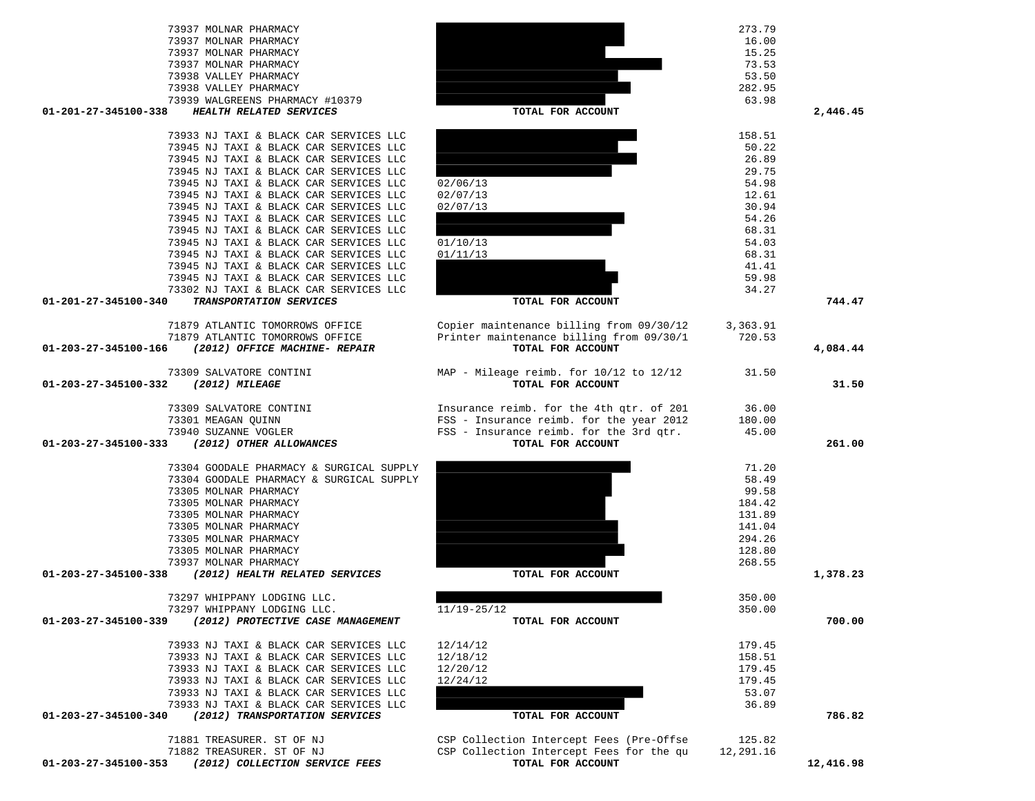| 73937 MOLNAR PHARMACY                                  |                                                               | 16.00     |           |
|--------------------------------------------------------|---------------------------------------------------------------|-----------|-----------|
| 73937 MOLNAR PHARMACY                                  |                                                               | 15.25     |           |
| 73937 MOLNAR PHARMACY                                  |                                                               | 73.53     |           |
| 73938 VALLEY PHARMACY                                  |                                                               | 53.50     |           |
| 73938 VALLEY PHARMACY                                  |                                                               | 282.95    |           |
| 73939 WALGREENS PHARMACY #10379                        |                                                               | 63.98     |           |
| 01-201-27-345100-338<br>HEALTH RELATED SERVICES        | TOTAL FOR ACCOUNT                                             |           | 2,446.45  |
| 73933 NJ TAXI & BLACK CAR SERVICES LLC                 |                                                               | 158.51    |           |
| 73945 NJ TAXI & BLACK CAR SERVICES LLC                 |                                                               | 50.22     |           |
| 73945 NJ TAXI & BLACK CAR SERVICES LLC                 |                                                               | 26.89     |           |
| 73945 NJ TAXI & BLACK CAR SERVICES LLC                 |                                                               | 29.75     |           |
| 73945 NJ TAXI & BLACK CAR SERVICES LLC                 | 02/06/13                                                      | 54.98     |           |
| 73945 NJ TAXI & BLACK CAR SERVICES LLC                 | 02/07/13                                                      | 12.61     |           |
| 73945 NJ TAXI & BLACK CAR SERVICES LLC                 | 02/07/13                                                      | 30.94     |           |
| 73945 NJ TAXI & BLACK CAR SERVICES LLC                 |                                                               | 54.26     |           |
| 73945 NJ TAXI & BLACK CAR SERVICES LLC                 |                                                               | 68.31     |           |
| 73945 NJ TAXI & BLACK CAR SERVICES LLC                 | 01/10/13                                                      | 54.03     |           |
| 73945 NJ TAXI & BLACK CAR SERVICES LLC                 | 01/11/13                                                      | 68.31     |           |
| 73945 NJ TAXI & BLACK CAR SERVICES LLC                 |                                                               | 41.41     |           |
| 73945 NJ TAXI & BLACK CAR SERVICES LLC                 |                                                               | 59.98     |           |
| 73302 NJ TAXI & BLACK CAR SERVICES LLC                 |                                                               | 34.27     |           |
| TRANSPORTATION SERVICES<br>01-201-27-345100-340        | TOTAL FOR ACCOUNT                                             |           | 744.47    |
|                                                        |                                                               |           |           |
| 71879 ATLANTIC TOMORROWS OFFICE                        | Copier maintenance billing from 09/30/12                      | 3,363.91  |           |
| 71879 ATLANTIC TOMORROWS OFFICE                        | Printer maintenance billing from 09/30/1<br>TOTAL FOR ACCOUNT | 720.53    |           |
| (2012) OFFICE MACHINE- REPAIR<br>01-203-27-345100-166  |                                                               |           | 4,084.44  |
| 73309 SALVATORE CONTINI                                | MAP - Mileage reimb. for 10/12 to 12/12                       | 31.50     |           |
| 01-203-27-345100-332<br>(2012) MILEAGE                 | TOTAL FOR ACCOUNT                                             |           | 31.50     |
|                                                        |                                                               |           |           |
| 73309 SALVATORE CONTINI                                | Insurance reimb. for the 4th qtr. of 201                      | 36.00     |           |
| 73301 MEAGAN QUINN                                     | FSS - Insurance reimb. for the year 2012                      | 180.00    |           |
| 73940 SUZANNE VOGLER                                   | FSS - Insurance reimb. for the 3rd qtr.                       | 45.00     |           |
| 01-203-27-345100-333<br>(2012) OTHER ALLOWANCES        | TOTAL FOR ACCOUNT                                             |           | 261.00    |
| 73304 GOODALE PHARMACY & SURGICAL SUPPLY               |                                                               | 71.20     |           |
| 73304 GOODALE PHARMACY & SURGICAL SUPPLY               |                                                               | 58.49     |           |
| 73305 MOLNAR PHARMACY                                  |                                                               | 99.58     |           |
| 73305 MOLNAR PHARMACY                                  |                                                               | 184.42    |           |
| 73305 MOLNAR PHARMACY                                  |                                                               | 131.89    |           |
| 73305 MOLNAR PHARMACY                                  |                                                               | 141.04    |           |
| 73305 MOLNAR PHARMACY                                  |                                                               | 294.26    |           |
| 73305 MOLNAR PHARMACY                                  |                                                               | 128.80    |           |
| 73937 MOLNAR PHARMACY                                  |                                                               | 268.55    |           |
| 01-203-27-345100-338<br>(2012) HEALTH RELATED SERVICES | TOTAL FOR ACCOUNT                                             |           | 1,378.23  |
|                                                        |                                                               |           |           |
| 73297 WHIPPANY LODGING LLC.                            |                                                               | 350.00    |           |
| 73297 WHIPPANY LODGING LLC.                            | $11/19 - 25/12$                                               | 350.00    |           |
| 01-203-27-345100-339 (2012) PROTECTIVE CASE MANAGEMENT | TOTAL FOR ACCOUNT                                             |           | 700.00    |
| 73933 NJ TAXI & BLACK CAR SERVICES LLC                 | 12/14/12                                                      | 179.45    |           |
| 73933 NJ TAXI & BLACK CAR SERVICES LLC                 | 12/18/12                                                      | 158.51    |           |
| 73933 NJ TAXI & BLACK CAR SERVICES LLC                 | 12/20/12                                                      | 179.45    |           |
| 73933 NJ TAXI & BLACK CAR SERVICES LLC                 | 12/24/12                                                      | 179.45    |           |
| 73933 NJ TAXI & BLACK CAR SERVICES LLC                 |                                                               | 53.07     |           |
| 73933 NJ TAXI & BLACK CAR SERVICES LLC                 |                                                               | 36.89     |           |
| (2012) TRANSPORTATION SERVICES<br>01-203-27-345100-340 | TOTAL FOR ACCOUNT                                             |           | 786.82    |
|                                                        |                                                               |           |           |
| 71881 TREASURER. ST OF NJ                              | CSP Collection Intercept Fees (Pre-Offse                      | 125.82    |           |
| 71882 TREASURER. ST OF NJ                              | CSP Collection Intercept Fees for the qu                      | 12,291.16 |           |
| (2012) COLLECTION SERVICE FEES<br>01-203-27-345100-353 | TOTAL FOR ACCOUNT                                             |           | 12,416.98 |

73937 MOLNAR PHARMACY 273.79

744.47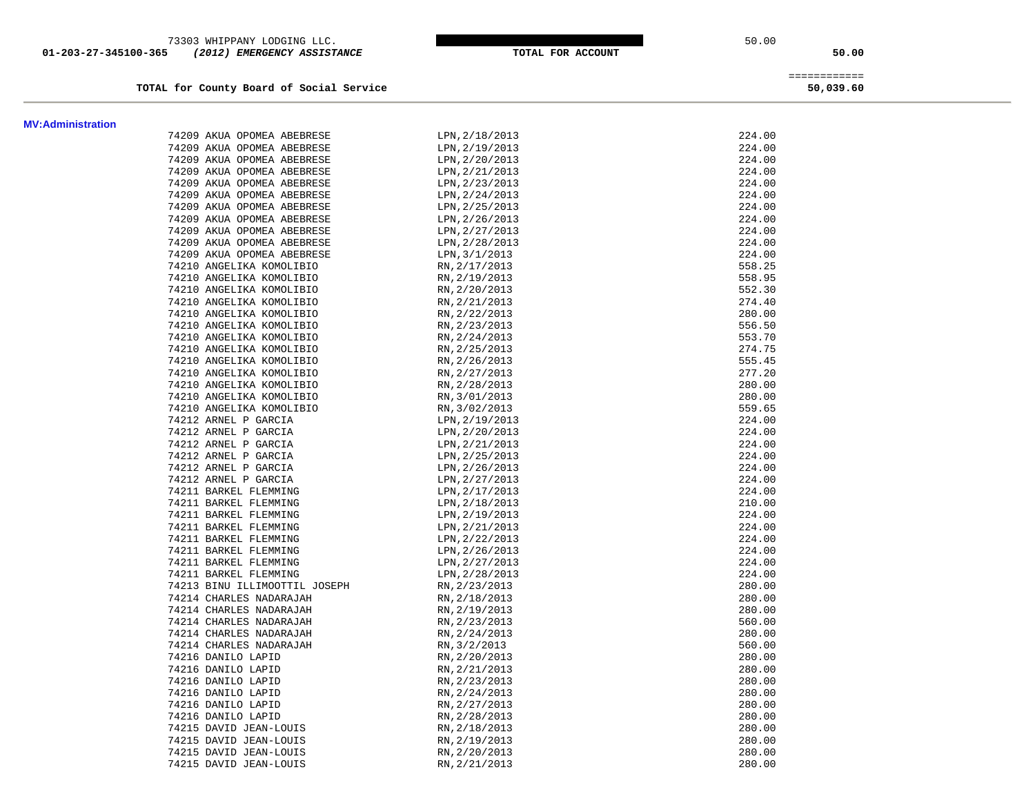73303 WHIPPANY LODGING LLC. 50.00  **01-203-27-345100-365** *(2012) EMERGENCY ASSISTANCE* **TOTAL FOR ACCOUNT 50.00**

TOTAL for County Board of Social Service

 ============ 50,039.60

| <b>MV:Administration</b> |                               |                |        |
|--------------------------|-------------------------------|----------------|--------|
|                          | 74209 AKUA OPOMEA ABEBRESE    | LPN, 2/18/2013 | 224.00 |
|                          | 74209 AKUA OPOMEA ABEBRESE    | LPN, 2/19/2013 | 224.00 |
|                          | 74209 AKUA OPOMEA ABEBRESE    | LPN, 2/20/2013 | 224.00 |
|                          | 74209 AKUA OPOMEA ABEBRESE    | LPN, 2/21/2013 | 224.00 |
|                          | 74209 AKUA OPOMEA ABEBRESE    | LPN, 2/23/2013 | 224.00 |
|                          | 74209 AKUA OPOMEA ABEBRESE    | LPN, 2/24/2013 | 224.00 |
|                          | 74209 AKUA OPOMEA ABEBRESE    | LPN, 2/25/2013 | 224.00 |
|                          | 74209 AKUA OPOMEA ABEBRESE    | LPN, 2/26/2013 | 224.00 |
|                          | 74209 AKUA OPOMEA ABEBRESE    | LPN, 2/27/2013 | 224.00 |
|                          | 74209 AKUA OPOMEA ABEBRESE    | LPN, 2/28/2013 | 224.00 |
|                          | 74209 AKUA OPOMEA ABEBRESE    | LPN, 3/1/2013  | 224.00 |
|                          | 74210 ANGELIKA KOMOLIBIO      | RN, 2/17/2013  | 558.25 |
|                          | 74210 ANGELIKA KOMOLIBIO      | RN, 2/19/2013  | 558.95 |
|                          | 74210 ANGELIKA KOMOLIBIO      | RN, 2/20/2013  | 552.30 |
|                          | 74210 ANGELIKA KOMOLIBIO      | RN, 2/21/2013  | 274.40 |
|                          | 74210 ANGELIKA KOMOLIBIO      | RN, 2/22/2013  | 280.00 |
|                          | 74210 ANGELIKA KOMOLIBIO      | RN, 2/23/2013  | 556.50 |
|                          | 74210 ANGELIKA KOMOLIBIO      | RN, 2/24/2013  | 553.70 |
|                          | 74210 ANGELIKA KOMOLIBIO      | RN, 2/25/2013  | 274.75 |
|                          | 74210 ANGELIKA KOMOLIBIO      | RN, 2/26/2013  | 555.45 |
|                          | 74210 ANGELIKA KOMOLIBIO      | RN, 2/27/2013  | 277.20 |
|                          | 74210 ANGELIKA KOMOLIBIO      | RN, 2/28/2013  | 280.00 |
|                          | 74210 ANGELIKA KOMOLIBIO      | RN, 3/01/2013  | 280.00 |
|                          | 74210 ANGELIKA KOMOLIBIO      | RN, 3/02/2013  | 559.65 |
|                          | 74212 ARNEL P GARCIA          | LPN, 2/19/2013 | 224.00 |
|                          | 74212 ARNEL P GARCIA          | LPN, 2/20/2013 | 224.00 |
|                          | 74212 ARNEL P GARCIA          | LPN, 2/21/2013 | 224.00 |
|                          | 74212 ARNEL P GARCIA          | LPN, 2/25/2013 | 224.00 |
|                          | 74212 ARNEL P GARCIA          | LPN, 2/26/2013 | 224.00 |
|                          | 74212 ARNEL P GARCIA          | LPN, 2/27/2013 | 224.00 |
|                          | 74211 BARKEL FLEMMING         | LPN, 2/17/2013 | 224.00 |
|                          | 74211 BARKEL FLEMMING         | LPN, 2/18/2013 | 210.00 |
|                          | 74211 BARKEL FLEMMING         | LPN, 2/19/2013 | 224.00 |
|                          | 74211 BARKEL FLEMMING         | LPN, 2/21/2013 | 224.00 |
|                          | 74211 BARKEL FLEMMING         | LPN, 2/22/2013 | 224.00 |
|                          | 74211 BARKEL FLEMMING         | LPN, 2/26/2013 | 224.00 |
|                          | 74211 BARKEL FLEMMING         | LPN, 2/27/2013 | 224.00 |
|                          | 74211 BARKEL FLEMMING         | LPN, 2/28/2013 | 224.00 |
|                          | 74213 BINU ILLIMOOTTIL JOSEPH | RN, 2/23/2013  | 280.00 |
|                          | 74214 CHARLES NADARAJAH       | RN, 2/18/2013  | 280.00 |
|                          | 74214 CHARLES NADARAJAH       | RN, 2/19/2013  | 280.00 |
|                          | 74214 CHARLES NADARAJAH       | RN, 2/23/2013  | 560.00 |
|                          | 74214 CHARLES NADARAJAH       | RN, 2/24/2013  | 280.00 |
|                          | 74214 CHARLES NADARAJAH       | RN, 3/2/2013   | 560.00 |
|                          | 74216 DANILO LAPID            | RN, 2/20/2013  | 280.00 |
|                          | 74216 DANILO LAPID            | RN, 2/21/2013  | 280.00 |
|                          | 74216 DANILO LAPID            | RN, 2/23/2013  | 280.00 |
|                          | 74216 DANILO LAPID            | RN, 2/24/2013  | 280.00 |
|                          | 74216 DANILO LAPID            | RN, 2/27/2013  | 280.00 |
|                          | 74216 DANILO LAPID            | RN, 2/28/2013  | 280.00 |
|                          | 74215 DAVID JEAN-LOUIS        | RN, 2/18/2013  | 280.00 |
|                          | 74215 DAVID JEAN-LOUIS        | RN, 2/19/2013  | 280.00 |
|                          | 74215 DAVID JEAN-LOUIS        | RN, 2/20/2013  | 280.00 |
|                          | 74215 DAVID JEAN-LOUIS        | RN, 2/21/2013  | 280.00 |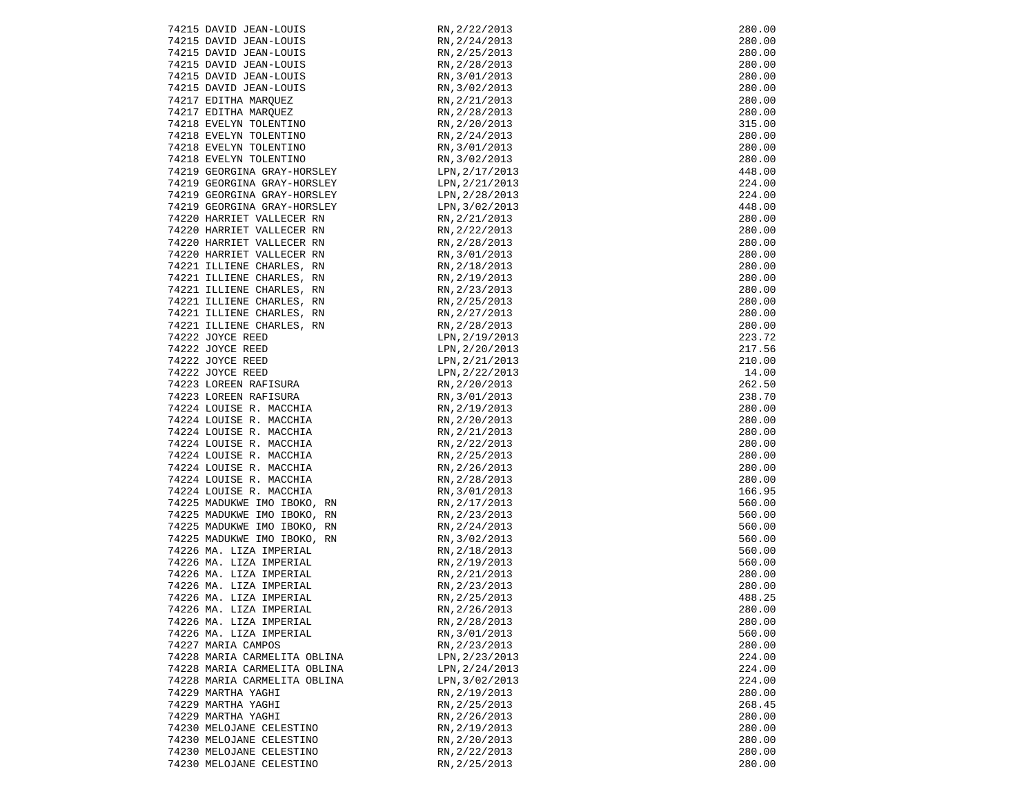| 74215 DAVID JEAN-LOUIS                                                                                                         | RN, 2/22/2013  | 280.00 |
|--------------------------------------------------------------------------------------------------------------------------------|----------------|--------|
|                                                                                                                                |                |        |
| 74215 DAVID JEAN-LOUIS                                                                                                         | RN, 2/24/2013  | 280.00 |
|                                                                                                                                | RN, 2/25/2013  | 280.00 |
|                                                                                                                                | RN, 2/28/2013  | 280.00 |
| 74215 DAVID JEAN-LOUIS<br>74215 DAVID JEAN-LOUIS<br>74215 DAVID JEAN-LOUIS<br>74215 DAVID JEAN-LOUIS<br>74215 DAVID JEAN-LOUIS | RN, 3/01/2013  | 280.00 |
|                                                                                                                                | RN, 3/02/2013  | 280.00 |
|                                                                                                                                |                | 280.00 |
|                                                                                                                                | RN, 2/21/2013  |        |
| 74217 EDITHA MARQUEZ<br>74217 EDITHA MARQUEZ                                                                                   | RN, 2/28/2013  | 280.00 |
| 74218 EVELYN TOLENTINO                                                                                                         | RN, 2/20/2013  | 315.00 |
| 74218 EVELYN TOLENTINO                                                                                                         | RN, 2/24/2013  | 280.00 |
|                                                                                                                                | RN, 3/01/2013  | 280.00 |
| 74218 EVELYN TOLENTINO<br>74218 EVELYN TOLENTINO                                                                               | RN, 3/02/2013  | 280.00 |
|                                                                                                                                |                |        |
| 74219 GEORGINA GRAY-HORSLEY                                                                                                    | LPN, 2/17/2013 | 448.00 |
| 74219 GEORGINA GRAY-HORSLEY                                                                                                    | LPN,2/21/2013  | 224.00 |
| 74219 GEORGINA GRAY-HORSLEY                                                                                                    | LPN, 2/28/2013 | 224.00 |
| 74219 GEORGINA GRAY-HORSLEY                                                                                                    | LPN, 3/02/2013 | 448.00 |
| 74220 HARRIET VALLECER RN                                                                                                      | RN, 2/21/2013  | 280.00 |
| 74220 HARRIET VALLECER RN                                                                                                      | RN, 2/22/2013  | 280.00 |
| 74220 HARRIET VALLECER RN                                                                                                      | RN, 2/28/2013  | 280.00 |
|                                                                                                                                |                |        |
| 74220 HARRIET VALLECER RN                                                                                                      | RN, 3/01/2013  | 280.00 |
| 74221 ILLIENE CHARLES, RN                                                                                                      | RN, 2/18/2013  | 280.00 |
| 74221 ILLIENE CHARLES, RN                                                                                                      | RN, 2/19/2013  | 280.00 |
| 74221 ILLIENE CHARLES, RN                                                                                                      | RN, 2/23/2013  | 280.00 |
| 74221 ILLIENE CHARLES, RN                                                                                                      | RN, 2/25/2013  | 280.00 |
| 74221 ILLIENE CHARLES, RN                                                                                                      | RN, 2/27/2013  | 280.00 |
| 74221 ILLIENE CHARLES, RN                                                                                                      | RN, 2/28/2013  | 280.00 |
|                                                                                                                                |                |        |
| 74222 JOYCE REED                                                                                                               | LPN, 2/19/2013 | 223.72 |
| 74222 JOYCE REED                                                                                                               | LPN, 2/20/2013 | 217.56 |
|                                                                                                                                | LPN, 2/21/2013 | 210.00 |
| 74222 JOYCE REED<br>74222 JOYCE REED<br>74223 LOREEN RAFISURA<br>74223 LOREEN RAFISURA<br>74224 LOREEN RAFISURA                | LPN, 2/22/2013 | 14.00  |
|                                                                                                                                | RN, 2/20/2013  | 262.50 |
|                                                                                                                                | RN, 3/01/2013  | 238.70 |
| 74224 LOUISE R. MACCHIA                                                                                                        | RN, 2/19/2013  | 280.00 |
| 74224 LOUISE R. MACCHIA                                                                                                        | RN, 2/20/2013  | 280.00 |
|                                                                                                                                |                |        |
| 74224 LOUISE R. MACCHIA                                                                                                        | RN, 2/21/2013  | 280.00 |
| 74224 LOUISE R. MACCHIA                                                                                                        | RN, 2/22/2013  | 280.00 |
| 74224 LOUISE R. MACCHIA                                                                                                        | RN, 2/25/2013  | 280.00 |
| 74224 LOUISE R. MACCHIA                                                                                                        | RN, 2/26/2013  | 280.00 |
| 74224 LOUISE R. MACCHIA                                                                                                        | RN, 2/28/2013  | 280.00 |
| 74224 LOUISE R. MACCHIA                                                                                                        | RN, 3/01/2013  | 166.95 |
| 74225 MADUKWE IMO IBOKO, RN                                                                                                    | RN, 2/17/2013  | 560.00 |
|                                                                                                                                |                |        |
| 74225 MADUKWE IMO IBOKO, RN                                                                                                    | RN, 2/23/2013  | 560.00 |
| 74225 MADUKWE IMO IBOKO, RN                                                                                                    | RN, 2/24/2013  | 560.00 |
| 74225 MADUKWE IMO IBOKO, RN                                                                                                    | RN, 3/02/2013  | 560.00 |
| 74226 MA. LIZA IMPERIAL                                                                                                        | RN, 2/18/2013  | 560.00 |
| 74226 MA. LIZA IMPERIAL                                                                                                        | RN, 2/19/2013  | 560.00 |
| 74226 MA. LIZA IMPERIAL                                                                                                        | RN, 2/21/2013  | 280.00 |
| 74226 MA. LIZA IMPERIAL                                                                                                        | RN, 2/23/2013  | 280.00 |
| 74226 MA. LIZA IMPERIAL                                                                                                        | RN, 2/25/2013  | 488.25 |
|                                                                                                                                |                |        |
| 74226 MA. LIZA IMPERIAL                                                                                                        | RN, 2/26/2013  | 280.00 |
| 74226 MA. LIZA IMPERIAL                                                                                                        | RN, 2/28/2013  | 280.00 |
| 74226 MA. LIZA IMPERIAL                                                                                                        | RN, 3/01/2013  | 560.00 |
| 74227 MARIA CAMPOS                                                                                                             | RN, 2/23/2013  | 280.00 |
| 74228 MARIA CARMELITA OBLINA                                                                                                   | LPN, 2/23/2013 | 224.00 |
| 74228 MARIA CARMELITA OBLINA                                                                                                   | LPN, 2/24/2013 | 224.00 |
| 74228 MARIA CARMELITA OBLINA                                                                                                   | LPN, 3/02/2013 | 224.00 |
| 74229 MARTHA YAGHI                                                                                                             | RN, 2/19/2013  | 280.00 |
|                                                                                                                                |                |        |
| 74229 MARTHA YAGHI                                                                                                             | RN, 2/25/2013  | 268.45 |
| 74229 MARTHA YAGHI                                                                                                             | RN, 2/26/2013  | 280.00 |
| 74230 MELOJANE CELESTINO                                                                                                       | RN, 2/19/2013  | 280.00 |
| 74230 MELOJANE CELESTINO                                                                                                       | RN, 2/20/2013  | 280.00 |
| 74230 MELOJANE CELESTINO                                                                                                       | RN, 2/22/2013  | 280.00 |
| 74230 MELOJANE CELESTINO                                                                                                       | RN, 2/25/2013  | 280.00 |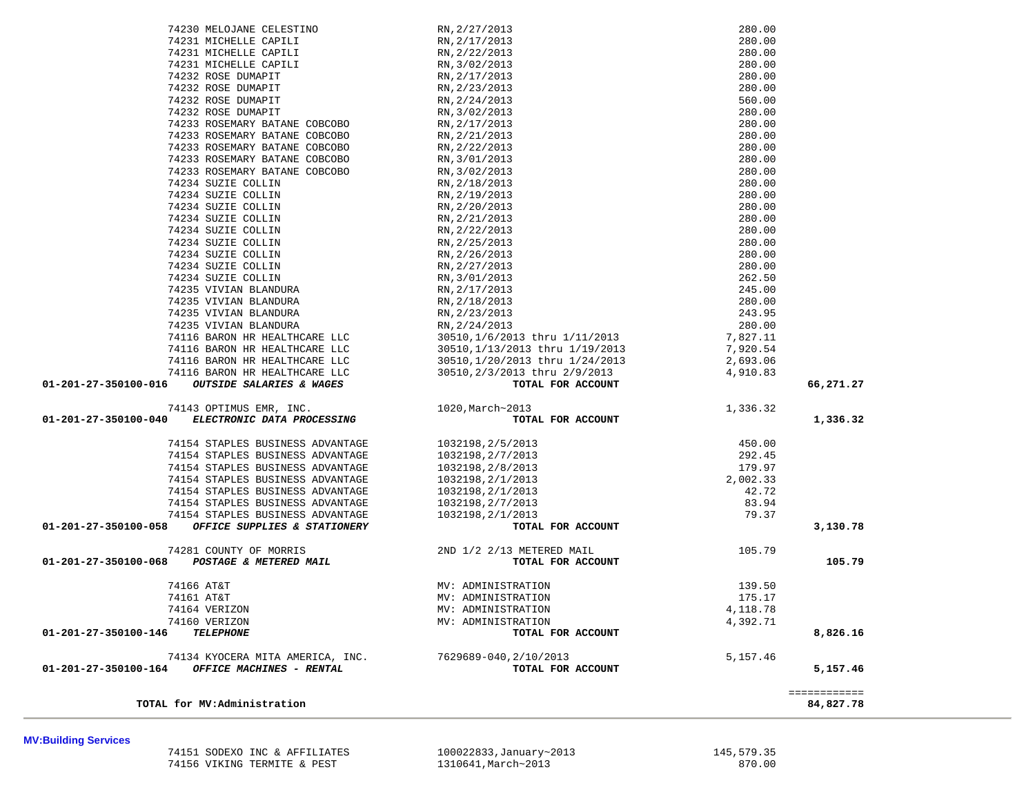**MV:Building Services** 

 74151 SODEXO INC & AFFILIATES 100022833,January~2013 145,579.35 74156 VIKING TERMITE & PEST

| 74230 MELOJANE CELESTINO                                                                                         | RN, 2/27/2013                                                                                                                                                                      | 280.00                               |                           |
|------------------------------------------------------------------------------------------------------------------|------------------------------------------------------------------------------------------------------------------------------------------------------------------------------------|--------------------------------------|---------------------------|
| 74231 MICHELLE CAPILI                                                                                            |                                                                                                                                                                                    | 280.00                               |                           |
| 74231 MICHELLE CAPILI                                                                                            |                                                                                                                                                                                    | 280.00                               |                           |
| 74231 MICHELLE CAPILI                                                                                            |                                                                                                                                                                                    | 280.00                               |                           |
| 74232 ROSE DUMAPIT                                                                                               |                                                                                                                                                                                    | 280.00                               |                           |
| 74232 ROSE DUMAPIT                                                                                               | EN, 2/27/2013<br>RN, 2/17/2013<br>RN, 2/22/2013<br>RN, 3/02/2013<br>RN, 2/17/2013<br>RN, 2/23/2013<br>NN, 2/23/2013                                                                | 280.00                               |                           |
| 74232 ROSE DUMAPIT                                                                                               | RN, 2/24/2013                                                                                                                                                                      | 560.00                               |                           |
| 74232 ROSE DUMAPIT                                                                                               | RN, 3/02/2013                                                                                                                                                                      | 280.00                               |                           |
| 74233 ROSEMARY BATANE COBCOBO                                                                                    | RN, 2/17/2013                                                                                                                                                                      | 280.00                               |                           |
| 74233 ROSEMARY BATANE COBCOBO                                                                                    | RN, 2/21/2013                                                                                                                                                                      | 280.00                               |                           |
| 74233 ROSEMARY BATANE COBCOBO                                                                                    | RN, 2/22/2013                                                                                                                                                                      | 280.00                               |                           |
| 74233 ROSEMARY BATANE COBCOBO                                                                                    | RN, 3/01/2013                                                                                                                                                                      | 280.00                               |                           |
| 74233 ROSEMARY BATANE COBCOBO                                                                                    | RN, 3/02/2013                                                                                                                                                                      | 280.00                               |                           |
| 74234 SUZIE COLLIN                                                                                               | RN, 2/18/2013                                                                                                                                                                      | 280.00                               |                           |
| 74234 SUZIE COLLIN                                                                                               | RN, 2/19/2013                                                                                                                                                                      | 280.00                               |                           |
| 74234 SUZIE COLLIN                                                                                               | RN, 2/20/2013                                                                                                                                                                      | 280.00                               |                           |
| 74234 SUZIE COLLIN                                                                                               | RN, 2/21/2013                                                                                                                                                                      | 280.00                               |                           |
| 74234 SUZIE COLLIN                                                                                               | RN, 2/22/2013                                                                                                                                                                      | 280.00                               |                           |
| 74234 SUZIE COLLIN                                                                                               | RN, 2/25/2013                                                                                                                                                                      | 280.00                               |                           |
| 74234 SUZIE COLLIN                                                                                               | RN, 2/26/2013                                                                                                                                                                      | 280.00                               |                           |
| 74234 SUZIE COLLIN                                                                                               | RN, 2/27/2013                                                                                                                                                                      | 280.00                               |                           |
| 74234 SUZIE COLLIN                                                                                               | RN, 3/01/2013                                                                                                                                                                      | 262.50                               |                           |
| 74235 VIVIAN BLANDURA                                                                                            | RN, 2/17/2013                                                                                                                                                                      |                                      |                           |
| 74235 VIVIAN BLANDURA                                                                                            | RN, 2/18/2013                                                                                                                                                                      | 245.00<br>280.00<br>243.95<br>280.00 |                           |
| 74235 VIVIAN BLANDURA                                                                                            | RN, 2/23/2013                                                                                                                                                                      |                                      |                           |
| 74235 VIVIAN BLANDURA<br>74235 VIVIAN BLANDURA<br>74116 BARON HR HEALTHCARE LLC<br>74116 BARON HR HEALTHCARE LLC |                                                                                                                                                                                    |                                      |                           |
|                                                                                                                  |                                                                                                                                                                                    |                                      |                           |
|                                                                                                                  |                                                                                                                                                                                    |                                      |                           |
| 74116 BARON HR HEALTHCARE LLC                                                                                    |                                                                                                                                                                                    |                                      |                           |
| 74116 BARON HR HEALTHCARE LLC                                                                                    |                                                                                                                                                                                    |                                      |                           |
| $01-201-27-350100-016$ OUTSIDE SALARIES & WAGES                                                                  | RN, 2/24/2013<br>30510, 1/6/2013 thru 1/11/2013<br>30510, 1/13/2013 thru 1/19/2013<br>30510, 1/20/2013 thru 1/24/2013<br>30510, 2/3/2013 thru 2/9/2013<br><b>TOTAL FOR ACCOUNT</b> |                                      | 66,271.27                 |
|                                                                                                                  | 1020, March~2013                                                                                                                                                                   | 1,336.32                             |                           |
| 74143 OPTIMUS EMR, INC.<br>) ELECTRONIC DATA PROCESSING<br>01-201-27-350100-040                                  | TOTAL FOR ACCOUNT                                                                                                                                                                  |                                      | 1,336.32                  |
|                                                                                                                  |                                                                                                                                                                                    |                                      |                           |
| 74154 STAPLES BUSINESS ADVANTAGE                                                                                 | 1032198,2/5/2013                                                                                                                                                                   |                                      |                           |
| 74154 STAPLES BUSINESS ADVANTAGE                                                                                 | 1032198,2/7/2013                                                                                                                                                                   |                                      |                           |
| 74154 STAPLES BUSINESS ADVANTAGE                                                                                 | 1032198,2/8/2013                                                                                                                                                                   |                                      |                           |
| 74154 STAPLES BUSINESS ADVANTAGE                                                                                 | 1032198,2/1/2013                                                                                                                                                                   |                                      |                           |
| 74154 STAPLES BUSINESS ADVANTAGE                                                                                 | 1032198,2/1/2013                                                                                                                                                                   |                                      |                           |
| 74154 STAPLES BUSINESS ADVANTAGE                                                                                 | 1032198,2/7/2013                                                                                                                                                                   |                                      |                           |
| 74154 STAPLES BUSINESS ADVANTAGE                                                                                 | 1032198,2/1/2013                                                                                                                                                                   |                                      |                           |
| 01-201-27-350100-058 OFFICE SUPPLIES & STATIONERY                                                                | $\begin{array}{r} 450.00 \\ 292.45 \\ 179.97 \\ 2,002.33 \\ 42.72 \\ 83.94 \\ 79.37 \\ \end{array}$<br>LFOR ACCOUNT<br>TOTAL FOR ACCOUNT                                           |                                      | 3,130.78                  |
| 74281 COUNTY OF MORRIS                                                                                           |                                                                                                                                                                                    |                                      |                           |
| 01-201-27-350100-068 POSTAGE & METERED MAIL                                                                      | $2ND$ $1/2$ $2/13$ METERED MAIL<br>TOTAL FOR ACCOUNT                                                                                                                               | 105.79                               | 105.79                    |
|                                                                                                                  |                                                                                                                                                                                    |                                      |                           |
| 74166 AT&T                                                                                                       | MV: ADMINISTRATION                                                                                                                                                                 | 139.50                               |                           |
| 74161 AT&T                                                                                                       | MV: ADMINISTRATION                                                                                                                                                                 | 175.17                               |                           |
| 74164 VERIZON                                                                                                    | MV: ADMINISTRATION                                                                                                                                                                 | 4,118.78                             |                           |
| 74160 VERIZON                                                                                                    | MV: ADMINISTRATION                                                                                                                                                                 | 4,392.71                             |                           |
| <b>TELEPHONE</b><br>01-201-27-350100-146                                                                         | TOTAL FOR ACCOUNT                                                                                                                                                                  |                                      | 8,826.16                  |
| 74134 KYOCERA MITA AMERICA, INC.                                                                                 | 7629689-040, 2/10/2013                                                                                                                                                             | 5,157.46                             |                           |
| OFFICE MACHINES - RENTAL<br>01-201-27-350100-164                                                                 | TOTAL FOR ACCOUNT                                                                                                                                                                  |                                      | 5,157.46                  |
|                                                                                                                  |                                                                                                                                                                                    |                                      |                           |
| TOTAL for MV:Administration                                                                                      |                                                                                                                                                                                    |                                      | ============<br>84,827.78 |
|                                                                                                                  |                                                                                                                                                                                    |                                      |                           |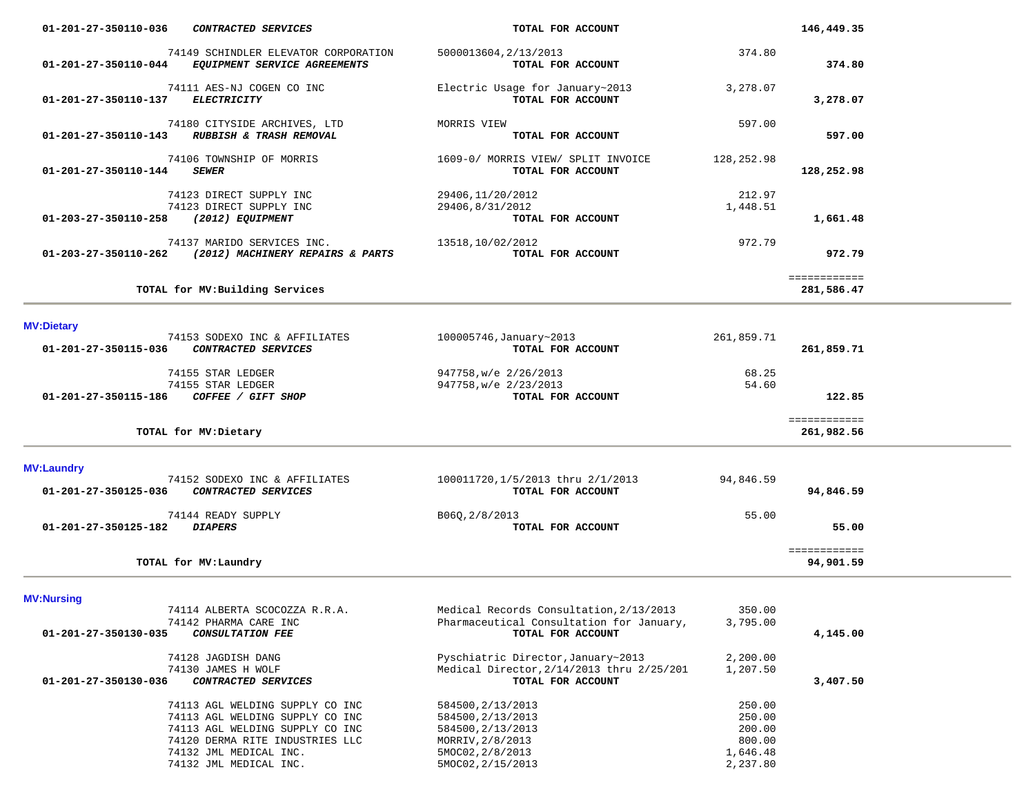| 01-201-27-350110-036<br>CONTRACTED SERVICES                                                                                                                                                  | TOTAL FOR ACCOUNT                                                                                                        |                                                              | 146,449.35                 |  |
|----------------------------------------------------------------------------------------------------------------------------------------------------------------------------------------------|--------------------------------------------------------------------------------------------------------------------------|--------------------------------------------------------------|----------------------------|--|
| 74149 SCHINDLER ELEVATOR CORPORATION<br>01-201-27-350110-044 EQUIPMENT SERVICE AGREEMENTS                                                                                                    | 5000013604, 2/13/2013<br>TOTAL FOR ACCOUNT                                                                               | 374.80                                                       | 374.80                     |  |
| 74111 AES-NJ COGEN CO INC<br><b>ELECTRICITY</b><br>01-201-27-350110-137                                                                                                                      | Electric Usage for January~2013<br>TOTAL FOR ACCOUNT                                                                     | 3,278.07                                                     | 3,278.07                   |  |
| 74180 CITYSIDE ARCHIVES, LTD<br>01-201-27-350110-143 RUBBISH & TRASH REMOVAL                                                                                                                 | MORRIS VIEW<br>TOTAL FOR ACCOUNT                                                                                         | 597.00                                                       | 597.00                     |  |
| 74106 TOWNSHIP OF MORRIS<br><b>SEWER</b><br>01-201-27-350110-144                                                                                                                             | 1609-0/ MORRIS VIEW/ SPLIT INVOICE<br>TOTAL FOR ACCOUNT                                                                  | 128,252.98                                                   | 128,252.98                 |  |
| 74123 DIRECT SUPPLY INC<br>74123 DIRECT SUPPLY INC<br>01-203-27-350110-258<br>(2012) EQUIPMENT                                                                                               | 29406, 11/20/2012<br>29406,8/31/2012<br>TOTAL FOR ACCOUNT                                                                | 212.97<br>1,448.51                                           | 1,661.48                   |  |
| 74137 MARIDO SERVICES INC.<br>01-203-27-350110-262 (2012) MACHINERY REPAIRS & PARTS                                                                                                          | 13518,10/02/2012<br>TOTAL FOR ACCOUNT                                                                                    | 972.79                                                       | 972.79                     |  |
| TOTAL for MV: Building Services                                                                                                                                                              |                                                                                                                          |                                                              | ============<br>281,586.47 |  |
| <b>MV:Dietary</b>                                                                                                                                                                            |                                                                                                                          |                                                              |                            |  |
| 74153 SODEXO INC & AFFILIATES<br>01-201-27-350115-036<br>CONTRACTED SERVICES                                                                                                                 | 100005746, January~2013<br>TOTAL FOR ACCOUNT                                                                             | 261,859.71                                                   | 261,859.71                 |  |
| 74155 STAR LEDGER<br>74155 STAR LEDGER<br>01-201-27-350115-186 COFFEE / GIFT SHOP                                                                                                            | 947758, w/e 2/26/2013<br>947758, w/e 2/23/2013<br>TOTAL FOR ACCOUNT                                                      | 68.25<br>54.60                                               | 122.85                     |  |
| TOTAL for MV: Dietary                                                                                                                                                                        |                                                                                                                          |                                                              | ============<br>261,982.56 |  |
| <b>MV:Laundry</b>                                                                                                                                                                            |                                                                                                                          |                                                              |                            |  |
| 74152 SODEXO INC & AFFILIATES<br>CONTRACTED SERVICES<br>01-201-27-350125-036                                                                                                                 | 100011720,1/5/2013 thru 2/1/2013<br>TOTAL FOR ACCOUNT                                                                    | 94,846.59                                                    | 94,846.59                  |  |
| 74144 READY SUPPLY<br>01-201-27-350125-182 DIAPERS                                                                                                                                           | B06Q, 2/8/2013<br>TOTAL FOR ACCOUNT                                                                                      | 55.00                                                        | 55.00                      |  |
| TOTAL for MV: Laundry                                                                                                                                                                        |                                                                                                                          |                                                              | ============<br>94,901.59  |  |
| <b>MV:Nursing</b>                                                                                                                                                                            |                                                                                                                          |                                                              |                            |  |
| 74114 ALBERTA SCOCOZZA R.R.A.<br>74142 PHARMA CARE INC<br>01-201-27-350130-035<br>CONSULTATION FEE                                                                                           | Medical Records Consultation, 2/13/2013<br>Pharmaceutical Consultation for January,<br>TOTAL FOR ACCOUNT                 | 350.00<br>3,795.00                                           | 4,145.00                   |  |
| 74128 JAGDISH DANG<br>74130 JAMES H WOLF<br>01-201-27-350130-036<br>CONTRACTED SERVICES                                                                                                      | Pyschiatric Director, January~2013<br>Medical Director, 2/14/2013 thru 2/25/201<br>TOTAL FOR ACCOUNT                     | 2,200.00<br>1,207.50                                         | 3,407.50                   |  |
| 74113 AGL WELDING SUPPLY CO INC<br>74113 AGL WELDING SUPPLY CO INC<br>74113 AGL WELDING SUPPLY CO INC<br>74120 DERMA RITE INDUSTRIES LLC<br>74132 JML MEDICAL INC.<br>74132 JML MEDICAL INC. | 584500, 2/13/2013<br>584500, 2/13/2013<br>584500, 2/13/2013<br>MORRIV, 2/8/2013<br>5MOC02, 2/8/2013<br>5MOC02, 2/15/2013 | 250.00<br>250.00<br>200.00<br>800.00<br>1,646.48<br>2,237.80 |                            |  |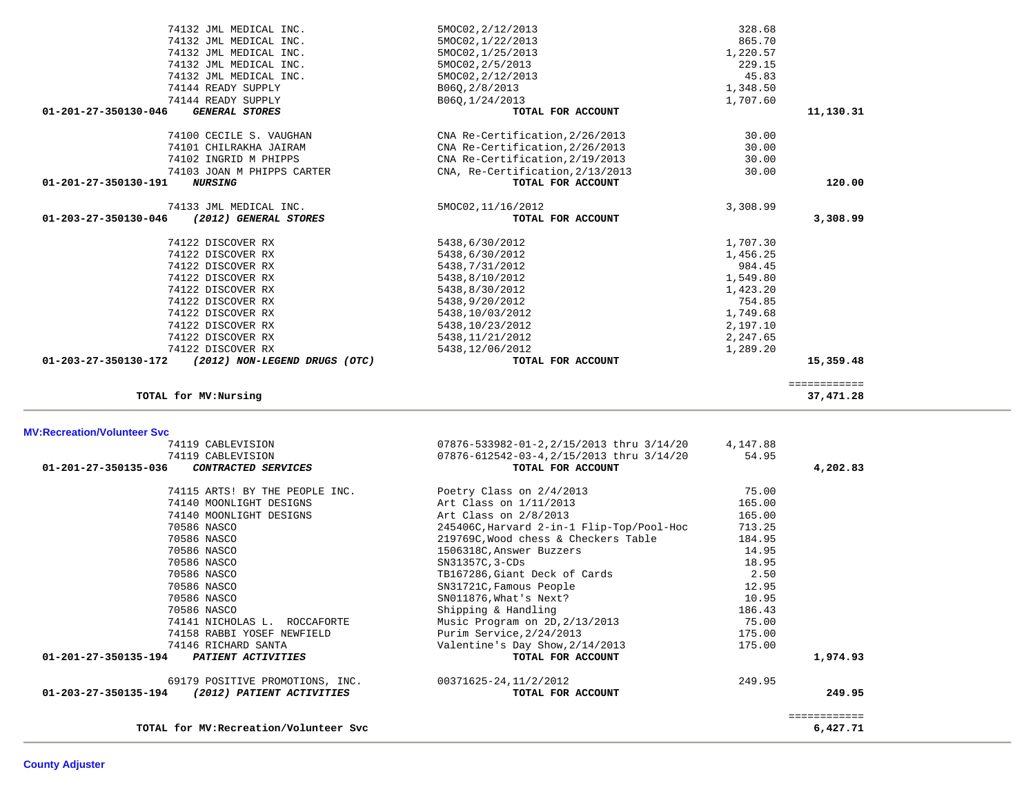|          | 14.95  | 1506318C, Answer Buzzers        | 70586 NASCO                                       |
|----------|--------|---------------------------------|---------------------------------------------------|
|          | 18.95  | SN31357C, 3-CDs                 | 70586 NASCO                                       |
|          | 2.50   | TB167286, Giant Deck of Cards   | 70586 NASCO                                       |
|          | 12.95  | SN31721C, Famous People         | 70586 NASCO                                       |
|          | 10.95  | SN011876, What's Next?          | 70586 NASCO                                       |
|          | 186.43 | Shipping & Handling             | 70586 NASCO                                       |
|          | 75.00  | Music Program on 2D, 2/13/2013  | 74141 NICHOLAS L. ROCCAFORTE                      |
|          | 175.00 | Purim Service, 2/24/2013        | 74158 RABBI YOSEF NEWFIELD                        |
|          | 175.00 | Valentine's Day Show, 2/14/2013 | 74146 RICHARD SANTA                               |
| 1,974.93 |        | TOTAL FOR ACCOUNT               | 01-201-27-350135-194<br><b>PATIENT ACTIVITIES</b> |
|          | 249.95 | 00371625-24,11/2/2012           | 69179 POSITIVE PROMOTIONS, INC.                   |
| 249.95   |        | TOTAL FOR ACCOUNT               | 01-203-27-350135-194<br>(2012) PATIENT ACTIVITIES |
|          |        |                                 |                                                   |
| 6,427.71 |        |                                 | TOTAL for MV: Recreation/Volunteer Svc            |

| <b>MV:Recreation/Volunteer Svc</b> |                                |                                           |          |          |
|------------------------------------|--------------------------------|-------------------------------------------|----------|----------|
|                                    | 74119 CABLEVISION              | 07876-533982-01-2,2/15/2013 thru 3/14/20  | 4,147.88 |          |
|                                    | 74119 CABLEVISION              | 07876-612542-03-4, 2/15/2013 thru 3/14/20 | 54.95    |          |
| 01-201-27-350135-036               | CONTRACTED SERVICES            | TOTAL FOR ACCOUNT                         |          | 4,202.83 |
|                                    | 74115 ARTS! BY THE PEOPLE INC. | Poetry Class on 2/4/2013                  | 75.00    |          |
|                                    | 74140 MOONLIGHT DESIGNS        | Art Class on 1/11/2013                    | 165.00   |          |
|                                    | 74140 MOONLIGHT DESIGNS        | Art Class on 2/8/2013                     | 165.00   |          |
| 70586 NASCO                        |                                | 245406C, Harvard 2-in-1 Flip-Top/Pool-Hoc | 713.25   |          |
| 70586 NASCO                        |                                | 219769C, Wood chess & Checkers Table      | 184.95   |          |
| 70586 NASCO                        |                                | 1506318C, Answer Buzzers                  | 14.95    |          |
| 70586 NASCO                        |                                | SN31357C, 3-CDs                           | 18.95    |          |
| 70586 NASCO                        |                                | TB167286, Giant Deck of Cards             | 2.50     |          |
| 70586 NASCO                        |                                | SN31721C, Famous People                   | 12.95    |          |
| 70586 NASCO                        |                                | SN011876, What's Next?                    | 10.95    |          |
| 70586 NASCO                        |                                | Shipping & Handling                       | 186.43   |          |
|                                    |                                |                                           |          |          |

| 74132 JML MEDICAL INC.                                  | 5MOC02, 2/12/2013                | 328.68   |              |
|---------------------------------------------------------|----------------------------------|----------|--------------|
| 74132 JML MEDICAL INC.                                  | 5MOC02, 1/22/2013                | 865.70   |              |
| 74132 JML MEDICAL INC.                                  | 5MOC02, 1/25/2013                | 1,220.57 |              |
| 74132 JML MEDICAL INC.                                  | 5MOC02, 2/5/2013                 | 229.15   |              |
| 74132 JML MEDICAL INC.                                  | 5MOC02, 2/12/2013                | 45.83    |              |
| 74144 READY SUPPLY                                      | B06Q, 2/8/2013                   | 1,348.50 |              |
| 74144 READY SUPPLY                                      | B060,1/24/2013                   | 1,707.60 |              |
| $01 - 201 - 27 - 350130 - 046$<br><b>GENERAL STORES</b> | TOTAL FOR ACCOUNT                |          | 11,130.31    |
| 74100 CECILE S. VAUGHAN                                 | CNA Re-Certification, 2/26/2013  | 30.00    |              |
| 74101 CHILRAKHA JAIRAM                                  | CNA Re-Certification, 2/26/2013  | 30.00    |              |
| 74102 INGRID M PHIPPS                                   | CNA Re-Certification, 2/19/2013  | 30.00    |              |
| 74103 JOAN M PHIPPS CARTER                              | CNA, Re-Certification, 2/13/2013 | 30.00    |              |
| $01 - 201 - 27 - 350130 - 191$<br><i><b>NURSING</b></i> | TOTAL FOR ACCOUNT                |          | 120.00       |
| 74133 JML MEDICAL INC.                                  | 5MOC02, 11/16/2012               | 3,308.99 |              |
| 01-203-27-350130-046<br>(2012) GENERAL STORES           | TOTAL FOR ACCOUNT                |          | 3,308.99     |
| 74122 DISCOVER RX                                       | 5438,6/30/2012                   | 1,707.30 |              |
| 74122 DISCOVER RX                                       | 5438,6/30/2012                   | 1,456.25 |              |
| 74122 DISCOVER RX                                       | 5438, 7/31/2012                  | 984.45   |              |
| 74122 DISCOVER RX                                       | 5438,8/10/2012                   | 1,549.80 |              |
| 74122 DISCOVER RX                                       | 5438,8/30/2012                   | 1,423.20 |              |
| 74122 DISCOVER RX                                       | 5438,9/20/2012                   | 754.85   |              |
| 74122 DISCOVER RX                                       | 5438,10/03/2012                  | 1,749.68 |              |
| 74122 DISCOVER RX                                       | 5438,10/23/2012                  | 2,197.10 |              |
| 74122 DISCOVER RX                                       | 5438, 11/21/2012                 | 2,247.65 |              |
| 74122 DISCOVER RX                                       | 5438,12/06/2012                  | 1,289.20 |              |
| 01-203-27-350130-172<br>(2012) NON-LEGEND DRUGS (OTC)   | TOTAL FOR ACCOUNT                |          | 15,359.48    |
|                                                         |                                  |          | ============ |
| TOTAL for MV: Nursing                                   |                                  |          | 37, 471.28   |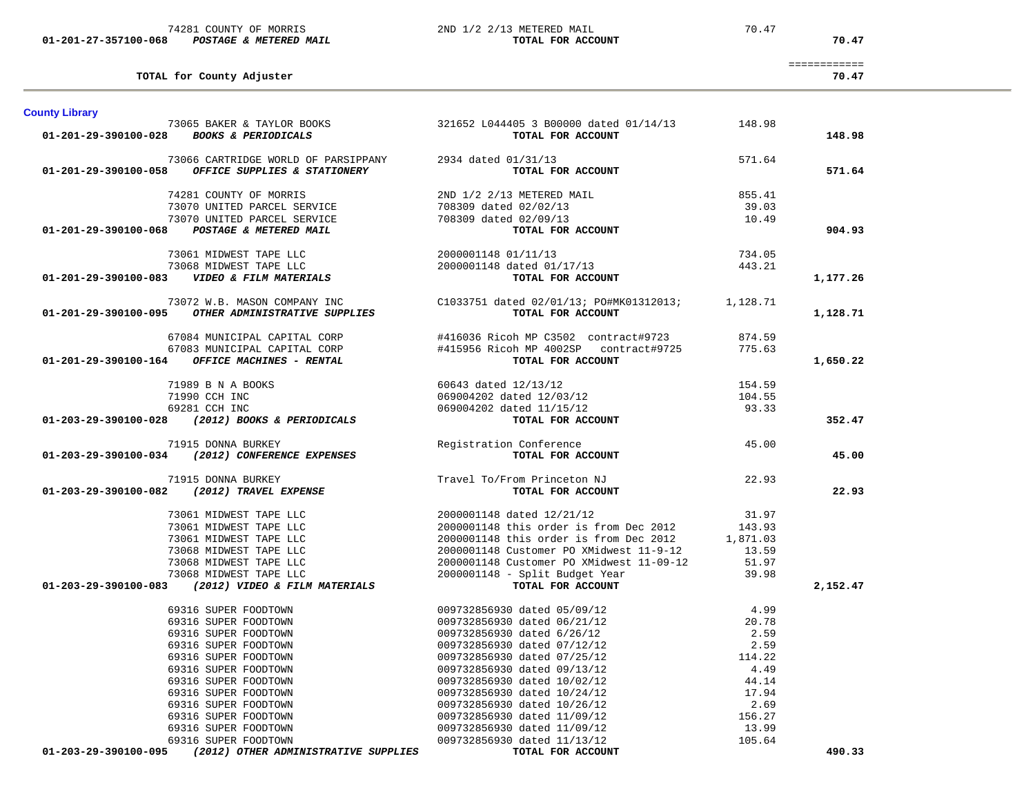| <b>County Library</b>                                                                                                                                                                                                                                                                                                                                                                    | 73065 BAKER & TAYLOR BOOKS 321652 L044405 3 B00000 dated 01/14/13 148.98                                                                                                                                                                                                                                                                                                                                          |                 |          |
|------------------------------------------------------------------------------------------------------------------------------------------------------------------------------------------------------------------------------------------------------------------------------------------------------------------------------------------------------------------------------------------|-------------------------------------------------------------------------------------------------------------------------------------------------------------------------------------------------------------------------------------------------------------------------------------------------------------------------------------------------------------------------------------------------------------------|-----------------|----------|
| 01-201-29-390100-028 BOOKS & PERIODICALS                                                                                                                                                                                                                                                                                                                                                 | TOTAL FOR ACCOUNT                                                                                                                                                                                                                                                                                                                                                                                                 |                 | 148.98   |
|                                                                                                                                                                                                                                                                                                                                                                                          |                                                                                                                                                                                                                                                                                                                                                                                                                   |                 |          |
| 73066 CARTRIDGE WORLD OF PARSIPPANY 2934 dated 01/31/13                                                                                                                                                                                                                                                                                                                                  |                                                                                                                                                                                                                                                                                                                                                                                                                   | 571.64          |          |
| 01-201-29-390100-058 OFFICE SUPPLIES & STATIONERY                                                                                                                                                                                                                                                                                                                                        | TOTAL FOR ACCOUNT                                                                                                                                                                                                                                                                                                                                                                                                 |                 | 571.64   |
| 74281 COUNTY OF MORRIS<br>73070 UNITED PARCEL SERVICE<br>73070 UNITED PARCEL SERVICE<br>73070 UNITED PARCEL SERVICE<br>8 POSTAGE & METERED MAIL<br>708309 dated 02/09/13<br>TOTAL FOR ACCOUNT                                                                                                                                                                                            |                                                                                                                                                                                                                                                                                                                                                                                                                   | 855.41          |          |
|                                                                                                                                                                                                                                                                                                                                                                                          |                                                                                                                                                                                                                                                                                                                                                                                                                   |                 |          |
|                                                                                                                                                                                                                                                                                                                                                                                          |                                                                                                                                                                                                                                                                                                                                                                                                                   | 39.03           |          |
| 01-201-29-390100-068                                                                                                                                                                                                                                                                                                                                                                     | TOTAL FOR ACCOUNT                                                                                                                                                                                                                                                                                                                                                                                                 | 10.49           | 904.93   |
|                                                                                                                                                                                                                                                                                                                                                                                          |                                                                                                                                                                                                                                                                                                                                                                                                                   |                 |          |
|                                                                                                                                                                                                                                                                                                                                                                                          |                                                                                                                                                                                                                                                                                                                                                                                                                   | 734.05          |          |
|                                                                                                                                                                                                                                                                                                                                                                                          |                                                                                                                                                                                                                                                                                                                                                                                                                   | 443.21          |          |
|                                                                                                                                                                                                                                                                                                                                                                                          | TOTAL FOR ACCOUNT                                                                                                                                                                                                                                                                                                                                                                                                 |                 | 1,177.26 |
| 73061 MIDWEST TAPE LLC<br>73068 MIDWEST TAPE LLC<br>73068 MIDWEST TAPE LLC<br>2000001148 dated 01/17/13<br>2000001148 dated 01/17/13<br>TOWN TOP CONTROL CONTROLS                                                                                                                                                                                                                        |                                                                                                                                                                                                                                                                                                                                                                                                                   |                 |          |
|                                                                                                                                                                                                                                                                                                                                                                                          |                                                                                                                                                                                                                                                                                                                                                                                                                   |                 |          |
| 73072 W.B. MASON COMPANY INC COMBARY COMPARY COMPANY COMPANY COMPANY COMPANY COMPANY CONSUL 201-201-29-390100-095 0THER ADMINISTRATIVE SUPPLIES                                                                                                                                                                                                                                          |                                                                                                                                                                                                                                                                                                                                                                                                                   |                 | 1,128.71 |
| 67084 MUNICIPAL CAPITAL CORP                                                                                                                                                                                                                                                                                                                                                             | #416036 Ricoh MP C3502 contract#9723 874.59<br>#415956 Ricoh MP 4002SP contract#9725 775.63                                                                                                                                                                                                                                                                                                                       |                 |          |
| 67083 MUNICIPAL CAPITAL CORP                                                                                                                                                                                                                                                                                                                                                             |                                                                                                                                                                                                                                                                                                                                                                                                                   |                 |          |
| $01-201-29-390100-164$ OFFICE MACHINES - RENTAL                                                                                                                                                                                                                                                                                                                                          | TOTAL FOR ACCOUNT                                                                                                                                                                                                                                                                                                                                                                                                 |                 | 1,650.22 |
|                                                                                                                                                                                                                                                                                                                                                                                          |                                                                                                                                                                                                                                                                                                                                                                                                                   |                 |          |
|                                                                                                                                                                                                                                                                                                                                                                                          |                                                                                                                                                                                                                                                                                                                                                                                                                   | 154.59          |          |
|                                                                                                                                                                                                                                                                                                                                                                                          |                                                                                                                                                                                                                                                                                                                                                                                                                   | 104.55          |          |
|                                                                                                                                                                                                                                                                                                                                                                                          |                                                                                                                                                                                                                                                                                                                                                                                                                   | 93.33           |          |
| $\begin{array}{cccc} \text{71989 B N A BOOKS} & \text{71990 CCH INC} & \text{71990 CCH INC} & \text{60643 dated 12/13/12} \\ \text{71990 CCH INC} & \text{69281 CCH INC} & \text{69281 CCH INC} & \text{69004202 dated 11/15/12} \\ \text{69281 CCH INC} & \text{69281 CCH INC} & \text{69004202 dated 11/15/12} \\ \text{707AL FOR ACCOUNT} & \text{69281} & \text{7081} & \text{7082}$ | $\begin{array}{lll}\n\text{1.1}\times1&\text{1.2}\times1&\text{1.3}\times1&\text{1.4}\times1&\text{1.5}\times1&\text{1.5}\times1&\text{1.5}\times1&\text{1.5}\times1&\text{1.5}\times1&\text{1.5}\times1&\text{1.5}\times1&\text{1.5}\times1&\text{1.5}\times1&\text{1.5}\times1&\text{1.5}\times1&\text{1.5}\times1&\text{1.5}\times1&\text{1.5}\times1&\text{1.5}\times1&\text{1.5}\times1&\text{1.5}\times1&\$ |                 | 352.47   |
| 71915 DONNA BURKEY                                                                                                                                                                                                                                                                                                                                                                       | Registration Conference                                                                                                                                                                                                                                                                                                                                                                                           | 45.00           |          |
| 01-203-29-390100-034 (2012) CONFERENCE EXPENSES                                                                                                                                                                                                                                                                                                                                          | <b>TOTAL FOR ACCOUNT</b>                                                                                                                                                                                                                                                                                                                                                                                          |                 | 45.00    |
|                                                                                                                                                                                                                                                                                                                                                                                          | Travel To/From Princeton NJ                                                                                                                                                                                                                                                                                                                                                                                       |                 |          |
| 71915 DONNA BURKEY<br>01-203-29-390100-082 (2012) TRAVEL EXPENSE                                                                                                                                                                                                                                                                                                                         |                                                                                                                                                                                                                                                                                                                                                                                                                   | 22.93           | 22.93    |
|                                                                                                                                                                                                                                                                                                                                                                                          |                                                                                                                                                                                                                                                                                                                                                                                                                   |                 |          |
|                                                                                                                                                                                                                                                                                                                                                                                          |                                                                                                                                                                                                                                                                                                                                                                                                                   |                 |          |
|                                                                                                                                                                                                                                                                                                                                                                                          |                                                                                                                                                                                                                                                                                                                                                                                                                   |                 |          |
|                                                                                                                                                                                                                                                                                                                                                                                          |                                                                                                                                                                                                                                                                                                                                                                                                                   |                 |          |
|                                                                                                                                                                                                                                                                                                                                                                                          |                                                                                                                                                                                                                                                                                                                                                                                                                   |                 |          |
|                                                                                                                                                                                                                                                                                                                                                                                          |                                                                                                                                                                                                                                                                                                                                                                                                                   |                 |          |
|                                                                                                                                                                                                                                                                                                                                                                                          |                                                                                                                                                                                                                                                                                                                                                                                                                   |                 |          |
| $(3000001148 \text{ dated } 12/21/12$ $(3000001148 \text{ thick} or \text{des } 2012)$ $(3000001148 \text{ this order is from Dec } 2012$ $(3000001148 \text{ this order is from Dec } 2012$ $(3000001148 \text{ this order is from Dec } 2012$ $(3000001148 \text{ this order is from Dec } 2012$ $(3000001148 \text{ units order for 2012} = 1,871.03$ $(3000001148 \text$             |                                                                                                                                                                                                                                                                                                                                                                                                                   |                 | 2,152.47 |
| 69316 SUPER FOODTOWN                                                                                                                                                                                                                                                                                                                                                                     |                                                                                                                                                                                                                                                                                                                                                                                                                   | 4.99            |          |
| 69316 SUPER FOODTOWN                                                                                                                                                                                                                                                                                                                                                                     |                                                                                                                                                                                                                                                                                                                                                                                                                   | 20.78           |          |
| 69316 SUPER FOODTOWN                                                                                                                                                                                                                                                                                                                                                                     |                                                                                                                                                                                                                                                                                                                                                                                                                   | 2.59            |          |
| 69316 SUPER FOODTOWN                                                                                                                                                                                                                                                                                                                                                                     |                                                                                                                                                                                                                                                                                                                                                                                                                   | 2.59            |          |
| 69316 SUPER FOODTOWN                                                                                                                                                                                                                                                                                                                                                                     |                                                                                                                                                                                                                                                                                                                                                                                                                   | 114.22          |          |
| 69316 SUPER FOODTOWN                                                                                                                                                                                                                                                                                                                                                                     |                                                                                                                                                                                                                                                                                                                                                                                                                   | 4.49            |          |
| 69316 SUPER FOODTOWN                                                                                                                                                                                                                                                                                                                                                                     |                                                                                                                                                                                                                                                                                                                                                                                                                   | 44.14           |          |
| 69316 SUPER FOODTOWN                                                                                                                                                                                                                                                                                                                                                                     |                                                                                                                                                                                                                                                                                                                                                                                                                   | 17.94           |          |
| 69316 SUPER FOODTOWN                                                                                                                                                                                                                                                                                                                                                                     |                                                                                                                                                                                                                                                                                                                                                                                                                   | 2.69            |          |
| 69316 SUPER FOODTOWN<br>69316 SUPER FOODTOWN                                                                                                                                                                                                                                                                                                                                             |                                                                                                                                                                                                                                                                                                                                                                                                                   | 156.27<br>13.99 |          |
| 69316 SUPER FOODTOWN                                                                                                                                                                                                                                                                                                                                                                     | 009732856930 dated 05/09/12<br>009732856930 dated 06/21/12<br>009732856930 dated 6/26/12<br>009732856930 dated 07/12/12<br>009732856930 dated 07/25/12<br>009732856930 dated 09/13/12<br>009732856930 dated 10/02/12<br>009732856930 dated 10/26/1                                                                                                                                                                | 105.64          |          |
|                                                                                                                                                                                                                                                                                                                                                                                          |                                                                                                                                                                                                                                                                                                                                                                                                                   |                 | 490.33   |

============

 **01-201-27-357100-068** *POSTAGE & METERED MAIL* **TOTAL FOR ACCOUNT 70.47**

**TOTAL for County Adjuster 70.47**

74281 COUNTY OF MORRIS 2ND 1/2 2/13 METERED MAIL 70.47

70.47

70.47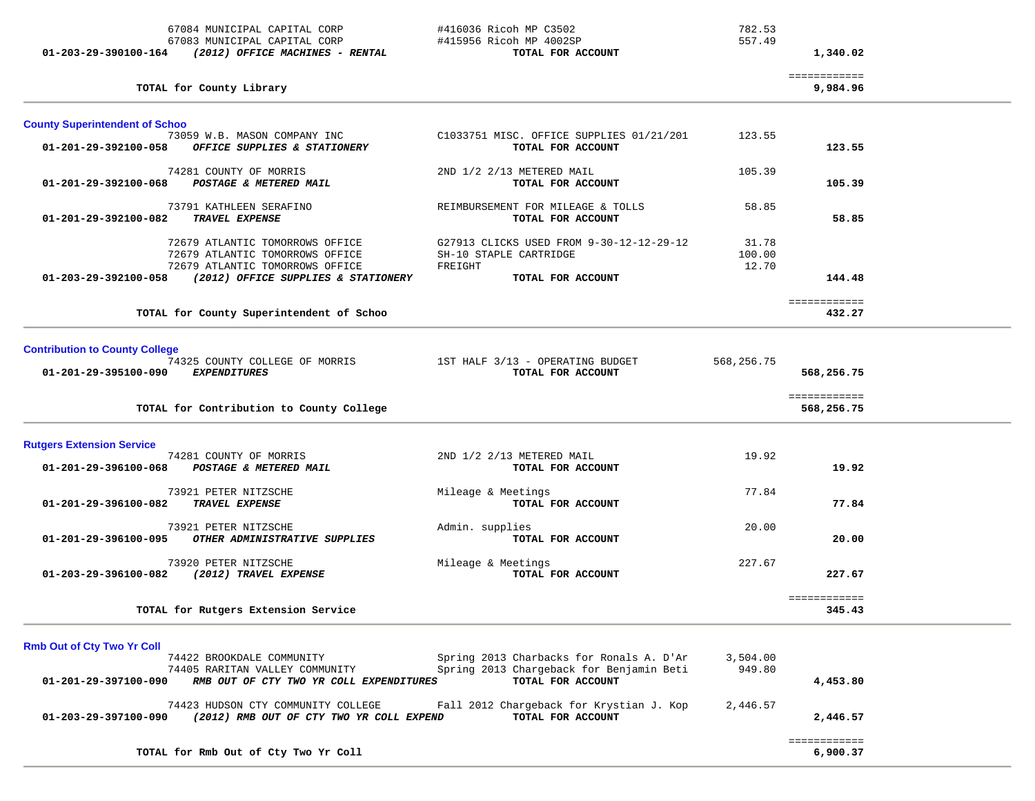67084 MUNICIPAL CAPITAL CORP #416036 Ricoh MP C3502 782.53 67083 MUNICIPAL CAPITAL CORP #415956 Ricoh MP 4002SP 557.49  **01-203-29-390100-164** *(2012) OFFICE MACHINES - RENTAL* **TOTAL FOR ACCOUNT 1,340.02**

============

| TOTAL for County Library                                                                                       |                                                                               |                          | 9,984.96                   |  |
|----------------------------------------------------------------------------------------------------------------|-------------------------------------------------------------------------------|--------------------------|----------------------------|--|
| <b>County Superintendent of Schoo</b>                                                                          |                                                                               |                          |                            |  |
| 73059 W.B. MASON COMPANY INC<br>01-201-29-392100-058<br>OFFICE SUPPLIES & STATIONERY                           | C1033751 MISC. OFFICE SUPPLIES 01/21/201<br>TOTAL FOR ACCOUNT                 | 123.55                   | 123.55                     |  |
| 74281 COUNTY OF MORRIS<br>POSTAGE & METERED MAIL<br>01-201-29-392100-068                                       | 2ND 1/2 2/13 METERED MAIL<br>TOTAL FOR ACCOUNT                                | 105.39                   | 105.39                     |  |
| 73791 KATHLEEN SERAFINO<br><b>TRAVEL EXPENSE</b><br>01-201-29-392100-082                                       | REIMBURSEMENT FOR MILEAGE & TOLLS<br>TOTAL FOR ACCOUNT                        | 58.85                    | 58.85                      |  |
| 72679 ATLANTIC TOMORROWS OFFICE<br>72679 ATLANTIC TOMORROWS OFFICE<br>72679 ATLANTIC TOMORROWS OFFICE          | G27913 CLICKS USED FROM 9-30-12-12-29-12<br>SH-10 STAPLE CARTRIDGE<br>FREIGHT | 31.78<br>100.00<br>12.70 |                            |  |
| (2012) OFFICE SUPPLIES & STATIONERY<br>01-203-29-392100-058                                                    | TOTAL FOR ACCOUNT                                                             |                          | 144.48                     |  |
| TOTAL for County Superintendent of Schoo                                                                       |                                                                               |                          | ============<br>432.27     |  |
| <b>Contribution to County College</b>                                                                          |                                                                               |                          |                            |  |
| 74325 COUNTY COLLEGE OF MORRIS 1ST HALF 3/13 - OPERATING BUDGET<br>01-201-29-395100-090<br><i>EXPENDITURES</i> | TOTAL FOR ACCOUNT                                                             | 568,256.75               | 568,256.75                 |  |
| TOTAL for Contribution to County College                                                                       |                                                                               |                          | ============<br>568,256.75 |  |
| <b>Rutgers Extension Service</b>                                                                               |                                                                               |                          |                            |  |
| 74281 COUNTY OF MORRIS<br>01-201-29-396100-068<br>POSTAGE & METERED MAIL                                       | 2ND 1/2 2/13 METERED MAIL<br>TOTAL FOR ACCOUNT                                | 19.92                    | 19.92                      |  |
| 73921 PETER NITZSCHE<br>TRAVEL EXPENSE<br>01-201-29-396100-082                                                 | Mileage & Meetings<br>TOTAL FOR ACCOUNT                                       | 77.84                    | 77.84                      |  |
| 73921 PETER NITZSCHE<br>01-201-29-396100-095<br>OTHER ADMINISTRATIVE SUPPLIES                                  | Admin. supplies<br>TOTAL FOR ACCOUNT                                          | 20.00                    | 20.00                      |  |
| 73920 PETER NITZSCHE<br>01-203-29-396100-082<br>(2012) TRAVEL EXPENSE                                          | Mileage & Meetings<br>TOTAL FOR ACCOUNT                                       | 227.67                   | 227.67                     |  |
| TOTAL for Rutgers Extension Service                                                                            |                                                                               |                          | ============<br>345.43     |  |
| <b>Rmb Out of Cty Two Yr Coll</b>                                                                              |                                                                               |                          |                            |  |
| 74422 BROOKDALE COMMUNITY                                                                                      | Spring 2013 Charbacks for Ronals A. D'Ar                                      | 3,504.00                 |                            |  |
| 74405 RARITAN VALLEY COMMUNITY<br>01-201-29-397100-090<br>RMB OUT OF CTY TWO YR COLL EXPENDITURES              | Spring 2013 Chargeback for Benjamin Beti<br>TOTAL FOR ACCOUNT                 | 949.80                   | 4,453.80                   |  |
| 74423 HUDSON CTY COMMUNITY COLLEGE<br>01-203-29-397100-090<br>(2012) RMB OUT OF CTY TWO YR COLL EXPEND         | Fall 2012 Chargeback for Krystian J. Kop<br>TOTAL FOR ACCOUNT                 | 2,446.57                 | 2,446.57                   |  |
| TOTAL for Rmb Out of Cty Two Yr Coll                                                                           |                                                                               |                          | ============<br>6,900.37   |  |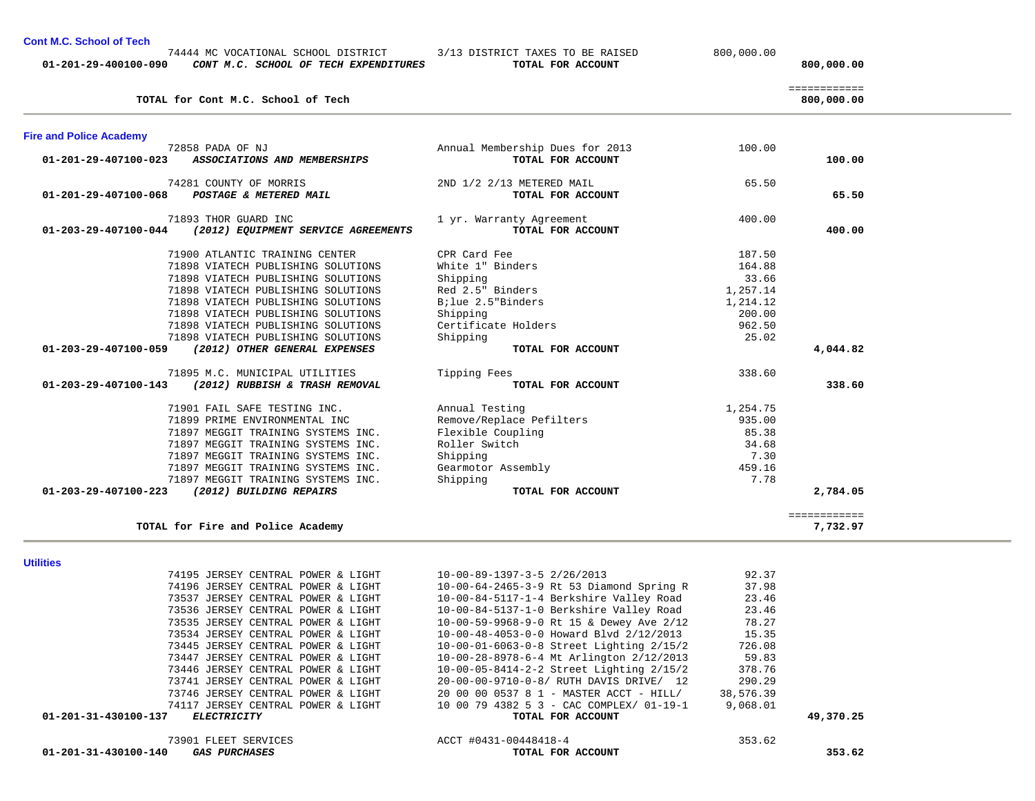| TOTAL for Fire and Police Academy                   |                                            |           | ============<br>7,732.97 |  |
|-----------------------------------------------------|--------------------------------------------|-----------|--------------------------|--|
| <b>Utilities</b>                                    |                                            |           |                          |  |
| 74195 JERSEY CENTRAL POWER & LIGHT                  | 10-00-89-1397-3-5 2/26/2013                | 92.37     |                          |  |
| 74196 JERSEY CENTRAL POWER & LIGHT                  | $10-00-64-2465-3-9$ Rt 53 Diamond Spring R | 37.98     |                          |  |
| 73537 JERSEY CENTRAL POWER & LIGHT                  | 10-00-84-5117-1-4 Berkshire Valley Road    | 23.46     |                          |  |
| 73536 JERSEY CENTRAL POWER & LIGHT                  | 10-00-84-5137-1-0 Berkshire Valley Road    | 23.46     |                          |  |
| 73535 JERSEY CENTRAL POWER & LIGHT                  | 10-00-59-9968-9-0 Rt 15 & Dewey Ave 2/12   | 78.27     |                          |  |
| 73534 JERSEY CENTRAL POWER & LIGHT                  | 10-00-48-4053-0-0 Howard Blvd 2/12/2013    | 15.35     |                          |  |
| 73445 JERSEY CENTRAL POWER & LIGHT                  | 10-00-01-6063-0-8 Street Lighting 2/15/2   | 726.08    |                          |  |
| 73447 JERSEY CENTRAL POWER & LIGHT                  | 10-00-28-8978-6-4 Mt Arlington 2/12/2013   | 59.83     |                          |  |
| 73446 JERSEY CENTRAL POWER & LIGHT                  | 10-00-05-8414-2-2 Street Lighting 2/15/2   | 378.76    |                          |  |
| 73741 JERSEY CENTRAL POWER & LIGHT                  | 20-00-00-9710-0-8/ RUTH DAVIS DRIVE/ 12    | 290.29    |                          |  |
| 73746 JERSEY CENTRAL POWER & LIGHT                  | 20 00 00 0537 8 1 - MASTER ACCT - HILL/    | 38,576.39 |                          |  |
| 74117 JERSEY CENTRAL POWER & LIGHT                  | 10 00 79 4382 5 3 - CAC COMPLEX/ 01-19-1   | 9,068.01  |                          |  |
| 01-201-31-430100-137<br><i>ELECTRICITY</i>          | TOTAL FOR ACCOUNT                          |           | 49,370.25                |  |
| 73901 FLEET SERVICES                                | ACCT #0431-00448418-4                      | 353.62    |                          |  |
| 01-201-31-430100-140<br><i><b>GAS PURCHASES</b></i> | TOTAL FOR ACCOUNT                          |           | 353.62                   |  |

|  | <b>Heiliting</b> |
|--|------------------|

| <b>Fire and Police Academy</b> |                                     |                                 |          |              |
|--------------------------------|-------------------------------------|---------------------------------|----------|--------------|
|                                | 72858 PADA OF NJ                    | Annual Membership Dues for 2013 | 100.00   |              |
| 01-201-29-407100-023           | ASSOCIATIONS AND MEMBERSHIPS        | TOTAL FOR ACCOUNT               |          | 100.00       |
|                                | 74281 COUNTY OF MORRIS              | 2ND 1/2 2/13 METERED MAIL       | 65.50    |              |
| $01 - 201 - 29 - 407100 - 068$ | POSTAGE & METERED MAIL              | TOTAL FOR ACCOUNT               |          | 65.50        |
|                                | 71893 THOR GUARD INC                | 1 yr. Warranty Agreement        | 400.00   |              |
| $01 - 203 - 29 - 407100 - 044$ | (2012) EQUIPMENT SERVICE AGREEMENTS | TOTAL FOR ACCOUNT               |          | 400.00       |
|                                | 71900 ATLANTIC TRAINING CENTER      | CPR Card Fee                    | 187.50   |              |
|                                | 71898 VIATECH PUBLISHING SOLUTIONS  | White 1" Binders                | 164.88   |              |
|                                | 71898 VIATECH PUBLISHING SOLUTIONS  | Shipping                        | 33.66    |              |
|                                | 71898 VIATECH PUBLISHING SOLUTIONS  | Red 2.5" Binders                | 1,257.14 |              |
|                                | 71898 VIATECH PUBLISHING SOLUTIONS  | Bilue 2.5"Binders               | 1,214.12 |              |
|                                | 71898 VIATECH PUBLISHING SOLUTIONS  | Shipping                        | 200.00   |              |
|                                | 71898 VIATECH PUBLISHING SOLUTIONS  | Certificate Holders             | 962.50   |              |
|                                | 71898 VIATECH PUBLISHING SOLUTIONS  | Shipping                        | 25.02    |              |
| 01-203-29-407100-059           | (2012) OTHER GENERAL EXPENSES       | TOTAL FOR ACCOUNT               |          | 4,044.82     |
|                                | 71895 M.C. MUNICIPAL UTILITIES      | Tipping Fees                    | 338.60   |              |
| $01 - 203 - 29 - 407100 - 143$ | (2012) RUBBISH & TRASH REMOVAL      | TOTAL FOR ACCOUNT               |          | 338.60       |
|                                | 71901 FAIL SAFE TESTING INC.        | Annual Testing                  | 1,254.75 |              |
|                                | 71899 PRIME ENVIRONMENTAL INC       | Remove/Replace Pefilters        | 935.00   |              |
|                                | 71897 MEGGIT TRAINING SYSTEMS INC.  | Flexible Coupling               | 85.38    |              |
|                                | 71897 MEGGIT TRAINING SYSTEMS INC.  | Roller Switch                   | 34.68    |              |
|                                | 71897 MEGGIT TRAINING SYSTEMS INC.  | Shipping                        | 7.30     |              |
|                                | 71897 MEGGIT TRAINING SYSTEMS INC.  | Gearmotor Assembly              | 459.16   |              |
|                                | 71897 MEGGIT TRAINING SYSTEMS INC.  | Shipping                        | 7.78     |              |
| 01-203-29-407100-223           | (2012) BUILDING REPAIRS             | TOTAL FOR ACCOUNT               |          | 2,784.05     |
|                                |                                     |                                 |          | ============ |
|                                | TOTAL for Fire and Police Academy   |                                 |          | 7,732.97     |

## ============ **TOTAL for Cont M.C. School of Tech 800,000.00**

**Cont M.C. School of Tech** 

 74444 MC VOCATIONAL SCHOOL DISTRICT 3/13 DISTRICT TAXES TO BE RAISED 800,000.00  **01-201-29-400100-090** *CONT M.C. SCHOOL OF TECH EXPENDITURES* **TOTAL FOR ACCOUNT 800,000.00**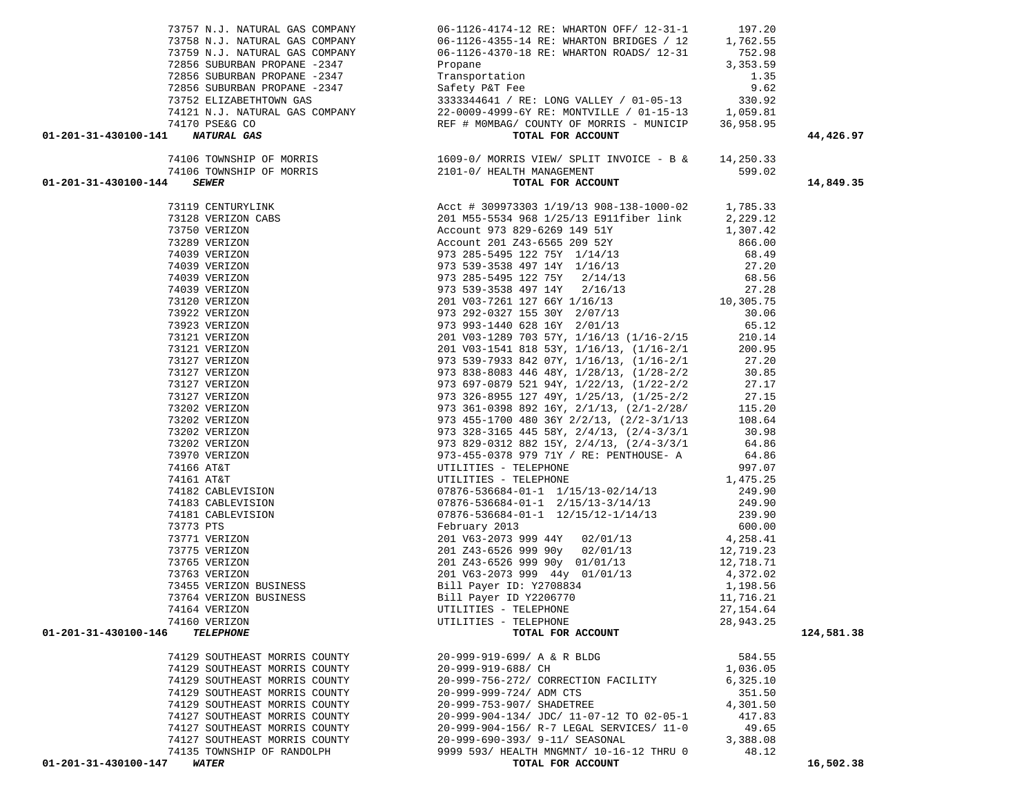|                                          | 73757 N.J. NATURAL GAS COMPANY 66-1126-4174-12 RE: WHARTON OFF/ 12-31-1 197.20 |           |            |
|------------------------------------------|--------------------------------------------------------------------------------|-----------|------------|
|                                          |                                                                                |           |            |
|                                          |                                                                                |           |            |
|                                          |                                                                                |           |            |
|                                          |                                                                                |           |            |
|                                          |                                                                                |           |            |
|                                          |                                                                                |           |            |
|                                          |                                                                                |           |            |
|                                          |                                                                                |           |            |
| 01-201-31-430100-141 NATURAL GAS         |                                                                                |           | 44,426.97  |
|                                          |                                                                                |           |            |
|                                          |                                                                                |           |            |
|                                          |                                                                                |           |            |
| 01-201-31-430100-144                     |                                                                                |           | 14,849.35  |
|                                          |                                                                                |           |            |
|                                          |                                                                                |           |            |
|                                          |                                                                                |           |            |
|                                          |                                                                                |           |            |
|                                          |                                                                                |           |            |
|                                          |                                                                                |           |            |
|                                          |                                                                                |           |            |
|                                          |                                                                                |           |            |
|                                          |                                                                                |           |            |
|                                          |                                                                                |           |            |
|                                          |                                                                                |           |            |
|                                          |                                                                                |           |            |
|                                          |                                                                                |           |            |
|                                          |                                                                                |           |            |
|                                          |                                                                                |           |            |
|                                          |                                                                                |           |            |
|                                          |                                                                                |           |            |
|                                          |                                                                                |           |            |
|                                          |                                                                                |           |            |
|                                          |                                                                                |           |            |
|                                          |                                                                                |           |            |
|                                          |                                                                                |           |            |
|                                          |                                                                                |           |            |
|                                          |                                                                                |           |            |
|                                          |                                                                                |           |            |
|                                          |                                                                                |           |            |
|                                          |                                                                                |           |            |
|                                          |                                                                                |           |            |
|                                          |                                                                                |           |            |
|                                          |                                                                                |           |            |
|                                          |                                                                                |           |            |
|                                          |                                                                                |           |            |
|                                          |                                                                                |           |            |
|                                          |                                                                                |           |            |
|                                          |                                                                                |           |            |
| 74160 VERIZON                            | UTILITIES - TELEPHONE                                                          | 28,943.25 |            |
| 01-201-31-430100-146<br><b>TELEPHONE</b> | TOTAL FOR ACCOUNT                                                              |           | 124,581.38 |
|                                          |                                                                                |           |            |
| 74129 SOUTHEAST MORRIS COUNTY            | 20-999-919-699/ A & R BLDG                                                     | 584.55    |            |
| 74129 SOUTHEAST MORRIS COUNTY            | 20-999-919-688/ CH                                                             | 1,036.05  |            |
| 74129 SOUTHEAST MORRIS COUNTY            | 20-999-756-272/ CORRECTION FACILITY                                            | 6,325.10  |            |
| 74129 SOUTHEAST MORRIS COUNTY            | 20-999-999-724/ ADM CTS                                                        | 351.50    |            |
| 74129 SOUTHEAST MORRIS COUNTY            | 20-999-753-907/ SHADETREE                                                      | 4,301.50  |            |
| 74127 SOUTHEAST MORRIS COUNTY            | 20-999-904-134/ JDC/ 11-07-12 TO 02-05-1                                       | 417.83    |            |
| 74127 SOUTHEAST MORRIS COUNTY            | 20-999-904-156/ R-7 LEGAL SERVICES/ 11-0                                       | 49.65     |            |
| 74127 SOUTHEAST MORRIS COUNTY            | 20-999-690-393/ 9-11/ SEASONAL                                                 | 3,388.08  |            |
| 74135 TOWNSHIP OF RANDOLPH               | 9999 593/ HEALTH MNGMNT/ 10-16-12 THRU 0                                       | 48.12     |            |
| 01-201-31-430100-147<br><b>WATER</b>     | TOTAL FOR ACCOUNT                                                              |           | 16,502.38  |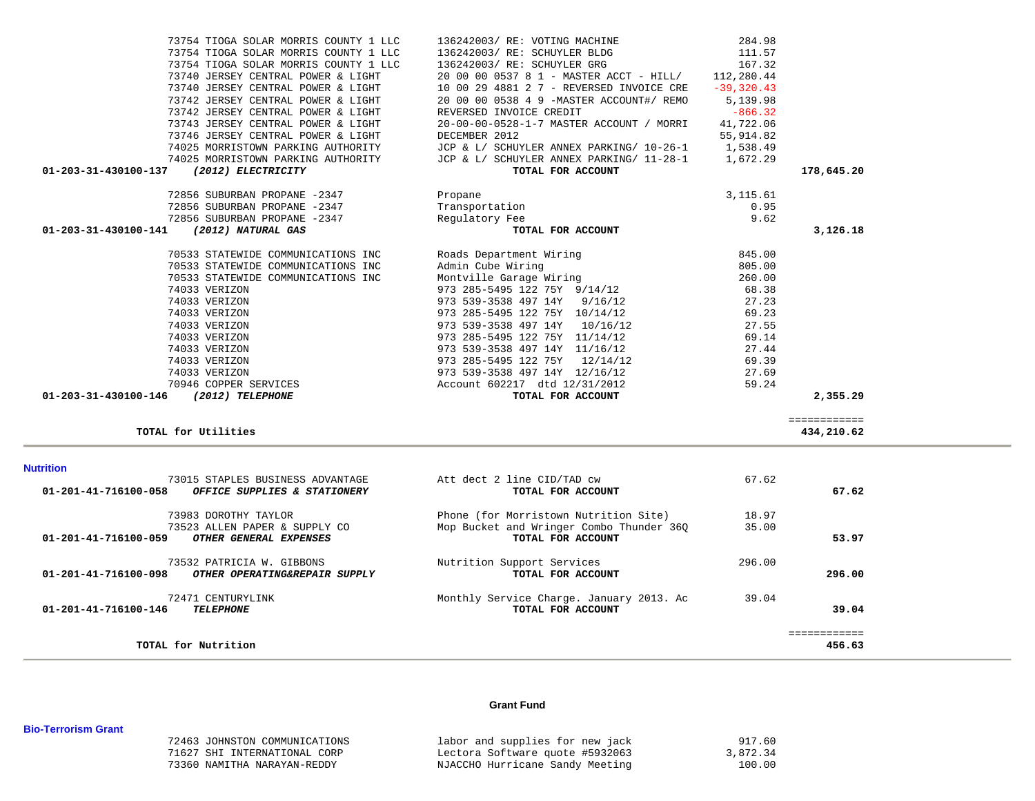| <b>Nutrition</b><br>73015 STAPLES BUSINESS ADVANTAGE<br>01-201-41-716100-058<br>OFFICE SUPPLIES & STATIONERY | Att dect 2 line CID/TAD cw<br>TOTAL FOR ACCOUNT                                   | 67.62<br>67.62  |  |
|--------------------------------------------------------------------------------------------------------------|-----------------------------------------------------------------------------------|-----------------|--|
| 73983 DOROTHY TAYLOR<br>73523 ALLEN PAPER & SUPPLY CO                                                        | Phone (for Morristown Nutrition Site)<br>Mop Bucket and Wringer Combo Thunder 36Q | 18.97<br>35.00  |  |
| 01-201-41-716100-059<br>OTHER GENERAL EXPENSES<br>73532 PATRICIA W. GIBBONS                                  | TOTAL FOR ACCOUNT<br>Nutrition Support Services                                   | 53.97<br>296.00 |  |
| 01-201-41-716100-098<br>OTHER OPERATING&REPAIR SUPPLY                                                        | TOTAL FOR ACCOUNT                                                                 | 296.00          |  |
| 72471 CENTURYLINK<br>01-201-41-716100-146<br><b>TELEPHONE</b>                                                | Monthly Service Charge. January 2013. Ac<br>TOTAL FOR ACCOUNT                     | 39.04<br>39.04  |  |
| TOTAL for Nutrition                                                                                          |                                                                                   | 456.63          |  |

# ============ **TOTAL for Utilities 434,210.62**

| 73754 TIOGA SOLAR MORRIS COUNTY 1 LLC      | 136242003/ RE: VOTING MACHINE                       | 284.98    |            |
|--------------------------------------------|-----------------------------------------------------|-----------|------------|
| 73754 TIOGA SOLAR MORRIS COUNTY 1 LLC      | 136242003/RE: SCHUYLER BLDG                         | 111.57    |            |
| 73754 TIOGA SOLAR MORRIS COUNTY 1 LLC      | 136242003/ RE: SCHUYLER GRG                         | 167.32    |            |
| 73740 JERSEY CENTRAL POWER & LIGHT         | 20 00 00 0537 8 1 - MASTER ACCT - HILL/ 112,280.44  |           |            |
| 73740 JERSEY CENTRAL POWER & LIGHT         | 10 00 29 4881 2 7 - REVERSED INVOICE CRE -39,320.43 |           |            |
| 73742 JERSEY CENTRAL POWER & LIGHT         | 20 00 00 0538 4 9 -MASTER ACCOUNT#/ REMO 5,139.98   |           |            |
| 73742 JERSEY CENTRAL POWER & LIGHT         | REVERSED INVOICE CREDIT                             | $-866.32$ |            |
| 73743 JERSEY CENTRAL POWER & LIGHT         | 20-00-00-0528-1-7 MASTER ACCOUNT / MORRI            | 41,722.06 |            |
| 73746 JERSEY CENTRAL POWER & LIGHT         | DECEMBER 2012                                       | 55,914.82 |            |
| 74025 MORRISTOWN PARKING AUTHORITY         | JCP & L/ SCHUYLER ANNEX PARKING/ 10-26-1 1,538.49   |           |            |
| 74025 MORRISTOWN PARKING AUTHORITY         | JCP & L/ SCHUYLER ANNEX PARKING/ 11-28-1 1,672.29   |           |            |
| 01-203-31-430100-137<br>(2012) ELECTRICITY | TOTAL FOR ACCOUNT                                   |           | 178,645.20 |
| 72856 SUBURBAN PROPANE -2347               | Propane                                             | 3, 115.61 |            |
| 72856 SUBURBAN PROPANE -2347               | Transportation                                      | 0.95      |            |
| 72856 SUBURBAN PROPANE -2347               | Regulatory Fee                                      | 9.62      |            |
| 01-203-31-430100-141<br>(2012) NATURAL GAS | TOTAL FOR ACCOUNT                                   |           | 3,126.18   |
| 70533 STATEWIDE COMMUNICATIONS INC         | Roads Department Wiring                             | 845.00    |            |
| 70533 STATEWIDE COMMUNICATIONS INC         | Admin Cube Wiring                                   | 805.00    |            |
|                                            |                                                     |           |            |
| 70533 STATEWIDE COMMUNICATIONS INC         | Montville Garage Wiring                             | 260.00    |            |
| 74033 VERIZON                              | 973 285-5495 122 75Y 9/14/12                        | 68.38     |            |
| 74033 VERIZON                              | 973 539-3538 497 14Y 9/16/12                        | 27.23     |            |
| 74033 VERIZON                              | 973 285-5495 122 75Y 10/14/12                       | 69.23     |            |
| 74033 VERIZON                              | 973 539-3538 497 14Y 10/16/12                       | 27.55     |            |
| 74033 VERIZON                              | 973 285-5495 122 75Y 11/14/12                       | 69.14     |            |
| 74033 VERIZON                              | 973 539-3538 497 14Y 11/16/12                       | 27.44     |            |
| 74033 VERIZON                              | 973 285-5495 122 75Y 12/14/12                       | 69.39     |            |
| 74033 VERIZON                              | 973 539-3538 497 14Y 12/16/12                       | 27.69     |            |
| 70946 COPPER SERVICES                      | Account 602217 dtd 12/31/2012                       | 59.24     |            |

### **Grant Fund**

| 72463 JOHNSTON COMMUNICATIONS | labor and supplies for new jack | 917.60   |
|-------------------------------|---------------------------------|----------|
| 71627 SHI INTERNATIONAL CORP  | Lectora Software quote #5932063 | 3,872.34 |
| 73360 NAMITHA NARAYAN-REDDY   | NJACCHO Hurricane Sandy Meeting | 100.00   |

### **Bio-Terrorism Grant**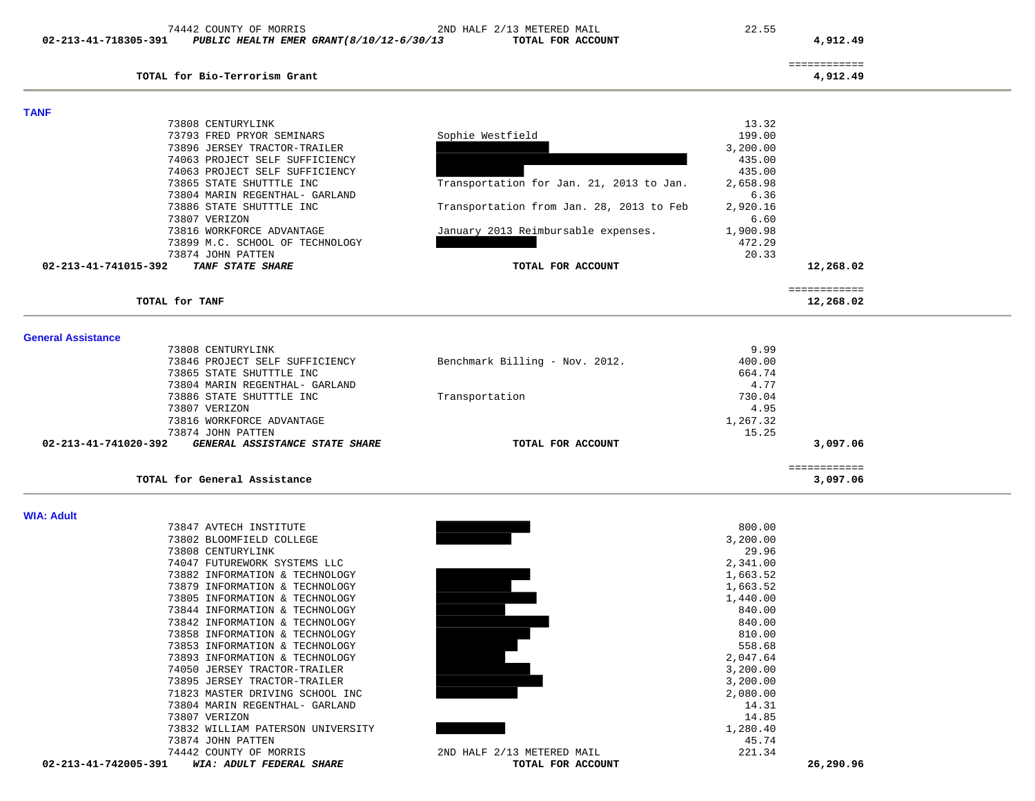| 02-213-41-718305-391      | PUBLIC HEALTH EMER GRANT (8/10/12-6/30/13                  | TOTAL FOR ACCOUNT                        |                  | 4,912.49                 |  |
|---------------------------|------------------------------------------------------------|------------------------------------------|------------------|--------------------------|--|
|                           | TOTAL for Bio-Terrorism Grant                              |                                          |                  | ============<br>4,912.49 |  |
| <b>TANF</b>               |                                                            |                                          |                  |                          |  |
|                           | 73808 CENTURYLINK                                          |                                          | 13.32            |                          |  |
|                           | 73793 FRED PRYOR SEMINARS                                  | Sophie Westfield                         | 199.00           |                          |  |
|                           | 73896 JERSEY TRACTOR-TRAILER                               |                                          | 3,200.00         |                          |  |
|                           | 74063 PROJECT SELF SUFFICIENCY                             |                                          | 435.00           |                          |  |
|                           | 74063 PROJECT SELF SUFFICIENCY                             |                                          | 435.00           |                          |  |
|                           | 73865 STATE SHUTTTLE INC                                   | Transportation for Jan. 21, 2013 to Jan. | 2,658.98         |                          |  |
|                           | 73804 MARIN REGENTHAL- GARLAND                             |                                          | 6.36             |                          |  |
|                           | 73886 STATE SHUTTTLE INC                                   | Transportation from Jan. 28, 2013 to Feb | 2,920.16         |                          |  |
|                           | 73807 VERIZON                                              |                                          | 6.60             |                          |  |
|                           | 73816 WORKFORCE ADVANTAGE                                  | January 2013 Reimbursable expenses.      | 1,900.98         |                          |  |
|                           | 73899 M.C. SCHOOL OF TECHNOLOGY                            |                                          | 472.29           |                          |  |
|                           | 73874 JOHN PATTEN                                          |                                          | 20.33            |                          |  |
| 02-213-41-741015-392      | TANF STATE SHARE                                           | TOTAL FOR ACCOUNT                        |                  | 12,268.02                |  |
|                           |                                                            |                                          |                  | ============             |  |
|                           | TOTAL for TANF                                             |                                          |                  | 12,268.02                |  |
|                           |                                                            |                                          |                  |                          |  |
| <b>General Assistance</b> |                                                            |                                          |                  |                          |  |
|                           | 73808 CENTURYLINK                                          | Benchmark Billing - Nov. 2012.           | 9.99             |                          |  |
|                           | 73846 PROJECT SELF SUFFICIENCY<br>73865 STATE SHUTTTLE INC |                                          | 400.00<br>664.74 |                          |  |
|                           | 73804 MARIN REGENTHAL- GARLAND                             |                                          | 4.77             |                          |  |
|                           | 73886 STATE SHUTTTLE INC                                   | Transportation                           | 730.04           |                          |  |
|                           | 73807 VERIZON                                              |                                          | 4.95             |                          |  |
|                           |                                                            |                                          |                  |                          |  |
|                           | 73816 WORKFORCE ADVANTAGE                                  |                                          | 1,267.32         |                          |  |
| 02-213-41-741020-392      | 73874 JOHN PATTEN<br>GENERAL ASSISTANCE STATE SHARE        | TOTAL FOR ACCOUNT                        | 15.25            | 3,097.06                 |  |
|                           |                                                            |                                          |                  |                          |  |
|                           | TOTAL for General Assistance                               |                                          |                  | ============<br>3,097.06 |  |
|                           |                                                            |                                          |                  |                          |  |
| <b>WIA: Adult</b>         | 73847 AVTECH INSTITUTE                                     |                                          | 800.00           |                          |  |
|                           | 73802 BLOOMFIELD COLLEGE                                   |                                          | 3,200.00         |                          |  |
|                           | 73808 CENTURYLINK                                          |                                          | 29.96            |                          |  |
|                           | 74047 FUTUREWORK SYSTEMS LLC                               |                                          | 2,341.00         |                          |  |
|                           | 73882 INFORMATION & TECHNOLOGY                             |                                          | 1,663.52         |                          |  |
|                           | 73879 INFORMATION & TECHNOLOGY                             |                                          | 1,663.52         |                          |  |
|                           | 73805 INFORMATION & TECHNOLOGY                             |                                          | 1,440.00         |                          |  |
|                           | 73844 INFORMATION & TECHNOLOGY                             |                                          | 840.00           |                          |  |
|                           | 73842 INFORMATION & TECHNOLOGY                             |                                          | 840.00           |                          |  |
|                           | 73858 INFORMATION & TECHNOLOGY                             |                                          | 810.00           |                          |  |

74442 COUNTY OF MORRIS 2ND HALF 2/13 METERED MAIL 22.55

73858 INFORMATION & TECHNOLOGY<br>73853 INFORMATION & TECHNOLOGY<br>73893 INFORMATION & TECHNOLOGY<br>74050 JERSEY TRACTOR-TRAILER<br>73895 JERSEY TRACTOR-TRAILER<br>71823 MASTER DRIVING SCHOOL INC 73853 INFORMATION & TECHNOLOGY 558.68 73893 INFORMATION & TECHNOLOGY 74050 JERSEY TRACTOR-TRAILER 3,200.00 73895 JERSEY TRACTOR-TRAILER 3,200.00 71823 MASTER DRIVING SCHOOL INC 2,080.00 73804 MARIN REGENTHAL- GARLAND 14.31 73807 VERIZON 14.85  $73832 \text{ WILLIAM PARTERSON UNIVERSITY}$ 73874 JOHN PATTEN 74442 COUNTY OF MORRIS 2ND HALF 2/13 METERED MAIL 221.34  **02-213-41-742005-391** *WIA: ADULT FEDERAL SHARE* **TOTAL FOR ACCOUNT 26,290.96**

2,047.64

45.74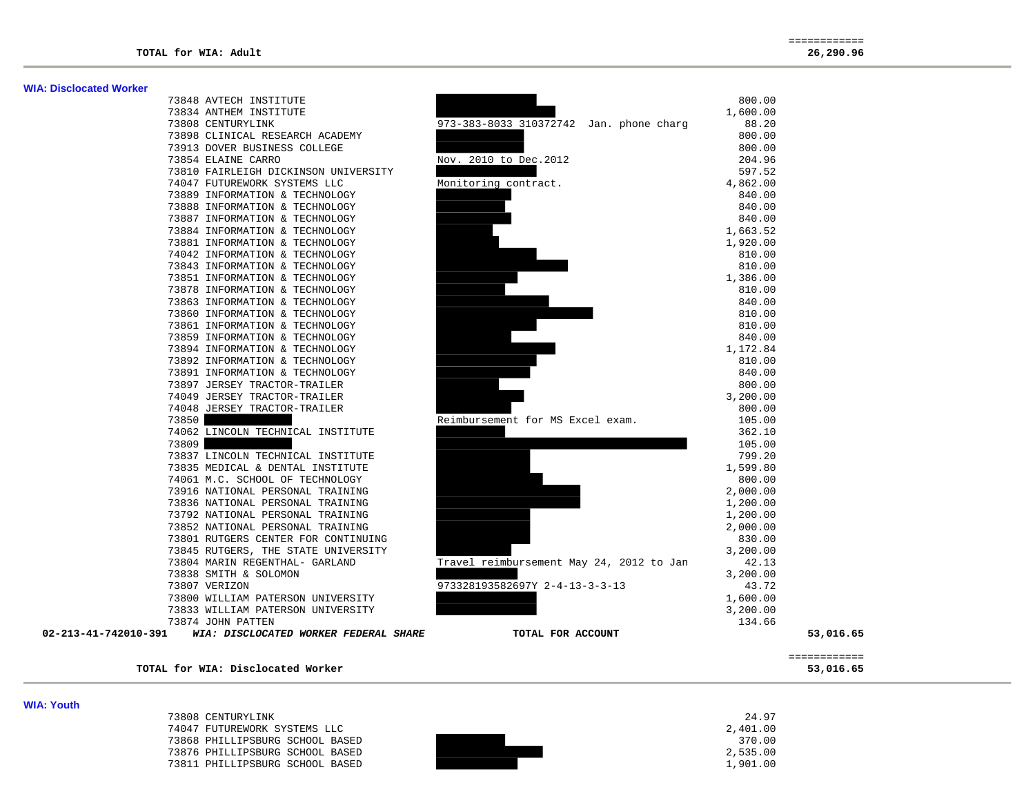| <b>WIA: Disclocated Worker</b> |                                                            |                                          |              |  |
|--------------------------------|------------------------------------------------------------|------------------------------------------|--------------|--|
|                                | 73848 AVTECH INSTITUTE                                     |                                          | 800.00       |  |
|                                | 73834 ANTHEM INSTITUTE                                     |                                          | 1,600.00     |  |
|                                | 73808 CENTURYLINK                                          | 973-383-8033 310372742 Jan. phone charg  | 88.20        |  |
|                                | 73898 CLINICAL RESEARCH ACADEMY                            |                                          | 800.00       |  |
|                                | 73913 DOVER BUSINESS COLLEGE                               |                                          | 800.00       |  |
|                                | 73854 ELAINE CARRO                                         | Nov. 2010 to Dec. 2012                   | 204.96       |  |
|                                | 73810 FAIRLEIGH DICKINSON UNIVERSITY                       |                                          | 597.52       |  |
|                                | 74047 FUTUREWORK SYSTEMS LLC                               | Monitoring contract.                     | 4,862.00     |  |
|                                | 73889 INFORMATION & TECHNOLOGY                             |                                          | 840.00       |  |
|                                | 73888 INFORMATION & TECHNOLOGY                             |                                          | 840.00       |  |
|                                | 73887 INFORMATION & TECHNOLOGY                             |                                          | 840.00       |  |
|                                | 73884 INFORMATION & TECHNOLOGY                             |                                          | 1,663.52     |  |
|                                | 73881 INFORMATION & TECHNOLOGY                             |                                          | 1,920.00     |  |
|                                | 74042 INFORMATION & TECHNOLOGY                             |                                          | 810.00       |  |
|                                | 73843 INFORMATION & TECHNOLOGY                             |                                          | 810.00       |  |
|                                | 73851 INFORMATION & TECHNOLOGY                             |                                          | 1,386.00     |  |
|                                | 73878 INFORMATION & TECHNOLOGY                             |                                          | 810.00       |  |
|                                | 73863 INFORMATION & TECHNOLOGY                             |                                          | 840.00       |  |
|                                | 73860 INFORMATION & TECHNOLOGY                             |                                          | 810.00       |  |
|                                | 73861 INFORMATION & TECHNOLOGY                             |                                          | 810.00       |  |
|                                | 73859 INFORMATION & TECHNOLOGY                             |                                          | 840.00       |  |
|                                | 73894 INFORMATION & TECHNOLOGY                             |                                          | 1,172.84     |  |
|                                | 73892 INFORMATION & TECHNOLOGY                             |                                          | 810.00       |  |
|                                | 73891 INFORMATION & TECHNOLOGY                             |                                          | 840.00       |  |
|                                | 73897 JERSEY TRACTOR-TRAILER                               |                                          | 800.00       |  |
|                                | 74049 JERSEY TRACTOR-TRAILER                               |                                          | 3,200.00     |  |
|                                | 74048 JERSEY TRACTOR-TRAILER                               |                                          | 800.00       |  |
|                                | 73850                                                      | Reimbursement for MS Excel exam.         | 105.00       |  |
|                                | 74062 LINCOLN TECHNICAL INSTITUTE                          |                                          | 362.10       |  |
|                                | 73809                                                      |                                          | 105.00       |  |
|                                | 73837 LINCOLN TECHNICAL INSTITUTE                          |                                          | 799.20       |  |
|                                | 73835 MEDICAL & DENTAL INSTITUTE                           |                                          | 1,599.80     |  |
|                                | 74061 M.C. SCHOOL OF TECHNOLOGY                            |                                          | 800.00       |  |
|                                | 73916 NATIONAL PERSONAL TRAINING                           |                                          | 2,000.00     |  |
|                                | 73836 NATIONAL PERSONAL TRAINING                           |                                          | 1,200.00     |  |
|                                | 73792 NATIONAL PERSONAL TRAINING                           |                                          | 1,200.00     |  |
|                                | 73852 NATIONAL PERSONAL TRAINING                           |                                          | 2,000.00     |  |
|                                | 73801 RUTGERS CENTER FOR CONTINUING                        |                                          | 830.00       |  |
|                                | 73845 RUTGERS, THE STATE UNIVERSITY                        |                                          | 3,200.00     |  |
|                                | 73804 MARIN REGENTHAL- GARLAND                             | Travel reimbursement May 24, 2012 to Jan | 42.13        |  |
|                                | 73838 SMITH & SOLOMON                                      |                                          | 3,200.00     |  |
|                                | 73807 VERIZON                                              | 973328193582697Y 2-4-13-3-3-13           | 43.72        |  |
|                                | 73800 WILLIAM PATERSON UNIVERSITY                          |                                          | 1,600.00     |  |
|                                | 73833 WILLIAM PATERSON UNIVERSITY                          |                                          | 3,200.00     |  |
|                                | 73874 JOHN PATTEN                                          |                                          | 134.66       |  |
|                                | 02-213-41-742010-391 WIA: DISCLOCATED WORKER FEDERAL SHARE | TOTAL FOR ACCOUNT                        | 53,016.65    |  |
|                                |                                                            |                                          |              |  |
|                                |                                                            |                                          | ============ |  |
|                                | TOTAL for WIA: Disclocated Worker                          |                                          | 53,016.65    |  |

### **TOTAL for WIA: Disclocated Worker 53,016.65**

**WIA: Youth** 

| 73808 CENTURYLINK                    | 24.97    |
|--------------------------------------|----------|
| 74047 FUTUREWORK SYSTEMS LLC         | 2,401.00 |
| 73868 PHILLIPSBURG SCHOOL BASED      | 370.00   |
| 73876 PHILLIPSBURG SCHOOL BASED      | 2,535.00 |
| 73811<br>1 PHILLIPSRURG SCHOOL RASED | 901 00   |



 $2,401.00$  $370.00$ <br>2,535.00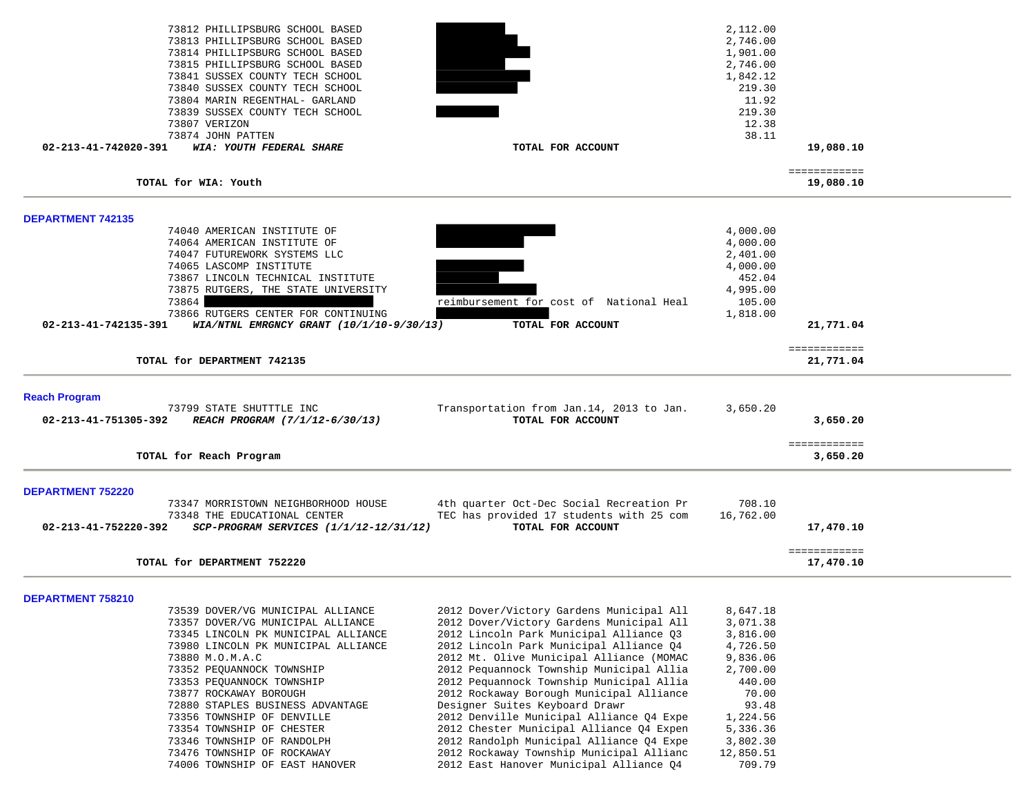| 73812 PHILLIPSBURG SCHOOL BASED                                    |                                          | 2,112.00  |                           |
|--------------------------------------------------------------------|------------------------------------------|-----------|---------------------------|
| 73813 PHILLIPSBURG SCHOOL BASED                                    |                                          | 2,746.00  |                           |
| 73814 PHILLIPSBURG SCHOOL BASED                                    |                                          | 1,901.00  |                           |
| 73815 PHILLIPSBURG SCHOOL BASED                                    |                                          | 2,746.00  |                           |
| 73841 SUSSEX COUNTY TECH SCHOOL                                    |                                          | 1,842.12  |                           |
| 73840 SUSSEX COUNTY TECH SCHOOL                                    |                                          | 219.30    |                           |
| 73804 MARIN REGENTHAL- GARLAND                                     |                                          | 11.92     |                           |
| 73839 SUSSEX COUNTY TECH SCHOOL                                    |                                          | 219.30    |                           |
| 73807 VERIZON                                                      |                                          | 12.38     |                           |
| 73874 JOHN PATTEN                                                  |                                          | 38.11     |                           |
| 02-213-41-742020-391<br>WIA: YOUTH FEDERAL SHARE                   | TOTAL FOR ACCOUNT                        |           | 19,080.10                 |
| TOTAL for WIA: Youth                                               |                                          |           | ============<br>19,080.10 |
|                                                                    |                                          |           |                           |
| <b>DEPARTMENT 742135</b>                                           |                                          |           |                           |
| 74040 AMERICAN INSTITUTE OF                                        |                                          | 4,000.00  |                           |
| 74064 AMERICAN INSTITUTE OF                                        |                                          | 4,000.00  |                           |
| 74047 FUTUREWORK SYSTEMS LLC                                       |                                          | 2,401.00  |                           |
| 74065 LASCOMP INSTITUTE                                            |                                          | 4,000.00  |                           |
| 73867 LINCOLN TECHNICAL INSTITUTE                                  |                                          | 452.04    |                           |
| 73875 RUTGERS, THE STATE UNIVERSITY                                |                                          | 4,995.00  |                           |
| 73864                                                              | reimbursement for cost of National Heal  | 105.00    |                           |
| 73866 RUTGERS CENTER FOR CONTINUING                                |                                          | 1,818.00  |                           |
| WIA/NTNL EMRGNCY GRANT (10/1/10-9/30/13)<br>02-213-41-742135-391   | TOTAL FOR ACCOUNT                        |           | 21,771.04                 |
|                                                                    |                                          |           | ============              |
| TOTAL for DEPARTMENT 742135                                        |                                          |           | 21,771.04                 |
| <b>Reach Program</b>                                               |                                          |           |                           |
| 73799 STATE SHUTTTLE INC                                           | Transportation from Jan.14, 2013 to Jan. | 3,650.20  |                           |
| 02-213-41-751305-392<br>REACH PROGRAM (7/1/12-6/30/13)             | TOTAL FOR ACCOUNT                        |           | 3,650.20                  |
|                                                                    |                                          |           | ============              |
| TOTAL for Reach Program                                            |                                          |           | 3,650.20                  |
| <b>DEPARTMENT 752220</b>                                           |                                          |           |                           |
| 73347 MORRISTOWN NEIGHBORHOOD HOUSE                                | 4th quarter Oct-Dec Social Recreation Pr | 708.10    |                           |
| 73348 THE EDUCATIONAL CENTER                                       | TEC has provided 17 students with 25 com | 16,762.00 |                           |
| 02-213-41-752220-392<br>$SCP-PROGRAM$ SERVICES $(1/1/12-12/31/12)$ | TOTAL FOR ACCOUNT                        |           | 17,470.10                 |
|                                                                    |                                          |           |                           |
| TOTAL for DEPARTMENT 752220                                        |                                          |           | ============<br>17,470.10 |
|                                                                    |                                          |           |                           |
| <b>DEPARTMENT 758210</b>                                           |                                          |           |                           |
| 73539 DOVER/VG MUNICIPAL ALLIANCE                                  | 2012 Dover/Victory Gardens Municipal All | 8,647.18  |                           |
| 73357 DOVER/VG MUNICIPAL ALLIANCE                                  | 2012 Dover/Victory Gardens Municipal All | 3,071.38  |                           |
| 73345 LINCOLN PK MUNICIPAL ALLIANCE                                | 2012 Lincoln Park Municipal Alliance Q3  | 3,816.00  |                           |
| 73980 LINCOLN PK MUNICIPAL ALLIANCE                                | 2012 Lincoln Park Municipal Alliance Q4  | 4,726.50  |                           |
| 73880 M.O.M.A.C                                                    | 2012 Mt. Olive Municipal Alliance (MOMAC | 9,836.06  |                           |
| 73352 PEQUANNOCK TOWNSHIP                                          | 2012 Pequannock Township Municipal Allia | 2,700.00  |                           |
| 73353 PEQUANNOCK TOWNSHIP                                          | 2012 Pequannock Township Municipal Allia | 440.00    |                           |
| 73877 ROCKAWAY BOROUGH                                             | 2012 Rockaway Borough Municipal Alliance | 70.00     |                           |
| 72880 STAPLES BUSINESS ADVANTAGE                                   | Designer Suites Keyboard Drawr           | 93.48     |                           |
| 73356 TOWNSHIP OF DENVILLE                                         | 2012 Denville Municipal Alliance Q4 Expe | 1,224.56  |                           |
| 73354 TOWNSHIP OF CHESTER                                          | 2012 Chester Municipal Alliance Q4 Expen | 5,336.36  |                           |
| 73346 TOWNSHIP OF RANDOLPH                                         | 2012 Randolph Municipal Alliance Q4 Expe | 3,802.30  |                           |
| 73476 TOWNSHIP OF ROCKAWAY                                         | 2012 Rockaway Township Municipal Allianc | 12,850.51 |                           |
| 74006 TOWNSHIP OF EAST HANOVER                                     | 2012 East Hanover Municipal Alliance 04  | 709.79    |                           |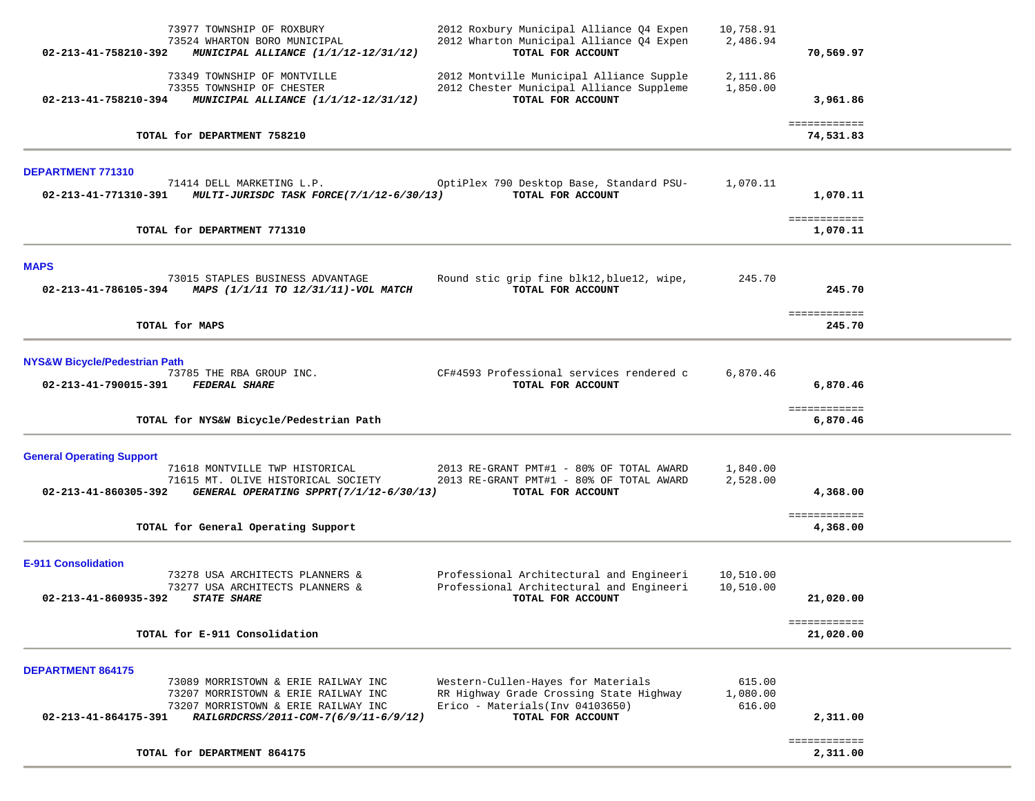| 02-213-41-758210-392                                     | 73977 TOWNSHIP OF ROXBURY<br>73524 WHARTON BORO MUNICIPAL<br>MUNICIPAL ALLIANCE (1/1/12-12/31/12)                                                          | 2012 Roxbury Municipal Alliance Q4 Expen<br>2012 Wharton Municipal Alliance 04 Expen<br>TOTAL FOR ACCOUNT                              | 10,758.91<br>2,486.94        | 70,569.97                 |  |
|----------------------------------------------------------|------------------------------------------------------------------------------------------------------------------------------------------------------------|----------------------------------------------------------------------------------------------------------------------------------------|------------------------------|---------------------------|--|
| 02-213-41-758210-394                                     | 73349 TOWNSHIP OF MONTVILLE<br>73355 TOWNSHIP OF CHESTER<br>MUNICIPAL ALLIANCE (1/1/12-12/31/12)                                                           | 2012 Montville Municipal Alliance Supple<br>2012 Chester Municipal Alliance Suppleme<br>TOTAL FOR ACCOUNT                              | 2,111.86<br>1,850.00         | 3,961.86                  |  |
|                                                          | TOTAL for DEPARTMENT 758210                                                                                                                                |                                                                                                                                        |                              | ============<br>74,531.83 |  |
| <b>DEPARTMENT 771310</b>                                 |                                                                                                                                                            |                                                                                                                                        |                              |                           |  |
| 02-213-41-771310-391                                     | 71414 DELL MARKETING L.P.<br>MULTI-JURISDC TASK FORCE(7/1/12-6/30/13)                                                                                      | OptiPlex 790 Desktop Base, Standard PSU-<br>TOTAL FOR ACCOUNT                                                                          | 1,070.11                     | 1,070.11                  |  |
|                                                          | TOTAL for DEPARTMENT 771310                                                                                                                                |                                                                                                                                        |                              | ============<br>1,070.11  |  |
| <b>MAPS</b>                                              |                                                                                                                                                            |                                                                                                                                        |                              |                           |  |
| 02-213-41-786105-394                                     | 73015 STAPLES BUSINESS ADVANTAGE<br>MAPS (1/1/11 TO 12/31/11)-VOL MATCH                                                                                    | Round stic grip fine blk12, blue12, wipe,<br>TOTAL FOR ACCOUNT                                                                         | 245.70                       | 245.70                    |  |
|                                                          | TOTAL for MAPS                                                                                                                                             |                                                                                                                                        |                              | ============<br>245.70    |  |
| <b>NYS&amp;W Bicycle/Pedestrian Path</b>                 | 73785 THE RBA GROUP INC.                                                                                                                                   | CF#4593 Professional services rendered c                                                                                               | 6,870.46                     |                           |  |
| 02-213-41-790015-391                                     | <b>FEDERAL SHARE</b>                                                                                                                                       | TOTAL FOR ACCOUNT                                                                                                                      |                              | 6,870.46<br>============  |  |
|                                                          | TOTAL for NYS&W Bicycle/Pedestrian Path                                                                                                                    |                                                                                                                                        |                              | 6,870.46                  |  |
| <b>General Operating Support</b><br>02-213-41-860305-392 | 71618 MONTVILLE TWP HISTORICAL<br>71615 MT. OLIVE HISTORICAL SOCIETY<br>GENERAL OPERATING SPPRT(7/1/12-6/30/13)                                            | 2013 RE-GRANT PMT#1 - 80% OF TOTAL AWARD<br>2013 RE-GRANT PMT#1 - 80% OF TOTAL AWARD<br>TOTAL FOR ACCOUNT                              | 1,840.00<br>2,528.00         | 4,368.00                  |  |
|                                                          | TOTAL for General Operating Support                                                                                                                        |                                                                                                                                        |                              | ============<br>4,368.00  |  |
| <b>E-911 Consolidation</b><br>02-213-41-860935-392       | 73278 USA ARCHITECTS PLANNERS &<br>73277 USA ARCHITECTS PLANNERS &<br><b>STATE SHARE</b>                                                                   | Professional Architectural and Engineeri<br>Professional Architectural and Engineeri<br>TOTAL FOR ACCOUNT                              | 10,510.00<br>10,510.00       | 21,020.00                 |  |
|                                                          | TOTAL for E-911 Consolidation                                                                                                                              |                                                                                                                                        |                              | ============<br>21,020.00 |  |
| <b>DEPARTMENT 864175</b><br>02-213-41-864175-391         | 73089 MORRISTOWN & ERIE RAILWAY INC<br>73207 MORRISTOWN & ERIE RAILWAY INC<br>73207 MORRISTOWN & ERIE RAILWAY INC<br>RAILGRDCRSS/2011-COM-7(6/9/11-6/9/12) | Western-Cullen-Hayes for Materials<br>RR Highway Grade Crossing State Highway<br>Erico - Materials (Inv 04103650)<br>TOTAL FOR ACCOUNT | 615.00<br>1,080.00<br>616.00 | 2,311.00                  |  |
|                                                          | TOTAL for DEPARTMENT 864175                                                                                                                                |                                                                                                                                        |                              | ============<br>2,311.00  |  |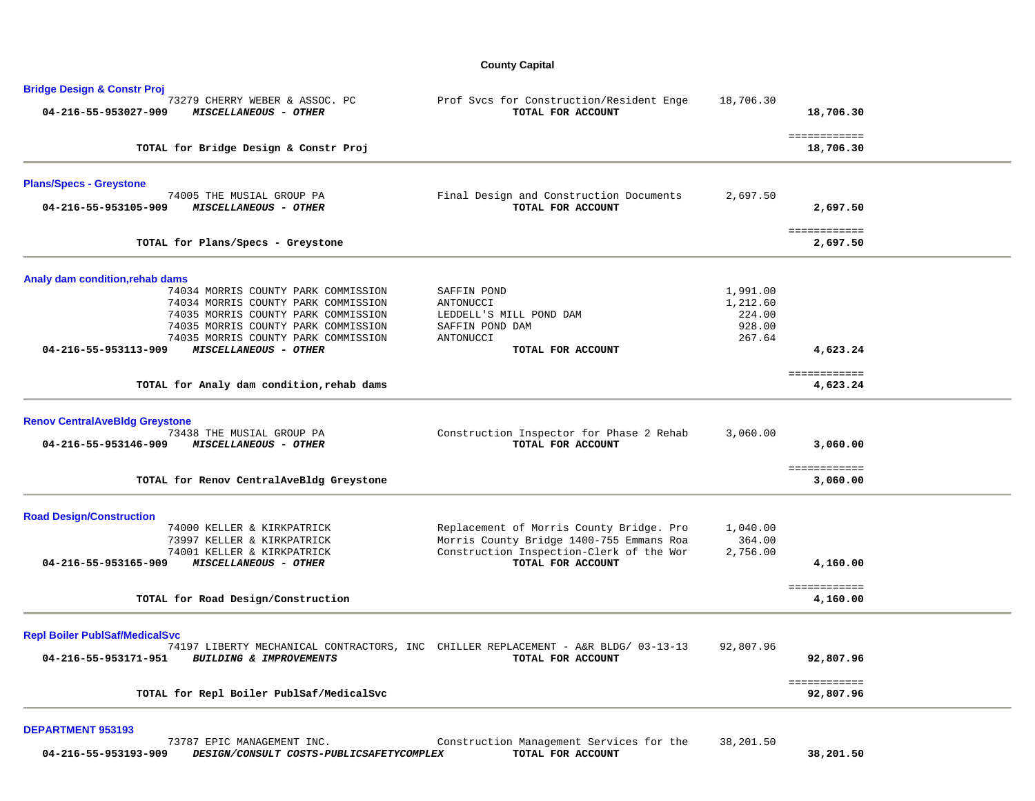### **County Capital**

| 73279 CHERRY WEBER & ASSOC. PC<br>04-216-55-953027-909<br>MISCELLANEOUS - OTHER                                                                                       | Prof Svcs for Construction/Resident Enge<br>TOTAL FOR ACCOUNT                                           | 18,706.30        | 18,706.30                 |
|-----------------------------------------------------------------------------------------------------------------------------------------------------------------------|---------------------------------------------------------------------------------------------------------|------------------|---------------------------|
| TOTAL for Bridge Design & Constr Proj                                                                                                                                 |                                                                                                         |                  | ============<br>18,706.30 |
| <b>Plans/Specs - Greystone</b>                                                                                                                                        |                                                                                                         |                  |                           |
| 74005 THE MUSIAL GROUP PA<br>04-216-55-953105-909<br>MISCELLANEOUS - OTHER                                                                                            | Final Design and Construction Documents<br>TOTAL FOR ACCOUNT                                            | 2,697.50         | 2,697.50                  |
| TOTAL for Plans/Specs - Greystone                                                                                                                                     |                                                                                                         |                  | ============<br>2,697.50  |
| Analy dam condition, rehab dams                                                                                                                                       |                                                                                                         |                  |                           |
| 74034 MORRIS COUNTY PARK COMMISSION                                                                                                                                   | SAFFIN POND                                                                                             | 1,991.00         |                           |
| 74034 MORRIS COUNTY PARK COMMISSION                                                                                                                                   | ANTONUCCI                                                                                               | 1,212.60         |                           |
| 74035 MORRIS COUNTY PARK COMMISSION                                                                                                                                   | LEDDELL'S MILL POND DAM                                                                                 | 224.00<br>928.00 |                           |
| 74035 MORRIS COUNTY PARK COMMISSION<br>74035 MORRIS COUNTY PARK COMMISSION                                                                                            | SAFFIN POND DAM<br>ANTONUCCI                                                                            | 267.64           |                           |
| MISCELLANEOUS - OTHER<br>04-216-55-953113-909                                                                                                                         | TOTAL FOR ACCOUNT                                                                                       |                  | 4,623.24                  |
| TOTAL for Analy dam condition, rehab dams                                                                                                                             |                                                                                                         |                  | ============<br>4,623.24  |
|                                                                                                                                                                       |                                                                                                         |                  |                           |
|                                                                                                                                                                       |                                                                                                         |                  |                           |
|                                                                                                                                                                       |                                                                                                         |                  |                           |
| 73438 THE MUSIAL GROUP PA<br>04-216-55-953146-909<br>MISCELLANEOUS - OTHER                                                                                            | Construction Inspector for Phase 2 Rehab<br>TOTAL FOR ACCOUNT                                           | 3,060.00         | 3,060.00                  |
|                                                                                                                                                                       |                                                                                                         |                  | ============              |
| TOTAL for Renov CentralAveBldg Greystone                                                                                                                              |                                                                                                         |                  | 3,060.00                  |
|                                                                                                                                                                       |                                                                                                         |                  |                           |
| 74000 KELLER & KIRKPATRICK                                                                                                                                            | Replacement of Morris County Bridge. Pro                                                                | 1,040.00         |                           |
| 73997 KELLER & KIRKPATRICK                                                                                                                                            | Morris County Bridge 1400-755 Emmans Roa                                                                | 364.00           |                           |
| 74001 KELLER & KIRKPATRICK<br>04-216-55-953165-909<br>MISCELLANEOUS - OTHER                                                                                           | Construction Inspection-Clerk of the Wor<br>TOTAL FOR ACCOUNT                                           | 2,756.00         | 4,160.00                  |
|                                                                                                                                                                       |                                                                                                         |                  | ============              |
| TOTAL for Road Design/Construction                                                                                                                                    |                                                                                                         |                  | 4,160.00                  |
|                                                                                                                                                                       |                                                                                                         |                  |                           |
| <b>Renov Central AveBldg Greystone</b><br><b>Road Design/Construction</b><br><b>Repl Boiler PublSaf/MedicalSvc</b><br>04-216-55-953171-951<br>BUILDING & IMPROVEMENTS | 74197 LIBERTY MECHANICAL CONTRACTORS, INC CHILLER REPLACEMENT - A&R BLDG/ 03-13-13<br>TOTAL FOR ACCOUNT | 92,807.96        | 92,807.96                 |

### **DEPARTMENT 953193**

|                      | <sup>73787</sup><br><sup>7</sup> EPIC MANAGEMENT INC. | Construction Management Services for the | 38,201.50 |
|----------------------|-------------------------------------------------------|------------------------------------------|-----------|
| 04-216-55-953193-909 | DESIGN/CONSULT COSTS-PUBLICSAFETYCOMPLEX              | TOTAL FOR ACCOUNT                        | 38,201.50 |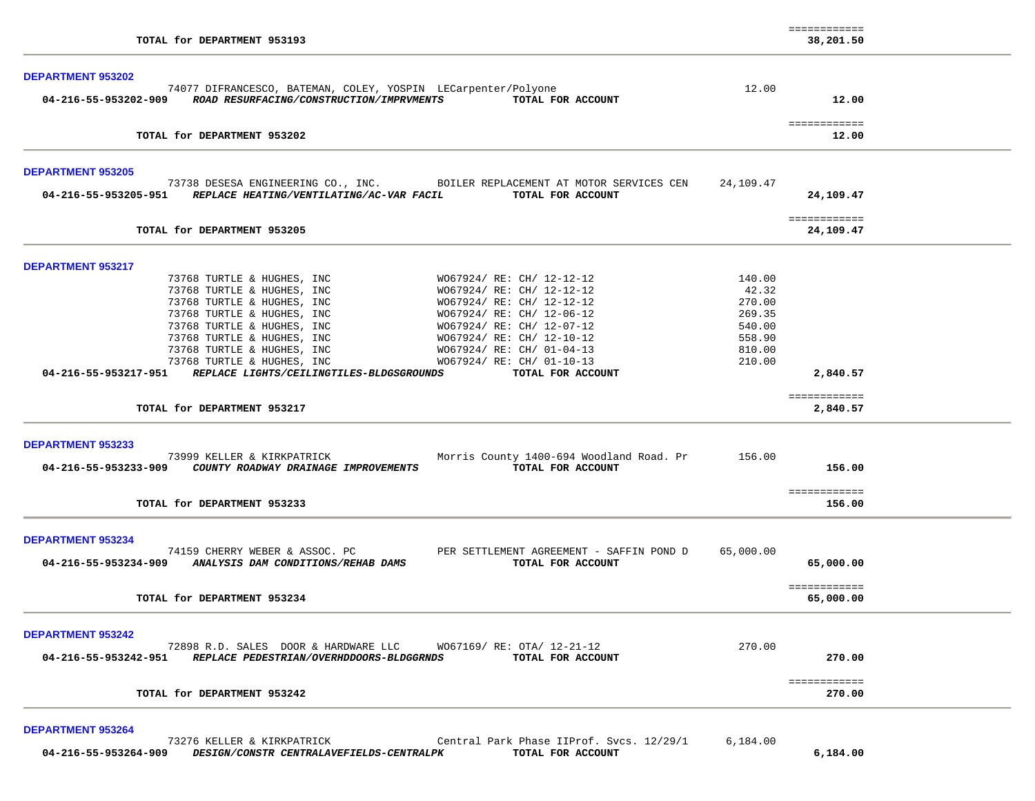| TOTAL for DEPARTMENT 953193                                                                                                                                                                                                                                                                                                                                                                                                                           |                                                         | ============<br>38,201.50 |  |
|-------------------------------------------------------------------------------------------------------------------------------------------------------------------------------------------------------------------------------------------------------------------------------------------------------------------------------------------------------------------------------------------------------------------------------------------------------|---------------------------------------------------------|---------------------------|--|
| DEPARTMENT 953202<br>74077 DIFRANCESCO, BATEMAN, COLEY, YOSPIN LECarpenter/Polyone<br>04-216-55-953202-909 ROAD RESURFACING/CONSTRUCTION/IMPRVMENTS<br>TOTAL FOR ACCOUNT                                                                                                                                                                                                                                                                              | 12.00                                                   | 12.00                     |  |
| TOTAL for DEPARTMENT 953202                                                                                                                                                                                                                                                                                                                                                                                                                           |                                                         | ============<br>12.00     |  |
| <b>DEPARTMENT 953205</b>                                                                                                                                                                                                                                                                                                                                                                                                                              |                                                         |                           |  |
| 73738 DESESA ENGINEERING CO., INC. BOILER REPLACEMENT AT MOTOR SERVICES CEN<br>04-216-55-953205-951 REPLACE HEATING/VENTILATING/AC-VAR FACIL<br>TOTAL FOR ACCOUNT                                                                                                                                                                                                                                                                                     | 24,109.47                                               | 24,109.47                 |  |
| TOTAL for DEPARTMENT 953205                                                                                                                                                                                                                                                                                                                                                                                                                           |                                                         | ============<br>24,109.47 |  |
| <b>DEPARTMENT 953217</b>                                                                                                                                                                                                                                                                                                                                                                                                                              |                                                         |                           |  |
| WO67924/ RE: CH/ 12-12-12<br>73768 TURTLE & HUGHES, INC<br>73768 TURTLE & HUGHES, INC<br>WO67924/ RE: CH/ 12-12-12<br>73768 TURTLE & HUGHES, INC<br>W067924/ RE: CH/ 12-12-12<br>W067924/ RE: CH/ 12-06-12<br>W067924/ RE: CH/ 12-07-12<br>W067924/ RE: CH/ 12-10-12<br>W067924/ RE: CH/ 01-04-13<br>W067924/ RE: CH/ 01-04-13<br>W067924/ RE: CH/ 01-10-13<br>73768 TURTLE & HUGHES, INC<br>73768 TURTLE & HUGHES, INC<br>73768 TURTLE & HUGHES, INC | 140.00<br>42.32<br>270.00<br>269.35<br>540.00<br>558.90 |                           |  |
| 73768 TURTLE & HUGHES, INC<br>73768 TURTLE & HUGHES, INC<br>04-216-55-953217-951 REPLACE LIGHTS/CEILINGTILES-BLDGSGROUNDS<br>TOTAL FOR ACCOUNT                                                                                                                                                                                                                                                                                                        | 810.00<br>210.00                                        | 2,840.57                  |  |
| TOTAL for DEPARTMENT 953217                                                                                                                                                                                                                                                                                                                                                                                                                           |                                                         | ============<br>2,840.57  |  |
| <b>DEPARTMENT 953233</b><br>73999 KELLER & KIRKPATRICK<br>Morris County 1400-694 Woodland Road. Pr<br>04-216-55-953233-909 COUNTY ROADWAY DRAINAGE IMPROVEMENTS<br>TOTAL FOR ACCOUNT                                                                                                                                                                                                                                                                  | 156.00                                                  | 156.00                    |  |
| TOTAL for DEPARTMENT 953233                                                                                                                                                                                                                                                                                                                                                                                                                           |                                                         | ============<br>156.00    |  |
| <b>DEPARTMENT 953234</b><br>74159 CHERRY WEBER & ASSOC. PC<br>PER SETTLEMENT AGREEMENT - SAFFIN POND D                                                                                                                                                                                                                                                                                                                                                | 65,000.00                                               |                           |  |
| 04-216-55-953234-909 ANALYSIS DAM CONDITIONS/REHAB DAMS<br>TOTAL FOR ACCOUNT                                                                                                                                                                                                                                                                                                                                                                          |                                                         | 65,000.00<br>============ |  |
| TOTAL for DEPARTMENT 953234                                                                                                                                                                                                                                                                                                                                                                                                                           |                                                         | 65,000,00                 |  |
| <b>DEPARTMENT 953242</b><br>72898 R.D. SALES DOOR & HARDWARE LLC<br>W067169/ RE: OTA/ 12-21-12<br>04-216-55-953242-951 REPLACE PEDESTRIAN/OVERHDDOORS-BLDGGRNDS<br>TOTAL FOR ACCOUNT                                                                                                                                                                                                                                                                  | 270.00                                                  | 270.00                    |  |
| TOTAL for DEPARTMENT 953242                                                                                                                                                                                                                                                                                                                                                                                                                           |                                                         | ============<br>270.00    |  |
| <b>DEPARTMENT 953264</b>                                                                                                                                                                                                                                                                                                                                                                                                                              |                                                         |                           |  |

 73276 KELLER & KIRKPATRICK Central Park Phase IIProf. Svcs. 12/29/1 6,184.00  **04-216-55-953264-909** *DESIGN/CONSTR CENTRALAVEFIELDS-CENTRALPK* **TOTAL FOR ACCOUNT 6,184.00**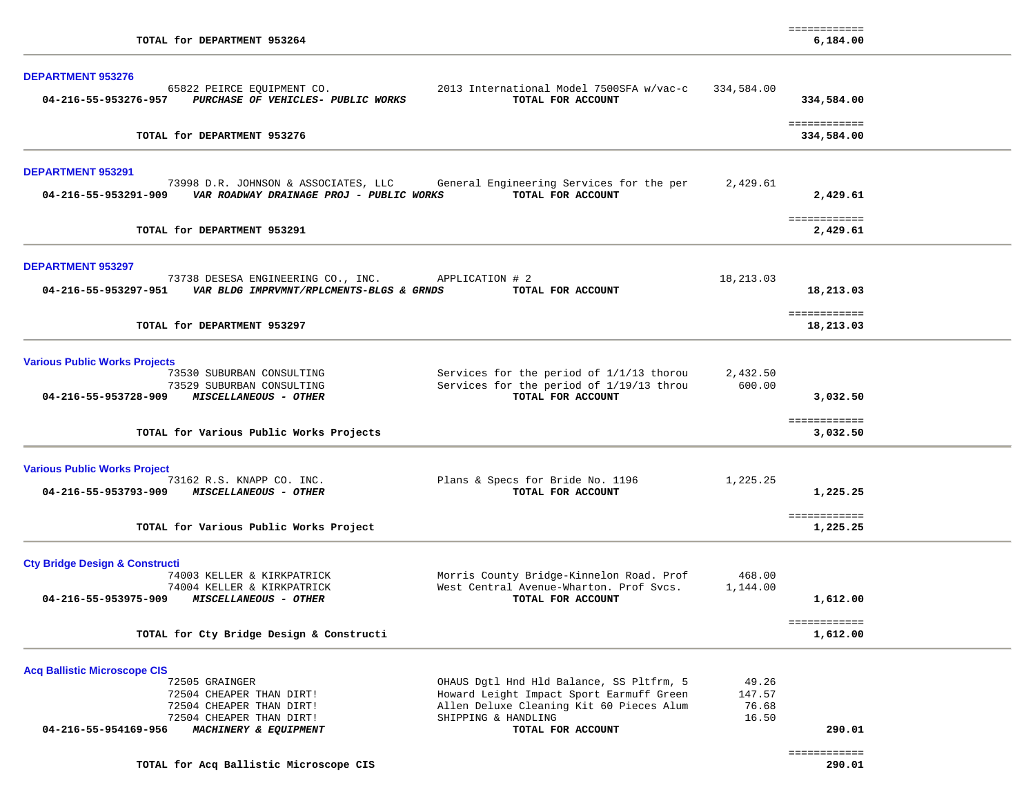| <b>DEPARTMENT 953276</b>                                                                                                                                                                                  |                                                                                                                                                                              |                                   |                                      |  |
|-----------------------------------------------------------------------------------------------------------------------------------------------------------------------------------------------------------|------------------------------------------------------------------------------------------------------------------------------------------------------------------------------|-----------------------------------|--------------------------------------|--|
| 65822 PEIRCE EQUIPMENT CO.<br>04-216-55-953276-957 PURCHASE OF VEHICLES- PUBLIC WORKS                                                                                                                     | 2013 International Model 7500SFA w/vac-c<br>TOTAL FOR ACCOUNT                                                                                                                | 334,584.00                        | 334,584.00                           |  |
| TOTAL for DEPARTMENT 953276                                                                                                                                                                               |                                                                                                                                                                              |                                   | ============<br>334,584.00           |  |
| <b>DEPARTMENT 953291</b><br>73998 D.R. JOHNSON & ASSOCIATES, LLC<br>04-216-55-953291-909    VAR ROADWAY DRAINAGE PROJ - PUBLIC WORKS                                                                      | General Engineering Services for the per<br>TOTAL FOR ACCOUNT                                                                                                                | 2,429.61                          | 2,429.61                             |  |
| TOTAL for DEPARTMENT 953291                                                                                                                                                                               |                                                                                                                                                                              |                                   | ============<br>2,429.61             |  |
| <b>DEPARTMENT 953297</b>                                                                                                                                                                                  |                                                                                                                                                                              |                                   |                                      |  |
| 73738 DESESA ENGINEERING CO., INC.<br>04-216-55-953297-951 VAR BLDG IMPRVMNT/RPLCMENTS-BLGS & GRNDS                                                                                                       | APPLICATION # 2<br>TOTAL FOR ACCOUNT                                                                                                                                         | 18,213.03                         | 18,213.03                            |  |
| TOTAL for DEPARTMENT 953297                                                                                                                                                                               |                                                                                                                                                                              |                                   | ============<br>18,213.03            |  |
| <b>Various Public Works Projects</b><br>73530 SUBURBAN CONSULTING<br>73529 SUBURBAN CONSULTING<br>04-216-55-953728-909<br><i>MISCELLANEOUS - OTHER</i>                                                    | Services for the period of 1/1/13 thorou<br>Services for the period of 1/19/13 throu<br>TOTAL FOR ACCOUNT                                                                    | 2,432.50<br>600.00                | 3,032.50                             |  |
| TOTAL for Various Public Works Projects                                                                                                                                                                   |                                                                                                                                                                              |                                   | ============<br>3,032.50             |  |
| <b>Various Public Works Project</b><br>73162 R.S. KNAPP CO. INC.<br>04-216-55-953793-909<br><b>MISCELLANEOUS - OTHER</b>                                                                                  | Plans & Specs for Bride No. 1196<br>TOTAL FOR ACCOUNT                                                                                                                        | 1,225.25                          | 1,225.25                             |  |
| TOTAL for Various Public Works Project                                                                                                                                                                    |                                                                                                                                                                              |                                   | ============<br>1,225.25             |  |
| <b>Cty Bridge Design &amp; Constructi</b><br>74003 KELLER & KIRKPATRICK<br>74004 KELLER & KIRKPATRICK<br><i>MISCELLANEOUS - OTHER</i><br>04-216-55-953975-909<br>TOTAL for Cty Bridge Design & Constructi | Morris County Bridge-Kinnelon Road. Prof<br>West Central Avenue-Wharton. Prof Svcs.<br>TOTAL FOR ACCOUNT                                                                     | 468.00<br>1,144.00                | 1,612.00<br>============<br>1,612.00 |  |
| <b>Acq Ballistic Microscope CIS</b><br>72505 GRAINGER<br>72504 CHEAPER THAN DIRT!<br>72504 CHEAPER THAN DIRT!<br>72504 CHEAPER THAN DIRT!<br>04-216-55-954169-956<br>MACHINERY & EQUIPMENT                | OHAUS Dgtl Hnd Hld Balance, SS Pltfrm, 5<br>Howard Leight Impact Sport Earmuff Green<br>Allen Deluxe Cleaning Kit 60 Pieces Alum<br>SHIPPING & HANDLING<br>TOTAL FOR ACCOUNT | 49.26<br>147.57<br>76.68<br>16.50 | 290.01                               |  |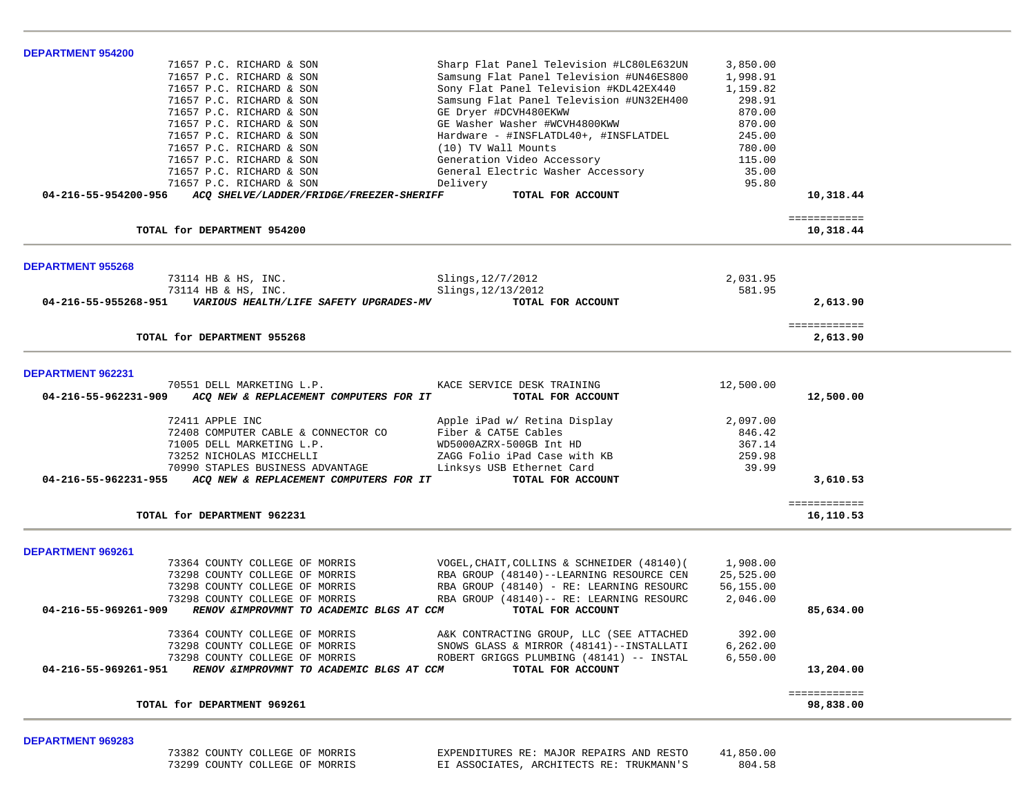| <b>DEPARTMENT 954200</b> |                                                                |                                               |                 |                           |  |
|--------------------------|----------------------------------------------------------------|-----------------------------------------------|-----------------|---------------------------|--|
|                          | 71657 P.C. RICHARD & SON                                       | Sharp Flat Panel Television #LC80LE632UN      | 3,850.00        |                           |  |
|                          | 71657 P.C. RICHARD & SON                                       | Samsung Flat Panel Television #UN46ES800      | 1,998.91        |                           |  |
|                          | 71657 P.C. RICHARD & SON                                       | Sony Flat Panel Television #KDL42EX440        | 1,159.82        |                           |  |
|                          | 71657 P.C. RICHARD & SON                                       | Samsung Flat Panel Television #UN32EH400      | 298.91          |                           |  |
|                          | 71657 P.C. RICHARD & SON                                       | GE Dryer #DCVH480EKWW                         | 870.00          |                           |  |
|                          | 71657 P.C. RICHARD & SON                                       | GE Washer Washer #WCVH4800KWW                 | 870.00          |                           |  |
|                          | 71657 P.C. RICHARD & SON                                       | Hardware - #INSFLATDL40+, #INSFLATDEL         | 245.00          |                           |  |
|                          | 71657 P.C. RICHARD & SON                                       | (10) TV Wall Mounts                           | 780.00          |                           |  |
|                          | 71657 P.C. RICHARD & SON                                       | Generation Video Accessory                    | 115.00<br>35.00 |                           |  |
|                          | 71657 P.C. RICHARD & SON<br>71657 P.C. RICHARD & SON           | General Electric Washer Accessory<br>Delivery | 95.80           |                           |  |
|                          | 04-216-55-954200-956 ACQ SHELVE/LADDER/FRIDGE/FREEZER-SHERIFF  | TOTAL FOR ACCOUNT                             |                 | 10,318.44                 |  |
|                          |                                                                |                                               |                 | ============              |  |
|                          | TOTAL for DEPARTMENT 954200                                    |                                               |                 | 10,318.44                 |  |
| <b>DEPARTMENT 955268</b> |                                                                |                                               |                 |                           |  |
|                          | 73114 HB & HS, INC.                                            | Slings, 12/7/2012                             | 2,031.95        |                           |  |
|                          | 73114 HB & HS, INC.                                            | Slings, 12/13/2012                            | 581.95          |                           |  |
|                          | 04-216-55-955268-951    VARIOUS HEALTH/LIFE SAFETY UPGRADES-MV | TOTAL FOR ACCOUNT                             |                 | 2,613.90                  |  |
|                          |                                                                |                                               |                 | ============              |  |
|                          | TOTAL for DEPARTMENT 955268                                    |                                               |                 | 2,613.90                  |  |
| <b>DEPARTMENT 962231</b> |                                                                |                                               |                 |                           |  |
|                          | 70551 DELL MARKETING L.P.                                      | KACE SERVICE DESK TRAINING                    | 12,500.00       |                           |  |
|                          | 04-216-55-962231-909 ACQ NEW & REPLACEMENT COMPUTERS FOR IT    | TOTAL FOR ACCOUNT                             |                 | 12,500.00                 |  |
|                          | 72411 APPLE INC                                                | Apple iPad w/ Retina Display                  | 2,097.00        |                           |  |
|                          | 72408 COMPUTER CABLE & CONNECTOR CO                            | Fiber & CAT5E Cables                          | 846.42          |                           |  |
|                          | 71005 DELL MARKETING L.P.                                      | WD5000AZRX-500GB Int HD                       | 367.14          |                           |  |
|                          | 73252 NICHOLAS MICCHELLI                                       | ZAGG Folio iPad Case with KB                  | 259.98          |                           |  |
|                          | 70990 STAPLES BUSINESS ADVANTAGE                               | Linksys USB Ethernet Card                     | 39.99           |                           |  |
|                          | 04-216-55-962231-955 ACQ NEW & REPLACEMENT COMPUTERS FOR IT    | TOTAL FOR ACCOUNT                             |                 | 3,610.53                  |  |
|                          | TOTAL for DEPARTMENT 962231                                    |                                               |                 | ============<br>16,110.53 |  |
|                          |                                                                |                                               |                 |                           |  |
| <b>DEPARTMENT 969261</b> |                                                                |                                               |                 |                           |  |
|                          | 73364 COUNTY COLLEGE OF MORRIS                                 | VOGEL, CHAIT, COLLINS & SCHNEIDER (48140) (   | 1,908.00        |                           |  |
|                          | 73298 COUNTY COLLEGE OF MORRIS                                 | RBA GROUP (48140)--LEARNING RESOURCE CEN      | 25,525.00       |                           |  |
|                          | 73298 COUNTY COLLEGE OF MORRIS                                 | RBA GROUP (48140) - RE: LEARNING RESOURC      | 56,155.00       |                           |  |
|                          | 73298 COUNTY COLLEGE OF MORRIS                                 | RBA GROUP (48140) -- RE: LEARNING RESOURC     | 2,046.00        |                           |  |
| 04-216-55-969261-909     | RENOV & IMPROVMNT TO ACADEMIC BLGS AT CCM                      | TOTAL FOR ACCOUNT                             |                 | 85,634.00                 |  |
|                          | 73364 COUNTY COLLEGE OF MORRIS                                 | A&K CONTRACTING GROUP, LLC (SEE ATTACHED      | 392.00          |                           |  |
|                          | 73298 COUNTY COLLEGE OF MORRIS                                 | SNOWS GLASS & MIRROR (48141)--INSTALLATI      | 6, 262, 00      |                           |  |
|                          | 73298 COUNTY COLLEGE OF MORRIS                                 | ROBERT GRIGGS PLUMBING (48141) -- INSTAL      | 6,550.00        |                           |  |
|                          | 04-216-55-969261-951 RENOV & IMPROVMNT TO ACADEMIC BLGS AT CCM | TOTAL FOR ACCOUNT                             |                 | 13,204.00                 |  |
|                          | TOTAL for DEPARTMENT 969261                                    |                                               |                 | ============<br>98,838.00 |  |
|                          |                                                                |                                               |                 |                           |  |

**DEPARTMENT 969283** 

 73382 COUNTY COLLEGE OF MORRIS EXPENDITURES RE: MAJOR REPAIRS AND RESTO 41,850.00 73299 COUNTY COLLEGE OF MORRIS EI ASSOCIATES, ARCHITECTS RE: TRUKMANN'S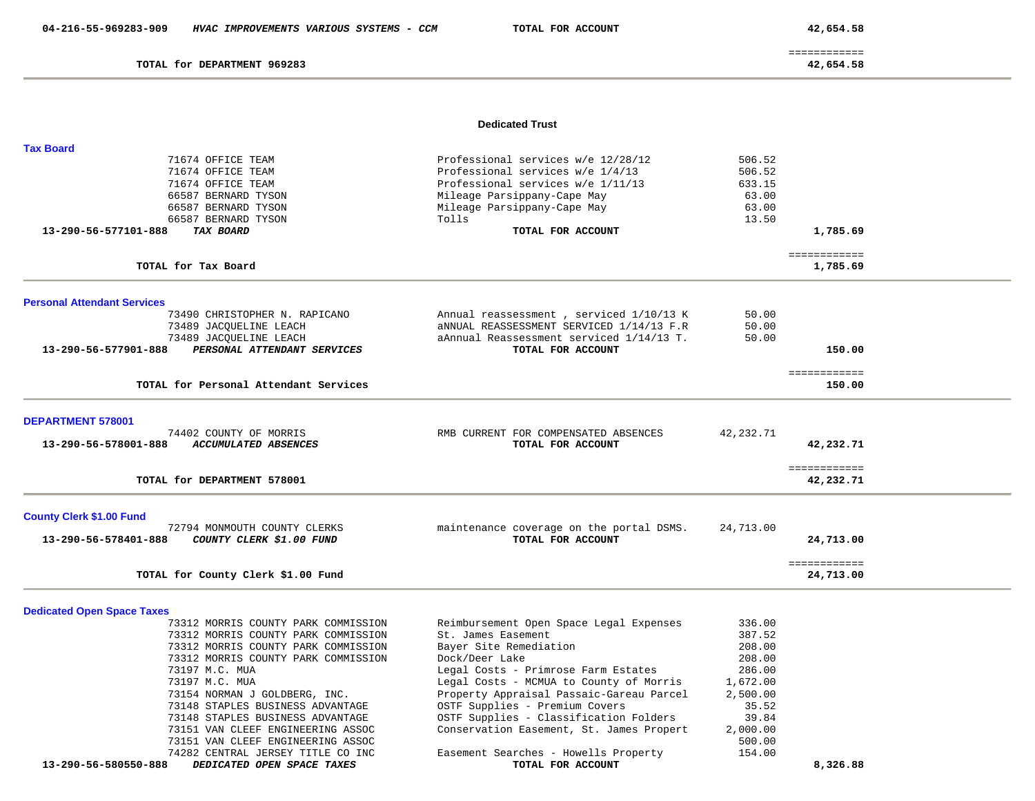TOTAL for DEPARTMENT 969283

 ============ 42,654.58

### **Dedicated Trust**

| <b>Tax Board</b>                                                                        |                                                           |           |                           |
|-----------------------------------------------------------------------------------------|-----------------------------------------------------------|-----------|---------------------------|
| 71674 OFFICE TEAM                                                                       | Professional services w/e 12/28/12                        | 506.52    |                           |
| 71674 OFFICE TEAM                                                                       | Professional services w/e 1/4/13                          | 506.52    |                           |
| 71674 OFFICE TEAM                                                                       | Professional services w/e 1/11/13                         | 633.15    |                           |
| 66587 BERNARD TYSON                                                                     | Mileage Parsippany-Cape May                               | 63.00     |                           |
| 66587 BERNARD TYSON                                                                     | Mileage Parsippany-Cape May                               | 63.00     |                           |
| 66587 BERNARD TYSON                                                                     | Tolls                                                     | 13.50     |                           |
| 13-290-56-577101-888<br>TAX BOARD                                                       | TOTAL FOR ACCOUNT                                         |           | 1,785.69                  |
| TOTAL for Tax Board                                                                     |                                                           |           | ============<br>1,785.69  |
| <b>Personal Attendant Services</b>                                                      |                                                           |           |                           |
| 73490 CHRISTOPHER N. RAPICANO                                                           | Annual reassessment, serviced 1/10/13 K                   | 50.00     |                           |
| 73489 JACQUELINE LEACH                                                                  | aNNUAL REASSESSMENT SERVICED 1/14/13 F.R                  | 50.00     |                           |
| 73489 JACQUELINE LEACH                                                                  | aAnnual Reassessment serviced 1/14/13 T.                  | 50.00     |                           |
| 13-290-56-577901-888<br>PERSONAL ATTENDANT SERVICES                                     | TOTAL FOR ACCOUNT                                         |           | 150.00                    |
|                                                                                         |                                                           |           |                           |
|                                                                                         |                                                           |           | ============              |
| TOTAL for Personal Attendant Services                                                   |                                                           |           | 150.00                    |
| <b>DEPARTMENT 578001</b>                                                                |                                                           |           |                           |
| 74402 COUNTY OF MORRIS                                                                  | RMB CURRENT FOR COMPENSATED ABSENCES                      | 42,232.71 |                           |
| 13-290-56-578001-888<br>ACCUMULATED ABSENCES                                            | TOTAL FOR ACCOUNT                                         |           | 42,232.71                 |
|                                                                                         |                                                           |           |                           |
| TOTAL for DEPARTMENT 578001                                                             |                                                           |           | ============<br>42,232.71 |
|                                                                                         |                                                           |           |                           |
| <b>County Clerk \$1.00 Fund</b><br>72794 MONMOUTH COUNTY CLERKS                         | maintenance coverage on the portal DSMS.                  | 24,713.00 |                           |
| COUNTY CLERK \$1.00 FUND<br>13-290-56-578401-888                                        | TOTAL FOR ACCOUNT                                         |           | 24,713.00                 |
|                                                                                         |                                                           |           |                           |
| TOTAL for County Clerk \$1.00 Fund                                                      |                                                           |           | ============<br>24,713.00 |
|                                                                                         |                                                           |           |                           |
| <b>Dedicated Open Space Taxes</b>                                                       |                                                           |           |                           |
| 73312 MORRIS COUNTY PARK COMMISSION                                                     | Reimbursement Open Space Legal Expenses                   | 336.00    |                           |
| 73312 MORRIS COUNTY PARK COMMISSION                                                     | St. James Easement                                        | 387.52    |                           |
| 73312 MORRIS COUNTY PARK COMMISSION                                                     | Bayer Site Remediation                                    | 208.00    |                           |
| 73312 MORRIS COUNTY PARK COMMISSION                                                     | Dock/Deer Lake                                            | 208.00    |                           |
| 73197 M.C. MUA                                                                          | Legal Costs - Primrose Farm Estates                       | 286.00    |                           |
| 73197 M.C. MUA                                                                          | Legal Costs - MCMUA to County of Morris                   | 1,672.00  |                           |
| 73154 NORMAN J GOLDBERG, INC.                                                           | Property Appraisal Passaic-Gareau Parcel                  | 2,500.00  |                           |
| 73148 STAPLES BUSINESS ADVANTAGE                                                        | OSTF Supplies - Premium Covers                            | 35.52     |                           |
| 73148 STAPLES BUSINESS ADVANTAGE                                                        | OSTF Supplies - Classification Folders                    | 39.84     |                           |
| 73151 VAN CLEEF ENGINEERING ASSOC                                                       | Conservation Easement, St. James Propert                  | 2,000.00  |                           |
| 73151 VAN CLEEF ENGINEERING ASSOC                                                       |                                                           | 500.00    |                           |
| 74282 CENTRAL JERSEY TITLE CO INC<br>13-290-56-580550-888<br>DEDICATED OPEN SPACE TAXES | Easement Searches - Howells Property<br>TOTAL FOR ACCOUNT | 154.00    | 8,326.88                  |